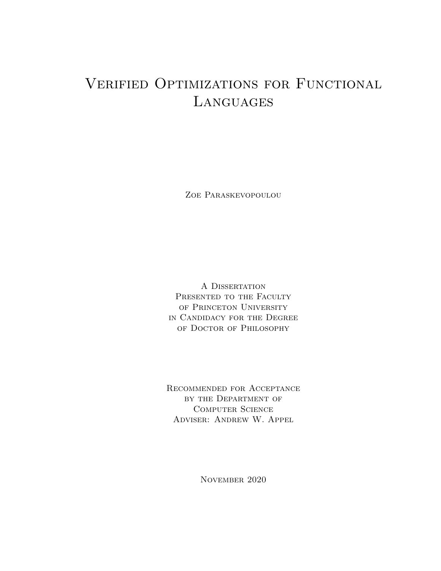# <span id="page-0-0"></span>Verified Optimizations for Functional **LANGUAGES**

Zoe Paraskevopoulou

A Dissertation PRESENTED TO THE FACULTY OF PRINCETON UNIVERSITY in Candidacy for the Degree of Doctor of Philosophy

Recommended for Acceptance by the Department of Computer Science Adviser: Andrew W. Appel

November 2020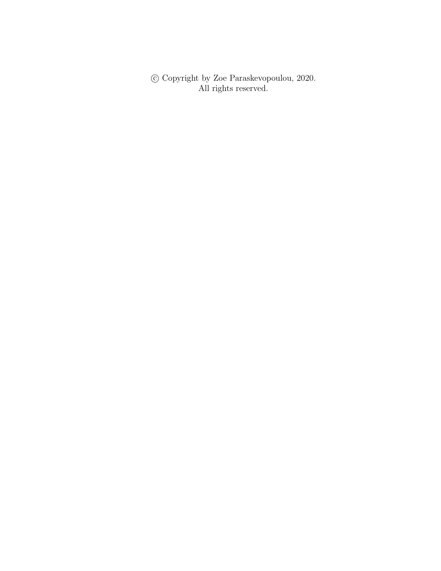$\copyright$  Copyright by Zoe Paraskevopoulou, 2020. All rights reserved.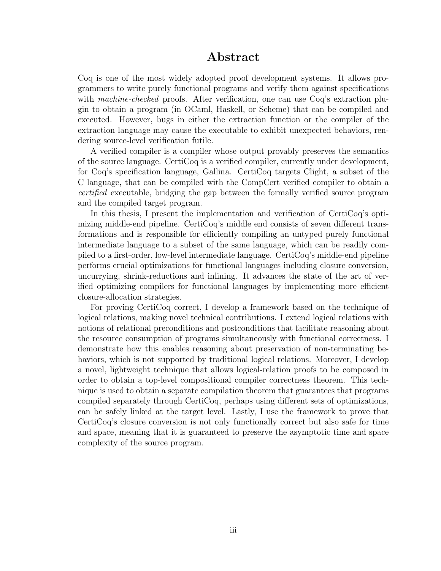### Abstract

Coq is one of the most widely adopted proof development systems. It allows programmers to write purely functional programs and verify them against specifications with machine-checked proofs. After verification, one can use Coq's extraction plugin to obtain a program (in OCaml, Haskell, or Scheme) that can be compiled and executed. However, bugs in either the extraction function or the compiler of the extraction language may cause the executable to exhibit unexpected behaviors, rendering source-level verification futile.

A verified compiler is a compiler whose output provably preserves the semantics of the source language. CertiCoq is a verified compiler, currently under development, for Coq's specification language, Gallina. CertiCoq targets Clight, a subset of the C language, that can be compiled with the CompCert verified compiler to obtain a certified executable, bridging the gap between the formally verified source program and the compiled target program.

In this thesis, I present the implementation and verification of CertiCoq's optimizing middle-end pipeline. CertiCoq's middle end consists of seven different transformations and is responsible for efficiently compiling an untyped purely functional intermediate language to a subset of the same language, which can be readily compiled to a first-order, low-level intermediate language. CertiCoq's middle-end pipeline performs crucial optimizations for functional languages including closure conversion, uncurrying, shrink-reductions and inlining. It advances the state of the art of verified optimizing compilers for functional languages by implementing more efficient closure-allocation strategies.

For proving CertiCoq correct, I develop a framework based on the technique of logical relations, making novel technical contributions. I extend logical relations with notions of relational preconditions and postconditions that facilitate reasoning about the resource consumption of programs simultaneously with functional correctness. I demonstrate how this enables reasoning about preservation of non-terminating behaviors, which is not supported by traditional logical relations. Moreover, I develop a novel, lightweight technique that allows logical-relation proofs to be composed in order to obtain a top-level compositional compiler correctness theorem. This technique is used to obtain a separate compilation theorem that guarantees that programs compiled separately through CertiCoq, perhaps using different sets of optimizations, can be safely linked at the target level. Lastly, I use the framework to prove that CertiCoq's closure conversion is not only functionally correct but also safe for time and space, meaning that it is guaranteed to preserve the asymptotic time and space complexity of the source program.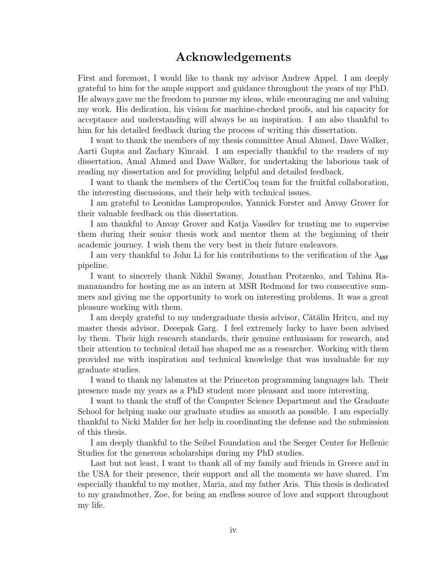## Acknowledgements

<span id="page-3-0"></span>First and foremost, I would like to thank my advisor Andrew Appel. I am deeply grateful to him for the ample support and guidance throughout the years of my PhD. He always gave me the freedom to pursue my ideas, while encouraging me and valuing my work. His dedication, his vision for machine-checked proofs, and his capacity for acceptance and understanding will always be an inspiration. I am also thankful to him for his detailed feedback during the process of writing this dissertation.

I want to thank the members of my thesis committee Amal Ahmed, Dave Walker, Aarti Gupta and Zachary Kincaid. I am especially thankful to the readers of my dissertation, Amal Ahmed and Dave Walker, for undertaking the laborious task of reading my dissertation and for providing helpful and detailed feedback.

I want to thank the members of the CertiCoq team for the fruitful collaboration, the interesting discussions, and their help with technical issues.

I am grateful to Leonidas Lampropoulos, Yannick Forster and Anvay Grover for their valuable feedback on this dissertation.

I am thankful to Anvay Grover and Katja Vassilev for trusting me to supervise them during their senior thesis work and mentor them at the beginning of their academic journey. I wish them the very best in their future endeavors.

I am very thankful to John Li for his contributions to the verification of the  $\lambda_{\text{ANF}}$ pipeline.

I want to sincerely thank Nikhil Swamy, Jonathan Protzenko, and Tahina Ramananandro for hosting me as an intern at MSR Redmond for two consecutive summers and giving me the opportunity to work on interesting problems. It was a great pleasure working with them.

I am deeply grateful to my undergraduate thesis advisor, Cătălin Hritcu, and my master thesis advisor, Deeepak Garg. I feel extremely lucky to have been advised by them. Their high research standards, their genuine enthusiasm for research, and their attention to technical detail has shaped me as a researcher. Working with them provided me with inspiration and technical knowledge that was invaluable for my graduate studies.

I wand to thank my labmates at the Princeton programming languages lab. Their presence made my years as a PhD student more pleasant and more interesting.

I want to thank the stuff of the Computer Science Department and the Graduate School for helping make our graduate studies as smooth as possible. I am especially thankful to Nicki Mahler for her help in coordinating the defense and the submission of this thesis.

I am deeply thankful to the Seibel Foundation and the Seeger Center for Hellenic Studies for the generous scholarships during my PhD studies.

Last but not least, I want to thank all of my family and friends in Greece and in the USA for their presence, their support and all the moments we have shared. I'm especially thankful to my mother, Maria, and my father Aris. This thesis is dedicated to my grandmother, Zoe, for being an endless source of love and support throughout my life.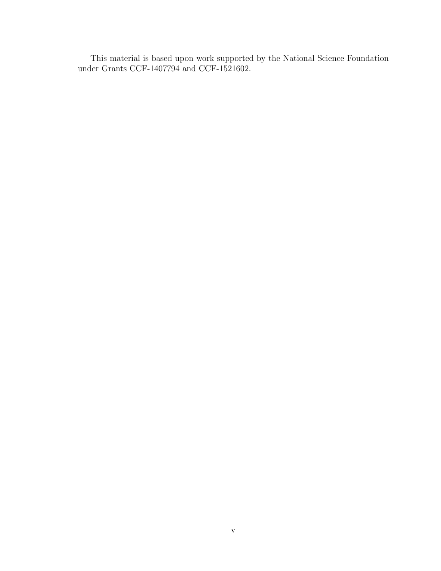This material is based upon work supported by the National Science Foundation under Grants CCF-1407794 and CCF-1521602.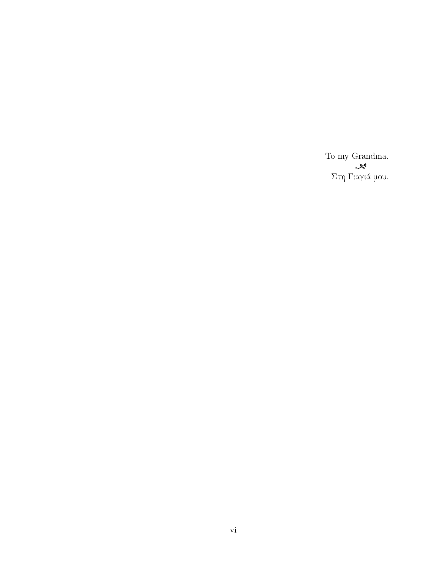To my Grandma.  $\mathcal{S}^*$ Στη Γιαγιά μου.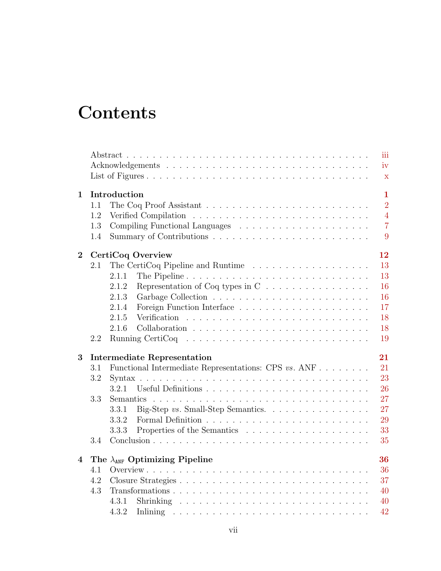# **Contents**

|                         |                              |                                                                                                                                                                                                                                                                                                                                                                                                                                                                          |                                                                               |  |  |  | iii            |
|-------------------------|------------------------------|--------------------------------------------------------------------------------------------------------------------------------------------------------------------------------------------------------------------------------------------------------------------------------------------------------------------------------------------------------------------------------------------------------------------------------------------------------------------------|-------------------------------------------------------------------------------|--|--|--|----------------|
|                         |                              |                                                                                                                                                                                                                                                                                                                                                                                                                                                                          |                                                                               |  |  |  | iv             |
|                         |                              |                                                                                                                                                                                                                                                                                                                                                                                                                                                                          |                                                                               |  |  |  | $\mathbf x$    |
| $\mathbf{1}$            | Introduction<br>$\mathbf{1}$ |                                                                                                                                                                                                                                                                                                                                                                                                                                                                          |                                                                               |  |  |  |                |
|                         | 1.1                          |                                                                                                                                                                                                                                                                                                                                                                                                                                                                          |                                                                               |  |  |  | $\overline{2}$ |
|                         | 1.2                          |                                                                                                                                                                                                                                                                                                                                                                                                                                                                          |                                                                               |  |  |  | $\overline{4}$ |
|                         | 1.3                          |                                                                                                                                                                                                                                                                                                                                                                                                                                                                          |                                                                               |  |  |  | $\overline{7}$ |
|                         | 1.4                          |                                                                                                                                                                                                                                                                                                                                                                                                                                                                          |                                                                               |  |  |  | 9              |
| $\overline{2}$          | 12<br>CertiCoq Overview      |                                                                                                                                                                                                                                                                                                                                                                                                                                                                          |                                                                               |  |  |  |                |
|                         | 2.1                          |                                                                                                                                                                                                                                                                                                                                                                                                                                                                          |                                                                               |  |  |  | 13             |
|                         |                              | 2.1.1                                                                                                                                                                                                                                                                                                                                                                                                                                                                    |                                                                               |  |  |  | 13             |
|                         |                              | 2.1.2                                                                                                                                                                                                                                                                                                                                                                                                                                                                    | Representation of Coq types in C $\ldots \ldots \ldots \ldots \ldots$         |  |  |  | 16             |
|                         |                              | 2.1.3                                                                                                                                                                                                                                                                                                                                                                                                                                                                    |                                                                               |  |  |  | 16             |
|                         |                              | 2.1.4                                                                                                                                                                                                                                                                                                                                                                                                                                                                    | Foreign Function Interface $\ldots \ldots \ldots \ldots \ldots \ldots \ldots$ |  |  |  | 17             |
|                         |                              | 2.1.5                                                                                                                                                                                                                                                                                                                                                                                                                                                                    |                                                                               |  |  |  | 18             |
|                         |                              | 2.1.6                                                                                                                                                                                                                                                                                                                                                                                                                                                                    |                                                                               |  |  |  | 18             |
|                         | 2.2                          |                                                                                                                                                                                                                                                                                                                                                                                                                                                                          |                                                                               |  |  |  | 19             |
| 3                       |                              |                                                                                                                                                                                                                                                                                                                                                                                                                                                                          | <b>Intermediate Representation</b>                                            |  |  |  | 21             |
|                         | 3.1                          | Functional Intermediate Representations: CPS vs. ANF                                                                                                                                                                                                                                                                                                                                                                                                                     |                                                                               |  |  |  |                |
|                         | 3.2                          |                                                                                                                                                                                                                                                                                                                                                                                                                                                                          |                                                                               |  |  |  | 21<br>23       |
|                         |                              | 3.2.1                                                                                                                                                                                                                                                                                                                                                                                                                                                                    |                                                                               |  |  |  | 26             |
|                         | 3.3                          | $\mathcal{L}(\mathcal{L}(\mathcal{L}(\mathcal{L}(\mathcal{L}(\mathcal{L}(\mathcal{L}(\mathcal{L}(\mathcal{L}(\mathcal{L}(\mathcal{L}(\mathcal{L}(\mathcal{L}(\mathcal{L}(\mathcal{L}(\mathcal{L}(\mathcal{L}(\mathcal{L}(\mathcal{L}(\mathcal{L}(\mathcal{L}(\mathcal{L}(\mathcal{L}(\mathcal{L}(\mathcal{L}(\mathcal{L}(\mathcal{L}(\mathcal{L}(\mathcal{L}(\mathcal{L}(\mathcal{L}(\mathcal{L}(\mathcal{L}(\mathcal{L}(\mathcal{L}(\mathcal{L}(\mathcal{$<br>Semantics |                                                                               |  |  |  |                |
|                         |                              | 3.3.1                                                                                                                                                                                                                                                                                                                                                                                                                                                                    | Big-Step vs. Small-Step Semantics. $\ldots \ldots \ldots \ldots \ldots$       |  |  |  | 27<br>27       |
|                         |                              | 3.3.2                                                                                                                                                                                                                                                                                                                                                                                                                                                                    |                                                                               |  |  |  | 29             |
|                         |                              | 3.3.3                                                                                                                                                                                                                                                                                                                                                                                                                                                                    |                                                                               |  |  |  | 33             |
|                         | 3.4                          |                                                                                                                                                                                                                                                                                                                                                                                                                                                                          |                                                                               |  |  |  | 35             |
|                         |                              |                                                                                                                                                                                                                                                                                                                                                                                                                                                                          |                                                                               |  |  |  |                |
| $\overline{\mathbf{4}}$ |                              |                                                                                                                                                                                                                                                                                                                                                                                                                                                                          | The $\lambda_{ANF}$ Optimizing Pipeline                                       |  |  |  | 36             |
|                         | 4.1                          |                                                                                                                                                                                                                                                                                                                                                                                                                                                                          |                                                                               |  |  |  | 36             |
|                         | 4.2                          |                                                                                                                                                                                                                                                                                                                                                                                                                                                                          |                                                                               |  |  |  | 37             |
|                         | 4.3                          |                                                                                                                                                                                                                                                                                                                                                                                                                                                                          |                                                                               |  |  |  | 40             |
|                         |                              | 4.3.1                                                                                                                                                                                                                                                                                                                                                                                                                                                                    |                                                                               |  |  |  | 40             |
|                         |                              | 4.3.2                                                                                                                                                                                                                                                                                                                                                                                                                                                                    |                                                                               |  |  |  | 42             |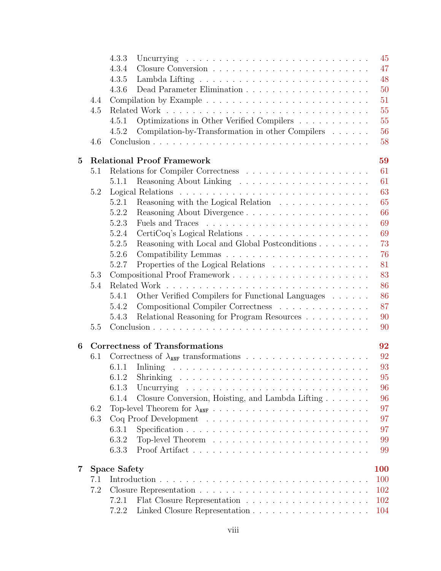|                 |     | 4.3.3                                                                                                | 45 |
|-----------------|-----|------------------------------------------------------------------------------------------------------|----|
|                 |     | 47<br>4.3.4                                                                                          |    |
|                 |     | 48<br>4.3.5                                                                                          |    |
|                 |     | 4.3.6                                                                                                | 50 |
|                 | 4.4 |                                                                                                      | 51 |
|                 | 4.5 |                                                                                                      | 55 |
|                 |     | Optimizations in Other Verified Compilers<br>4.5.1                                                   | 55 |
|                 |     | Compilation-by-Transformation in other Compilers<br>4.5.2                                            | 56 |
|                 | 4.6 |                                                                                                      | 58 |
| $5\overline{)}$ |     | <b>Relational Proof Framework</b><br>59                                                              |    |
|                 | 5.1 | 61                                                                                                   |    |
|                 |     | 61<br>5.1.1                                                                                          |    |
|                 | 5.2 | 63                                                                                                   |    |
|                 |     | Reasoning with the Logical Relation $\ldots \ldots \ldots \ldots$<br>65<br>5.2.1                     |    |
|                 |     | 66<br>5.2.2                                                                                          |    |
|                 |     | 69<br>5.2.3                                                                                          |    |
|                 |     | 69<br>5.2.4                                                                                          |    |
|                 |     | Reasoning with Local and Global Postconditions<br>5.2.5                                              | 73 |
|                 |     | 5.2.6                                                                                                | 76 |
|                 |     | Properties of the Logical Relations<br>81<br>5.2.7                                                   |    |
|                 | 5.3 |                                                                                                      | 83 |
|                 | 5.4 |                                                                                                      | 86 |
|                 |     | Other Verified Compilers for Functional Languages<br>86<br>5.4.1                                     |    |
|                 |     | Compositional Compiler Correctness<br>5.4.2                                                          | 87 |
|                 |     | Relational Reasoning for Program Resources<br>90<br>5.4.3                                            |    |
|                 | 5.5 |                                                                                                      | 90 |
| 6               |     | <b>Correctness of Transformations</b><br>92                                                          |    |
|                 | 6.1 | 92                                                                                                   |    |
|                 |     | 93<br>6.1.1                                                                                          |    |
|                 |     | 95                                                                                                   |    |
|                 |     | 6.1.3                                                                                                | 96 |
|                 |     | Closure Conversion, Hoisting, and Lambda Lifting<br>6.1.4                                            | 96 |
|                 | 6.2 |                                                                                                      | 97 |
|                 | 6.3 |                                                                                                      | 97 |
|                 |     | Specification $\ldots \ldots \ldots \ldots \ldots \ldots \ldots \ldots \ldots \ldots$<br>97<br>6.3.1 |    |
|                 |     | 6.3.2                                                                                                | 99 |
|                 |     | 6.3.3<br>99                                                                                          |    |
| 7               |     | <b>Space Safety</b><br><b>100</b>                                                                    |    |
|                 | 7.1 | 100                                                                                                  |    |
|                 | 7.2 | 102                                                                                                  |    |
|                 |     | 102<br>7.2.1                                                                                         |    |
|                 |     | 7.2.2<br>104                                                                                         |    |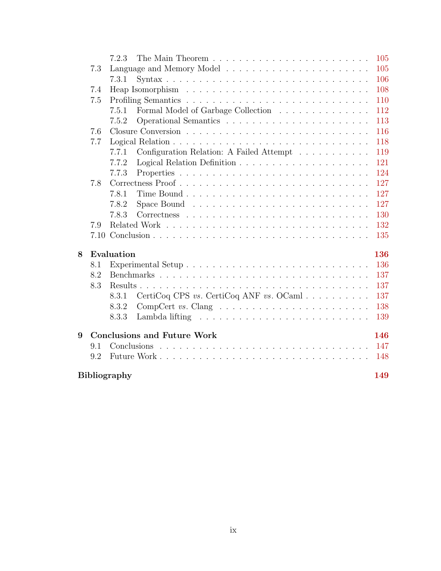|   |                                    | 7.2.3               |                                                                              | 105 |
|---|------------------------------------|---------------------|------------------------------------------------------------------------------|-----|
|   | 7.3                                |                     |                                                                              | 105 |
|   |                                    | 7.3.1               |                                                                              | 106 |
|   | 7.4                                |                     |                                                                              | 108 |
|   | 7.5                                |                     |                                                                              | 110 |
|   |                                    | 7.5.1               | Formal Model of Garbage Collection                                           | 112 |
|   |                                    | 7.5.2               |                                                                              | 113 |
|   | 7.6                                |                     |                                                                              | 116 |
|   | 7.7                                |                     |                                                                              | 118 |
|   |                                    | 7.7.1               | Configuration Relation: A Failed Attempt                                     | 119 |
|   |                                    | 7.7.2               |                                                                              | 121 |
|   |                                    | 7.7.3               |                                                                              | 124 |
|   | 7.8                                |                     |                                                                              | 127 |
|   |                                    | 7.8.1               |                                                                              | 127 |
|   |                                    | 7.8.2               | Space Bound $\ldots \ldots \ldots \ldots \ldots \ldots \ldots \ldots \ldots$ | 127 |
|   |                                    | 7.8.3               |                                                                              | 130 |
|   | 7.9                                |                     |                                                                              | 132 |
|   |                                    |                     |                                                                              | 135 |
| 8 |                                    | Evaluation          |                                                                              | 136 |
|   | 8.1                                |                     |                                                                              | 136 |
|   | 8.2                                |                     |                                                                              | 137 |
|   | 8.3                                |                     |                                                                              | 137 |
|   |                                    | 8.3.1               | CertiCoq CPS vs. CertiCoq ANF vs. OCaml                                      | 137 |
|   |                                    | 8.3.2               | $CompCert vs. Clang \dots \dots \dots \dots \dots \dots \dots \dots \dots$   | 138 |
|   |                                    | 8.3.3               |                                                                              | 139 |
| 9 | <b>Conclusions and Future Work</b> |                     |                                                                              | 146 |
|   | 9.1                                |                     |                                                                              | 147 |
|   | 9.2                                |                     |                                                                              | 148 |
|   |                                    | <b>Bibliography</b> |                                                                              | 149 |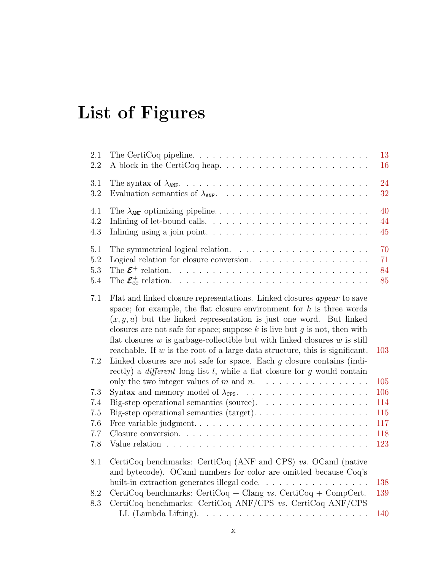# <span id="page-9-0"></span>List of Figures

| 2.1<br>2.2                   |                                                                                                                                                                                                                                                                                                                                                                                                  | 13<br>16             |
|------------------------------|--------------------------------------------------------------------------------------------------------------------------------------------------------------------------------------------------------------------------------------------------------------------------------------------------------------------------------------------------------------------------------------------------|----------------------|
| 3.1<br>3.2                   |                                                                                                                                                                                                                                                                                                                                                                                                  | 24<br>32             |
| 4.1<br>4.2<br>$4.3\,$        | Inlining of let-bound calls. $\ldots \ldots \ldots \ldots \ldots \ldots \ldots \ldots$                                                                                                                                                                                                                                                                                                           | 40<br>44<br>45       |
| 5.1<br>5.2<br>5.3<br>$5.4\,$ | The $\mathcal{E}^+$ relation.<br>and a construction of the construction of the construction of                                                                                                                                                                                                                                                                                                   | 70<br>71<br>84<br>85 |
| 7.1                          | Flat and linked closure representations. Linked closures appear to save<br>space; for example, the flat closure environment for $h$ is three words<br>$(x, y, u)$ but the linked representation is just one word. But linked<br>closures are not safe for space; suppose $k$ is live but $g$ is not, then with<br>flat closures $w$ is garbage-collectible but with linked closures $w$ is still |                      |
| 7.2                          | reachable. If $w$ is the root of a large data structure, this is significant.<br>Linked closures are not safe for space. Each $g$ closure contains (indi-<br>rectly) a <i>different</i> long list $l$ , while a flat closure for $g$ would contain                                                                                                                                               | 103<br>105           |
| 7.3                          |                                                                                                                                                                                                                                                                                                                                                                                                  | 106                  |
| 7.4                          | Big-step operational semantics (source). $\ldots \ldots \ldots \ldots \ldots$                                                                                                                                                                                                                                                                                                                    | 114                  |
| 7.5                          |                                                                                                                                                                                                                                                                                                                                                                                                  | 115                  |
| 7.6                          | Free variable judgment                                                                                                                                                                                                                                                                                                                                                                           | 117                  |
| 7.7                          |                                                                                                                                                                                                                                                                                                                                                                                                  | 118                  |
| 7.8                          |                                                                                                                                                                                                                                                                                                                                                                                                  | 123                  |
| 8.1                          | CertiCoq benchmarks: CertiCoq (ANF and CPS) $vs.$ OCaml (native<br>and bytecode). OCaml numbers for color are omitted because Coq's                                                                                                                                                                                                                                                              |                      |
|                              |                                                                                                                                                                                                                                                                                                                                                                                                  | 138                  |
| 8.2<br>8.3                   | CertiCoq benchmarks: CertiCoq + Clang vs. CertiCoq + CompCert.<br>CertiCoq benchmarks: CertiCoq ANF/CPS vs. CertiCoq ANF/CPS                                                                                                                                                                                                                                                                     | 139                  |
|                              |                                                                                                                                                                                                                                                                                                                                                                                                  | 140                  |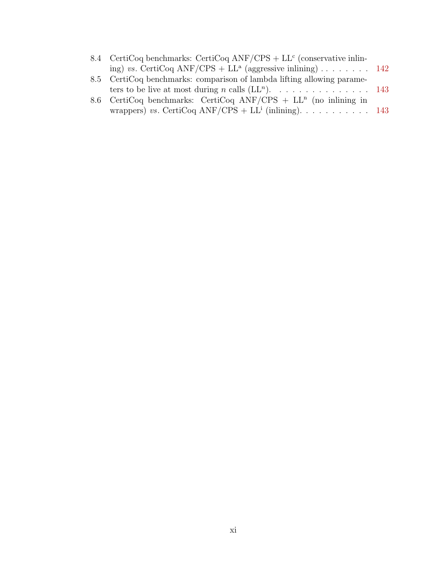| 8.4 CertiCoq benchmarks: CertiCoq ANF/CPS + $LLc$ (conservative inlin- |  |
|------------------------------------------------------------------------|--|
| ing) vs. CertiCoq ANF/CPS + LL <sup>a</sup> (aggressive inlining) 142  |  |
| 8.5 CertiCoq benchmarks: comparison of lambda lifting allowing parame- |  |
| ters to be live at most during <i>n</i> calls $(LL^n)$ . 143           |  |
| 8.6 CertiCoq benchmarks: CertiCoq ANF/CPS + $LL^n$ (no inlining in     |  |
| wrappers) vs. CertiCoq ANF/CPS + LL <sup>i</sup> (inlining). 143       |  |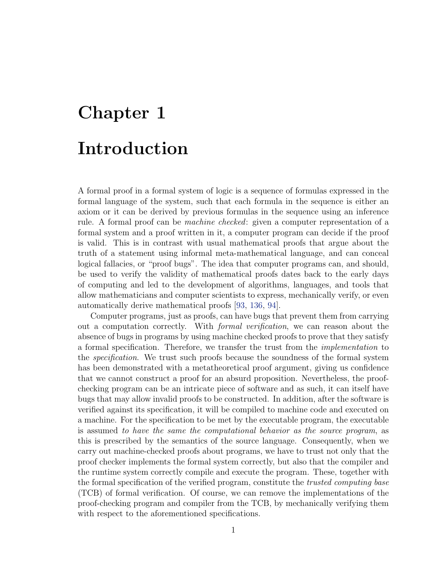# <span id="page-11-0"></span>Chapter 1 Introduction

A formal proof in a formal system of logic is a sequence of formulas expressed in the formal language of the system, such that each formula in the sequence is either an axiom or it can be derived by previous formulas in the sequence using an inference rule. A formal proof can be *machine checked*: given a computer representation of a formal system and a proof written in it, a computer program can decide if the proof is valid. This is in contrast with usual mathematical proofs that argue about the truth of a statement using informal meta-mathematical language, and can conceal logical fallacies, or "proof bugs". The idea that computer programs can, and should, be used to verify the validity of mathematical proofs dates back to the early days of computing and led to the development of algorithms, languages, and tools that allow mathematicians and computer scientists to express, mechanically verify, or even automatically derive mathematical proofs [\[93,](#page-167-0) [136,](#page-171-0) [94\]](#page-167-1).

Computer programs, just as proofs, can have bugs that prevent them from carrying out a computation correctly. With formal verification, we can reason about the absence of bugs in programs by using machine checked proofs to prove that they satisfy a formal specification. Therefore, we transfer the trust from the implementation to the *specification*. We trust such proofs because the soundness of the formal system has been demonstrated with a metatheoretical proof argument, giving us confidence that we cannot construct a proof for an absurd proposition. Nevertheless, the proofchecking program can be an intricate piece of software and as such, it can itself have bugs that may allow invalid proofs to be constructed. In addition, after the software is verified against its specification, it will be compiled to machine code and executed on a machine. For the specification to be met by the executable program, the executable is assumed to have the same the computational behavior as the source program, as this is prescribed by the semantics of the source language. Consequently, when we carry out machine-checked proofs about programs, we have to trust not only that the proof checker implements the formal system correctly, but also that the compiler and the runtime system correctly compile and execute the program. These, together with the formal specification of the verified program, constitute the *trusted computing base* (TCB) of formal verification. Of course, we can remove the implementations of the proof-checking program and compiler from the TCB, by mechanically verifying them with respect to the aforementioned specifications.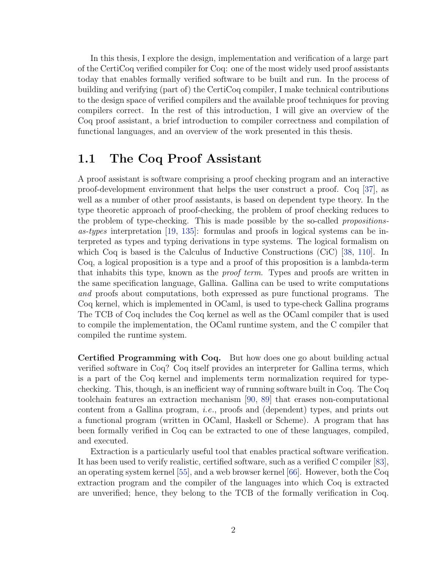In this thesis, I explore the design, implementation and verification of a large part of the CertiCoq verified compiler for Coq: one of the most widely used proof assistants today that enables formally verified software to be built and run. In the process of building and verifying (part of) the CertiCoq compiler, I make technical contributions to the design space of verified compilers and the available proof techniques for proving compilers correct. In the rest of this introduction, I will give an overview of the Coq proof assistant, a brief introduction to compiler correctness and compilation of functional languages, and an overview of the work presented in this thesis.

# <span id="page-12-0"></span>1.1 The Coq Proof Assistant

A proof assistant is software comprising a proof checking program and an interactive proof-development environment that helps the user construct a proof. Coq [\[37\]](#page-162-0), as well as a number of other proof assistants, is based on dependent type theory. In the type theoretic approach of proof-checking, the problem of proof checking reduces to the problem of type-checking. This is made possible by the so-called propositionsas-types interpretation [\[19,](#page-160-0) [135\]](#page-171-1): formulas and proofs in logical systems can be interpreted as types and typing derivations in type systems. The logical formalism on which Coq is based is the Calculus of Inductive Constructions (CiC) [\[38,](#page-162-1) [110\]](#page-169-0). In Coq, a logical proposition is a type and a proof of this proposition is a lambda-term that inhabits this type, known as the proof term. Types and proofs are written in the same specification language, Gallina. Gallina can be used to write computations and proofs about computations, both expressed as pure functional programs. The Coq kernel, which is implemented in OCaml, is used to type-check Gallina programs The TCB of Coq includes the Coq kernel as well as the OCaml compiler that is used to compile the implementation, the OCaml runtime system, and the C compiler that compiled the runtime system.

Certified Programming with Coq. But how does one go about building actual verified software in Coq? Coq itself provides an interpreter for Gallina terms, which is a part of the Coq kernel and implements term normalization required for typechecking. This, though, is an inefficient way of running software built in Coq. The Coq toolchain features an extraction mechanism [\[90,](#page-167-2) [89\]](#page-167-3) that erases non-computational content from a Gallina program, *i.e.*, proofs and (dependent) types, and prints out a functional program (written in OCaml, Haskell or Scheme). A program that has been formally verified in Coq can be extracted to one of these languages, compiled, and executed.

Extraction is a particularly useful tool that enables practical software verification. It has been used to verify realistic, certified software, such as a verified C compiler [\[83\]](#page-166-0), an operating system kernel [\[55\]](#page-164-0), and a web browser kernel [\[66\]](#page-165-0). However, both the Coq extraction program and the compiler of the languages into which Coq is extracted are unverified; hence, they belong to the TCB of the formally verification in Coq.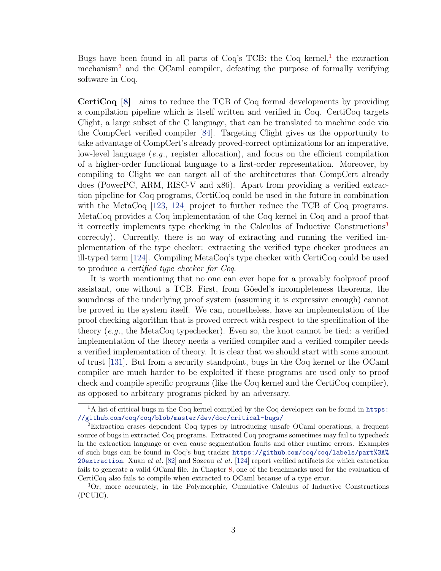Bugs have been found in all parts of Coq's TCB: the Coq kernel,<sup>[1](#page-13-0)</sup> the extraction mechanism<sup>[2](#page-13-1)</sup> and the OCaml compiler, defeating the purpose of formally verifying software in Coq.

CertiCoq [\[8\]](#page-159-1) aims to reduce the TCB of Coq formal developments by providing a compilation pipeline which is itself written and verified in Coq. CertiCoq targets Clight, a large subset of the C language, that can be translated to machine code via the CompCert verified compiler [\[84\]](#page-167-4). Targeting Clight gives us the opportunity to take advantage of CompCert's already proved-correct optimizations for an imperative, low-level language (e.g., register allocation), and focus on the efficient compilation of a higher-order functional language to a first-order representation. Moreover, by compiling to Clight we can target all of the architectures that CompCert already does (PowerPC, ARM, RISC-V and x86). Apart from providing a verified extraction pipeline for Coq programs, CertiCoq could be used in the future in combination with the MetaCoq [\[123,](#page-170-0) [124\]](#page-170-1) project to further reduce the TCB of Coq programs. MetaCoq provides a Coq implementation of the Coq kernel in Coq and a proof that it correctly implements type checking in the Calculus of Inductive Constructions<sup>[3](#page-13-2)</sup> correctly). Currently, there is no way of extracting and running the verified implementation of the type checker: extracting the verified type checker produces an ill-typed term [\[124\]](#page-170-1). Compiling MetaCoq's type checker with CertiCoq could be used to produce a certified type checker for Coq.

It is worth mentioning that no one can ever hope for a provably foolproof proof assistant, one without a TCB. First, from Göedel's incompleteness theorems, the soundness of the underlying proof system (assuming it is expressive enough) cannot be proved in the system itself. We can, nonetheless, have an implementation of the proof checking algorithm that is proved correct with respect to the specification of the theory  $(e.g., the MetaCoq typechecker)$ . Even so, the knot cannot be tied: a verified implementation of the theory needs a verified compiler and a verified compiler needs a verified implementation of theory. It is clear that we should start with some amount of trust [\[131\]](#page-170-2). But from a security standpoint, bugs in the Coq kernel or the OCaml compiler are much harder to be exploited if these programs are used only to proof check and compile specific programs (like the Coq kernel and the CertiCoq compiler), as opposed to arbitrary programs picked by an adversary.

<span id="page-13-0"></span><sup>&</sup>lt;sup>1</sup>A list of critical bugs in the Coq kernel compiled by the Coq developers can be found in [https:](https://github.com/coq/coq/blob/master/dev/doc/critical-bugs/) //github.[com/coq/coq/blob/master/dev/doc/critical-bugs/](https://github.com/coq/coq/blob/master/dev/doc/critical-bugs/)

<span id="page-13-1"></span><sup>2</sup>Extraction erases dependent Coq types by introducing unsafe OCaml operations, a frequent source of bugs in extracted Coq programs. Extracted Coq programs sometimes may fail to typecheck in the extraction language or even cause segmentation faults and other runtime errors. Examples of such bugs can be found in Coq's bug tracker https://github.[com/coq/coq/labels/part%3A%](https://github.com/coq/coq/labels/part%3A%20extraction) [20extraction](https://github.com/coq/coq/labels/part%3A%20extraction). Xuan et al.  $[82]$  and Sozeau et al.  $[124]$  report verified artifacts for which extraction fails to generate a valid OCaml file. In Chapter [8,](#page-146-0) one of the benchmarks used for the evaluation of CertiCoq also fails to compile when extracted to OCaml because of a type error.

<span id="page-13-2"></span><sup>3</sup>Or, more accurately, in the Polymorphic, Cumulative Calculus of Inductive Constructions (PCUIC).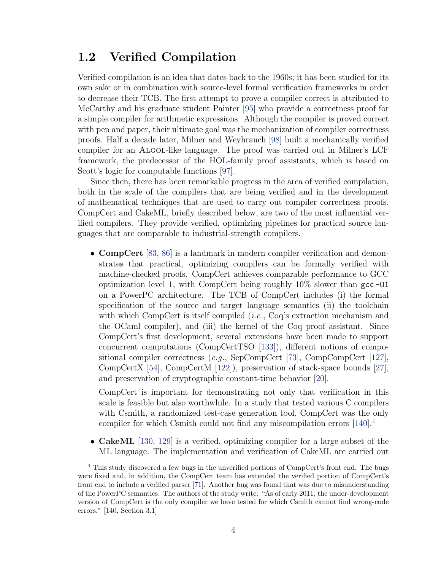# <span id="page-14-0"></span>1.2 Verified Compilation

Verified compilation is an idea that dates back to the 1960s; it has been studied for its own sake or in combination with source-level formal verification frameworks in order to decrease their TCB. The first attempt to prove a compiler correct is attributed to McCarthy and his graduate student Painter [\[95\]](#page-167-5) who provide a correctness proof for a simple compiler for arithmetic expressions. Although the compiler is proved correct with pen and paper, their ultimate goal was the mechanization of compiler correctness proofs. Half a decade later, Milner and Weyhrauch [\[98\]](#page-168-0) built a mechanically verified compiler for an ALGOL-like language. The proof was carried out in Milner's LCF framework, the predecessor of the HOL-family proof assistants, which is based on Scott's logic for computable functions [\[97\]](#page-168-1).

Since then, there has been remarkable progress in the area of verified compilation, both in the scale of the compilers that are being verified and in the development of mathematical techniques that are used to carry out compiler correctness proofs. CompCert and CakeML, briefly described below, are two of the most influential verified compilers. They provide verified, optimizing pipelines for practical source languages that are comparable to industrial-strength compilers.

• **CompCert** [\[83,](#page-166-0) [86\]](#page-167-6) is a landmark in modern compiler verification and demonstrates that practical, optimizing compilers can be formally verified with machine-checked proofs. CompCert achieves comparable performance to GCC optimization level 1, with CompCert being roughly  $10\%$  slower than gcc-01 on a PowerPC architecture. The TCB of CompCert includes (i) the formal specification of the source and target language semantics (ii) the toolchain with which CompCert is itself compiled (*i.e.*, Coq's extraction mechanism and the OCaml compiler), and (iii) the kernel of the Coq proof assistant. Since CompCert's first development, several extensions have been made to support concurrent computations (CompCertTSO [\[133\]](#page-171-2)), different notions of compositional compiler correctness (e.g., SepCompCert [\[73\]](#page-166-2), CompCompCert [\[127\]](#page-170-3), CompCertX [\[54\]](#page-163-0), CompCertM [\[122\]](#page-170-4)), preservation of stack-space bounds [\[27\]](#page-161-0), and preservation of cryptographic constant-time behavior [\[20\]](#page-160-1).

CompCert is important for demonstrating not only that verification in this scale is feasible but also worthwhile. In a study that tested various C compilers with Csmith, a randomized test-case generation tool, CompCert was the only compiler for which Csmith could not find any miscompilation errors [\[140\]](#page-171-3).[4](#page-14-1)

• CakeML [\[130,](#page-170-5) [129\]](#page-170-6) is a verified, optimizing compiler for a large subset of the ML language. The implementation and verification of CakeML are carried out

<span id="page-14-1"></span><sup>&</sup>lt;sup>4</sup> This study discovered a few bugs in the unverified portions of CompCert's front end. The bugs were fixed and, in addition, the CompCert team has extended the verified portion of CompCert's front end to include a verified parser [\[71\]](#page-165-1). Another bug was found that was due to misunderstanding of the PowerPC semantics. The authors of the study write: "As of early 2011, the under-development version of CompCert is the only compiler we have tested for which Csmith cannot find wrong-code errors." [\[140,](#page-171-3) Section 3.1]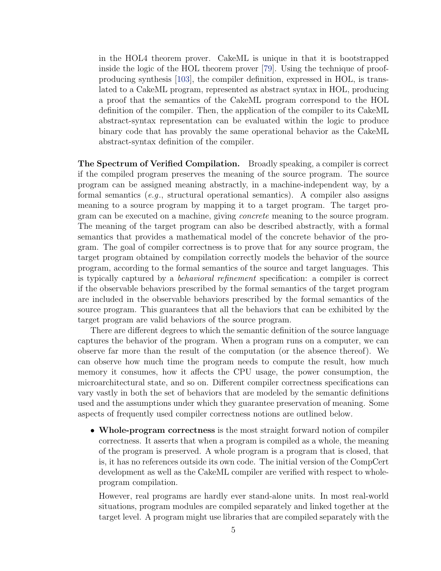in the HOL4 theorem prover. CakeML is unique in that it is bootstrapped inside the logic of the HOL theorem prover [\[79\]](#page-166-3). Using the technique of proofproducing synthesis [\[103\]](#page-168-2), the compiler definition, expressed in HOL, is translated to a CakeML program, represented as abstract syntax in HOL, producing a proof that the semantics of the CakeML program correspond to the HOL definition of the compiler. Then, the application of the compiler to its CakeML abstract-syntax representation can be evaluated within the logic to produce binary code that has provably the same operational behavior as the CakeML abstract-syntax definition of the compiler.

The Spectrum of Verified Compilation. Broadly speaking, a compiler is correct if the compiled program preserves the meaning of the source program. The source program can be assigned meaning abstractly, in a machine-independent way, by a formal semantics (e.g., structural operational semantics). A compiler also assigns meaning to a source program by mapping it to a target program. The target program can be executed on a machine, giving concrete meaning to the source program. The meaning of the target program can also be described abstractly, with a formal semantics that provides a mathematical model of the concrete behavior of the program. The goal of compiler correctness is to prove that for any source program, the target program obtained by compilation correctly models the behavior of the source program, according to the formal semantics of the source and target languages. This is typically captured by a behavioral refinement specification: a compiler is correct if the observable behaviors prescribed by the formal semantics of the target program are included in the observable behaviors prescribed by the formal semantics of the source program. This guarantees that all the behaviors that can be exhibited by the target program are valid behaviors of the source program.

There are different degrees to which the semantic definition of the source language captures the behavior of the program. When a program runs on a computer, we can observe far more than the result of the computation (or the absence thereof). We can observe how much time the program needs to compute the result, how much memory it consumes, how it affects the CPU usage, the power consumption, the microarchitectural state, and so on. Different compiler correctness specifications can vary vastly in both the set of behaviors that are modeled by the semantic definitions used and the assumptions under which they guarantee preservation of meaning. Some aspects of frequently used compiler correctness notions are outlined below.

• Whole-program correctness is the most straight forward notion of compiler correctness. It asserts that when a program is compiled as a whole, the meaning of the program is preserved. A whole program is a program that is closed, that is, it has no references outside its own code. The initial version of the CompCert development as well as the CakeML compiler are verified with respect to wholeprogram compilation.

However, real programs are hardly ever stand-alone units. In most real-world situations, program modules are compiled separately and linked together at the target level. A program might use libraries that are compiled separately with the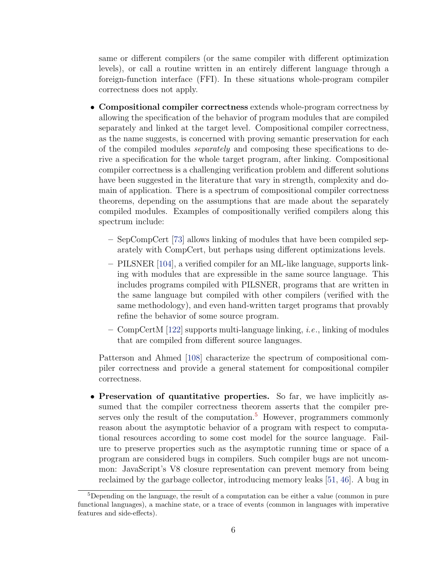same or different compilers (or the same compiler with different optimization levels), or call a routine written in an entirely different language through a foreign-function interface (FFI). In these situations whole-program compiler correctness does not apply.

- Compositional compiler correctness extends whole-program correctness by allowing the specification of the behavior of program modules that are compiled separately and linked at the target level. Compositional compiler correctness, as the name suggests, is concerned with proving semantic preservation for each of the compiled modules separately and composing these specifications to derive a specification for the whole target program, after linking. Compositional compiler correctness is a challenging verification problem and different solutions have been suggested in the literature that vary in strength, complexity and domain of application. There is a spectrum of compositional compiler correctness theorems, depending on the assumptions that are made about the separately compiled modules. Examples of compositionally verified compilers along this spectrum include:
	- SepCompCert [\[73\]](#page-166-2) allows linking of modules that have been compiled separately with CompCert, but perhaps using different optimizations levels.
	- PILSNER [\[104\]](#page-168-3), a verified compiler for an ML-like language, supports linking with modules that are expressible in the same source language. This includes programs compiled with PILSNER, programs that are written in the same language but compiled with other compilers (verified with the same methodology), and even hand-written target programs that provably refine the behavior of some source program.
	- CompCertM  $[122]$  supports multi-language linking, *i.e.*, linking of modules that are compiled from different source languages.

Patterson and Ahmed [\[108\]](#page-169-1) characterize the spectrum of compositional compiler correctness and provide a general statement for compositional compiler correctness.

• Preservation of quantitative properties. So far, we have implicitly assumed that the compiler correctness theorem asserts that the compiler pre-serves only the result of the computation.<sup>[5](#page-16-0)</sup> However, programmers commonly reason about the asymptotic behavior of a program with respect to computational resources according to some cost model for the source language. Failure to preserve properties such as the asymptotic running time or space of a program are considered bugs in compilers. Such compiler bugs are not uncommon: JavaScript's V8 closure representation can prevent memory from being reclaimed by the garbage collector, introducing memory leaks [\[51,](#page-163-1) [46\]](#page-163-2). A bug in

<span id="page-16-0"></span><sup>5</sup>Depending on the language, the result of a computation can be either a value (common in pure functional languages), a machine state, or a trace of events (common in languages with imperative features and side-effects).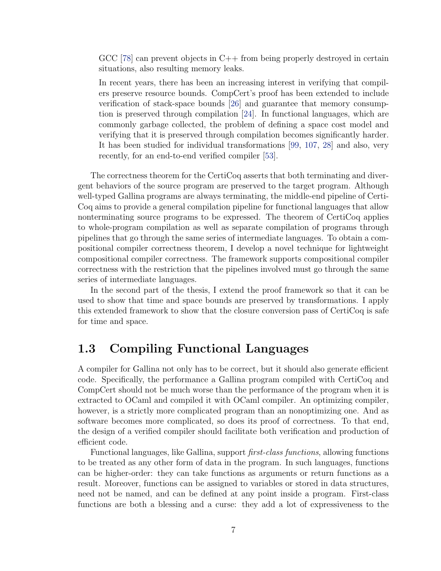GCC [\[78\]](#page-166-4) can prevent objects in C++ from being properly destroyed in certain situations, also resulting memory leaks.

In recent years, there has been an increasing interest in verifying that compilers preserve resource bounds. CompCert's proof has been extended to include verification of stack-space bounds [\[26\]](#page-161-1) and guarantee that memory consumption is preserved through compilation [\[24\]](#page-161-2). In functional languages, which are commonly garbage collected, the problem of defining a space cost model and verifying that it is preserved through compilation becomes significantly harder. It has been studied for individual transformations [\[99,](#page-168-4) [107,](#page-168-5) [28\]](#page-161-3) and also, very recently, for an end-to-end verified compiler [\[53\]](#page-163-3).

The correctness theorem for the CertiCoq asserts that both terminating and divergent behaviors of the source program are preserved to the target program. Although well-typed Gallina programs are always terminating, the middle-end pipeline of Certi-Coq aims to provide a general compilation pipeline for functional languages that allow nonterminating source programs to be expressed. The theorem of CertiCoq applies to whole-program compilation as well as separate compilation of programs through pipelines that go through the same series of intermediate languages. To obtain a compositional compiler correctness theorem, I develop a novel technique for lightweight compositional compiler correctness. The framework supports compositional compiler correctness with the restriction that the pipelines involved must go through the same series of intermediate languages.

In the second part of the thesis, I extend the proof framework so that it can be used to show that time and space bounds are preserved by transformations. I apply this extended framework to show that the closure conversion pass of CertiCoq is safe for time and space.

## <span id="page-17-0"></span>1.3 Compiling Functional Languages

A compiler for Gallina not only has to be correct, but it should also generate efficient code. Specifically, the performance a Gallina program compiled with CertiCoq and CompCert should not be much worse than the performance of the program when it is extracted to OCaml and compiled it with OCaml compiler. An optimizing compiler, however, is a strictly more complicated program than an nonoptimizing one. And as software becomes more complicated, so does its proof of correctness. To that end, the design of a verified compiler should facilitate both verification and production of efficient code.

Functional languages, like Gallina, support first-class functions, allowing functions to be treated as any other form of data in the program. In such languages, functions can be higher-order: they can take functions as arguments or return functions as a result. Moreover, functions can be assigned to variables or stored in data structures, need not be named, and can be defined at any point inside a program. First-class functions are both a blessing and a curse: they add a lot of expressiveness to the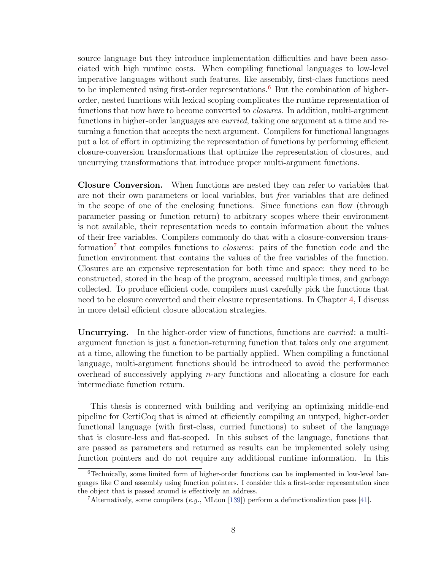source language but they introduce implementation difficulties and have been associated with high runtime costs. When compiling functional languages to low-level imperative languages without such features, like assembly, first-class functions need to be implemented using first-order representations.<sup>[6](#page-18-0)</sup> But the combination of higherorder, nested functions with lexical scoping complicates the runtime representation of functions that now have to become converted to *closures*. In addition, multi-argument functions in higher-order languages are *curried*, taking one argument at a time and returning a function that accepts the next argument. Compilers for functional languages put a lot of effort in optimizing the representation of functions by performing efficient closure-conversion transformations that optimize the representation of closures, and uncurrying transformations that introduce proper multi-argument functions.

Closure Conversion. When functions are nested they can refer to variables that are not their own parameters or local variables, but free variables that are defined in the scope of one of the enclosing functions. Since functions can flow (through parameter passing or function return) to arbitrary scopes where their environment is not available, their representation needs to contain information about the values of their free variables. Compilers commonly do that with a closure-conversion trans-formation<sup>[7](#page-18-1)</sup> that compiles functions to *closures*: pairs of the function code and the function environment that contains the values of the free variables of the function. Closures are an expensive representation for both time and space: they need to be constructed, stored in the heap of the program, accessed multiple times, and garbage collected. To produce efficient code, compilers must carefully pick the functions that need to be closure converted and their closure representations. In Chapter [4,](#page-46-0) I discuss in more detail efficient closure allocation strategies.

Uncurrying. In the higher-order view of functions, functions are *curried*: a multiargument function is just a function-returning function that takes only one argument at a time, allowing the function to be partially applied. When compiling a functional language, multi-argument functions should be introduced to avoid the performance overhead of successively applying  $n$ -ary functions and allocating a closure for each intermediate function return.

This thesis is concerned with building and verifying an optimizing middle-end pipeline for CertiCoq that is aimed at efficiently compiling an untyped, higher-order functional language (with first-class, curried functions) to subset of the language that is closure-less and flat-scoped. In this subset of the language, functions that are passed as parameters and returned as results can be implemented solely using function pointers and do not require any additional runtime information. In this

<span id="page-18-0"></span><sup>6</sup>Technically, some limited form of higher-order functions can be implemented in low-level languages like C and assembly using function pointers. I consider this a first-order representation since the object that is passed around is effectively an address.

<span id="page-18-1"></span><sup>&</sup>lt;sup>7</sup>Alternatively, some compilers  $(e.g., \text{MLton } [139])$  $(e.g., \text{MLton } [139])$  $(e.g., \text{MLton } [139])$  perform a defunctionalization pass [\[41\]](#page-162-2).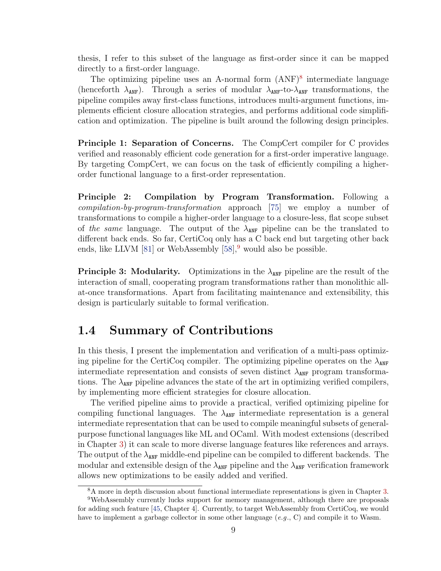thesis, I refer to this subset of the language as first-order since it can be mapped directly to a first-order language.

The optimizing pipeline uses an A-normal form  $(ANF)^8$  $(ANF)^8$  intermediate language (henceforth  $\lambda_{ANF}$ ). Through a series of modular  $\lambda_{ANF}$ -to- $\lambda_{ANF}$  transformations, the pipeline compiles away first-class functions, introduces multi-argument functions, implements efficient closure allocation strategies, and performs additional code simplification and optimization. The pipeline is built around the following design principles.

Principle 1: Separation of Concerns. The CompCert compiler for C provides verified and reasonably efficient code generation for a first-order imperative language. By targeting CompCert, we can focus on the task of efficiently compiling a higherorder functional language to a first-order representation.

Principle 2: Compilation by Program Transformation. Following a compilation-by-program-transformation approach [\[75\]](#page-166-5) we employ a number of transformations to compile a higher-order language to a closure-less, flat scope subset of the same language. The output of the  $\lambda_{ANF}$  pipeline can be the translated to different back ends. So far, CertiCoq only has a C back end but targeting other back ends, like LLVM [\[81\]](#page-166-6) or WebAssembly  $[58]$ , would also be possible.

**Principle 3: Modularity.** Optimizations in the  $\lambda_{\text{ANF}}$  pipeline are the result of the interaction of small, cooperating program transformations rather than monolithic allat-once transformations. Apart from facilitating maintenance and extensibility, this design is particularly suitable to formal verification.

# <span id="page-19-0"></span>1.4 Summary of Contributions

In this thesis, I present the implementation and verification of a multi-pass optimizing pipeline for the CertiCoq compiler. The optimizing pipeline operates on the  $\lambda_{\text{ANF}}$ intermediate representation and consists of seven distinct  $\lambda_{\text{ANF}}$  program transformations. The  $\lambda_{\text{ANF}}$  pipeline advances the state of the art in optimizing verified compilers, by implementing more efficient strategies for closure allocation.

The verified pipeline aims to provide a practical, verified optimizing pipeline for compiling functional languages. The  $\lambda_{\text{ANF}}$  intermediate representation is a general intermediate representation that can be used to compile meaningful subsets of generalpurpose functional languages like ML and OCaml. With modest extensions (described in Chapter [3\)](#page-31-0) it can scale to more diverse language features like references and arrays. The output of the  $\lambda_{\text{ANF}}$  middle-end pipeline can be compiled to different backends. The modular and extensible design of the  $\lambda_{\text{ANF}}$  pipeline and the  $\lambda_{\text{ANF}}$  verification framework allows new optimizations to be easily added and verified.

<span id="page-19-2"></span><span id="page-19-1"></span><sup>&</sup>lt;sup>8</sup>A more in depth discussion about functional intermediate representations is given in Chapter [3.](#page-31-0) <sup>9</sup>WebAssembly currently lucks support for memory management, although there are proposals for adding such feature [\[45,](#page-163-4) Chapter 4]. Currently, to target WebAssembly from CertiCoq, we would have to implement a garbage collector in some other language  $(e,q, C)$  and compile it to Wasm.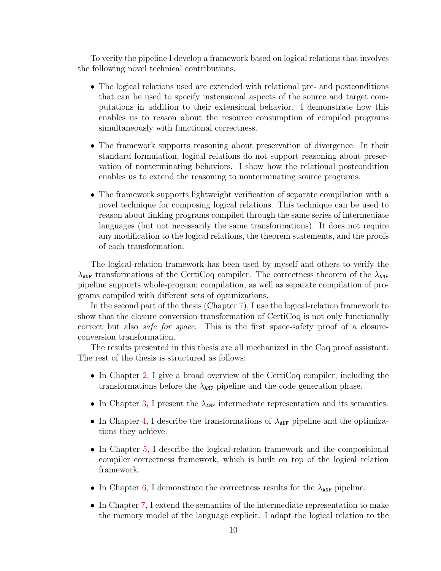To verify the pipeline I develop a framework based on logical relations that involves the following novel technical contributions.

- The logical relations used are extended with relational pre- and postconditions that can be used to specify instensional aspects of the source and target computations in addition to their extensional behavior. I demonstrate how this enables us to reason about the resource consumption of compiled programs simultaneously with functional correctness.
- The framework supports reasoning about preservation of divergence. In their standard formulation, logical relations do not support reasoning about preservation of nonterminating behaviors. I show how the relational postcondition enables us to extend the reasoning to nonterminating source programs.
- The framework supports lightweight verification of separate compilation with a novel technique for composing logical relations. This technique can be used to reason about linking programs compiled through the same series of intermediate languages (but not necessarily the same transformations). It does not require any modification to the logical relations, the theorem statements, and the proofs of each transformation.

The logical-relation framework has been used by myself and others to verify the  $\lambda_{\text{ANF}}$  transformations of the CertiCoq compiler. The correctness theorem of the  $\lambda_{\text{ANF}}$ pipeline supports whole-program compilation, as well as separate compilation of programs compiled with different sets of optimizations.

In the second part of the thesis (Chapter [7\)](#page-110-0), I use the logical-relation framework to show that the closure conversion transformation of CertiCoq is not only functionally correct but also *safe for space*. This is the first space-safety proof of a closureconversion transformation.

The results presented in this thesis are all mechanized in the Coq proof assistant. The rest of the thesis is structured as follows:

- In Chapter [2,](#page-22-0) I give a broad overview of the CertiCoq compiler, including the transformations before the  $\lambda_{\text{ANF}}$  pipeline and the code generation phase.
- In Chapter [3,](#page-31-0) I present the  $\lambda_{\text{ANF}}$  intermediate representation and its semantics.
- In Chapter [4,](#page-46-0) I describe the transformations of  $\lambda_{\text{ANF}}$  pipeline and the optimizations they achieve.
- In Chapter [5,](#page-69-0) I describe the logical-relation framework and the compositional compiler correctness framework, which is built on top of the logical relation framework.
- In Chapter [6,](#page-102-0) I demonstrate the correctness results for the  $\lambda_{\text{ANF}}$  pipeline.
- In Chapter [7,](#page-110-0) I extend the semantics of the intermediate representation to make the memory model of the language explicit. I adapt the logical relation to the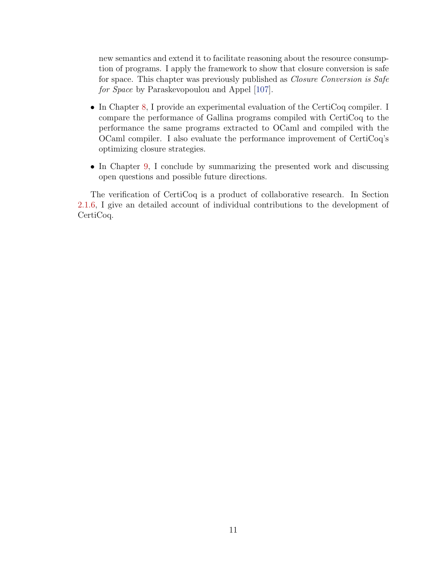new semantics and extend it to facilitate reasoning about the resource consumption of programs. I apply the framework to show that closure conversion is safe for space. This chapter was previously published as Closure Conversion is Safe for Space by Paraskevopoulou and Appel [\[107\]](#page-168-5).

- In Chapter [8,](#page-146-0) I provide an experimental evaluation of the CertiCoq compiler. I compare the performance of Gallina programs compiled with CertiCoq to the performance the same programs extracted to OCaml and compiled with the OCaml compiler. I also evaluate the performance improvement of CertiCoq's optimizing closure strategies.
- In Chapter [9,](#page-156-0) I conclude by summarizing the presented work and discussing open questions and possible future directions.

The verification of CertiCoq is a product of collaborative research. In Section [2.1.6,](#page-28-1) I give an detailed account of individual contributions to the development of CertiCoq.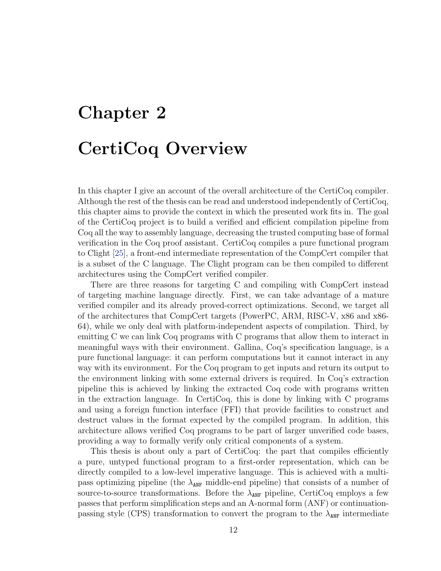# <span id="page-22-0"></span>Chapter 2 CertiCoq Overview

In this chapter I give an account of the overall architecture of the CertiCoq compiler. Although the rest of the thesis can be read and understood independently of CertiCoq, this chapter aims to provide the context in which the presented work fits in. The goal of the CertiCoq project is to build a verified and efficient compilation pipeline from Coq all the way to assembly language, decreasing the trusted computing base of formal verification in the Coq proof assistant. CertiCoq compiles a pure functional program to Clight [\[25\]](#page-161-4), a front-end intermediate representation of the CompCert compiler that is a subset of the C language. The Clight program can be then compiled to different architectures using the CompCert verified compiler.

There are three reasons for targeting C and compiling with CompCert instead of targeting machine language directly. First, we can take advantage of a mature verified compiler and its already proved-correct optimizations. Second, we target all of the architectures that CompCert targets (PowerPC, ARM, RISC-V, x86 and x86- 64), while we only deal with platform-independent aspects of compilation. Third, by emitting C we can link Coq programs with C programs that allow them to interact in meaningful ways with their environment. Gallina, Coq's specification language, is a pure functional language: it can perform computations but it cannot interact in any way with its environment. For the Coq program to get inputs and return its output to the environment linking with some external drivers is required. In Coq's extraction pipeline this is achieved by linking the extracted Coq code with programs written in the extraction language. In CertiCoq, this is done by linking with C programs and using a foreign function interface (FFI) that provide facilities to construct and destruct values in the format expected by the compiled program. In addition, this architecture allows verified Coq programs to be part of larger unverified code bases, providing a way to formally verify only critical components of a system.

This thesis is about only a part of CertiCoq: the part that compiles efficiently a pure, untyped functional program to a first-order representation, which can be directly compiled to a low-level imperative language. This is achieved with a multipass optimizing pipeline (the  $\lambda_{\text{ANF}}$  middle-end pipeline) that consists of a number of source-to-source transformations. Before the  $\lambda_{\text{ANF}}$  pipeline, CertiCoq employs a few passes that perform simplification steps and an A-normal form (ANF) or continuationpassing style (CPS) transformation to convert the program to the  $\lambda_{ANF}$  intermediate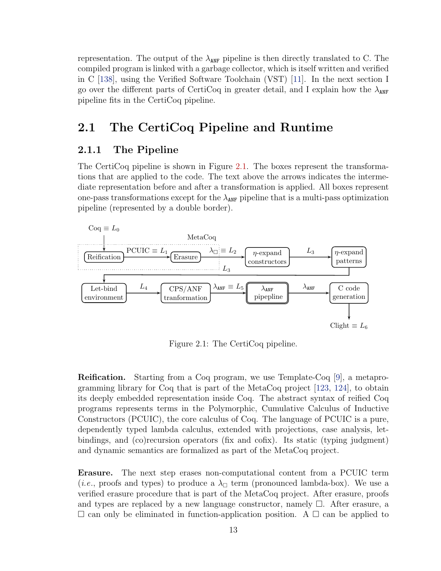representation. The output of the  $\lambda_{\text{ANF}}$  pipeline is then directly translated to C. The compiled program is linked with a garbage collector, which is itself written and verified in C [\[138\]](#page-171-5), using the Verified Software Toolchain (VST) [\[11\]](#page-160-2). In the next section I go over the different parts of CertiCoq in greater detail, and I explain how the  $\lambda_{\text{ANF}}$ pipeline fits in the CertiCoq pipeline.

# <span id="page-23-0"></span>2.1 The CertiCoq Pipeline and Runtime

#### <span id="page-23-1"></span>2.1.1 The Pipeline

The CertiCoq pipeline is shown in Figure [2.1.](#page-23-2) The boxes represent the transformations that are applied to the code. The text above the arrows indicates the intermediate representation before and after a transformation is applied. All boxes represent one-pass transformations except for the  $\lambda_{\text{ANF}}$  pipeline that is a multi-pass optimization pipeline (represented by a double border).

<span id="page-23-2"></span>

Figure 2.1: The CertiCoq pipeline.

Reification. Starting from a Coq program, we use Template-Coq [\[9\]](#page-160-3), a metaprogramming library for Coq that is part of the MetaCoq project [\[123,](#page-170-0) [124\]](#page-170-1), to obtain its deeply embedded representation inside Coq. The abstract syntax of reified Coq programs represents terms in the Polymorphic, Cumulative Calculus of Inductive Constructors (PCUIC), the core calculus of Coq. The language of PCUIC is a pure, dependently typed lambda calculus, extended with projections, case analysis, letbindings, and (co)recursion operators (fix and cofix). Its static (typing judgment) and dynamic semantics are formalized as part of the MetaCoq project.

Erasure. The next step erases non-computational content from a PCUIC term (*i.e.*, proofs and types) to produce a  $\lambda_{\Box}$  term (pronounced lambda-box). We use a verified erasure procedure that is part of the MetaCoq project. After erasure, proofs and types are replaced by a new language constructor, namely  $\Box$ . After erasure, a  $\Box$  can only be eliminated in function-application position. A  $\Box$  can be applied to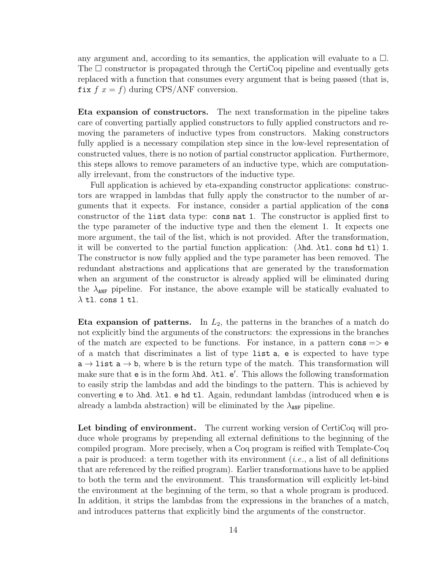any argument and, according to its semantics, the application will evaluate to a  $\Box$ . The  $\Box$  constructor is propagated through the CertiCoq pipeline and eventually gets replaced with a function that consumes every argument that is being passed (that is, fix  $f(x) = f$  during CPS/ANF conversion.

Eta expansion of constructors. The next transformation in the pipeline takes care of converting partially applied constructors to fully applied constructors and removing the parameters of inductive types from constructors. Making constructors fully applied is a necessary compilation step since in the low-level representation of constructed values, there is no notion of partial constructor application. Furthermore, this steps allows to remove parameters of an inductive type, which are computationally irrelevant, from the constructors of the inductive type.

Full application is achieved by eta-expanding constructor applications: constructors are wrapped in lambdas that fully apply the constructor to the number of arguments that it expects. For instance, consider a partial application of the cons constructor of the list data type: cons nat 1. The constructor is applied first to the type parameter of the inductive type and then the element 1. It expects one more argument, the tail of the list, which is not provided. After the transformation, it will be converted to the partial function application:  $(\lambda nd. \lambda t)$ . cons hd tl) 1. The constructor is now fully applied and the type parameter has been removed. The redundant abstractions and applications that are generated by the transformation when an argument of the constructor is already applied will be eliminated during the  $\lambda_{\text{ANF}}$  pipeline. For instance, the above example will be statically evaluated to  $\lambda$  tl. cons 1 tl.

**Eta expansion of patterns.** In  $L_2$ , the patterns in the branches of a match do not explicitly bind the arguments of the constructors: the expressions in the branches of the match are expected to be functions. For instance, in a pattern cons  $\Rightarrow$  e of a match that discriminates a list of type list a, e is expected to have type  $a \rightarrow 1$  ist  $a \rightarrow b$ , where b is the return type of the match. This transformation will make sure that  $e$  is in the form  $\lambda$ hd.  $\lambda$ tl.  $e'$ . This allows the following transformation to easily strip the lambdas and add the bindings to the pattern. This is achieved by converting e to  $\lambda$ hd.  $\lambda$ tl. e hd tl. Again, redundant lambdas (introduced when e is already a lambda abstraction) will be eliminated by the  $\lambda_{\text{ANF}}$  pipeline.

Let binding of environment. The current working version of CertiCoq will produce whole programs by prepending all external definitions to the beginning of the compiled program. More precisely, when a Coq program is reified with Template-Coq a pair is produced: a term together with its environment (*i.e.*, a list of all definitions that are referenced by the reified program). Earlier transformations have to be applied to both the term and the environment. This transformation will explicitly let-bind the environment at the beginning of the term, so that a whole program is produced. In addition, it strips the lambdas from the expressions in the branches of a match, and introduces patterns that explicitly bind the arguments of the constructor.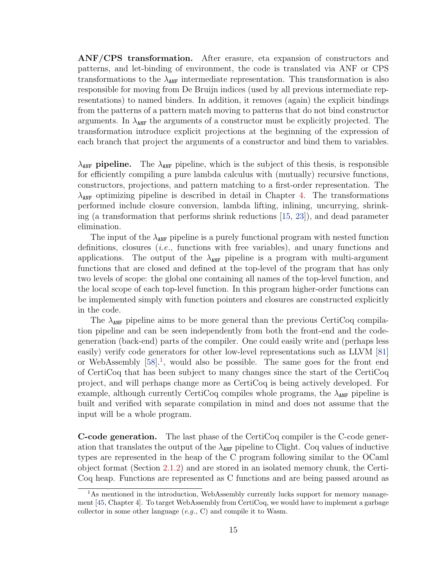ANF/CPS transformation. After erasure, eta expansion of constructors and patterns, and let-binding of environment, the code is translated via ANF or CPS transformations to the  $\lambda_{\text{ANF}}$  intermediate representation. This transformation is also responsible for moving from De Bruijn indices (used by all previous intermediate representations) to named binders. In addition, it removes (again) the explicit bindings from the patterns of a pattern match moving to patterns that do not bind constructor arguments. In  $\lambda_{\text{ANF}}$  the arguments of a constructor must be explicitly projected. The transformation introduce explicit projections at the beginning of the expression of each branch that project the arguments of a constructor and bind them to variables.

 $\lambda_{\text{ANF}}$  pipeline. The  $\lambda_{\text{ANF}}$  pipeline, which is the subject of this thesis, is responsible for efficiently compiling a pure lambda calculus with (mutually) recursive functions, constructors, projections, and pattern matching to a first-order representation. The  $\lambda_{\text{ANF}}$  optimizing pipeline is described in detail in Chapter [4.](#page-46-0) The transformations performed include closure conversion, lambda lifting, inlining, uncurrying, shrinking (a transformation that performs shrink reductions [\[15,](#page-160-4) [23\]](#page-161-5)), and dead parameter elimination.

The input of the  $\lambda_{\text{ANF}}$  pipeline is a purely functional program with nested function definitions, closures (i.e., functions with free variables), and unary functions and applications. The output of the  $\lambda_{\text{ANF}}$  pipeline is a program with multi-argument functions that are closed and defined at the top-level of the program that has only two levels of scope: the global one containing all names of the top-level function, and the local scope of each top-level function. In this program higher-order functions can be implemented simply with function pointers and closures are constructed explicitly in the code.

The  $\lambda_{\text{ANF}}$  pipeline aims to be more general than the previous CertiCoq compilation pipeline and can be seen independently from both the front-end and the codegeneration (back-end) parts of the compiler. One could easily write and (perhaps less easily) verify code generators for other low-level representations such as LLVM [\[81\]](#page-166-6) or WebAssembly  $[58]$ <sup>[1](#page-25-0)</sup>, would also be possible. The same goes for the front end of CertiCoq that has been subject to many changes since the start of the CertiCoq project, and will perhaps change more as CertiCoq is being actively developed. For example, although currently CertiCoq compiles whole programs, the  $\lambda_{\text{ANF}}$  pipeline is built and verified with separate compilation in mind and does not assume that the input will be a whole program.

C-code generation. The last phase of the CertiCoq compiler is the C-code generation that translates the output of the  $\lambda_{\text{ANF}}$  pipeline to Clight. Coq values of inductive types are represented in the heap of the C program following similar to the OCaml object format (Section [2.1.2\)](#page-26-0) and are stored in an isolated memory chunk, the Certi-Coq heap. Functions are represented as C functions and are being passed around as

<span id="page-25-0"></span><sup>&</sup>lt;sup>1</sup>As mentioned in the introduction, WebAssembly currently lucks support for memory management [\[45,](#page-163-4) Chapter 4]. To target WebAssembly from CertiCoq, we would have to implement a garbage collector in some other language  $(e.g., C)$  and compile it to Wasm.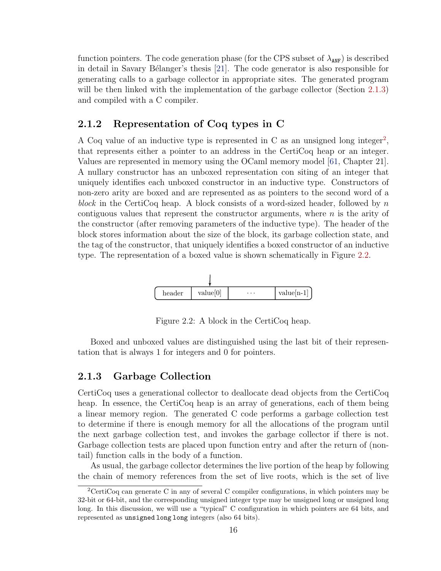function pointers. The code generation phase (for the CPS subset of  $\lambda_{\text{ANF}}$ ) is described in detail in Savary Bélanger's thesis  $[21]$ . The code generator is also responsible for generating calls to a garbage collector in appropriate sites. The generated program will be then linked with the implementation of the garbage collector (Section [2.1.3\)](#page-26-1) and compiled with a C compiler.

#### <span id="page-26-0"></span>2.1.2 Representation of Coq types in C

A Coq value of an inductive type is represented in C as an unsigned long integer<sup>[2](#page-26-3)</sup>, that represents either a pointer to an address in the CertiCoq heap or an integer. Values are represented in memory using the OCaml memory model [\[61,](#page-164-2) Chapter 21]. A nullary constructor has an unboxed representation con siting of an integer that uniquely identifies each unboxed constructor in an inductive type. Constructors of non-zero arity are boxed and are represented as as pointers to the second word of a block in the CertiCoq heap. A block consists of a word-sized header, followed by n contiguous values that represent the constructor arguments, where  $n$  is the arity of the constructor (after removing parameters of the inductive type). The header of the block stores information about the size of the block, its garbage collection state, and the tag of the constructor, that uniquely identifies a boxed constructor of an inductive type. The representation of a boxed value is shown schematically in Figure [2.2.](#page-26-2)

<span id="page-26-2"></span>

Figure 2.2: A block in the CertiCoq heap.

Boxed and unboxed values are distinguished using the last bit of their representation that is always 1 for integers and 0 for pointers.

#### <span id="page-26-1"></span>2.1.3 Garbage Collection

CertiCoq uses a generational collector to deallocate dead objects from the CertiCoq heap. In essence, the CertiCoq heap is an array of generations, each of them being a linear memory region. The generated C code performs a garbage collection test to determine if there is enough memory for all the allocations of the program until the next garbage collection test, and invokes the garbage collector if there is not. Garbage collection tests are placed upon function entry and after the return of (nontail) function calls in the body of a function.

As usual, the garbage collector determines the live portion of the heap by following the chain of memory references from the set of live roots, which is the set of live

<span id="page-26-3"></span><sup>&</sup>lt;sup>2</sup>CertiCoq can generate C in any of several C compiler configurations, in which pointers may be 32-bit or 64-bit, and the corresponding unsigned integer type may be unsigned long or unsigned long long. In this discussion, we will use a "typical" C configuration in which pointers are 64 bits, and represented as unsigned long long integers (also 64 bits).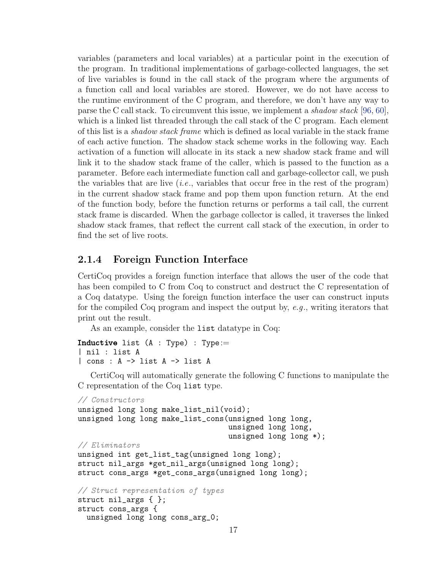variables (parameters and local variables) at a particular point in the execution of the program. In traditional implementations of garbage-collected languages, the set of live variables is found in the call stack of the program where the arguments of a function call and local variables are stored. However, we do not have access to the runtime environment of the C program, and therefore, we don't have any way to parse the C call stack. To circumvent this issue, we implement a *shadow stack* [\[96,](#page-167-7) [60\]](#page-164-3), which is a linked list threaded through the call stack of the C program. Each element of this list is a shadow stack frame which is defined as local variable in the stack frame of each active function. The shadow stack scheme works in the following way. Each activation of a function will allocate in its stack a new shadow stack frame and will link it to the shadow stack frame of the caller, which is passed to the function as a parameter. Before each intermediate function call and garbage-collector call, we push the variables that are live  $(i.e.,$  variables that occur free in the rest of the program) in the current shadow stack frame and pop them upon function return. At the end of the function body, before the function returns or performs a tail call, the current stack frame is discarded. When the garbage collector is called, it traverses the linked shadow stack frames, that reflect the current call stack of the execution, in order to find the set of live roots.

#### <span id="page-27-0"></span>2.1.4 Foreign Function Interface

CertiCoq provides a foreign function interface that allows the user of the code that has been compiled to C from Coq to construct and destruct the C representation of a Coq datatype. Using the foreign function interface the user can construct inputs for the compiled Coq program and inspect the output by, e.g., writing iterators that print out the result.

As an example, consider the list datatype in Coq:

```
Inductive list (A : Type) : Type :=| nil : list A
| cons : A -> list A -> list A
```
CertiCoq will automatically generate the following C functions to manipulate the C representation of the Coq list type.

```
// Constructors
unsigned long long make_list_nil(void);
unsigned long long make_list_cons(unsigned long long,
                                  unsigned long long,
                                  unsigned long long *);
// Eliminators
unsigned int get_list_tag(unsigned long long);
struct nil_args *get_nil_args(unsigned long long);
struct cons_args *get_cons_args(unsigned long long);
// Struct representation of types
struct nil_args { };
struct cons_args {
  unsigned long long cons_arg_0;
```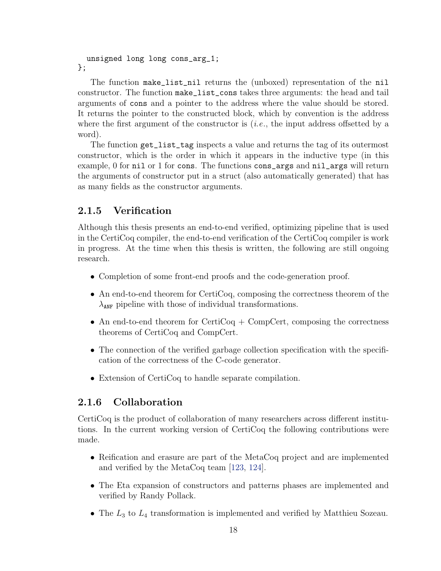unsigned long long cons\_arg\_1; };

The function make\_list\_nil returns the (unboxed) representation of the nil constructor. The function make\_list\_cons takes three arguments: the head and tail arguments of cons and a pointer to the address where the value should be stored. It returns the pointer to the constructed block, which by convention is the address where the first argument of the constructor is  $(i.e.,$  the input address offsetted by a word).

The function get\_list\_tag inspects a value and returns the tag of its outermost constructor, which is the order in which it appears in the inductive type (in this example, 0 for nil or 1 for cons. The functions cons\_args and nil\_args will return the arguments of constructor put in a struct (also automatically generated) that has as many fields as the constructor arguments.

#### <span id="page-28-0"></span>2.1.5 Verification

Although this thesis presents an end-to-end verified, optimizing pipeline that is used in the CertiCoq compiler, the end-to-end verification of the CertiCoq compiler is work in progress. At the time when this thesis is written, the following are still ongoing research.

- Completion of some front-end proofs and the code-generation proof.
- An end-to-end theorem for CertiCoq, composing the correctness theorem of the  $\lambda_{\text{ANF}}$  pipeline with those of individual transformations.
- An end-to-end theorem for CertiCoq  $+$  CompCert, composing the correctness theorems of CertiCoq and CompCert.
- The connection of the verified garbage collection specification with the specification of the correctness of the C-code generator.
- Extension of CertiCoq to handle separate compilation.

### <span id="page-28-1"></span>2.1.6 Collaboration

CertiCoq is the product of collaboration of many researchers across different institutions. In the current working version of CertiCoq the following contributions were made.

- Reification and erasure are part of the MetaCoq project and are implemented and verified by the MetaCoq team [\[123,](#page-170-0) [124\]](#page-170-1).
- The Eta expansion of constructors and patterns phases are implemented and verified by Randy Pollack.
- The  $L_3$  to  $L_4$  transformation is implemented and verified by Matthieu Sozeau.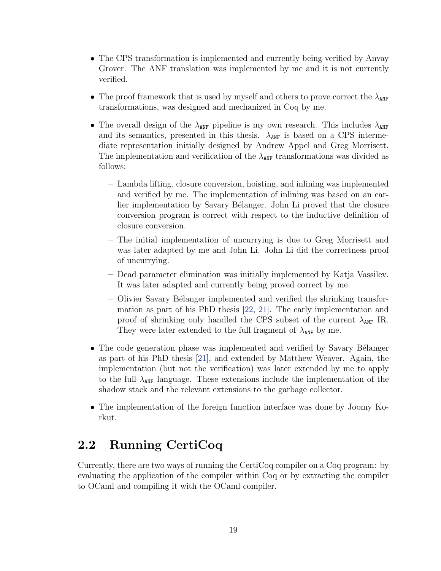- The CPS transformation is implemented and currently being verified by Anvay Grover. The ANF translation was implemented by me and it is not currently verified.
- The proof framework that is used by myself and others to prove correct the  $\lambda_{\text{ANF}}$ transformations, was designed and mechanized in Coq by me.
- The overall design of the  $\lambda_{\text{ANF}}$  pipeline is my own research. This includes  $\lambda_{\text{ANF}}$ and its semantics, presented in this thesis.  $\lambda_{\text{ANF}}$  is based on a CPS intermediate representation initially designed by Andrew Appel and Greg Morrisett. The implementation and verification of the  $\lambda_{\text{ANF}}$  transformations was divided as follows:
	- Lambda lifting, closure conversion, hoisting, and inlining was implemented and verified by me. The implementation of inlining was based on an earlier implementation by Savary Bélanger. John Li proved that the closure conversion program is correct with respect to the inductive definition of closure conversion.
	- The initial implementation of uncurrying is due to Greg Morrisett and was later adapted by me and John Li. John Li did the correctness proof of uncurrying.
	- Dead parameter elimination was initially implemented by Katja Vassilev. It was later adapted and currently being proved correct by me.
	- Olivier Savary B´elanger implemented and verified the shrinking transformation as part of his PhD thesis [\[22,](#page-161-6) [21\]](#page-160-5). The early implementation and proof of shrinking only handled the CPS subset of the current  $\lambda_{\text{ANF}}$  IR. They were later extended to the full fragment of  $\lambda_{ANF}$  by me.
- The code generation phase was implemented and verified by Savary Bélanger as part of his PhD thesis [\[21\]](#page-160-5), and extended by Matthew Weaver. Again, the implementation (but not the verification) was later extended by me to apply to the full  $\lambda_{\text{ANF}}$  language. These extensions include the implementation of the shadow stack and the relevant extensions to the garbage collector.
- The implementation of the foreign function interface was done by Joomy Korkut.

# <span id="page-29-0"></span>2.2 Running CertiCoq

Currently, there are two ways of running the CertiCoq compiler on a Coq program: by evaluating the application of the compiler within Coq or by extracting the compiler to OCaml and compiling it with the OCaml compiler.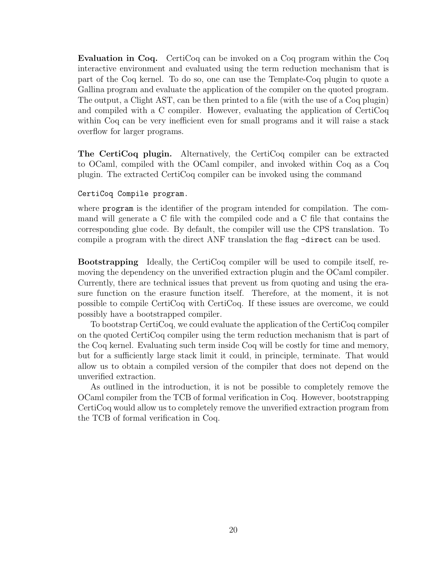Evaluation in Coq. CertiCoq can be invoked on a Coq program within the Coq interactive environment and evaluated using the term reduction mechanism that is part of the Coq kernel. To do so, one can use the Template-Coq plugin to quote a Gallina program and evaluate the application of the compiler on the quoted program. The output, a Clight AST, can be then printed to a file (with the use of a Coq plugin) and compiled with a C compiler. However, evaluating the application of CertiCoq within Coq can be very inefficient even for small programs and it will raise a stack overflow for larger programs.

The CertiCoq plugin. Alternatively, the CertiCoq compiler can be extracted to OCaml, compiled with the OCaml compiler, and invoked within Coq as a Coq plugin. The extracted CertiCoq compiler can be invoked using the command

#### CertiCoq Compile program.

where program is the identifier of the program intended for compilation. The command will generate a C file with the compiled code and a C file that contains the corresponding glue code. By default, the compiler will use the CPS translation. To compile a program with the direct ANF translation the flag -direct can be used.

Bootstrapping Ideally, the CertiCoq compiler will be used to compile itself, removing the dependency on the unverified extraction plugin and the OCaml compiler. Currently, there are technical issues that prevent us from quoting and using the erasure function on the erasure function itself. Therefore, at the moment, it is not possible to compile CertiCoq with CertiCoq. If these issues are overcome, we could possibly have a bootstrapped compiler.

To bootstrap CertiCoq, we could evaluate the application of the CertiCoq compiler on the quoted CertiCoq compiler using the term reduction mechanism that is part of the Coq kernel. Evaluating such term inside Coq will be costly for time and memory, but for a sufficiently large stack limit it could, in principle, terminate. That would allow us to obtain a compiled version of the compiler that does not depend on the unverified extraction.

As outlined in the introduction, it is not be possible to completely remove the OCaml compiler from the TCB of formal verification in Coq. However, bootstrapping CertiCoq would allow us to completely remove the unverified extraction program from the TCB of formal verification in Coq.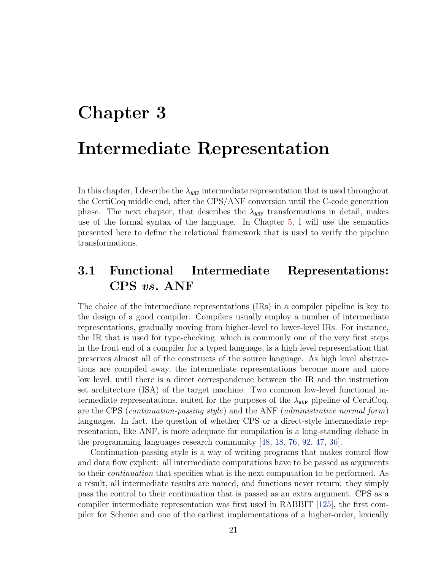# <span id="page-31-0"></span>Chapter 3 Intermediate Representation

In this chapter, I describe the  $\lambda_{\text{ANF}}$  intermediate representation that is used throughout the CertiCoq middle end, after the CPS/ANF conversion until the C-code generation phase. The next chapter, that describes the  $\lambda_{\text{ANF}}$  transformations in detail, makes use of the formal syntax of the language. In Chapter [5,](#page-69-0) I will use the semantics presented here to define the relational framework that is used to verify the pipeline transformations.

# <span id="page-31-1"></span>3.1 Functional Intermediate Representations: CPS vs. ANF

The choice of the intermediate representations (IRs) in a compiler pipeline is key to the design of a good compiler. Compilers usually employ a number of intermediate representations, gradually moving from higher-level to lower-level IRs. For instance, the IR that is used for type-checking, which is commonly one of the very first steps in the front end of a compiler for a typed language, is a high level representation that preserves almost all of the constructs of the source language. As high level abstractions are compiled away, the intermediate representations become more and more low level, until there is a direct correspondence between the IR and the instruction set architecture (ISA) of the target machine. Two common low-level functional intermediate representations, suited for the purposes of the  $\lambda_{\text{ANF}}$  pipeline of CertiCoq, are the CPS (continuation-passing style) and the ANF (administrative normal form) languages. In fact, the question of whether CPS or a direct-style intermediate representation, like ANF, is more adequate for compilation is a long-standing debate in the programming languages research community [\[48,](#page-163-5) [18,](#page-160-6) [76,](#page-166-7) [92,](#page-167-8) [47,](#page-163-6) [36\]](#page-162-3).

Continuation-passing style is a way of writing programs that makes control flow and data flow explicit: all intermediate computations have to be passed as arguments to their continuation that specifies what is the next computation to be performed. As a result, all intermediate results are named, and functions never return: they simply pass the control to their continuation that is passed as an extra argument. CPS as a compiler intermediate representation was first used in RABBIT [\[125\]](#page-170-7), the first compiler for Scheme and one of the earliest implementations of a higher-order, lexically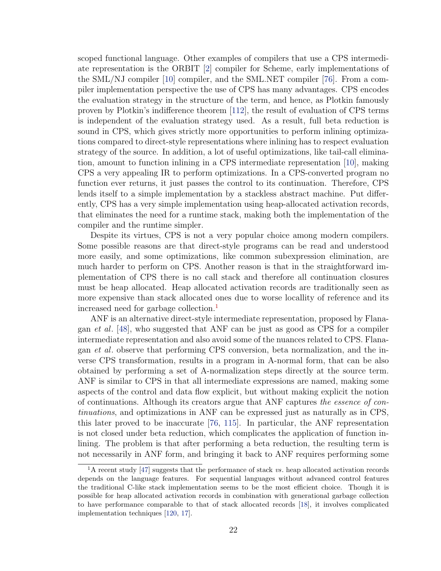scoped functional language. Other examples of compilers that use a CPS intermediate representation is the ORBIT [\[2\]](#page-159-2) compiler for Scheme, early implementations of the SML/NJ compiler [\[10\]](#page-160-7) compiler, and the SML.NET compiler [\[76\]](#page-166-7). From a compiler implementation perspective the use of CPS has many advantages. CPS encodes the evaluation strategy in the structure of the term, and hence, as Plotkin famously proven by Plotkin's indifference theorem [\[112\]](#page-169-2), the result of evaluation of CPS terms is independent of the evaluation strategy used. As a result, full beta reduction is sound in CPS, which gives strictly more opportunities to perform inlining optimizations compared to direct-style representations where inlining has to respect evaluation strategy of the source. In addition, a lot of useful optimizations, like tail-call elimination, amount to function inlining in a CPS intermediate representation [\[10\]](#page-160-7), making CPS a very appealing IR to perform optimizations. In a CPS-converted program no function ever returns, it just passes the control to its continuation. Therefore, CPS lends itself to a simple implementation by a stackless abstract machine. Put differently, CPS has a very simple implementation using heap-allocated activation records, that eliminates the need for a runtime stack, making both the implementation of the compiler and the runtime simpler.

Despite its virtues, CPS is not a very popular choice among modern compilers. Some possible reasons are that direct-style programs can be read and understood more easily, and some optimizations, like common subexpression elimination, are much harder to perform on CPS. Another reason is that in the straightforward implementation of CPS there is no call stack and therefore all continuation closures must be heap allocated. Heap allocated activation records are traditionally seen as more expensive than stack allocated ones due to worse locallity of reference and its increased need for garbage collection.<sup>[1](#page-32-0)</sup>

ANF is an alternative direct-style intermediate representation, proposed by Flanagan et al. [\[48\]](#page-163-5), who suggested that ANF can be just as good as CPS for a compiler intermediate representation and also avoid some of the nuances related to CPS. Flanagan et al. observe that performing CPS conversion, beta normalization, and the inverse CPS transformation, results in a program in A-normal form, that can be also obtained by performing a set of A-normalization steps directly at the source term. ANF is similar to CPS in that all intermediate expressions are named, making some aspects of the control and data flow explicit, but without making explicit the notion of continuations. Although its creators argue that ANF captures the essence of continuations, and optimizations in ANF can be expressed just as naturally as in CPS, this later proved to be inaccurate [\[76,](#page-166-7) [115\]](#page-169-3). In particular, the ANF representation is not closed under beta reduction, which complicates the application of function inlining. The problem is that after performing a beta reduction, the resulting term is not necessarily in ANF form, and bringing it back to ANF requires performing some

<span id="page-32-0"></span> $1$ A recent study [\[47\]](#page-163-6) suggests that the performance of stack vs. heap allocated activation records depends on the language features. For sequential languages without advanced control features the traditional C-like stack implementation seems to be the most efficient choice. Though it is possible for heap allocated activation records in combination with generational garbage collection to have performance comparable to that of stack allocated records [\[18\]](#page-160-6), it involves complicated implementation techniques [\[120,](#page-170-8) [17\]](#page-160-8).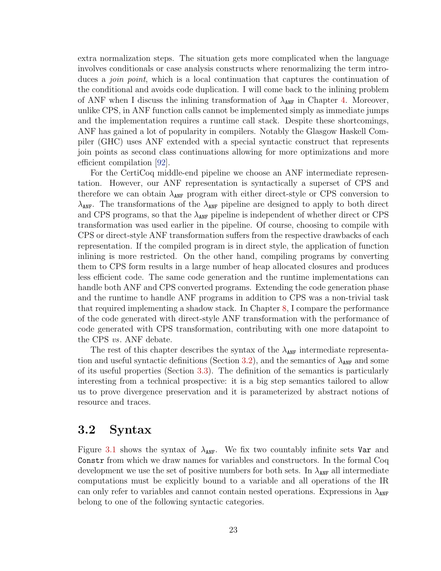extra normalization steps. The situation gets more complicated when the language involves conditionals or case analysis constructs where renormalizing the term introduces a *join point*, which is a local continuation that captures the continuation of the conditional and avoids code duplication. I will come back to the inlining problem of ANF when I discuss the inlining transformation of  $\lambda_{\text{ANF}}$  in Chapter [4.](#page-46-0) Moreover, unlike CPS, in ANF function calls cannot be implemented simply as immediate jumps and the implementation requires a runtime call stack. Despite these shortcomings, ANF has gained a lot of popularity in compilers. Notably the Glasgow Haskell Compiler (GHC) uses ANF extended with a special syntactic construct that represents join points as second class continuations allowing for more optimizations and more efficient compilation [\[92\]](#page-167-8).

For the CertiCoq middle-end pipeline we choose an ANF intermediate representation. However, our ANF representation is syntactically a superset of CPS and therefore we can obtain  $\lambda_{\text{ANF}}$  program with either direct-style or CPS conversion to  $\lambda_{\text{ANF}}$ . The transformations of the  $\lambda_{\text{ANF}}$  pipeline are designed to apply to both direct and CPS programs, so that the  $\lambda_{\text{ANF}}$  pipeline is independent of whether direct or CPS transformation was used earlier in the pipeline. Of course, choosing to compile with CPS or direct-style ANF transformation suffers from the respective drawbacks of each representation. If the compiled program is in direct style, the application of function inlining is more restricted. On the other hand, compiling programs by converting them to CPS form results in a large number of heap allocated closures and produces less efficient code. The same code generation and the runtime implementations can handle both ANF and CPS converted programs. Extending the code generation phase and the runtime to handle ANF programs in addition to CPS was a non-trivial task that required implementing a shadow stack. In Chapter [8,](#page-146-0) I compare the performance of the code generated with direct-style ANF transformation with the performance of code generated with CPS transformation, contributing with one more datapoint to the CPS vs. ANF debate.

The rest of this chapter describes the syntax of the  $\lambda_{\text{ANF}}$  intermediate representa-tion and useful syntactic definitions (Section [3.2\)](#page-33-0), and the semantics of  $\lambda_{\text{ANF}}$  and some of its useful properties (Section [3.3\)](#page-37-0). The definition of the semantics is particularly interesting from a technical prospective: it is a big step semantics tailored to allow us to prove divergence preservation and it is parameterized by abstract notions of resource and traces.

## <span id="page-33-0"></span>3.2 Syntax

Figure [3.1](#page-34-0) shows the syntax of  $\lambda_{\text{ANF}}$ . We fix two countably infinite sets Var and Constr from which we draw names for variables and constructors. In the formal Coq development we use the set of positive numbers for both sets. In  $\lambda_{\text{ANF}}$  all intermediate computations must be explicitly bound to a variable and all operations of the IR can only refer to variables and cannot contain nested operations. Expressions in  $\lambda_{\text{ANF}}$ belong to one of the following syntactic categories.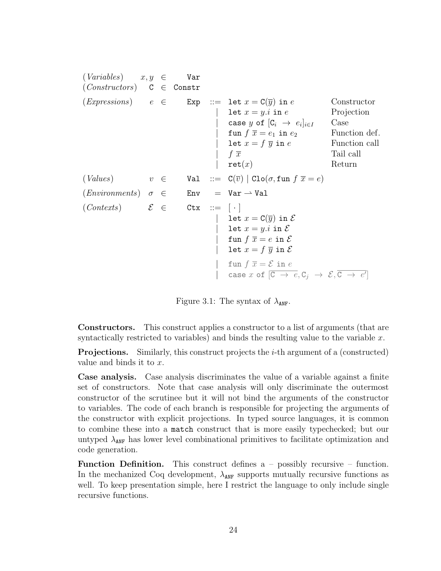<span id="page-34-0"></span> $(Variables)$   $x, y \in$  Var  $(Constraints)$  C  $\in$  Constr  $(Ex pressions)$   $e \in \text{Exp}$  ::= let  $x = C(\overline{y})$  in e Constructor  $\text{let } x = y \text{.} \text{ i in } e$  Projection case y of  $[C_i \rightarrow e_i]_{i \in I}$ Case fun  $f \overline{x} = e_1$  in  $e_2$  Function def.  $\text{let } x = f \overline{y} \text{ in } e$  Function call  $f \bar{x}$  Tail call  $\text{ret}(x)$  Return (Values)  $v \in$  Val ::=  $\mathcal{C}(\overline{v})$  | Clo $(\sigma, \text{fun } f \ \overline{x} = e)$  $(Environments) \quad \sigma \quad \in$  Env = Var  $\rightarrow$  Val  $(Contents)$   $\mathcal{E} \in \text{ctx} ::= [\cdot]$ let  $x = C(\overline{y})$  in  $\mathcal E$ let  $x = y.i$  in  $\mathcal E$ fun  $f \overline{x} = e$  in  $\mathcal{E}$ | let  $x = f \overline{y}$  in  $\mathcal E$ | fun  $f \overline{x} = \mathcal{E}$  in  $e$  $[\begin{array}{ccc} \texttt{case} \ x \ \texttt{of} \ [\overline{\texttt{C}} \ \rightarrow \ e, \texttt{C}_j \ \rightarrow \ \mathcal{E}, \overline{\texttt{C}} \ \rightarrow \ e'] \end{array}]$ 

Figure 3.1: The syntax of  $\lambda_{\text{ANF}}$ .

Constructors. This construct applies a constructor to a list of arguments (that are syntactically restricted to variables) and binds the resulting value to the variable  $x$ .

**Projections.** Similarly, this construct projects the  $i$ -th argument of a (constructed) value and binds it to x.

Case analysis. Case analysis discriminates the value of a variable against a finite set of constructors. Note that case analysis will only discriminate the outermost constructor of the scrutinee but it will not bind the arguments of the constructor to variables. The code of each branch is responsible for projecting the arguments of the constructor with explicit projections. In typed source languages, it is common to combine these into a match construct that is more easily typechecked; but our untyped  $\lambda_{\text{ANF}}$  has lower level combinational primitives to facilitate optimization and code generation.

**Function Definition.** This construct defines  $a -$  possibly recursive – function. In the mechanized Coq development,  $\lambda_{\text{ANF}}$  supports mutually recursive functions as well. To keep presentation simple, here I restrict the language to only include single recursive functions.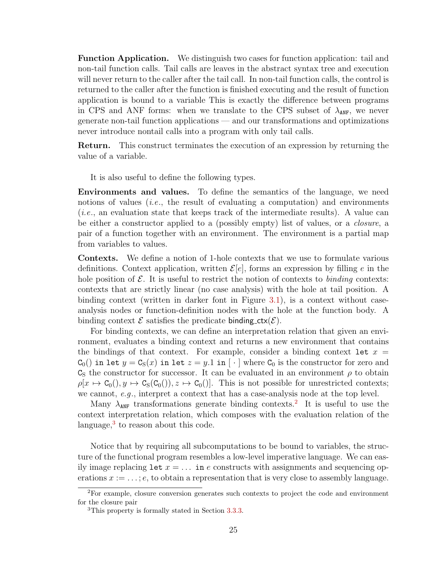Function Application. We distinguish two cases for function application: tail and non-tail function calls. Tail calls are leaves in the abstract syntax tree and execution will never return to the caller after the tail call. In non-tail function calls, the control is returned to the caller after the function is finished executing and the result of function application is bound to a variable This is exactly the difference between programs in CPS and ANF forms: when we translate to the CPS subset of  $\lambda_{\text{ANF}}$ , we never generate non-tail function applications — and our transformations and optimizations never introduce nontail calls into a program with only tail calls.

Return. This construct terminates the execution of an expression by returning the value of a variable.

It is also useful to define the following types.

Environments and values. To define the semantics of the language, we need notions of values *(i.e.*, the result of evaluating a computation) and environments (i.e., an evaluation state that keeps track of the intermediate results). A value can be either a constructor applied to a (possibly empty) list of values, or a *closure*, a pair of a function together with an environment. The environment is a partial map from variables to values.

Contexts. We define a notion of 1-hole contexts that we use to formulate various definitions. Context application, written  $\mathcal{E}[e]$ , forms an expression by filling e in the hole position of  $\mathcal E$ . It is useful to restrict the notion of contexts to binding contexts: contexts that are strictly linear (no case analysis) with the hole at tail position. A binding context (written in darker font in Figure [3.1\)](#page-34-0), is a context without caseanalysis nodes or function-definition nodes with the hole at the function body. A binding context  $\mathcal E$  satisfies the predicate binding  $\text{ctx}(\mathcal E)$ .

For binding contexts, we can define an interpretation relation that given an environment, evaluates a binding context and returns a new environment that contains the bindings of that context. For example, consider a binding context let  $x =$  $C_0()$  in let  $y = C_S(x)$  in let  $z = y.1$  in  $\lceil \cdot \rceil$  where  $C_0$  is the constructor for zero and  $\mathsf{C}_\mathsf{S}$  the constructor for successor. It can be evaluated in an environment  $\rho$  to obtain  $\rho[x \mapsto C_0(0), y \mapsto C_S(C_0(0)), z \mapsto C_0(0)]$ . This is not possible for unrestricted contexts; we cannot, e.g., interpret a context that has a case-analysis node at the top level.

Many  $\lambda_{ANF}$  transformations generate binding contexts.<sup>[2](#page-35-0)</sup> It is useful to use the context interpretation relation, which composes with the evaluation relation of the language, $3$  to reason about this code.

Notice that by requiring all subcomputations to be bound to variables, the structure of the functional program resembles a low-level imperative language. We can easily image replacing let  $x = \ldots$  in e constructs with assignments and sequencing operations  $x := \ldots : e$ , to obtain a representation that is very close to assembly language.

<span id="page-35-0"></span><sup>2</sup>For example, closure conversion generates such contexts to project the code and environment for the closure pair

<span id="page-35-1"></span><sup>3</sup>This property is formally stated in Section [3.3.3.](#page-43-0)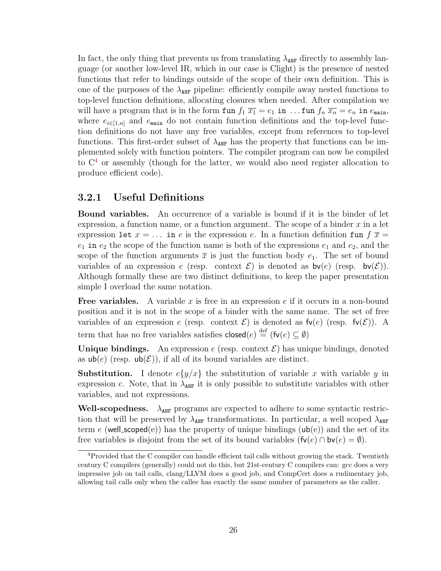In fact, the only thing that prevents us from translating  $\lambda_{\text{ANF}}$  directly to assembly language (or another low-level IR, which in our case is Clight) is the presence of nested functions that refer to bindings outside of the scope of their own definition. This is one of the purposes of the  $\lambda_{ANF}$  pipeline: efficiently compile away nested functions to top-level function definitions, allocating closures when needed. After compilation we will have a program that is in the form fun  $f_1 \overline{x_1} = e_1$  in ... fun  $f_n \overline{x_n} = e_n$  in  $e_{\text{main}}$ , where  $e_{i\in[1,n]}$  and  $e_{\text{main}}$  do not contain function definitions and the top-level function definitions do not have any free variables, except from references to top-level functions. This first-order subset of  $\lambda_{ANF}$  has the property that functions can be implemented solely with function pointers. The compiler program can now be compiled to  $C<sup>4</sup>$  $C<sup>4</sup>$  $C<sup>4</sup>$  or assembly (though for the latter, we would also need register allocation to produce efficient code).

### <span id="page-36-1"></span>3.2.1 Useful Definitions

Bound variables. An occurrence of a variable is bound if it is the binder of let expression, a function name, or a function argument. The scope of a binder  $x$  in a let expression let  $x = \ldots$  in e is the expression e. In a function definition fun  $f(\bar{x}) =$  $e_1$  in  $e_2$  the scope of the function name is both of the expressions  $e_1$  and  $e_2$ , and the scope of the function arguments  $\bar{x}$  is just the function body  $e_1$ . The set of bound variables of an expression e (resp. context  $\mathcal{E}$ ) is denoted as  $\mathsf{bv}(e)$  (resp.  $\mathsf{bv}(\mathcal{E})$ ). Although formally these are two distinct definitions, to keep the paper presentation simple I overload the same notation.

**Free variables.** A variable x is free in an expression e if it occurs in a non-bound position and it is not in the scope of a binder with the same name. The set of free variables of an expression e (resp. context  $\mathcal{E}$ ) is denoted as  $f\nu(e)$  (resp.  $f\nu(\mathcal{E})$ ). A term that has no free variables satisfies  $\mathsf{closed}(e) \stackrel{\text{def}}{=} (\mathsf{fv}(e) \subseteq \emptyset)$ 

Unique bindings. An expression  $e$  (resp. context  $\mathcal{E}$ ) has unique bindings, denoted as  $\mathsf{ub}(e)$  (resp.  $\mathsf{ub}(\mathcal{E})$ ), if all of its bound variables are distinct.

**Substitution.** I denote  $e\{y/x\}$  the substitution of variable x with variable y in expression e. Note, that in  $\lambda_{ANF}$  it is only possible to substitute variables with other variables, and not expressions.

Well-scopedness.  $\lambda_{\text{ANF}}$  programs are expected to adhere to some syntactic restriction that will be preserved by  $\lambda_{\text{ANF}}$  transformations. In particular, a well scoped  $\lambda_{\text{ANF}}$ term e (well\_scoped(e)) has the property of unique bindings ( $ub(e)$ ) and the set of its free variables is disjoint from the set of its bound variables  $(fv(e) \cap bv(e) = \emptyset)$ .

<span id="page-36-0"></span><sup>4</sup>Provided that the C compiler can handle efficient tail calls without growing the stack. Twentieth century C compilers (generally) could not do this, but 21st-century C compilers can: gcc does a very impressive job on tail calls, clang/LLVM does a good job, and CompCert does a rudimentary job, allowing tail calls only when the callee has exactly the same number of parameters as the caller.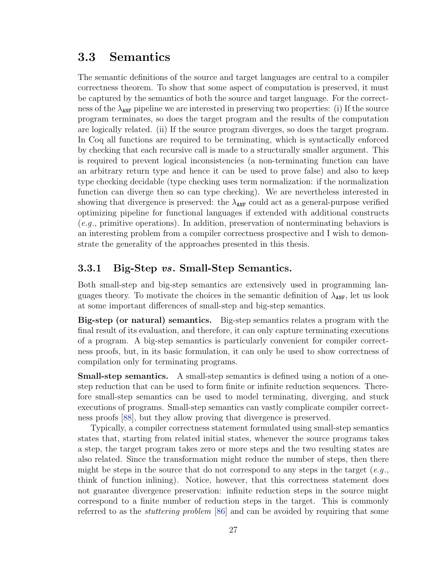## 3.3 Semantics

The semantic definitions of the source and target languages are central to a compiler correctness theorem. To show that some aspect of computation is preserved, it must be captured by the semantics of both the source and target language. For the correctness of the  $\lambda_{\text{ANF}}$  pipeline we are interested in preserving two properties: (i) If the source program terminates, so does the target program and the results of the computation are logically related. (ii) If the source program diverges, so does the target program. In Coq all functions are required to be terminating, which is syntactically enforced by checking that each recursive call is made to a structurally smaller argument. This is required to prevent logical inconsistencies (a non-terminating function can have an arbitrary return type and hence it can be used to prove false) and also to keep type checking decidable (type checking uses term normalization: if the normalization function can diverge then so can type checking). We are nevertheless interested in showing that divergence is preserved: the  $\lambda_{\text{ANF}}$  could act as a general-purpose verified optimizing pipeline for functional languages if extended with additional constructs (e.g., primitive operations). In addition, preservation of nonterminating behaviors is an interesting problem from a compiler correctness prospective and I wish to demonstrate the generality of the approaches presented in this thesis.

### 3.3.1 Big-Step vs. Small-Step Semantics.

Both small-step and big-step semantics are extensively used in programming languages theory. To motivate the choices in the semantic definition of  $\lambda_{\text{ANF}}$ , let us look at some important differences of small-step and big-step semantics.

Big-step (or natural) semantics. Big-step semantics relates a program with the final result of its evaluation, and therefore, it can only capture terminating executions of a program. A big-step semantics is particularly convenient for compiler correctness proofs, but, in its basic formulation, it can only be used to show correctness of compilation only for terminating programs.

Small-step semantics. A small-step semantics is defined using a notion of a onestep reduction that can be used to form finite or infinite reduction sequences. Therefore small-step semantics can be used to model terminating, diverging, and stuck executions of programs. Small-step semantics can vastly complicate compiler correctness proofs [\[88\]](#page-167-0), but they allow proving that divergence is preserved.

Typically, a compiler correctness statement formulated using small-step semantics states that, starting from related initial states, whenever the source programs takes a step, the target program takes zero or more steps and the two resulting states are also related. Since the transformation might reduce the number of steps, then there might be steps in the source that do not correspond to any steps in the target  $(e.g.,)$ think of function inlining). Notice, however, that this correctness statement does not guarantee divergence preservation: infinite reduction steps in the source might correspond to a finite number of reduction steps in the target. This is commonly referred to as the stuttering problem [\[86\]](#page-167-1) and can be avoided by requiring that some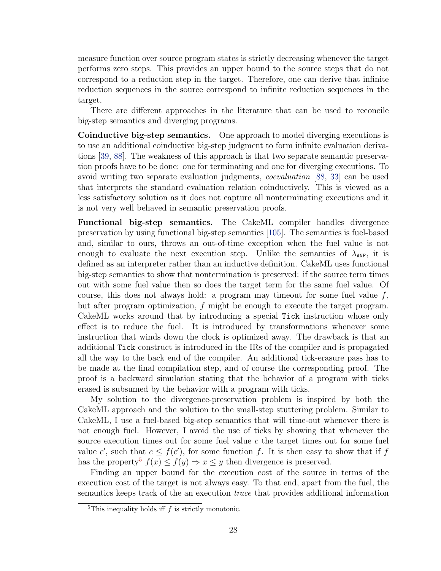measure function over source program states is strictly decreasing whenever the target performs zero steps. This provides an upper bound to the source steps that do not correspond to a reduction step in the target. Therefore, one can derive that infinite reduction sequences in the source correspond to infinite reduction sequences in the target.

There are different approaches in the literature that can be used to reconcile big-step semantics and diverging programs.

Coinductive big-step semantics. One approach to model diverging executions is to use an additional coinductive big-step judgment to form infinite evaluation derivations [\[39,](#page-162-0) [88\]](#page-167-0). The weakness of this approach is that two separate semantic preservation proofs have to be done: one for terminating and one for diverging executions. To avoid writing two separate evaluation judgments, coevaluation [\[88,](#page-167-0) [33\]](#page-162-1) can be used that interprets the standard evaluation relation coinductively. This is viewed as a less satisfactory solution as it does not capture all nonterminating executions and it is not very well behaved in semantic preservation proofs.

Functional big-step semantics. The CakeML compiler handles divergence preservation by using functional big-step semantics [\[105\]](#page-168-0). The semantics is fuel-based and, similar to ours, throws an out-of-time exception when the fuel value is not enough to evaluate the next execution step. Unlike the semantics of  $\lambda_{\text{ANF}}$ , it is defined as an interpreter rather than an inductive definition. CakeML uses functional big-step semantics to show that nontermination is preserved: if the source term times out with some fuel value then so does the target term for the same fuel value. Of course, this does not always hold: a program may timeout for some fuel value  $f$ , but after program optimization, f might be enough to execute the target program. CakeML works around that by introducing a special Tick instruction whose only effect is to reduce the fuel. It is introduced by transformations whenever some instruction that winds down the clock is optimized away. The drawback is that an additional Tick construct is introduced in the IRs of the compiler and is propagated all the way to the back end of the compiler. An additional tick-erasure pass has to be made at the final compilation step, and of course the corresponding proof. The proof is a backward simulation stating that the behavior of a program with ticks erased is subsumed by the behavior with a program with ticks.

My solution to the divergence-preservation problem is inspired by both the CakeML approach and the solution to the small-step stuttering problem. Similar to CakeML, I use a fuel-based big-step semantics that will time-out whenever there is not enough fuel. However, I avoid the use of ticks by showing that whenever the source execution times out for some fuel value c the target times out for some fuel value c', such that  $c \leq f(c')$ , for some function f. It is then easy to show that if f has the property<sup>[5](#page-38-0)</sup>  $f(x) \leq f(y) \Rightarrow x \leq y$  then divergence is preserved.

Finding an upper bound for the execution cost of the source in terms of the execution cost of the target is not always easy. To that end, apart from the fuel, the semantics keeps track of the an execution *trace* that provides additional information

<span id="page-38-0"></span> ${}^{5}$ This inequality holds iff f is strictly monotonic.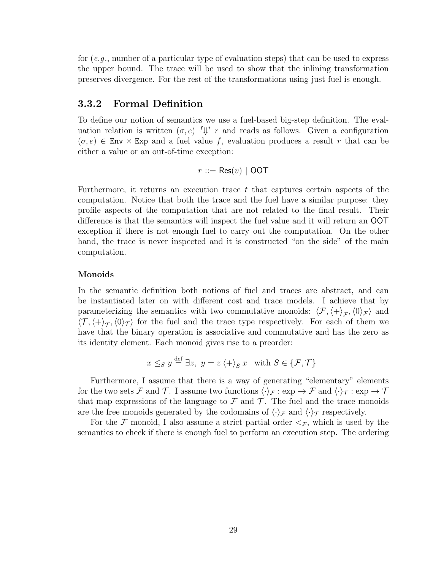for (e.g., number of a particular type of evaluation steps) that can be used to express the upper bound. The trace will be used to show that the inlining transformation preserves divergence. For the rest of the transformations using just fuel is enough.

### 3.3.2 Formal Definition

To define our notion of semantics we use a fuel-based big-step definition. The evaluation relation is written  $(\sigma, e)$   $\int \psi \, r$  and reads as follows. Given a configuration  $(\sigma, e) \in \text{Env} \times \text{Exp}$  and a fuel value f, evaluation produces a result r that can be either a value or an out-of-time exception:

$$
r ::= \mathsf{Res}(v) \mid \mathsf{OOT}
$$

Furthermore, it returns an execution trace t that captures certain aspects of the computation. Notice that both the trace and the fuel have a similar purpose: they profile aspects of the computation that are not related to the final result. Their difference is that the semantics will inspect the fuel value and it will return an OOT exception if there is not enough fuel to carry out the computation. On the other hand, the trace is never inspected and it is constructed "on the side" of the main computation.

### Monoids

In the semantic definition both notions of fuel and traces are abstract, and can be instantiated later on with different cost and trace models. I achieve that by parameterizing the semantics with two commutative monoids:  $\langle \mathcal{F}, \langle + \rangle_{\mathcal{F}}, \langle 0 \rangle_{\mathcal{F}}\rangle$  and  $\langle \mathcal{T}, \langle + \rangle_{\mathcal{T}}, \langle 0 \rangle_{\mathcal{T}}\rangle$  for the fuel and the trace type respectively. For each of them we have that the binary operation is associative and commutative and has the zero as its identity element. Each monoid gives rise to a preorder:

$$
x \leq_{S} y \stackrel{\text{def}}{=} \exists z, \ y = z \langle + \rangle_{S} x \quad \text{with } S \in \{ \mathcal{F}, \mathcal{T} \}
$$

Furthermore, I assume that there is a way of generating "elementary" elements for the two sets F and T. I assume two functions  $\langle \cdot \rangle_{\mathcal{F}} : \exp \to \mathcal{F}$  and  $\langle \cdot \rangle_{\mathcal{T}} : \exp \to \mathcal{T}$ that map expressions of the language to  $\mathcal F$  and  $\mathcal T$ . The fuel and the trace monoids are the free monoids generated by the codomains of  $\langle \cdot \rangle_{\mathcal{F}}$  and  $\langle \cdot \rangle_{\mathcal{T}}$  respectively.

For the F monoid, I also assume a strict partial order  $\leq_{\mathcal{F}}$ , which is used by the semantics to check if there is enough fuel to perform an execution step. The ordering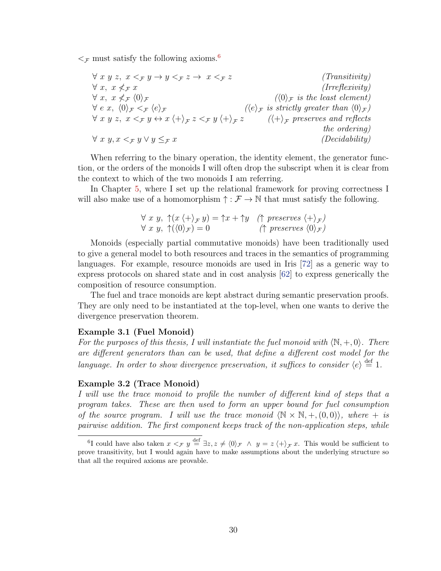$\leq$  must satisfy the following axioms.<sup>[6](#page-40-0)</sup>

$$
\forall x y z, x <_{\mathcal{F}} y \rightarrow y <_{\mathcal{F}} z \rightarrow x <_{\mathcal{F}} z
$$
 (Transitivity)  
\n
$$
\forall x, x \nleq_{\mathcal{F}} x
$$
 (Irreflexivity)  
\n
$$
\forall x, x \nleq_{\mathcal{F}} \langle 0 \rangle_{\mathcal{F}}
$$
  
\n
$$
\forall e x, \langle 0 \rangle_{\mathcal{F}} <_{\mathcal{F}} \langle e \rangle_{\mathcal{F}}
$$
  
\n
$$
\forall x y z, x <_{\mathcal{F}} y \leftrightarrow x \langle + \rangle_{\mathcal{F}} z <_{\mathcal{F}} y \langle + \rangle_{\mathcal{F}} z
$$
 ((*k*) <sub>$\mathcal{F}$</sub>  is strictly greater than  $\langle 0 \rangle_{\mathcal{F}}$ )  
\n
$$
\forall x y, x <_{\mathcal{F}} y \lor y \leq_{\mathcal{F}} x
$$
 (Decidability)  
\n
$$
\forall x y, x <_{\mathcal{F}} y \lor y \leq_{\mathcal{F}} x
$$

When referring to the binary operation, the identity element, the generator function, or the orders of the monoids I will often drop the subscript when it is clear from the context to which of the two monoids I am referring.

In Chapter [5,](#page-69-0) where I set up the relational framework for proving correctness I will also make use of a homomorphism  $\uparrow : \mathcal{F} \to \mathbb{N}$  that must satisfy the following.

$$
\forall x \ y, \ \uparrow(x \ \langle + \rangle_{\mathcal{F}} \ y) = \uparrow x + \uparrow y \quad (\uparrow \ preserves \ \langle + \rangle_{\mathcal{F}})
$$
  

$$
\forall x \ y, \ \uparrow(\langle 0 \rangle_{\mathcal{F}}) = 0 \qquad (\uparrow \ preserves \ \langle 0 \rangle_{\mathcal{F}})
$$

Monoids (especially partial commutative monoids) have been traditionally used to give a general model to both resources and traces in the semantics of programming languages. For example, resource monoids are used in Iris [\[72\]](#page-165-0) as a generic way to express protocols on shared state and in cost analysis [\[62\]](#page-164-0) to express generically the composition of resource consumption.

The fuel and trace monoids are kept abstract during semantic preservation proofs. They are only need to be instantiated at the top-level, when one wants to derive the divergence preservation theorem.

#### Example 3.1 (Fuel Monoid)

For the purposes of this thesis, I will instantiate the fuel monoid with  $\langle \mathbb{N}, +, 0 \rangle$ . There are different generators than can be used, that define a different cost model for the language. In order to show divergence preservation, it suffices to consider  $\langle e \rangle \stackrel{\text{def}}{=} 1$ .

### Example 3.2 (Trace Monoid)

I will use the trace monoid to profile the number of different kind of steps that a program takes. These are then used to form an upper bound for fuel consumption of the source program. I will use the trace monoid  $\langle N \times N, +, (0, 0) \rangle$ , where  $+$  is pairwise addition. The first component keeps track of the non-application steps, while

<span id="page-40-0"></span><sup>&</sup>lt;sup>6</sup>I could have also taken  $x <_{\mathcal{F}} y \stackrel{\text{def}}{=} \exists z, z \neq \langle 0 \rangle_{\mathcal{F}} \land y = z \langle + \rangle_{\mathcal{F}} x$ . This would be sufficient to prove transitivity, but I would again have to make assumptions about the underlying structure so that all the required axioms are provable.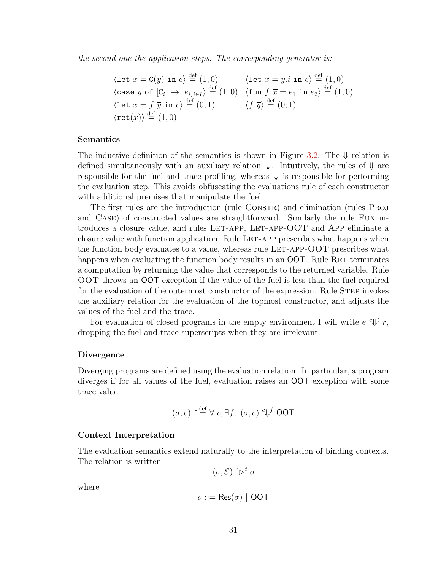the second one the application steps. The corresponding generator is:

$$
\begin{array}{ll}\n\langle \text{let } x = \text{C}(\overline{y}) \text{ in } e \rangle \stackrel{\text{def}}{=} (1,0) & \langle \text{let } x = y.i \text{ in } e \rangle \stackrel{\text{def}}{=} (1,0) \\
\langle \text{case } y \text{ of } [C_i \rightarrow e_i]_{i \in I} \rangle \stackrel{\text{def}}{=} (1,0) & \langle \text{fun } f \overline{x} = e_1 \text{ in } e_2 \rangle \stackrel{\text{def}}{=} (1,0) \\
\langle \text{let } x = f \overline{y} \text{ in } e \rangle \stackrel{\text{def}}{=} (0,1) & \langle f \overline{y} \rangle \stackrel{\text{def}}{=} (0,1) \\
\langle \text{ret}(x) \rangle \stackrel{\text{def}}{=} (1,0)\n\end{array}
$$

### Semantics

The inductive definition of the semantics is shown in Figure [3.2.](#page-42-0) The  $\downarrow$  relation is defined simultaneously with an auxiliary relation  $\downarrow$ . Intuitively, the rules of  $\downarrow$  are responsible for the fuel and trace profiling, whereas  $\downarrow$  is responsible for performing the evaluation step. This avoids obfuscating the evaluations rule of each constructor with additional premises that manipulate the fuel.

The first rules are the introduction (rule CONSTR) and elimination (rules PROJ and Case) of constructed values are straightforward. Similarly the rule Fun introduces a closure value, and rules LET-APP, LET-APP-OOT and APP eliminate a closure value with function application. Rule LET-APP prescribes what happens when the function body evaluates to a value, whereas rule LET-APP- $OOT$  prescribes what happens when evaluating the function body results in an **OOT**. Rule RET terminates a computation by returning the value that corresponds to the returned variable. Rule OOT throws an OOT exception if the value of the fuel is less than the fuel required for the evaluation of the outermost constructor of the expression. Rule STEP invokes the auxiliary relation for the evaluation of the topmost constructor, and adjusts the values of the fuel and the trace.

For evaluation of closed programs in the empty environment I will write  $e^{ct}$   $\psi^t$  r, dropping the fuel and trace superscripts when they are irrelevant.

### Divergence

Diverging programs are defined using the evaluation relation. In particular, a program diverges if for all values of the fuel, evaluation raises an OOT exception with some trace value.

$$
(\sigma, e) \uparrow \stackrel{\text{def}}{=} \forall c, \exists f, (\sigma, e) \ ^c \Downarrow^f \text{ OOT}
$$

### Context Interpretation

The evaluation semantics extend naturally to the interpretation of binding contexts. The relation is written

 $(\sigma, \mathcal{E}) \overset{c}{\triangleright}^t o$ 

where

$$
o ::= \mathsf{Res}(\sigma) \mid \mathsf{OOT}
$$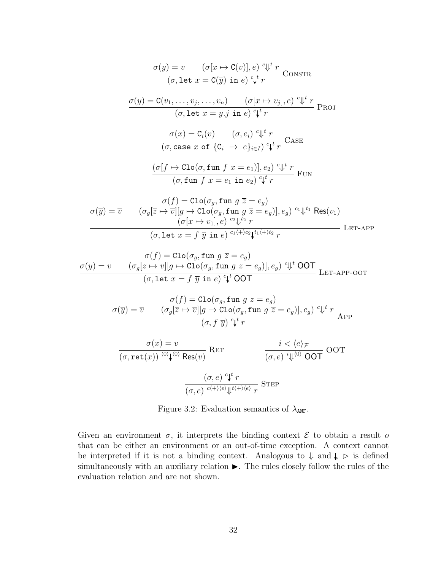<span id="page-42-0"></span>
$$
\frac{\sigma(\overline{y}) = \overline{v} \qquad (\sigma[x \mapsto C(\overline{v})], e) \ ^{c} \psi^t r}{(\sigma, \text{let } x = C(\overline{y}) \text{ in } e) \ ^{c} \psi^t r} \text{ ConsTR}
$$
\n
$$
\frac{\sigma(y) = C(v_1, \dots, v_j, \dots, v_n) \qquad (\sigma[x \mapsto v_j], e) \ ^{c} \psi^t r}{(\sigma, \text{let } x = y \cdot j \text{ in } e) \ ^{c} \psi^t r} \text{ ProU}
$$
\n
$$
\frac{\sigma(x) = C_i(\overline{v}) \qquad (\sigma, e_i) \ ^{c} \psi^t r}{(\sigma, \text{case } x \text{ of } \{C_i \rightarrow e\}_{i \in I}) \ ^{c} \psi^t r} \text{ CasE}
$$
\n
$$
\frac{(\sigma[f \mapsto \text{Clo}(\sigma, \text{fun } f \overline{x} = e_1)], e_2) \ ^{c} \psi^t r}{(\sigma, \text{fun } f \overline{x} = e_1 \text{ in } e_2) \ ^{c} \psi^t r} \text{Fun}
$$
\n
$$
\sigma(\overline{y}) = \overline{v} \qquad (\sigma_g[\overline{z} \mapsto \overline{v}][g \mapsto \text{Clo}(\sigma_g, \text{fun } g \overline{z} = e_g)] \text{ on } e_g) \ ^{c_1} \psi^t \text{ Res}(v_1)
$$
\n
$$
\frac{\sigma(x) = \text{Clo}(\sigma_g, \text{fun } g \overline{z} = e_g)}{(\sigma(x \mapsto v_1), e) \ ^{c_2} \psi^t z} \text{ Res}(v_1)
$$
\n
$$
\frac{\sigma(x) = \text{Clo}(\sigma_g, \text{fun } g \overline{z} = e_g)}{(\sigma_g \text{let } x = f \overline{y} \text{ in } e) \ ^{c_1} \psi^t z} \text{ Res}(v_1)
$$

$$
\sigma(\overline{y}) = \overline{v} \qquad (\sigma_g[\overline{z} \mapsto \overline{v}][g \mapsto \text{Clo}(\sigma_g, \text{fun } g \overline{z} = e_g)]{\sigma(\overline{y})}^{\text{cl}} + \sigma(\sigma_g[\overline{z} \mapsto \overline{v}][g \mapsto \text{Clo}(\sigma_g, \text{fun } g \overline{z} = e_g)]{\sigma(g) \circ \psi^t \text{ OOT}}
$$
  

$$
(\sigma, \text{let } x = f \overline{y} \text{ in } e) {^c \psi^t \text{ OOT}}
$$
LET-APP-OOT

$$
\sigma(f) = \text{Clo}(\sigma_g, \text{fun } g \overline{z} = e_g)
$$

$$
\sigma(\overline{y}) = \overline{v} \qquad (\sigma_g[\overline{z} \mapsto \overline{v}][g \mapsto \text{Clo}(\sigma_g, \text{fun } g \overline{z} = e_g)], e_g) \overset{c}{\downarrow}^t r
$$

$$
(\sigma, f \overline{y}) \overset{c}{\downarrow}^t r
$$
APP

$$
\frac{\sigma(x) = v}{(\sigma, \text{ret}(x)) \stackrel{\langle 0 \rangle}{\longrightarrow} \sqrt{\text{Res}(v)}} \text{RET} \qquad \frac{i < \langle e \rangle_{\mathcal{F}}}{(\sigma, e) \stackrel{i}{\Downarrow} \langle 0 \rangle \text{ OOT}} \text{OOT}
$$
\n
$$
\frac{(\sigma, e) \stackrel{c}{\Downarrow} r}{(\sigma, e) \stackrel{c}{\longleftarrow} \langle e \rangle_{\Downarrow} t \stackrel{\langle + \rangle \langle e \rangle}{\Downarrow} \gamma} \text{STEP}
$$

Figure 3.2: Evaluation semantics of  $\lambda_{\text{ANF}}$ .

Given an environment  $\sigma$ , it interprets the binding context  $\mathcal E$  to obtain a result o that can be either an environment or an out-of-time exception. A context cannot be interpreted if it is not a binding context. Analogous to  $\Downarrow$  and  $\downarrow$   $\triangleright$  is defined simultaneously with an auxiliary relation  $\blacktriangleright$ . The rules closely follow the rules of the evaluation relation and are not shown.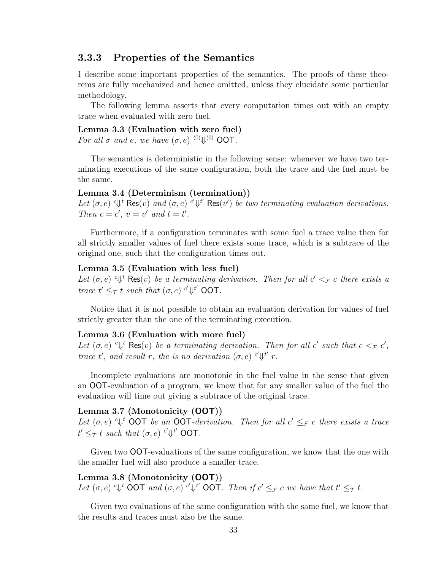### 3.3.3 Properties of the Semantics

I describe some important properties of the semantics. The proofs of these theorems are fully mechanized and hence omitted, unless they elucidate some particular methodology.

The following lemma asserts that every computation times out with an empty trace when evaluated with zero fuel.

## Lemma 3.3 (Evaluation with zero fuel)

For all  $\sigma$  and e, we have  $(\sigma, e)$   $\langle 0 \rangle \psi \langle 0 \rangle$  OOT.

The semantics is deterministic in the following sense: whenever we have two terminating executions of the same configuration, both the trace and the fuel must be the same.

### Lemma 3.4 (Determinism (termination))

Let  $(\sigma, e)$  <sup>c</sup> $\Downarrow$ <sup>t</sup> Res $(v)$  and  $(\sigma, e)$  <sup>c'</sup> $\Downarrow$ <sup>t'</sup> Res $(v')$  be two terminating evaluation derivations. Then  $c = c'$ ,  $v = v'$  and  $t = t'$ .

Furthermore, if a configuration terminates with some fuel a trace value then for all strictly smaller values of fuel there exists some trace, which is a subtrace of the original one, such that the configuration times out.

### Lemma 3.5 (Evaluation with less fuel)

Let  $(\sigma, e)$  <sup>c</sup> $\Downarrow$ <sup>t</sup> Res $(v)$  be a terminating derivation. Then for all  $c' <_{\mathcal{F}} c$  there exists a trace  $t' \leq_\mathcal{T} t$  such that  $(\sigma, e)$  <sup>c'</sup> $\Downarrow^{t'}$  OOT.

Notice that it is not possible to obtain an evaluation derivation for values of fuel strictly greater than the one of the terminating execution.

### Lemma 3.6 (Evaluation with more fuel)

Let  $(\sigma, e)$  <sup>c</sup> $\Downarrow$ <sup>t</sup> Res $(v)$  be a terminating derivation. Then for all c' such that  $c <_{\mathcal{F}} c'$ , trace t', and result r, the is no derivation  $(\sigma, e)$   $c' \Downarrow t'$  r.

Incomplete evaluations are monotonic in the fuel value in the sense that given an OOT-evaluation of a program, we know that for any smaller value of the fuel the evaluation will time out giving a subtrace of the original trace.

### <span id="page-43-0"></span>Lemma 3.7 (Monotonicity (OOT))

Let  $(\sigma, e)$  <sup>c</sup> $\Downarrow^t$  OOT be an OOT-derivation. Then for all  $c' \leq_{\mathcal{F}} c$  there exists a trace  $t' \leq_{\mathcal{T}} t$  such that  $(\sigma, e)$  <sup>c'</sup> $\Downarrow^{t'}$  OOT.

Given two OOT-evaluations of the same configuration, we know that the one with the smaller fuel will also produce a smaller trace.

Lemma 3.8 (Monotonicity (OOT)) Let  $(\sigma, e)$  <sup>c</sup> $\Downarrow$ <sup>t</sup> OOT and  $(\sigma, e)$  <sup>c'</sup> $\Downarrow$ <sup>t'</sup> OOT. Then if  $c' \leq_{\mathcal{F}} c$  we have that  $t' \leq_{\mathcal{T}} t$ .

Given two evaluations of the same configuration with the same fuel, we know that the results and traces must also be the same.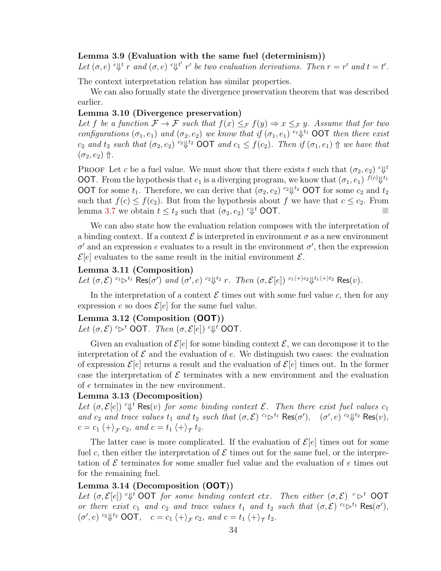### Lemma 3.9 (Evaluation with the same fuel (determinism))

Let  $(\sigma, e)$   $\cup$ <sup>t</sup> r and  $(\sigma, e)$   $\cup$ <sup>t'</sup> r' be two evaluation derivations. Then  $r = r'$  and  $t = t'$ .

The context interpretation relation has similar properties.

We can also formally state the divergence preservation theorem that was described earlier.

### Lemma 3.10 (Divergence preservation)

Let f be a function  $\mathcal{F} \to \mathcal{F}$  such that  $f(x) \leq_{\mathcal{F}} f(y) \Rightarrow x \leq_{\mathcal{F}} y$ . Assume that for two configurations  $(\sigma_1, e_1)$  and  $(\sigma_2, e_2)$  we know that if  $(\sigma_1, e_1)$  <sup>c<sub>1</sub> $\,\Downarrow$ <sup>t<sub>1</sub></sup> OOT then there exist</sup>  $c_2$  and  $t_2$  such that  $(\sigma_2, e_2)$   $c_2 \Downarrow^{t_2}$  OOT and  $c_1 \leq f(c_2)$ . Then if  $(\sigma_1, e_1) \Uparrow$  we have that  $(\sigma_2, e_2)$   $\Uparrow$ .

PROOF Let c be a fuel value. We must show that there exists t such that  $(\sigma_2, e_2)$   $\in \mathbb{R}^t$ **OOT**. From the hypothesis that  $e_1$  is a diverging program, we know that  $(\sigma_1, e_1)$   $f^{(c)} \psi^{t_1}$ OOT for some  $t_1$ . Therefore, we can derive that  $(\sigma_2, e_2)$  <sup> $c_2 \Downarrow^{t_2}$ </sup> OOT for some  $c_2$  and  $t_2$ such that  $f(c) \leq f(c_2)$ . But from the hypothesis about f we have that  $c \leq c_2$ . From lemma [3.7](#page-43-0) we obtain  $t \leq t_2$  such that  $(\sigma_2, e_2)$  <sup>c</sup> $\Downarrow$ <sup>t</sup> OOT.

We can also state how the evaluation relation composes with the interpretation of a binding context. If a context  $\mathcal E$  is interpreted in environment  $\sigma$  as a new environment  $\sigma'$  and an expression e evaluates to a result in the environment  $\sigma'$ , then the expression  $\mathcal{E}[e]$  evaluates to the same result in the initial environment  $\mathcal{E}$ .

### Lemma 3.11 (Composition)

Let  $(\sigma, \mathcal{E})$   $c_1 \triangleright c_1$  Res $(\sigma')$  and  $(\sigma', e)$   $c_2 \Downarrow^{t_2} r$ . Then  $(\sigma, \mathcal{E}[e])$   $c_1 \leftrightarrow c_2 \Downarrow^{t_1 \leftrightarrow t_2}$  Res $(v)$ .

In the interpretation of a context  $\mathcal E$  times out with some fuel value c, then for any expression e so does  $\mathcal{E}[e]$  for the same fuel value.

### Lemma 3.12 (Composition (OOT))

Let  $(\sigma, \mathcal{E}) \in \mathcal{S}^t$  OOT. Then  $(\sigma, \mathcal{E}[e]) \in \mathcal{V}^t$  OOT.

Given an evaluation of  $\mathcal{E}[e]$  for some binding context  $\mathcal{E}$ , we can decompose it to the interpretation of  $\mathcal E$  and the evaluation of e. We distinguish two cases: the evaluation of expression  $\mathcal{E}[e]$  returns a result and the evaluation of  $\mathcal{E}[e]$  times out. In the former case the interpretation of  $\mathcal E$  terminates with a new environment and the evaluation of e terminates in the new environment.

### Lemma 3.13 (Decomposition)

Let  $(\sigma, \mathcal{E}[e])$  <sup>c</sup> $\Downarrow$ <sup>t</sup> Res $(v)$  for some binding context  $\mathcal{E}$ . Then there exist fuel values  $c_1$ and  $c_2$  and trace values  $t_1$  and  $t_2$  such that  $(\sigma, \mathcal{E})$   $c_1 \triangleright^{t_1} \text{Res}(\sigma')$ ,  $(\sigma', e)$   $c_2 \Downarrow^{t_2} \text{Res}(v)$ ,  $c = c_1 \langle + \rangle_{\mathcal{F}} c_2$ , and  $c = t_1 \langle + \rangle_{\mathcal{T}} t_2$ .

The latter case is more complicated. If the evaluation of  $\mathcal{E}[e]$  times out for some fuel c, then either the interpretation of  $\mathcal E$  times out for the same fuel, or the interpretation of  $\mathcal E$  terminates for some smaller fuel value and the evaluation of  $e$  times out for the remaining fuel.

### Lemma 3.14 (Decomposition (OOT))

Let  $(\sigma, \mathcal{E}[e])$  <sup>c</sup> $\Downarrow$ <sup>*t*</sup> OOT for some binding context ctx. Then either  $(\sigma, \mathcal{E})$  <sup>c</sup> $\triangleright$ <sup>t</sup> OOT or there exist  $c_1$  and  $c_2$  and trace values  $t_1$  and  $t_2$  such that  $(\sigma, \mathcal{E})$   $c_1 \triangleright^{t_1} \text{Res}(\sigma')$ ,  $(\sigma', e)$  <sup>c</sup><sup>1</sup> $\downarrow$ <sup>t<sub>2</sub></sup> **OOT**,  $c = c_1 \langle + \rangle_{\mathcal{F}} c_2$ , and  $c = t_1 \langle + \rangle_{\mathcal{T}} t_2$ .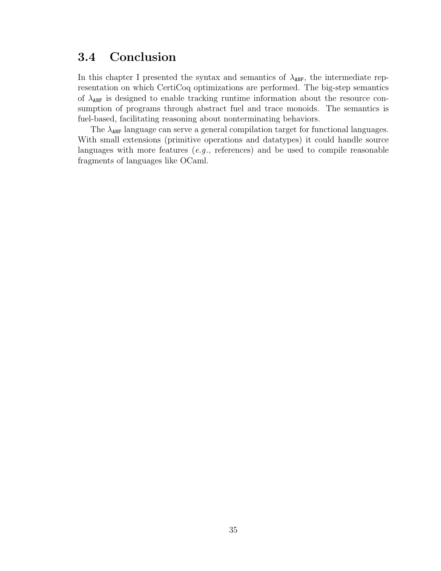## 3.4 Conclusion

In this chapter I presented the syntax and semantics of  $\lambda_{\text{ANF}}$ , the intermediate representation on which CertiCoq optimizations are performed. The big-step semantics of  $\lambda_{\text{ANF}}$  is designed to enable tracking runtime information about the resource consumption of programs through abstract fuel and trace monoids. The semantics is fuel-based, facilitating reasoning about nonterminating behaviors.

The  $\lambda_{\text{AMF}}$  language can serve a general compilation target for functional languages. With small extensions (primitive operations and datatypes) it could handle source languages with more features (e.g., references) and be used to compile reasonable fragments of languages like OCaml.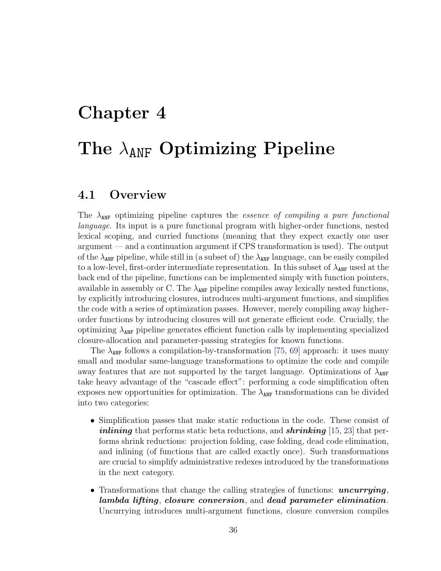# Chapter 4 The  $\lambda_{ANF}$  Optimizing Pipeline

## 4.1 Overview

The  $\lambda_{\text{ANF}}$  optimizing pipeline captures the *essence of compiling a pure functional* language. Its input is a pure functional program with higher-order functions, nested lexical scoping, and curried functions (meaning that they expect exactly one user argument — and a continuation argument if CPS transformation is used). The output of the  $\lambda_{\text{ANF}}$  pipeline, while still in (a subset of) the  $\lambda_{\text{ANF}}$  language, can be easily compiled to a low-level, first-order intermediate representation. In this subset of  $\lambda_{\text{ANF}}$  used at the back end of the pipeline, functions can be implemented simply with function pointers, available in assembly or C. The  $\lambda_{\text{ANF}}$  pipeline compiles away lexically nested functions, by explicitly introducing closures, introduces multi-argument functions, and simplifies the code with a series of optimization passes. However, merely compiling away higherorder functions by introducing closures will not generate efficient code. Crucially, the optimizing  $\lambda_{\text{ANF}}$  pipeline generates efficient function calls by implementing specialized closure-allocation and parameter-passing strategies for known functions.

The  $\lambda_{\text{ANF}}$  follows a compilation-by-transformation [\[75,](#page-166-0) [69\]](#page-165-1) approach: it uses many small and modular same-language transformations to optimize the code and compile away features that are not supported by the target language. Optimizations of  $\lambda_{\text{ANF}}$ take heavy advantage of the "cascade effect": performing a code simplification often exposes new opportunities for optimization. The  $\lambda_{\text{ANF}}$  transformations can be divided into two categories:

- Simplification passes that make static reductions in the code. These consist of *inlining* that performs static beta reductions, and **shrinking** [\[15,](#page-160-0) [23\]](#page-161-0) that performs shrink reductions: projection folding, case folding, dead code elimination, and inlining (of functions that are called exactly once). Such transformations are crucial to simplify administrative redexes introduced by the transformations in the next category.
- Transformations that change the calling strategies of functions:  $uncurringing$ , lambda lifting, closure conversion, and dead parameter elimination. Uncurrying introduces multi-argument functions, closure conversion compiles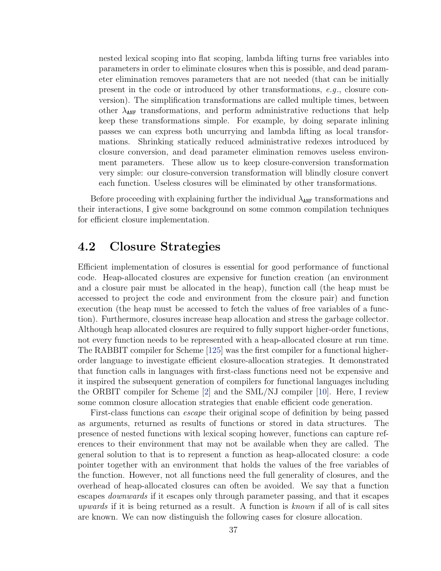nested lexical scoping into flat scoping, lambda lifting turns free variables into parameters in order to eliminate closures when this is possible, and dead parameter elimination removes parameters that are not needed (that can be initially present in the code or introduced by other transformations, e.g., closure conversion). The simplification transformations are called multiple times, between other  $\lambda_{\text{ANF}}$  transformations, and perform administrative reductions that help keep these transformations simple. For example, by doing separate inlining passes we can express both uncurrying and lambda lifting as local transformations. Shrinking statically reduced administrative redexes introduced by closure conversion, and dead parameter elimination removes useless environment parameters. These allow us to keep closure-conversion transformation very simple: our closure-conversion transformation will blindly closure convert each function. Useless closures will be eliminated by other transformations.

Before proceeding with explaining further the individual  $\lambda_{\text{ANF}}$  transformations and their interactions, I give some background on some common compilation techniques for efficient closure implementation.

## <span id="page-47-0"></span>4.2 Closure Strategies

Efficient implementation of closures is essential for good performance of functional code. Heap-allocated closures are expensive for function creation (an environment and a closure pair must be allocated in the heap), function call (the heap must be accessed to project the code and environment from the closure pair) and function execution (the heap must be accessed to fetch the values of free variables of a function). Furthermore, closures increase heap allocation and stress the garbage collector. Although heap allocated closures are required to fully support higher-order functions, not every function needs to be represented with a heap-allocated closure at run time. The RABBIT compiler for Scheme [\[125\]](#page-170-0) was the first compiler for a functional higherorder language to investigate efficient closure-allocation strategies. It demonstrated that function calls in languages with first-class functions need not be expensive and it inspired the subsequent generation of compilers for functional languages including the ORBIT compiler for Scheme [\[2\]](#page-159-0) and the SML/NJ compiler [\[10\]](#page-160-1). Here, I review some common closure allocation strategies that enable efficient code generation.

First-class functions can escape their original scope of definition by being passed as arguments, returned as results of functions or stored in data structures. The presence of nested functions with lexical scoping however, functions can capture references to their environment that may not be available when they are called. The general solution to that is to represent a function as heap-allocated closure: a code pointer together with an environment that holds the values of the free variables of the function. However, not all functions need the full generality of closures, and the overhead of heap-allocated closures can often be avoided. We say that a function escapes downwards if it escapes only through parameter passing, and that it escapes upwards if it is being returned as a result. A function is known if all of is call sites are known. We can now distinguish the following cases for closure allocation.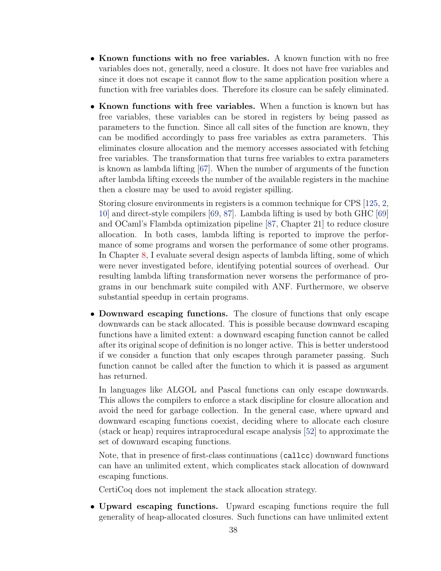- Known functions with no free variables. A known function with no free variables does not, generally, need a closure. It does not have free variables and since it does not escape it cannot flow to the same application position where a function with free variables does. Therefore its closure can be safely eliminated.
- Known functions with free variables. When a function is known but has free variables, these variables can be stored in registers by being passed as parameters to the function. Since all call sites of the function are known, they can be modified accordingly to pass free variables as extra parameters. This eliminates closure allocation and the memory accesses associated with fetching free variables. The transformation that turns free variables to extra parameters is known as lambda lifting  $[67]$ . When the number of arguments of the function after lambda lifting exceeds the number of the available registers in the machine then a closure may be used to avoid register spilling.

Storing closure environments in registers is a common technique for CPS [\[125,](#page-170-0) [2,](#page-159-0) [10\]](#page-160-1) and direct-style compilers [\[69,](#page-165-1) [87\]](#page-167-2). Lambda lifting is used by both GHC [\[69\]](#page-165-1) and OCaml's Flambda optimization pipeline [\[87,](#page-167-2) Chapter 21] to reduce closure allocation. In both cases, lambda lifting is reported to improve the performance of some programs and worsen the performance of some other programs. In Chapter [8,](#page-146-0) I evaluate several design aspects of lambda lifting, some of which were never investigated before, identifying potential sources of overhead. Our resulting lambda lifting transformation never worsens the performance of programs in our benchmark suite compiled with ANF. Furthermore, we observe substantial speedup in certain programs.

• Downward escaping functions. The closure of functions that only escape downwards can be stack allocated. This is possible because downward escaping functions have a limited extent: a downward escaping function cannot be called after its original scope of definition is no longer active. This is better understood if we consider a function that only escapes through parameter passing. Such function cannot be called after the function to which it is passed as argument has returned.

In languages like ALGOL and Pascal functions can only escape downwards. This allows the compilers to enforce a stack discipline for closure allocation and avoid the need for garbage collection. In the general case, where upward and downward escaping functions coexist, deciding where to allocate each closure (stack or heap) requires intraprocedural escape analysis [\[52\]](#page-163-0) to approximate the set of downward escaping functions.

Note, that in presence of first-class continuations (callcc) downward functions can have an unlimited extent, which complicates stack allocation of downward escaping functions.

CertiCoq does not implement the stack allocation strategy.

• Upward escaping functions. Upward escaping functions require the full generality of heap-allocated closures. Such functions can have unlimited extent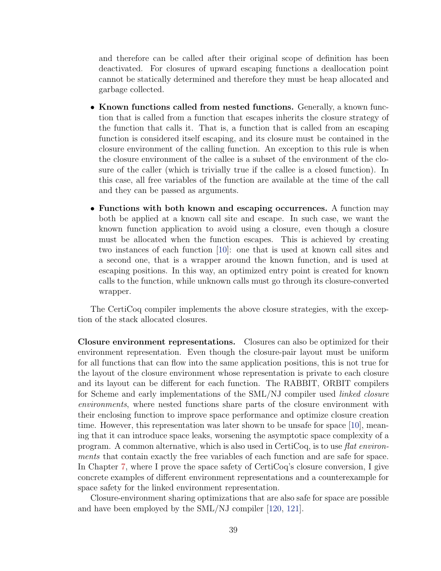and therefore can be called after their original scope of definition has been deactivated. For closures of upward escaping functions a deallocation point cannot be statically determined and therefore they must be heap allocated and garbage collected.

- Known functions called from nested functions. Generally, a known function that is called from a function that escapes inherits the closure strategy of the function that calls it. That is, a function that is called from an escaping function is considered itself escaping, and its closure must be contained in the closure environment of the calling function. An exception to this rule is when the closure environment of the callee is a subset of the environment of the closure of the caller (which is trivially true if the callee is a closed function). In this case, all free variables of the function are available at the time of the call and they can be passed as arguments.
- Functions with both known and escaping occurrences. A function may both be applied at a known call site and escape. In such case, we want the known function application to avoid using a closure, even though a closure must be allocated when the function escapes. This is achieved by creating two instances of each function [\[10\]](#page-160-1): one that is used at known call sites and a second one, that is a wrapper around the known function, and is used at escaping positions. In this way, an optimized entry point is created for known calls to the function, while unknown calls must go through its closure-converted wrapper.

The CertiCoq compiler implements the above closure strategies, with the exception of the stack allocated closures.

Closure environment representations. Closures can also be optimized for their environment representation. Even though the closure-pair layout must be uniform for all functions that can flow into the same application positions, this is not true for the layout of the closure environment whose representation is private to each closure and its layout can be different for each function. The RABBIT, ORBIT compilers for Scheme and early implementations of the SML/NJ compiler used *linked closure* environments, where nested functions share parts of the closure environment with their enclosing function to improve space performance and optimize closure creation time. However, this representation was later shown to be unsafe for space [\[10\]](#page-160-1), meaning that it can introduce space leaks, worsening the asymptotic space complexity of a program. A common alternative, which is also used in CertiCoq, is to use flat environments that contain exactly the free variables of each function and are safe for space. In Chapter [7,](#page-110-0) where I prove the space safety of CertiCoq's closure conversion, I give concrete examples of different environment representations and a counterexample for space safety for the linked environment representation.

Closure-environment sharing optimizations that are also safe for space are possible and have been employed by the SML/NJ compiler [\[120,](#page-170-1) [121\]](#page-170-2).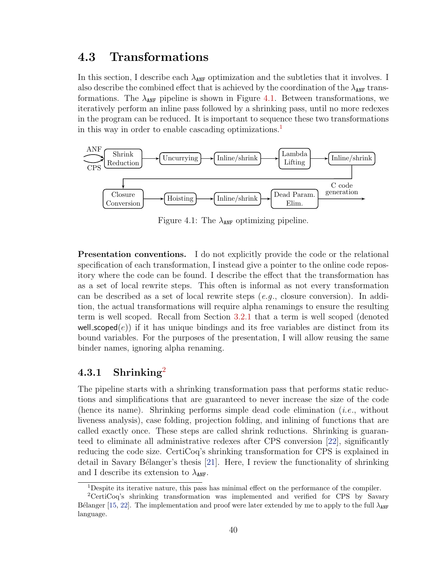## <span id="page-50-3"></span>4.3 Transformations

In this section, I describe each  $\lambda_{\texttt{ANF}}$  optimization and the subtleties that it involves. I also describe the combined effect that is achieved by the coordination of the  $\lambda_{\text{ANF}}$  transformations. The  $\lambda_{\text{ANF}}$  pipeline is shown in Figure [4.1.](#page-50-0) Between transformations, we iteratively perform an inline pass followed by a shrinking pass, until no more redexes in the program can be reduced. It is important to sequence these two transformations in this way in order to enable cascading optimizations.<sup>[1](#page-50-1)</sup>

<span id="page-50-0"></span>

Figure 4.1: The  $\lambda_{\text{ANF}}$  optimizing pipeline.

Presentation conventions. I do not explicitly provide the code or the relational specification of each transformation, I instead give a pointer to the online code repository where the code can be found. I describe the effect that the transformation has as a set of local rewrite steps. This often is informal as not every transformation can be described as a set of local rewrite steps  $(e.g.,$  closure conversion). In addition, the actual transformations will require alpha renamings to ensure the resulting term is well scoped. Recall from Section [3.2.1](#page-36-1) that a term is well scoped (denoted well\_scoped $(e)$ ) if it has unique bindings and its free variables are distinct from its bound variables. For the purposes of the presentation, I will allow reusing the same binder names, ignoring alpha renaming.

## 4.3.1 Shrinking<sup>[2](#page-50-2)</sup>

The pipeline starts with a shrinking transformation pass that performs static reductions and simplifications that are guaranteed to never increase the size of the code (hence its name). Shrinking performs simple dead code elimination (i.e., without liveness analysis), case folding, projection folding, and inlining of functions that are called exactly once. These steps are called shrink reductions. Shrinking is guaranteed to eliminate all administrative redexes after CPS conversion [\[22\]](#page-161-1), significantly reducing the code size. CertiCoq's shrinking transformation for CPS is explained in detail in Savary Bélanger's thesis  $[21]$ . Here, I review the functionality of shrinking and I describe its extension to  $\lambda_{\text{ANF}}$ .

<span id="page-50-2"></span><span id="page-50-1"></span><sup>1</sup>Despite its iterative nature, this pass has minimal effect on the performance of the compiler.

<sup>2</sup>CertiCoq's shrinking transformation was implemented and verified for CPS by Savary B'elanger [\[15,](#page-160-0) [22\]](#page-161-1). The implementation and proof were later extended by me to apply to the full  $\lambda_{\text{ANF}}$ language.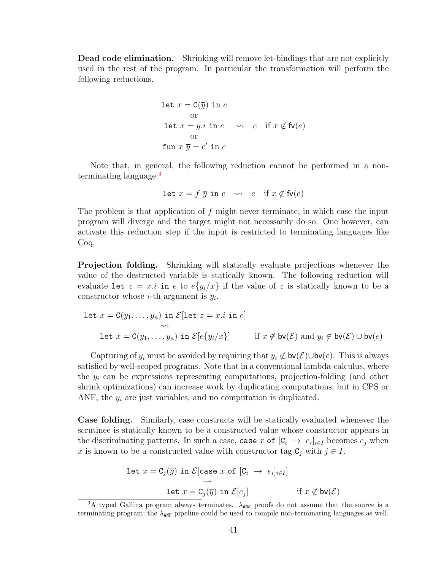Dead code elimination. Shrinking will remove let-bindings that are not explicitly used in the rest of the program. In particular the transformation will perform the following reductions.

let 
$$
x = C(\overline{y})
$$
 in e  
or  
let  $x = y.i$  in  $e \rightarrow e$  if  $x \notin f_v(e)$   
or  
fun  $x \overline{y} = e'$  in e

Note that, in general, the following reduction cannot be performed in a non-terminating language.<sup>[3](#page-51-0)</sup>

$$
\text{let } x = f \overline{y} \text{ in } e \quad \leadsto \quad e \quad \text{if } x \notin \mathsf{fv}(e)
$$

The problem is that application of  $f$  might never terminate, in which case the input program will diverge and the target might not necessarily do so. One however, can activate this reduction step if the input is restricted to terminating languages like Coq.

Projection folding. Shrinking will statically evaluate projections whenever the value of the destructed variable is statically known. The following reduction will evaluate let  $z = x \cdot i$  in e to  $e\{y_i/x\}$  if the value of z is statically known to be a constructor whose *i*-th argument is  $y_i$ .

let 
$$
x = C(y_1, \ldots, y_n)
$$
 in  $\mathcal{E}[\text{let } z = x.i \text{ in } e]$ 

\nlet  $x = C(y_1, \ldots, y_n)$  in  $\mathcal{E}[e\{y_i/x\}]$  if  $x \notin \text{bv}(\mathcal{E})$  and  $y_i \notin \text{bv}(\mathcal{E}) \cup \text{bv}(e)$ 

Capturing of  $y_i$  must be avoided by requiring that  $y_i \notin \mathsf{bv}(\mathcal{E}) \cup \mathsf{bv}(e)$ . This is always satisfied by well-scoped programs. Note that in a conventional lambda-calculus, where the  $y_i$  can be expressions representing computations, projection-folding (and other shrink optimizations) can increase work by duplicating computations; but in CPS or ANF, the  $y_i$  are just variables, and no computation is duplicated.

Case folding. Similarly, case constructs will be statically evaluated whenever the scrutinee is statically known to be a constructed value whose constructor appears in the discriminating patterns. In such a case, case x of  $[C_i \rightarrow e_i]_{i \in I}$  becomes  $e_j$  when x is known to be a constructed value with constructor tag  $C_j$  with  $j \in I$ .

$$
\begin{aligned}\n\text{let } x &= \mathbf{C}_j(\overline{y}) \text{ in } \mathcal{E}[\text{case } x \text{ of } [\mathbf{C}_i \ \to \ e_i]_{i \in I}] \\
&\xrightarrow{\sim} \\
\text{let } x &= \mathbf{C}_j(\overline{y}) \text{ in } \mathcal{E}[e_j] \\
&\qquad \qquad \text{if } x \notin \mathsf{bv}(\mathcal{E})\n\end{aligned}
$$

<span id="page-51-0"></span><sup>&</sup>lt;sup>3</sup>A typed Gallina program always terminates.  $\lambda_{ANF}$  proofs do not assume that the source is a terminating program; the  $\lambda_{\text{ANF}}$  pipeline could be used to compile non-terminating languages as well.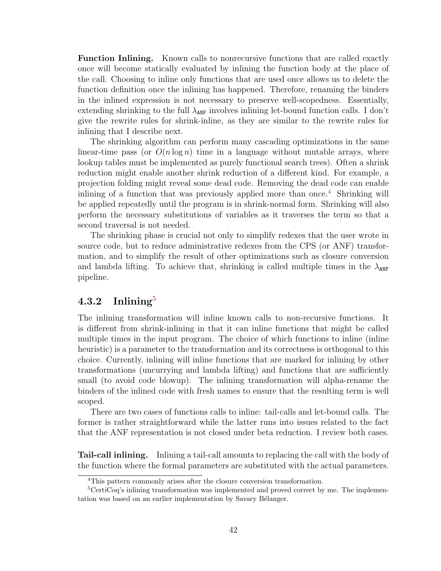**Function Inlining.** Known calls to nonrecursive functions that are called exactly once will become statically evaluated by inlining the function body at the place of the call. Choosing to inline only functions that are used once allows us to delete the function definition once the inlining has happened. Therefore, renaming the binders in the inlined expression is not necessary to preserve well-scopedness. Essentially, extending shrinking to the full  $\lambda_{\text{ANF}}$  involves inlining let-bound function calls. I don't give the rewrite rules for shrink-inline, as they are similar to the rewrite rules for inlining that I describe next.

The shrinking algorithm can perform many cascading optimizations in the same linear-time pass (or  $O(n \log n)$ ) time in a language without mutable arrays, where lookup tables must be implemented as purely functional search trees). Often a shrink reduction might enable another shrink reduction of a different kind. For example, a projection folding might reveal some dead code. Removing the dead code can enable inlining of a function that was previously applied more than once.<sup>[4](#page-52-0)</sup> Shrinking will be applied repeatedly until the program is in shrink-normal form. Shrinking will also perform the necessary substitutions of variables as it traverses the term so that a second traversal is not needed.

The shrinking phase is crucial not only to simplify redexes that the user wrote in source code, but to reduce administrative redexes from the CPS (or ANF) transformation, and to simplify the result of other optimizations such as closure conversion and lambda lifting. To achieve that, shrinking is called multiple times in the  $\lambda_{\text{ANF}}$ pipeline.

### $4.3.2$  Inlining<sup>[5](#page-52-1)</sup>

The inlining transformation will inline known calls to non-recursive functions. It is different from shrink-inlining in that it can inline functions that might be called multiple times in the input program. The choice of which functions to inline (inline heuristic) is a parameter to the transformation and its correctness is orthogonal to this choice. Currently, inlining will inline functions that are marked for inlining by other transformations (uncurrying and lambda lifting) and functions that are sufficiently small (to avoid code blowup). The inlining transformation will alpha-rename the binders of the inlined code with fresh names to ensure that the resulting term is well scoped.

There are two cases of functions calls to inline: tail-calls and let-bound calls. The former is rather straightforward while the latter runs into issues related to the fact that the ANF representation is not closed under beta reduction. I review both cases.

Tail-call inlining. Inlining a tail-call amounts to replacing the call with the body of the function where the formal parameters are substituted with the actual parameters.

<span id="page-52-1"></span><span id="page-52-0"></span><sup>4</sup>This pattern commonly arises after the closure conversion transformation.

<sup>5</sup>CertiCoq's inlining transformation was implemented and proved correct by me. The implementation was based on an earlier implementation by Savary Bélanger.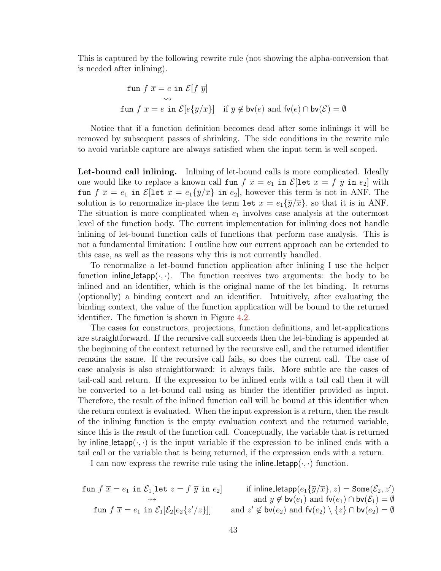This is captured by the following rewrite rule (not showing the alpha-conversion that is needed after inlining).

$$
\begin{aligned}\n\text{fun } f \ \overline{x} &= e \text{ in } \mathcal{E}[f \ \overline{y}] \\
&\leadsto \\
\text{fun } f \ \overline{x} &= e \text{ in } \mathcal{E}[e\{\overline{y}/\overline{x}\}] \quad \text{if } \overline{y} \notin \mathsf{bv}(e) \text{ and } \mathsf{fv}(e) \cap \mathsf{bv}(\mathcal{E}) = \emptyset\n\end{aligned}
$$

Notice that if a function definition becomes dead after some inlinings it will be removed by subsequent passes of shrinking. The side conditions in the rewrite rule to avoid variable capture are always satisfied when the input term is well scoped.

Let-bound call inlining. Inlining of let-bound calls is more complicated. Ideally one would like to replace a known call fun  $f \overline{x} = e_1$  in  $\mathcal{E}[\text{let } x = f \overline{y}$  in  $e_2]$  with fun  $f \bar{x} = e_1$  in  $\mathcal{E}[\text{let } x = e_1 \{\bar{y}/\bar{x}\}$  in  $e_2]$ , however this term is not in ANF. The solution is to renormalize in-place the term let  $x = e_1 \{\overline{y}/\overline{x}\}$ , so that it is in ANF. The situation is more complicated when  $e_1$  involves case analysis at the outermost level of the function body. The current implementation for inlining does not handle inlining of let-bound function calls of functions that perform case analysis. This is not a fundamental limitation: I outline how our current approach can be extended to this case, as well as the reasons why this is not currently handled.

To renormalize a let-bound function application after inlining I use the helper function inline letapp $(\cdot, \cdot)$ . The function receives two arguments: the body to be inlined and an identifier, which is the original name of the let binding. It returns (optionally) a binding context and an identifier. Intuitively, after evaluating the binding context, the value of the function application will be bound to the returned identifier. The function is shown in Figure [4.2.](#page-54-0)

The cases for constructors, projections, function definitions, and let-applications are straightforward. If the recursive call succeeds then the let-binding is appended at the beginning of the context returned by the recursive call, and the returned identifier remains the same. If the recursive call fails, so does the current call. The case of case analysis is also straightforward: it always fails. More subtle are the cases of tail-call and return. If the expression to be inlined ends with a tail call then it will be converted to a let-bound call using as binder the identifier provided as input. Therefore, the result of the inlined function call will be bound at this identifier when the return context is evaluated. When the input expression is a return, then the result of the inlining function is the empty evaluation context and the returned variable, since this is the result of the function call. Conceptually, the variable that is returned by inline letapp $(\cdot, \cdot)$  is the input variable if the expression to be inlined ends with a tail call or the variable that is being returned, if the expression ends with a return.

I can now express the rewrite rule using the inline letapp $(\cdot, \cdot)$  function.

$$
\text{fun } f\ \overline{x} = e_1 \text{ in } \mathcal{E}_1[\text{let } z = f\ \overline{y} \text{ in } e_2] \qquad \text{if } \text{inline\_letapp}(e_1\{\overline{y}/\overline{x}\}, z) = \text{Some}(\mathcal{E}_2, z') \\ \text{and } \overline{y} \notin \text{bv}(e_1) \text{ and } \text{fv}(e_1) \cap \text{bv}(\mathcal{E}_1) = \emptyset \\ \text{fun } f\ \overline{x} = e_1 \text{ in } \mathcal{E}_1[\mathcal{E}_2[e_2\{z'/z\}]] \qquad \text{and } z' \notin \text{bv}(e_2) \text{ and } \text{fv}(e_2) \setminus \{z\} \cap \text{bv}(e_2) = \emptyset
$$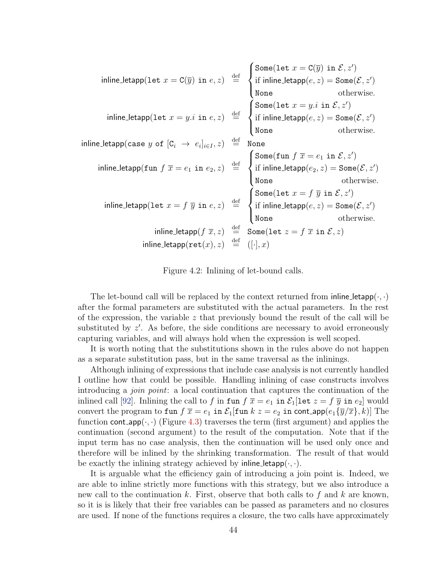<span id="page-54-0"></span>
$$
\text{inline\_letapp}(\text{let } x = \text{C}(\overline{y}) \text{ in } e, z) \overset{\text{def}}{=} \begin{cases} \text{Some}(\text{let } x = \text{C}(\overline{y}) \text{ in } \mathcal{E}, z') \\ \text{if } \text{inline\_letapp}(e, z) = \text{Some}(\mathcal{E}, z') \\ \text{None} \\ \text{inline\_letapp}(\text{case } y \text{ of } [C_i \rightarrow e_i]_{i \in I}, z) \overset{\text{def}}{=} \begin{cases} \text{Some}(\text{let } x = y.i \text{ in } \mathcal{E}, z') \\ \text{if } \text{inline\_letapp}(e, z) = \text{Some}(\mathcal{E}, z') \\ \text{None} \\ \text{None} \end{cases} \\ \text{inline\_letapp}(\text{fun } f \overline{x} = e_1 \text{ in } e_2, z) \overset{\text{def}}{=} \begin{cases} \text{Some}(\text{fun } f \overline{x} = e_1 \text{ in } \mathcal{E}, z') \\ \text{if } \text{inline\_letapp}(e_2, z) = \text{Some}(\mathcal{E}, z') \\ \text{if } \text{inline\_letapp}(e_2, z) = \text{Some}(\mathcal{E}, z') \\ \text{None} \\ \text{then } e_1 \text{ then } e_2 \text{ then } e_3 \text{ then } e_4 \text{ then } e_5 \text{ then } e_6 \text{ then } e_7 \text{ then } e_7 \text{ then } e_8 \text{ then } e_9 \text{ then } e_9 \text{ then } e_1 \text{ then } e_1 \text{ then } e_1 \text{ then } e_1 \text{ then } e_2 \text{ then } e_1 \text{ then } e_1 \text{ then } e_2 \text{ then } e_3 \text{ then } e_4 \text{ then } e_5 \text{ then } e_6 \text{ then } e_7 \text{ then } e_7 \text{ then } e_7 \text{ then } e_7 \text{ then } e_8 \text{ then } e_9 \text{ then } e_9 \text{ then } e_9 \text{ then } e_1 \text{ then } e_1 \text{ then } e_1 \text{ then } e_1 \text{ then } e_2 \text{ then } e_1 \text{ then } e_2 \text{ then } e_3 \text{ then } e_4 \text{ then } e_5 \text{ then } e_6 \text{ then } e_7
$$

Figure 4.2: Inlining of let-bound calls.

The let-bound call will be replaced by the context returned from inline-letapp $(\cdot, \cdot)$ after the formal parameters are substituted with the actual parameters. In the rest of the expression, the variable  $z$  that previously bound the result of the call will be substituted by  $z'$ . As before, the side conditions are necessary to avoid erroneously capturing variables, and will always hold when the expression is well scoped.

It is worth noting that the substitutions shown in the rules above do not happen as a separate substitution pass, but in the same traversal as the inlinings.

Although inlining of expressions that include case analysis is not currently handled I outline how that could be possible. Handling inlining of case constructs involves introducing a join point: a local continuation that captures the continuation of the inlined call [\[92\]](#page-167-3). Inlining the call to f in fun  $f \overline{x} = e_1$  in  $\mathcal{E}_1$ [let  $z = f \overline{y}$  in  $e_2$ ] would convert the program to fun  $f \overline{x} = e_1$  in  $\mathcal{E}_1$ [fun  $k z = e_2$  in cont\_app $(e_1\{\overline{y}/\overline{x}\}, k)$ ] The function cont\_app $(\cdot, \cdot)$  (Figure [4.3\)](#page-55-0) traverses the term (first argument) and applies the continuation (second argument) to the result of the computation. Note that if the input term has no case analysis, then the continuation will be used only once and therefore will be inlined by the shrinking transformation. The result of that would be exactly the inlining strategy achieved by inline letapp $(\cdot, \cdot)$ .

It is arguable what the efficiency gain of introducing a join point is. Indeed, we are able to inline strictly more functions with this strategy, but we also introduce a new call to the continuation k. First, observe that both calls to f and k are known, so it is is likely that their free variables can be passed as parameters and no closures are used. If none of the functions requires a closure, the two calls have approximately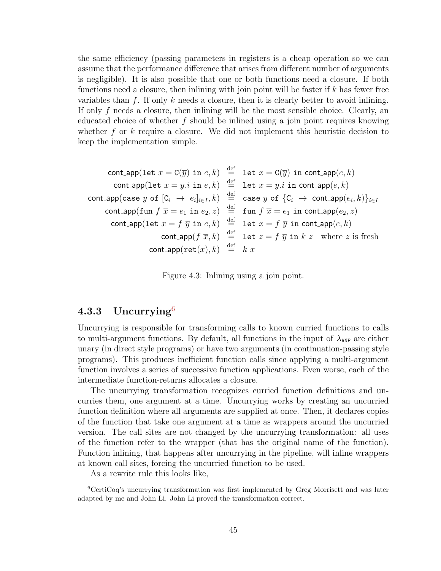the same efficiency (passing parameters in registers is a cheap operation so we can assume that the performance difference that arises from different number of arguments is negligible). It is also possible that one or both functions need a closure. If both functions need a closure, then inlining with join point will be faster if  $k$  has fewer free variables than f. If only  $k$  needs a closure, then it is clearly better to avoid inlining. If only  $f$  needs a closure, then inlining will be the most sensible choice. Clearly, an educated choice of whether  $f$  should be inlined using a join point requires knowing whether f or k require a closure. We did not implement this heuristic decision to keep the implementation simple.

<span id="page-55-0"></span>
$$
\begin{array}{rcl}\n\text{cont\_app}(\text{let } x = \text{C}(\overline{y}) \text{ in } e, k) & \stackrel{\text{def}}{=} & \text{let } x = \text{C}(\overline{y}) \text{ in } \text{cont\_app}(e, k) \\
\text{cont\_app}(\text{let } x = y.i \text{ in } e, k) & \stackrel{\text{def}}{=} & \text{let } x = y.i \text{ in } \text{cont\_app}(e, k) \\
\text{cont\_app}(\text{case } y \text{ of } [C_i \rightarrow e_i]_{i \in I}, k) & \stackrel{\text{def}}{=} & \text{case } y \text{ of } \{C_i \rightarrow \text{cont\_app}(e_i, k)\}_{i \in I} \\
\text{cont\_app}(\text{fun } f \overline{x} = e_1 \text{ in } e_2, z) & \stackrel{\text{def}}{=} & \text{fun } f \overline{x} = e_1 \text{ in } \text{cont\_app}(e_2, z) \\
\text{cont\_app}(\text{let } x = f \overline{y} \text{ in } e, k) & \stackrel{\text{def}}{=} & \text{let } x = f \overline{y} \text{ in } \text{cont\_app}(e, k) \\
\text{cont\_app}(\text{rct}(x), k) & \stackrel{\text{def}}{=} & k x\n\end{array}
$$

Figure 4.3: Inlining using a join point.

## 4.3.3 Uncurrying $6$

Uncurrying is responsible for transforming calls to known curried functions to calls to multi-argument functions. By default, all functions in the input of  $\lambda_{\text{ANF}}$  are either unary (in direct style programs) or have two arguments (in continuation-passing style programs). This produces inefficient function calls since applying a multi-argument function involves a series of successive function applications. Even worse, each of the intermediate function-returns allocates a closure.

The uncurrying transformation recognizes curried function definitions and uncurries them, one argument at a time. Uncurrying works by creating an uncurried function definition where all arguments are supplied at once. Then, it declares copies of the function that take one argument at a time as wrappers around the uncurried version. The call sites are not changed by the uncurrying transformation: all uses of the function refer to the wrapper (that has the original name of the function). Function inlining, that happens after uncurrying in the pipeline, will inline wrappers at known call sites, forcing the uncurried function to be used.

<span id="page-55-1"></span>As a rewrite rule this looks like,

 ${}^6$ CertiCoq's uncurrying transformation was first implemented by Greg Morrisett and was later adapted by me and John Li. John Li proved the transformation correct.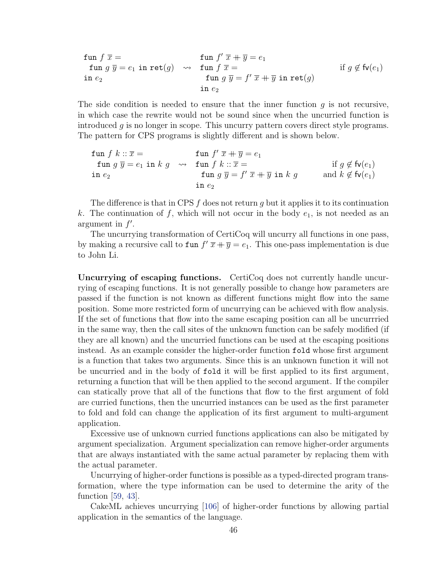$$
\begin{array}{ll}\n\text{fun } f \ \overline{x} = & \text{fun } f' \ \overline{x} + \overline{y} = e_1 \\
\text{fun } g \ \overline{y} = e_1 \ \text{in } \text{ret}(g) \quad \leadsto \quad \text{fun } f \ \overline{x} = & \text{if } g \notin \text{fv}(e_1) \\
\text{in } e_2 \qquad & \text{fun } g \ \overline{y} = f' \ \overline{x} + \overline{y} \ \text{in } \text{ret}(g) \\
& \text{in } e_2\n\end{array}
$$

The side condition is needed to ensure that the inner function  $q$  is not recursive, in which case the rewrite would not be sound since when the uncurried function is introduced  $g$  is no longer in scope. This uncurry pattern covers direct style programs. The pattern for CPS programs is slightly different and is shown below.

| \n $f(x) = f(x) + f(x) = f(x)$ \n | \n $f(x) = f(x) + f(x) = f(x)$ \n | \n $f(x) = f(x) + f(x) = f(x)$ \n | \n $f(x) = f(x) + f(x)$ \n | \n $f(x) = f(x) + f(x)$ \n | \n $f(x) = f(x) + f(x)$ \n | \n $f(x) = f(x) + f(x)$ \n | \n $f(x) = f(x) + f(x)$ \n | \n $f(x) = f(x) + f(x)$ \n | \n $f(x) = f(x) + f(x)$ \n | \n $f(x) = f(x) + f(x)$ \n | \n $f(x) = f(x) + f(x)$ \n | \n $f(x) = f(x) + f(x)$ \n | \n $f(x) = f(x) + f(x)$ \n | \n $f(x) = f(x) + f(x)$ \n | \n $f(x) = f(x) + f(x)$ \n | \n $f(x) = f(x) + f(x)$ \n | \n $f(x) = f(x) + f(x)$ \n | \n $f(x) = f(x) + f(x)$ \n | \n $f(x) = f(x) + f(x)$ \n | \n $f(x) = f(x) + f(x)$ \n | \n $f(x) = f(x) + f(x)$ \n | \n $f(x) = f(x) + f(x)$ \n | \n $f(x) = f(x) + f(x)$ \n | \n $f(x) = f(x) + f(x)$ \n | \n $f(x) = f(x) + f(x)$ \n | \n $f(x) = f(x) + f(x)$ \n | \n $f(x) = f(x) + f(x)$ \n | \n $f(x) = f(x) + f(x)$ \n | \n $f(x) = f(x) + f(x)$ \n | \n $f(x) = f(x) + f(x)$ \n | \n $f(x) = f(x) + f(x)$ \n | \n $f(x)$ |
|-----------------------------------|-----------------------------------|-----------------------------------|----------------------------|----------------------------|----------------------------|----------------------------|----------------------------|----------------------------|----------------------------|----------------------------|----------------------------|----------------------------|----------------------------|----------------------------|----------------------------|----------------------------|----------------------------|----------------------------|----------------------------|----------------------------|----------------------------|----------------------------|----------------------------|----------------------------|----------------------------|----------------------------|----------------------------|----------------------------|----------------------------|----------------------------|----------------------------|-----------|
|-----------------------------------|-----------------------------------|-----------------------------------|----------------------------|----------------------------|----------------------------|----------------------------|----------------------------|----------------------------|----------------------------|----------------------------|----------------------------|----------------------------|----------------------------|----------------------------|----------------------------|----------------------------|----------------------------|----------------------------|----------------------------|----------------------------|----------------------------|----------------------------|----------------------------|----------------------------|----------------------------|----------------------------|----------------------------|----------------------------|----------------------------|----------------------------|----------------------------|-----------|

The difference is that in CPS  $f$  does not return  $g$  but it applies it to its continuation k. The continuation of f, which will not occur in the body  $e_1$ , is not needed as an argument in  $f'$ .

The uncurrying transformation of CertiCoq will uncurry all functions in one pass, by making a recursive call to  $\text{fun } f'(\overline{x}) + \overline{y} = e_1$ . This one-pass implementation is due to John Li.

Uncurrying of escaping functions. CertiCoq does not currently handle uncurrying of escaping functions. It is not generally possible to change how parameters are passed if the function is not known as different functions might flow into the same position. Some more restricted form of uncurrying can be achieved with flow analysis. If the set of functions that flow into the same escaping position can all be uncurrried in the same way, then the call sites of the unknown function can be safely modified (if they are all known) and the uncurried functions can be used at the escaping positions instead. As an example consider the higher-order function fold whose first argument is a function that takes two arguments. Since this is an unknown function it will not be uncurried and in the body of fold it will be first applied to its first argument, returning a function that will be then applied to the second argument. If the compiler can statically prove that all of the functions that flow to the first argument of fold are curried functions, then the uncurried instances can be used as the first parameter to fold and fold can change the application of its first argument to multi-argument application.

Excessive use of unknown curried functions applications can also be mitigated by argument specialization. Argument specialization can remove higher-order arguments that are always instantiated with the same actual parameter by replacing them with the actual parameter.

Uncurrying of higher-order functions is possible as a typed-directed program transformation, where the type information can be used to determine the arity of the function [\[59,](#page-164-1) [43\]](#page-163-1).

CakeML achieves uncurrying [\[106\]](#page-168-1) of higher-order functions by allowing partial application in the semantics of the language.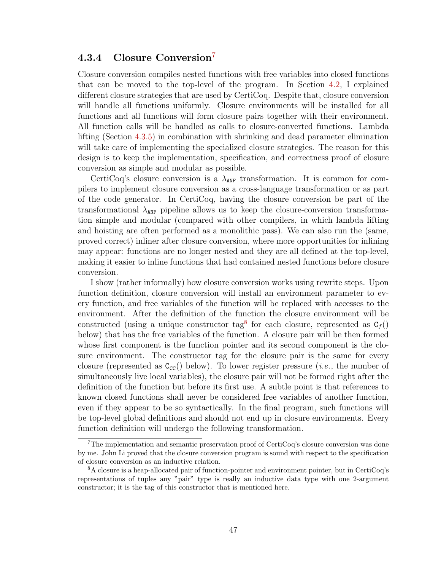## 4.3.4 Closure Conversion<sup>[7](#page-57-0)</sup>

Closure conversion compiles nested functions with free variables into closed functions that can be moved to the top-level of the program. In Section [4.2,](#page-47-0) I explained different closure strategies that are used by CertiCoq. Despite that, closure conversion will handle all functions uniformly. Closure environments will be installed for all functions and all functions will form closure pairs together with their environment. All function calls will be handled as calls to closure-converted functions. Lambda lifting (Section [4.3.5\)](#page-58-0) in combination with shrinking and dead parameter elimination will take care of implementing the specialized closure strategies. The reason for this design is to keep the implementation, specification, and correctness proof of closure conversion as simple and modular as possible.

CertiCoq's closure conversion is a  $\lambda_{\text{ANF}}$  transformation. It is common for compilers to implement closure conversion as a cross-language transformation or as part of the code generator. In CertiCoq, having the closure conversion be part of the transformational  $\lambda_{\text{ANF}}$  pipeline allows us to keep the closure-conversion transformation simple and modular (compared with other compilers, in which lambda lifting and hoisting are often performed as a monolithic pass). We can also run the (same, proved correct) inliner after closure conversion, where more opportunities for inlining may appear: functions are no longer nested and they are all defined at the top-level, making it easier to inline functions that had contained nested functions before closure conversion.

I show (rather informally) how closure conversion works using rewrite steps. Upon function definition, closure conversion will install an environment parameter to every function, and free variables of the function will be replaced with accesses to the environment. After the definition of the function the closure environment will be constructed (using a unique constructor tag<sup>[8](#page-57-1)</sup> for each closure, represented as  $C_f()$ below) that has the free variables of the function. A closure pair will be then formed whose first component is the function pointer and its second component is the closure environment. The constructor tag for the closure pair is the same for every closure (represented as  $C_{cc}$ ) below). To lower register pressure (*i.e.*, the number of simultaneously live local variables), the closure pair will not be formed right after the definition of the function but before its first use. A subtle point is that references to known closed functions shall never be considered free variables of another function, even if they appear to be so syntactically. In the final program, such functions will be top-level global definitions and should not end up in closure environments. Every function definition will undergo the following transformation.

<span id="page-57-0"></span><sup>7</sup>The implementation and semantic preservation proof of CertiCoq's closure conversion was done by me. John Li proved that the closure conversion program is sound with respect to the specification of closure conversion as an inductive relation.

<span id="page-57-1"></span><sup>8</sup>A closure is a heap-allocated pair of function-pointer and environment pointer, but in CertiCoq's representations of tuples any "pair" type is really an inductive data type with one 2-argument constructor; it is the tag of this constructor that is mentioned here.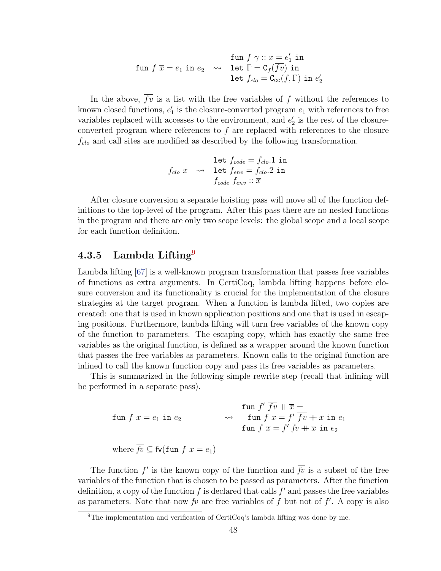$$
\begin{array}{rl} &\text{fun}\,\, f\,\, \gamma::\overline{x}=e'_1\,\, \text{in}\\ \text{fun}\,\, f\,\, \overline{x}=e_1\,\, \text{in}\,\, e_2 \quad \leadsto \quad \text{let}\,\, \Gamma= \texttt{C}_f(\overline{f v})\,\, \text{in}\\ &\text{let}\,\, f_{clo}=\texttt{C}_{\texttt{CC}}(f,\Gamma)\,\, \text{in}\,\, e'_2 \end{array}
$$

In the above,  $\overline{fv}$  is a list with the free variables of f without the references to known closed functions,  $e'_1$  is the closure-converted program  $e_1$  with references to free variables replaced with accesses to the environment, and  $e'_2$  is the rest of the closureconverted program where references to  $f$  are replaced with references to the closure  $f_{clo}$  and call sites are modified as described by the following transformation.

$$
\begin{array}{rl} & \texttt{let}\; f_{code} = f_{clo}.1\; \texttt{in} \\ f_{clo}\; \overline{x}\; & \leadsto & \texttt{let}\; f_{env} = f_{clo}.2\; \texttt{in} \\ & & f_{code}\; f_{env} :: \overline{x} \end{array}
$$

After closure conversion a separate hoisting pass will move all of the function definitions to the top-level of the program. After this pass there are no nested functions in the program and there are only two scope levels: the global scope and a local scope for each function definition.

## <span id="page-58-0"></span>4.3.5 Lambda Lifting<sup>[9](#page-58-1)</sup>

Lambda lifting [\[67\]](#page-165-2) is a well-known program transformation that passes free variables of functions as extra arguments. In CertiCoq, lambda lifting happens before closure conversion and its functionality is crucial for the implementation of the closure strategies at the target program. When a function is lambda lifted, two copies are created: one that is used in known application positions and one that is used in escaping positions. Furthermore, lambda lifting will turn free variables of the known copy of the function to parameters. The escaping copy, which has exactly the same free variables as the original function, is defined as a wrapper around the known function that passes the free variables as parameters. Known calls to the original function are inlined to call the known function copy and pass its free variables as parameters.

This is summarized in the following simple rewrite step (recall that inlining will be performed in a separate pass).

$$
\begin{aligned}\n\textbf{fun } f \ \overline{x} &= e_1 \ \textbf{in } e_2 \\
\textbf{fun } f \ \overline{x} &= f' \ \overline{f} \overline{v} + \overline{x} \ \textbf{in } e_1 \\
\textbf{fun } f \ \overline{x} &= f' \ \overline{f} \overline{v} + \overline{x} \ \textbf{in } e_1 \\
\textbf{fun } f \ \overline{x} &= f' \ \overline{f} \overline{v} + \overline{x} \ \textbf{in } e_2\n\end{aligned}
$$
\n
$$
\text{where } \overline{f} \overline{v} \subseteq \textbf{fv}(\textbf{fun } f \ \overline{x} = e_1)
$$

The function  $f'$  is the known copy of the function and  $\overline{f}v$  is a subset of the free variables of the function that is chosen to be passed as parameters. After the function definition, a copy of the function  $f$  is declared that calls  $f'$  and passes the free variables as parameters. Note that now  $\overline{fv}$  are free variables of f but not of f'. A copy is also

<span id="page-58-1"></span><sup>9</sup>The implementation and verification of CertiCoq's lambda lifting was done by me.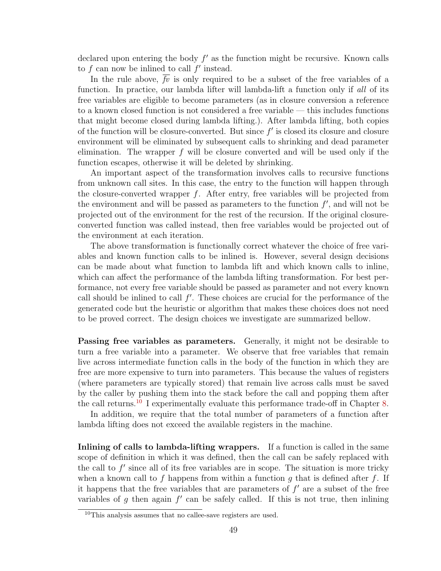declared upon entering the body  $f'$  as the function might be recursive. Known calls to  $f$  can now be inlined to call  $f'$  instead.

In the rule above,  $\overline{fv}$  is only required to be a subset of the free variables of a function. In practice, our lambda lifter will lambda-lift a function only if all of its free variables are eligible to become parameters (as in closure conversion a reference to a known closed function is not considered a free variable — this includes functions that might become closed during lambda lifting.). After lambda lifting, both copies of the function will be closure-converted. But since  $f'$  is closed its closure and closure environment will be eliminated by subsequent calls to shrinking and dead parameter elimination. The wrapper  $f$  will be closure converted and will be used only if the function escapes, otherwise it will be deleted by shrinking.

An important aspect of the transformation involves calls to recursive functions from unknown call sites. In this case, the entry to the function will happen through the closure-converted wrapper  $f$ . After entry, free variables will be projected from the environment and will be passed as parameters to the function  $f'$ , and will not be projected out of the environment for the rest of the recursion. If the original closureconverted function was called instead, then free variables would be projected out of the environment at each iteration.

The above transformation is functionally correct whatever the choice of free variables and known function calls to be inlined is. However, several design decisions can be made about what function to lambda lift and which known calls to inline, which can affect the performance of the lambda lifting transformation. For best performance, not every free variable should be passed as parameter and not every known call should be inlined to call  $f'$ . These choices are crucial for the performance of the generated code but the heuristic or algorithm that makes these choices does not need to be proved correct. The design choices we investigate are summarized bellow.

Passing free variables as parameters. Generally, it might not be desirable to turn a free variable into a parameter. We observe that free variables that remain live across intermediate function calls in the body of the function in which they are free are more expensive to turn into parameters. This because the values of registers (where parameters are typically stored) that remain live across calls must be saved by the caller by pushing them into the stack before the call and popping them after the call returns.<sup>[10](#page-59-0)</sup> I experimentally evaluate this performance trade-off in Chapter [8.](#page-146-0)

In addition, we require that the total number of parameters of a function after lambda lifting does not exceed the available registers in the machine.

Inlining of calls to lambda-lifting wrappers. If a function is called in the same scope of definition in which it was defined, then the call can be safely replaced with the call to  $f'$  since all of its free variables are in scope. The situation is more tricky when a known call to f happens from within a function g that is defined after f. If it happens that the free variables that are parameters of  $f'$  are a subset of the free variables of  $g$  then again  $f'$  can be safely called. If this is not true, then inlining

<span id="page-59-0"></span><sup>10</sup>This analysis assumes that no callee-save registers are used.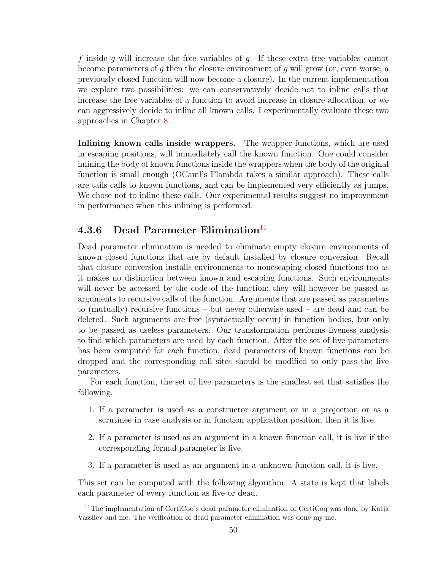f inside g will increase the free variables of g. If these extra free variables cannot become parameters of q then the closure environment of q will grow (or, even worse, a previously closed function will now become a closure). In the current implementation we explore two possibilities: we can conservatively decide not to inline calls that increase the free variables of a function to avoid increase in closure allocation, or we can aggressively decide to inline all known calls. I experimentally evaluate these two approaches in Chapter [8.](#page-146-0)

Inlining known calls inside wrappers. The wrapper functions, which are used in escaping positions, will immediately call the known function. One could consider inlining the body of known functions inside the wrappers when the body of the original function is small enough (OCaml's Flambda takes a similar approach). These calls are tails calls to known functions, and can be implemented very efficiently as jumps. We chose not to inline these calls. Our experimental results suggest no improvement in performance when this inlining is performed.

## 4.3.6 Dead Parameter Elimination<sup>[11](#page-60-0)</sup>

Dead parameter elimination is needed to eliminate empty closure environments of known closed functions that are by default installed by closure conversion. Recall that closure conversion installs environments to nonescaping closed functions too as it makes no distinction between known and escaping functions. Such environments will never be accessed by the code of the function; they will however be passed as arguments to recursive calls of the function. Arguments that are passed as parameters to (mutually) recursive functions – but never otherwise used – are dead and can be deleted. Such arguments are free (syntactically occur) in function bodies, but only to be passed as useless parameters. Our transformation performs liveness analysis to find which parameters are used by each function. After the set of live parameters has been computed for each function, dead parameters of known functions can be dropped and the corresponding call sites should be modified to only pass the live parameters.

For each function, the set of live parameters is the smallest set that satisfies the following.

- 1. If a parameter is used as a constructor argument or in a projection or as a scrutinee in case analysis or in function application position, then it is live.
- 2. If a parameter is used as an argument in a known function call, it is live if the corresponding formal parameter is live.
- 3. If a parameter is used as an argument in a unknown function call, it is live.

This set can be computed with the following algorithm. A state is kept that labels each parameter of every function as live or dead.

<span id="page-60-0"></span><sup>11</sup>The implementation of CertiCoq's dead parameter elimination of CertiCoq was done by Katja Vassilev and me. The verification of dead parameter elimination was done my me.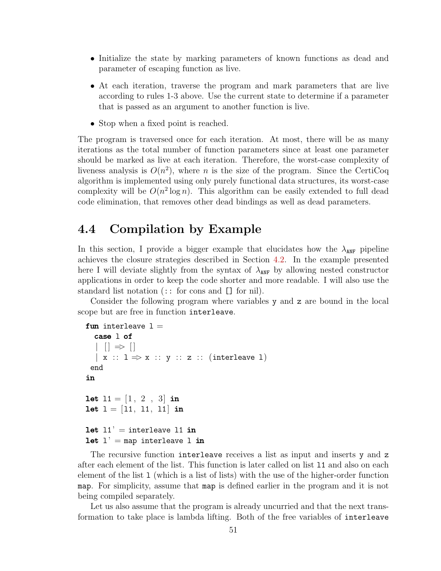- Initialize the state by marking parameters of known functions as dead and parameter of escaping function as live.
- At each iteration, traverse the program and mark parameters that are live according to rules 1-3 above. Use the current state to determine if a parameter that is passed as an argument to another function is live.
- Stop when a fixed point is reached.

The program is traversed once for each iteration. At most, there will be as many iterations as the total number of function parameters since at least one parameter should be marked as live at each iteration. Therefore, the worst-case complexity of liveness analysis is  $O(n^2)$ , where n is the size of the program. Since the CertiCoq algorithm is implemented using only purely functional data structures, its worst-case complexity will be  $O(n^2 \log n)$ . This algorithm can be easily extended to full dead code elimination, that removes other dead bindings as well as dead parameters.

## 4.4 Compilation by Example

In this section, I provide a bigger example that elucidates how the  $\lambda_{\text{ANF}}$  pipeline achieves the closure strategies described in Section [4.2.](#page-47-0) In the example presented here I will deviate slightly from the syntax of  $\lambda_{\text{ANF}}$  by allowing nested constructor applications in order to keep the code shorter and more readable. I will also use the standard list notation (:: for cons and [] for nil).

Consider the following program where variables y and z are bound in the local scope but are free in function interleave.

```
fun interleave 1 =case l of
    || \Rightarrow ||x : 1 \Rightarrow x :: y :: z :: (interleave 1)end
in
let 11 = [1, 2, 3] in
let l = [11, 11, 11] in
let 11' = interleave 11 in
let l' = map interleave 1 in
```
The recursive function interleave receives a list as input and inserts y and z after each element of the list. This function is later called on list l1 and also on each element of the list l (which is a list of lists) with the use of the higher-order function map. For simplicity, assume that map is defined earlier in the program and it is not being compiled separately.

Let us also assume that the program is already uncurried and that the next transformation to take place is lambda lifting. Both of the free variables of interleave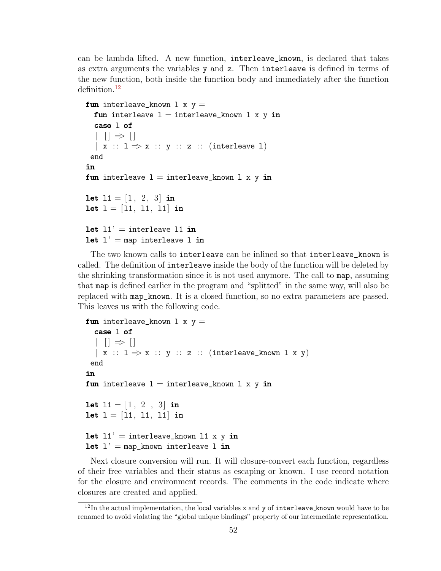can be lambda lifted. A new function, interleave\_known, is declared that takes as extra arguments the variables y and z. Then interleave is defined in terms of the new function, both inside the function body and immediately after the function definition.<sup>[12](#page-62-0)</sup>

```
fun interleave_known 1 x y =fun interleave l = interleave_known l \times y in
  case l of
  | \t| \Rightarrow |\vert x : 1 \Rightarrow x :: y :: z :: (interleave 1)end
in
fun interleave l = interleave_known l \times y in
let 11 = \begin{bmatrix} 1 \\ 2 \\ 3 \end{bmatrix} in
let l = [11, 11, 11] in
let 11' = interleave 11 in
let l' = map interleave 1 in
```
The two known calls to interleave can be inlined so that interleave\_known is called. The definition of interleave inside the body of the function will be deleted by the shrinking transformation since it is not used anymore. The call to map, assuming that map is defined earlier in the program and "splitted" in the same way, will also be replaced with map\_known. It is a closed function, so no extra parameters are passed. This leaves us with the following code.

```
fun interleave_known 1 x y =case l of
  | | | \Rightarrow |\vert x : 1 \Rightarrow x :: y :: z :: (interleave\_known 1 x y)end
in
fun interleave 1 = interleave_known 1 x y in
let 11 = \begin{bmatrix} 1 \\ 2 \\ 3 \end{bmatrix} in
let l = [11, 11, 11] in
let 11' = interleave_known 11 x y in
let l' = map_known interleave 1 in
```
Next closure conversion will run. It will closure-convert each function, regardless of their free variables and their status as escaping or known. I use record notation for the closure and environment records. The comments in the code indicate where closures are created and applied.

<span id="page-62-0"></span> $12$ In the actual implementation, the local variables x and y of interleave known would have to be renamed to avoid violating the "global unique bindings" property of our intermediate representation.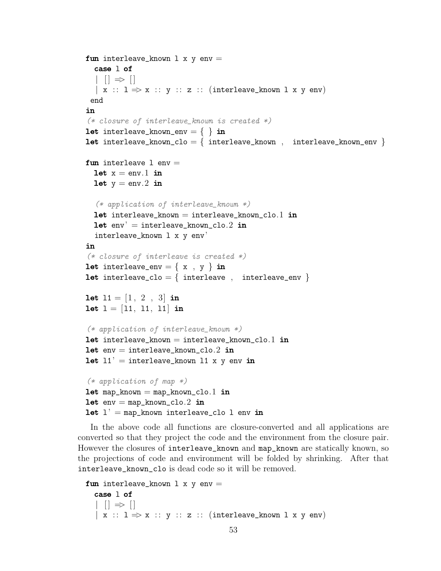```
fun interleave_known 1 x y env =case l of
  | \ | \ \Rightarrow \|\vert x : 1 \Rightarrow x :: y :: z :: (interleave_k) is x y \in yend
in
(* closure of interleave_known is created *)
let interleave_known_env = \{ \} in
let interleave_known_clo = \{ interleave_known , interleave_known_env \}fun interleave 1 env =let x = env.1 in
  let y = env.2 in
  (* application of interleave_known *)
  let interleave_known = interleave_known_clo.1 in
  let env' = interleave_knowr\_clo.2 ininterleave_known l x y env'
in
(* closure of interleave is created *)
let interleave_env = {x, y } in
let interleave_clo = { interleave , interleave_env }
let 11 = \begin{bmatrix} 1 \\ 2 \\ 3 \end{bmatrix} in
let l = [11, 11, 11] in
(* application of interleave_known *)
let interleave_known = interleave_known_clo.1 in
let env = interleave known clo.2 in
let 11' = interleave_known 11 x y env in
(* application of map *)let map_know = map_know_n_to.1 inlet env = map_known_clo.2 inlet l' = map_known interleave_clo l env in
```
In the above code all functions are closure-converted and all applications are converted so that they project the code and the environment from the closure pair. However the closures of interleave\_known and map\_known are statically known, so the projections of code and environment will be folded by shrinking. After that interleave\_known\_clo is dead code so it will be removed.

```
fun interleave_known 1 x y env =case l of
  | \t| \Rightarrow |\vert x : 1 \Rightarrow x :: y :: z :: (interleave_k) and x y env
```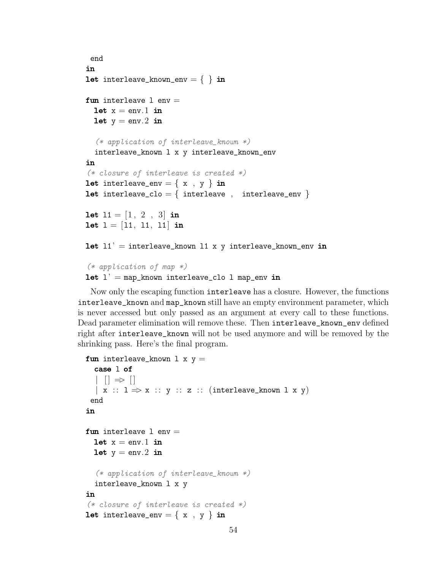```
end
in
let interleave_known_env = \{ \} in
fun interleave 1 env =
  let x = env.1 in
  let y = env.2 in
  (* application of interleave_known *)
  interleave_known l x y interleave_known_env
in
(* closure of interleave is created *)
let interleave_env = {x, y } in
let interleave_clo = { interleave , interleave_env }
let 11 = \begin{bmatrix} 1 \\ 2 \\ 3 \end{bmatrix} in
let l = [11, 11, 11] in
let 11' = interleave_known 11 x y interleave_known_env in
(* application of map *)let l' = map_known interleave_clo l map env in
```
Now only the escaping function interleave has a closure. However, the functions interleave\_known and map\_known still have an empty environment parameter, which is never accessed but only passed as an argument at every call to these functions. Dead parameter elimination will remove these. Then interleave\_known\_env defined right after interleave\_known will not be used anymore and will be removed by the shrinking pass. Here's the final program.

```
fun interleave_known 1 x y =case l of
  | \t| \Rightarrow |\vert x : D \Rightarrow x :: y :: z :: (interleave_k)end
in
fun interleave 1 env =
  let x = env.1 in
  let y = env.2 in
  (* application of interleave_known *)
  interleave_known l x y
in
(* closure of interleave is created *)
let interleave_env = {x, y } in
```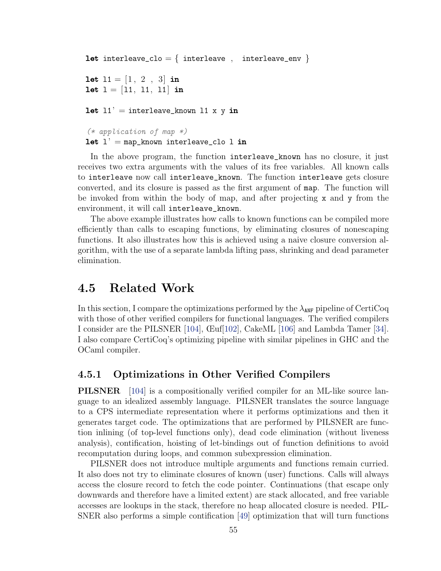```
let interleave_clo = { interleave , interleave_env }
let 11 = \begin{bmatrix} 1 \\ 2 \\ 3 \end{bmatrix} in
let l = [11, 11, 11] in
let 11' = interleave_known 11 x y in
(* application of map *)let l' = map_known interleave_clo l in
```
In the above program, the function interleave\_known has no closure, it just receives two extra arguments with the values of its free variables. All known calls to interleave now call interleave\_known. The function interleave gets closure converted, and its closure is passed as the first argument of map. The function will be invoked from within the body of map, and after projecting x and y from the environment, it will call interleave\_known.

The above example illustrates how calls to known functions can be compiled more efficiently than calls to escaping functions, by eliminating closures of nonescaping functions. It also illustrates how this is achieved using a naive closure conversion algorithm, with the use of a separate lambda lifting pass, shrinking and dead parameter elimination.

## 4.5 Related Work

In this section, I compare the optimizations performed by the  $\lambda_{ANF}$  pipeline of CertiCoq with those of other verified compilers for functional languages. The verified compilers I consider are the PILSNER [\[104\]](#page-168-2), Œuf[\[102\]](#page-168-3), CakeML [\[106\]](#page-168-1) and Lambda Tamer [\[34\]](#page-162-2). I also compare CertiCoq's optimizing pipeline with similar pipelines in GHC and the OCaml compiler.

### 4.5.1 Optimizations in Other Verified Compilers

**PILSNER** [\[104\]](#page-168-2) is a compositionally verified compiler for an ML-like source language to an idealized assembly language. PILSNER translates the source language to a CPS intermediate representation where it performs optimizations and then it generates target code. The optimizations that are performed by PILSNER are function inlining (of top-level functions only), dead code elimination (without liveness analysis), contification, hoisting of let-bindings out of function definitions to avoid recomputation during loops, and common subexpression elimination.

PILSNER does not introduce multiple arguments and functions remain curried. It also does not try to eliminate closures of known (user) functions. Calls will always access the closure record to fetch the code pointer. Continuations (that escape only downwards and therefore have a limited extent) are stack allocated, and free variable accesses are lookups in the stack, therefore no heap allocated closure is needed. PIL-SNER also performs a simple contification [\[49\]](#page-163-2) optimization that will turn functions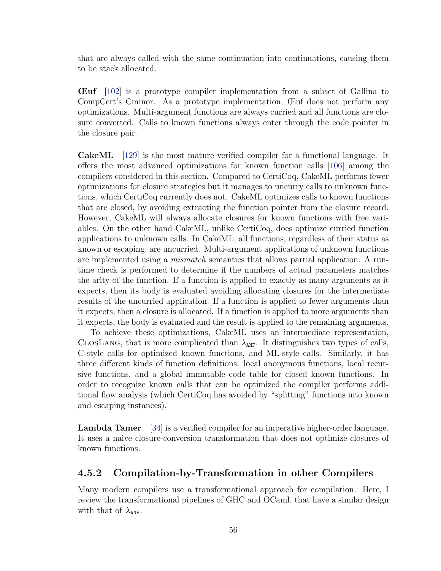that are always called with the same continuation into continuations, causing them to be stack allocated.

Œuf [\[102\]](#page-168-3) is a prototype compiler implementation from a subset of Gallina to CompCert's Cminor. As a prototype implementation, Œuf does not perform any optimizations. Multi-argument functions are always curried and all functions are closure converted. Calls to known functions always enter through the code pointer in the closure pair.

CakeML [\[129\]](#page-170-3) is the most mature verified compiler for a functional language. It offers the most advanced optimizations for known function calls [\[106\]](#page-168-1) among the compilers considered in this section. Compared to CertiCoq, CakeML performs fewer optimizations for closure strategies but it manages to uncurry calls to unknown functions, which CertiCoq currently does not. CakeML optimizes calls to known functions that are closed, by avoiding extracting the function pointer from the closure record. However, CakeML will always allocate closures for known functions with free variables. On the other hand CakeML, unlike CertiCoq, does optimize curried function applications to unknown calls. In CakeML, all functions, regardless of their status as known or escaping, are uncurried. Multi-argument applications of unknown functions are implemented using a *mismatch* semantics that allows partial application. A runtime check is performed to determine if the numbers of actual parameters matches the arity of the function. If a function is applied to exactly as many arguments as it expects, then its body is evaluated avoiding allocating closures for the intermediate results of the uncurried application. If a function is applied to fewer arguments than it expects, then a closure is allocated. If a function is applied to more arguments than it expects, the body is evaluated and the result is applied to the remaining arguments.

To achieve these optimizations, CakeML uses an intermediate representation, CLOSLANG, that is more complicated than  $\lambda_{\text{ANF}}$ . It distinguishes two types of calls, C-style calls for optimized known functions, and ML-style calls. Similarly, it has three different kinds of function definitions: local anonymous functions, local recursive functions, and a global immutable code table for closed known functions. In order to recognize known calls that can be optimized the compiler performs additional flow analysis (which CertiCoq has avoided by "splitting" functions into known and escaping instances).

Lambda Tamer [\[34\]](#page-162-2) is a verified compiler for an imperative higher-order language. It uses a naive closure-conversion transformation that does not optimize closures of known functions.

### 4.5.2 Compilation-by-Transformation in other Compilers

Many modern compilers use a transformational approach for compilation. Here, I review the transformational pipelines of GHC and OCaml, that have a similar design with that of  $\lambda_{ANF}$ .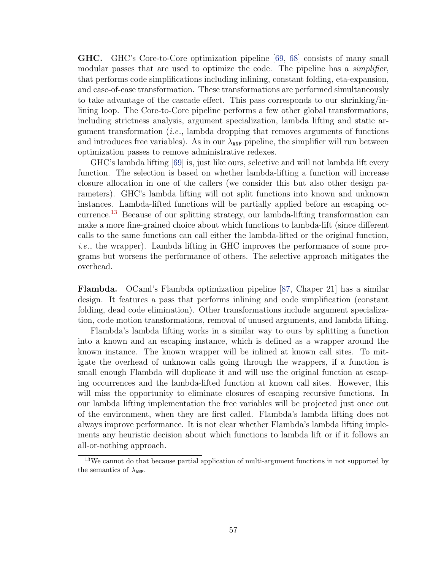GHC. GHC's Core-to-Core optimization pipeline [\[69,](#page-165-1) [68\]](#page-165-3) consists of many small modular passes that are used to optimize the code. The pipeline has a *simplifier*, that performs code simplifications including inlining, constant folding, eta-expansion, and case-of-case transformation. These transformations are performed simultaneously to take advantage of the cascade effect. This pass corresponds to our shrinking/inlining loop. The Core-to-Core pipeline performs a few other global transformations, including strictness analysis, argument specialization, lambda lifting and static argument transformation  $(i.e.,$  lambda dropping that removes arguments of functions and introduces free variables). As in our  $\lambda_{\text{ANF}}$  pipeline, the simplifier will run between optimization passes to remove administrative redexes.

GHC's lambda lifting [\[69\]](#page-165-1) is, just like ours, selective and will not lambda lift every function. The selection is based on whether lambda-lifting a function will increase closure allocation in one of the callers (we consider this but also other design parameters). GHC's lambda lifting will not split functions into known and unknown instances. Lambda-lifted functions will be partially applied before an escaping oc-currence.<sup>[13](#page-67-0)</sup> Because of our splitting strategy, our lambda-lifting transformation can make a more fine-grained choice about which functions to lambda-lift (since different calls to the same functions can call either the lambda-lifted or the original function, i.e., the wrapper). Lambda lifting in GHC improves the performance of some programs but worsens the performance of others. The selective approach mitigates the overhead.

Flambda. OCaml's Flambda optimization pipeline [\[87,](#page-167-2) Chaper 21] has a similar design. It features a pass that performs inlining and code simplification (constant folding, dead code elimination). Other transformations include argument specialization, code motion transformations, removal of unused arguments, and lambda lifting.

Flambda's lambda lifting works in a similar way to ours by splitting a function into a known and an escaping instance, which is defined as a wrapper around the known instance. The known wrapper will be inlined at known call sites. To mitigate the overhead of unknown calls going through the wrappers, if a function is small enough Flambda will duplicate it and will use the original function at escaping occurrences and the lambda-lifted function at known call sites. However, this will miss the opportunity to eliminate closures of escaping recursive functions. In our lambda lifting implementation the free variables will be projected just once out of the environment, when they are first called. Flambda's lambda lifting does not always improve performance. It is not clear whether Flambda's lambda lifting implements any heuristic decision about which functions to lambda lift or if it follows an all-or-nothing approach.

<span id="page-67-0"></span> $13\text{We cannot do that because partial application of multi-argument functions in not supported by }$ the semantics of  $\lambda_{ANF}$ .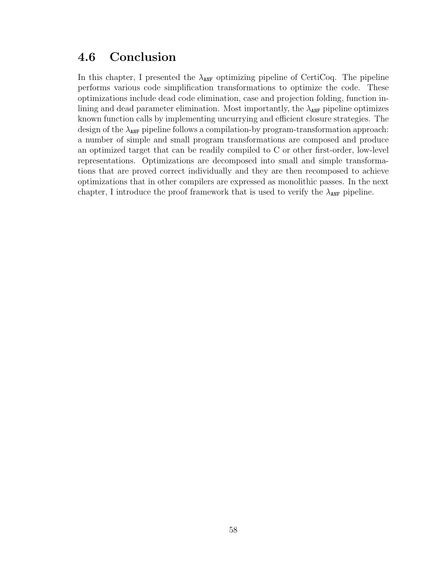## 4.6 Conclusion

In this chapter, I presented the  $\lambda_{\text{ANF}}$  optimizing pipeline of CertiCoq. The pipeline performs various code simplification transformations to optimize the code. These optimizations include dead code elimination, case and projection folding, function inlining and dead parameter elimination. Most importantly, the  $\lambda_{\text{ANF}}$  pipeline optimizes known function calls by implementing uncurrying and efficient closure strategies. The design of the  $\lambda_{\text{ANF}}$  pipeline follows a compilation-by program-transformation approach: a number of simple and small program transformations are composed and produce an optimized target that can be readily compiled to C or other first-order, low-level representations. Optimizations are decomposed into small and simple transformations that are proved correct individually and they are then recomposed to achieve optimizations that in other compilers are expressed as monolithic passes. In the next chapter, I introduce the proof framework that is used to verify the  $\lambda_{\text{ANF}}$  pipeline.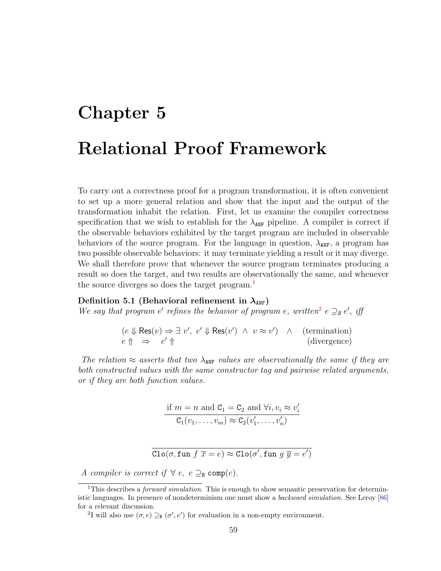## <span id="page-69-0"></span>Chapter 5 Relational Proof Framework

To carry out a correctness proof for a program transformation, it is often convenient to set up a more general relation and show that the input and the output of the transformation inhabit the relation. First, let us examine the compiler correctness specification that we wish to establish for the  $\lambda_{\text{ANF}}$  pipeline. A compiler is correct if the observable behaviors exhibited by the target program are included in observable behaviors of the source program. For the language in question,  $\lambda_{\text{ANF}}$ , a program has two possible observable behaviors: it may terminate yielding a result or it may diverge. We shall therefore prove that whenever the source program terminates producing a result so does the target, and two results are observationally the same, and whenever the source diverges so does the target program.<sup>[1](#page-69-1)</sup>

### Definition 5.1 (Behavioral refinement in  $\lambda_{ANF}$ )

We say that program  $e'$  refines the behavior of program  $e$ , written<sup>[2](#page-69-2)</sup>  $e \supseteq_{B} e'$ , iff

<span id="page-69-3"></span>
$$
(e \Downarrow \text{Res}(v) \Rightarrow \exists v', e' \Downarrow \text{Res}(v') \land v \approx v') \land (\text{termination})
$$
  

$$
e \Uparrow \Rightarrow e' \Uparrow (\text{divergence})
$$

The relation  $\approx$  asserts that two  $\lambda_{ANF}$  values are observationally the same if they are both constructed values with the same constructor tag and pairwise related arguments, or if they are both function values.

if 
$$
m = n
$$
 and  $C_1 = C_2$  and  $\forall i, v_i \approx v'_i$   
 $C_1(v_1, \ldots, v_m) \approx C_2(v'_1, \ldots, v'_n)$ 

 $\text{Clo}(\sigma, \text{fun } f\ \overline{x} = e) \approx \text{Clo}(\sigma', \text{fun } g\ \overline{y} = e')$ 

A compiler is correct if  $\forall e, e \supseteq_{\mathbb{B}} \text{comp}(e)$ .

<span id="page-69-1"></span><sup>&</sup>lt;sup>1</sup>This describes a *forward simulation*. This is enough to show semantic preservation for deterministic languages. In presence of nondeterminism one must show a backward simulation. See Leroy [\[86\]](#page-167-1) for a relevant discussion.

<span id="page-69-2"></span><sup>&</sup>lt;sup>2</sup>I will also use  $(\sigma, e) \supseteq_{\mathbf{B}} (\sigma', e')$  for evaluation in a non-empty environment.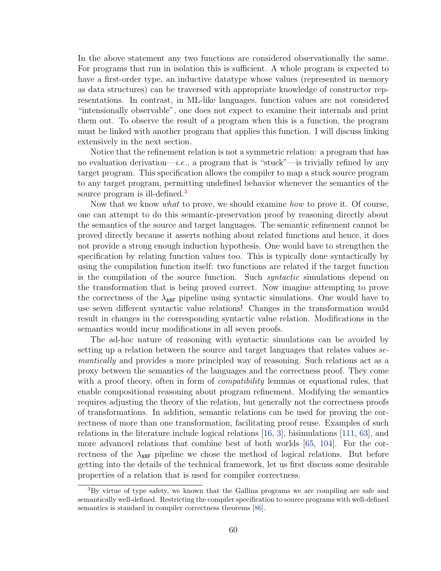In the above statement any two functions are considered observationally the same. For programs that run in isolation this is sufficient. A whole program is expected to have a first-order type, an inductive datatype whose values (represented in memory as data structures) can be traversed with appropriate knowledge of constructor representations. In contrast, in ML-like languages, function values are not considered "intensionally observable", one does not expect to examine their internals and print them out. To observe the result of a program when this is a function, the program must be linked with another program that applies this function. I will discuss linking extensively in the next section.

Notice that the refinement relation is not a symmetric relation: a program that has no evaluation derivation—*i.e.*, a program that is "stuck"—is trivially refined by any target program. This specification allows the compiler to map a stuck source program to any target program, permitting undefined behavior whenever the semantics of the source program is ill-defined.<sup>[3](#page-70-0)</sup>

Now that we know what to prove, we should examine how to prove it. Of course, one can attempt to do this semantic-preservation proof by reasoning directly about the semantics of the source and target languages. The semantic refinement cannot be proved directly because it asserts nothing about related functions and hence, it does not provide a strong enough induction hypothesis. One would have to strengthen the specification by relating function values too. This is typically done syntactically by using the compilation function itself: two functions are related if the target function is the compilation of the source function. Such *syntactic* simulations depend on the transformation that is being proved correct. Now imagine attempting to prove the correctness of the  $\lambda_{\text{ANF}}$  pipeline using syntactic simulations. One would have to use seven different syntactic value relations! Changes in the transformation would result in changes in the corresponding syntactic value relation. Modifications in the semantics would incur modifications in all seven proofs.

The ad-hoc nature of reasoning with syntactic simulations can be avoided by setting up a relation between the source and target languages that relates values semantically and provides a more principled way of reasoning. Such relations act as a proxy between the semantics of the languages and the correctness proof. They come with a proof theory, often in form of *compatibility* lemmas or equational rules, that enable compositional reasoning about program refinement. Modifying the semantics requires adjusting the theory of the relation, but generally not the correctness proofs of transformations. In addition, semantic relations can be used for proving the correctness of more than one transformation, facilitating proof reuse. Examples of such relations in the literature include logical relations [\[16,](#page-160-3) [3\]](#page-159-1), bisimulations [\[111,](#page-169-0) [63\]](#page-164-2), and more advanced relations that combine best of both worlds [\[65,](#page-165-4) [104\]](#page-168-2). For the correctness of the  $\lambda_{\text{ANF}}$  pipeline we chose the method of logical relations. But before getting into the details of the technical framework, let us first discuss some desirable properties of a relation that is used for compiler correctness.

<span id="page-70-0"></span><sup>3</sup>By virtue of type safety, we known that the Gallina programs we are compiling are safe and semantically well-defined. Restricting the compiler specification to source programs with well-defined semantics is standard in compiler correctness theorems [\[86\]](#page-167-1).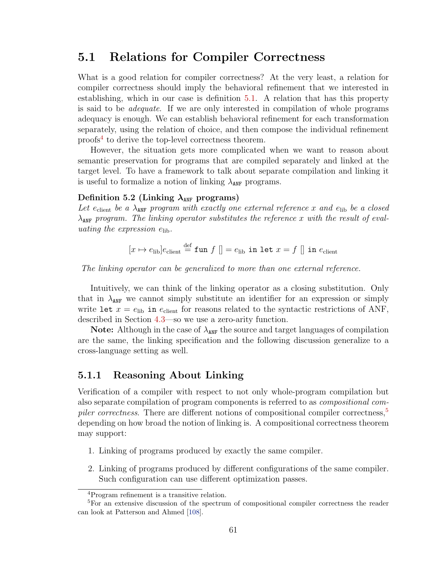## 5.1 Relations for Compiler Correctness

What is a good relation for compiler correctness? At the very least, a relation for compiler correctness should imply the behavioral refinement that we interested in establishing, which in our case is definition [5.1.](#page-69-3) A relation that has this property is said to be adequate. If we are only interested in compilation of whole programs adequacy is enough. We can establish behavioral refinement for each transformation separately, using the relation of choice, and then compose the individual refinement proofs[4](#page-71-0) to derive the top-level correctness theorem.

However, the situation gets more complicated when we want to reason about semantic preservation for programs that are compiled separately and linked at the target level. To have a framework to talk about separate compilation and linking it is useful to formalize a notion of linking  $\lambda_{\text{ANF}}$  programs.

### Definition 5.2 (Linking  $\lambda_{\text{ANF}}$  programs)

Let e<sub>client</sub> be a  $\lambda_{\text{ANF}}$  program with exactly one external reference x and e<sub>lib</sub> be a closed  $\lambda_{\text{ANF}}$  program. The linking operator substitutes the reference x with the result of evaluating the expression  $e_{\text{lib}}$ .

$$
[x \mapsto e_{\text{lib}}]e_{\text{client}} \stackrel{\text{def}}{=} \text{fun } f [] = e_{\text{lib}} \text{ in let } x = f [] \text{ in } e_{\text{client}}
$$

The linking operator can be generalized to more than one external reference.

Intuitively, we can think of the linking operator as a closing substitution. Only that in  $\lambda_{\text{ANF}}$  we cannot simply substitute an identifier for an expression or simply write let  $x = e_{\text{lib}}$  in  $e_{\text{client}}$  for reasons related to the syntactic restrictions of ANF, described in Section [4.3—](#page-50-3)so we use a zero-arity function.

**Note:** Although in the case of  $\lambda_{\text{ANF}}$  the source and target languages of compilation are the same, the linking specification and the following discussion generalize to a cross-language setting as well.

### 5.1.1 Reasoning About Linking

Verification of a compiler with respect to not only whole-program compilation but also separate compilation of program components is referred to as compositional com-piler correctness. There are different notions of compositional compiler correctness,<sup>[5](#page-71-1)</sup> depending on how broad the notion of linking is. A compositional correctness theorem may support:

- 1. Linking of programs produced by exactly the same compiler.
- 2. Linking of programs produced by different configurations of the same compiler. Such configuration can use different optimization passes.

<span id="page-71-1"></span><span id="page-71-0"></span><sup>4</sup>Program refinement is a transitive relation.

<sup>&</sup>lt;sup>5</sup>For an extensive discussion of the spectrum of compositional compiler correctness the reader can look at Patterson and Ahmed [\[108\]](#page-169-1).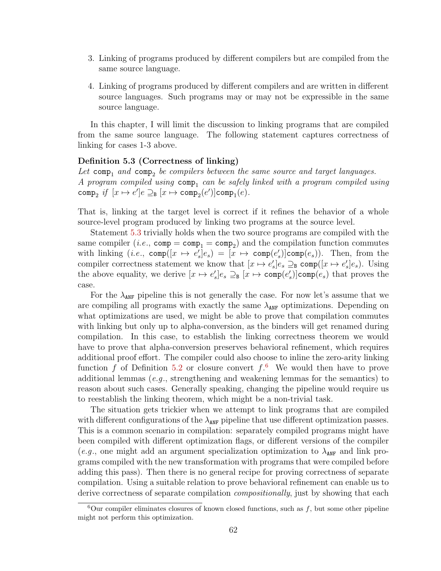- 3. Linking of programs produced by different compilers but are compiled from the same source language.
- 4. Linking of programs produced by different compilers and are written in different source languages. Such programs may or may not be expressible in the same source language.

<span id="page-72-0"></span>In this chapter, I will limit the discussion to linking programs that are compiled from the same source language. The following statement captures correctness of linking for cases 1-3 above.

#### Definition 5.3 (Correctness of linking)

Let  $comp<sub>1</sub>$  and  $comp<sub>2</sub>$  be compilers between the same source and target languages. A program compiled using  $comp_1$  can be safely linked with a program compiled using  $\texttt{comp}_2 \textit{ if } [x \mapsto e']e \supseteq_{\texttt{B}} [x \mapsto \texttt{comp}_2(e')] \texttt{comp}_1(e).$ 

That is, linking at the target level is correct if it refines the behavior of a whole source-level program produced by linking two programs at the source level.

Statement [5.3](#page-72-0) trivially holds when the two source programs are compiled with the same compiler (*i.e.*,  $\texttt{comp} = \texttt{comp}_1 = \texttt{comp}_2$ ) and the compilation function commutes with linking  $(i.e., \text{comp}([x \mapsto e'_{s}]e_{s}) = [x \mapsto \text{comp}(e'_{s})] \text{comp}(e_{s}))$ . Then, from the compiler correctness statement we know that  $[x \mapsto e'_s]e_s \supseteq_{\mathsf{B}} \textsf{comp}([x \mapsto e'_s]e_s)$ . Using the above equality, we derive  $[x \mapsto e'_s]e_s \supseteq_{\mathbf{B}} [x \mapsto \text{comp}(e'_s)]\text{comp}(e_s)$  that proves the case.

For the  $\lambda_{\text{ANF}}$  pipeline this is not generally the case. For now let's assume that we are compiling all programs with exactly the same  $\lambda_{\text{ANF}}$  optimizations. Depending on what optimizations are used, we might be able to prove that compilation commutes with linking but only up to alpha-conversion, as the binders will get renamed during compilation. In this case, to establish the linking correctness theorem we would have to prove that alpha-conversion preserves behavioral refinement, which requires additional proof effort. The compiler could also choose to inline the zero-arity linking function f of Definition [5.2](#page-71-0) or closure convert  $f^6$  $f^6$ . We would then have to prove additional lemmas (e.g., strengthening and weakening lemmas for the semantics) to reason about such cases. Generally speaking, changing the pipeline would require us to reestablish the linking theorem, which might be a non-trivial task.

The situation gets trickier when we attempt to link programs that are compiled with different configurations of the  $\lambda_{\text{ANF}}$  pipeline that use different optimization passes. This is a common scenario in compilation: separately compiled programs might have been compiled with different optimization flags, or different versions of the compiler (e.g., one might add an argument specialization optimization to  $\lambda_{\text{ANF}}$  and link programs compiled with the new transformation with programs that were compiled before adding this pass). Then there is no general recipe for proving correctness of separate compilation. Using a suitable relation to prove behavioral refinement can enable us to derive correctness of separate compilation *compositionally*, just by showing that each

<span id="page-72-1"></span> $6$ Our compiler eliminates closures of known closed functions, such as  $f$ , but some other pipeline might not perform this optimization.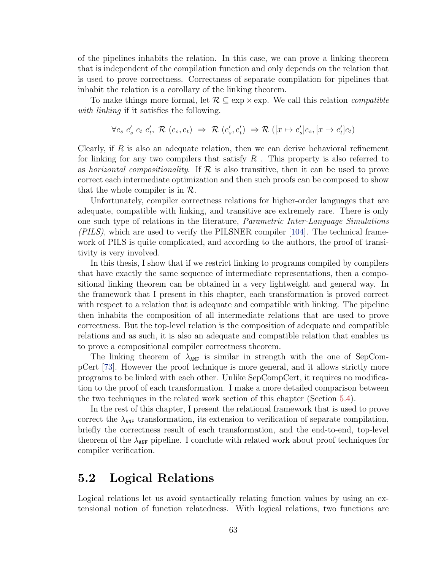of the pipelines inhabits the relation. In this case, we can prove a linking theorem that is independent of the compilation function and only depends on the relation that is used to prove correctness. Correctness of separate compilation for pipelines that inhabit the relation is a corollary of the linking theorem.

To make things more formal, let  $\mathcal{R} \subseteq \exp \times \exp$ . We call this relation *compatible* with *linking* if it satisfies the following.

$$
\forall e_s \ e_s' \ e_t \ e_t', \ \mathcal{R} \ (e_s, e_t) \ \Rightarrow \ \mathcal{R} \ (e_s', e_t') \ \Rightarrow \mathcal{R} \ ([x \mapsto e_s']e_s, [x \mapsto e_t']e_t)
$$

Clearly, if  $R$  is also an adequate relation, then we can derive behavioral refinement for linking for any two compilers that satisfy  $R$ . This property is also referred to as horizontal compositionality. If  $\mathcal R$  is also transitive, then it can be used to prove correct each intermediate optimization and then such proofs can be composed to show that the whole compiler is in  $\mathcal{R}$ .

Unfortunately, compiler correctness relations for higher-order languages that are adequate, compatible with linking, and transitive are extremely rare. There is only one such type of relations in the literature, Parametric Inter-Language Simulations  $(PILS)$ , which are used to verify the PILSNER compiler [\[104\]](#page-168-0). The technical framework of PILS is quite complicated, and according to the authors, the proof of transitivity is very involved.

In this thesis, I show that if we restrict linking to programs compiled by compilers that have exactly the same sequence of intermediate representations, then a compositional linking theorem can be obtained in a very lightweight and general way. In the framework that I present in this chapter, each transformation is proved correct with respect to a relation that is adequate and compatible with linking. The pipeline then inhabits the composition of all intermediate relations that are used to prove correctness. But the top-level relation is the composition of adequate and compatible relations and as such, it is also an adequate and compatible relation that enables us to prove a compositional compiler correctness theorem.

The linking theorem of  $\lambda_{ANF}$  is similar in strength with the one of SepCompCert [\[73\]](#page-166-0). However the proof technique is more general, and it allows strictly more programs to be linked with each other. Unlike SepCompCert, it requires no modification to the proof of each transformation. I make a more detailed comparison between the two techniques in the related work section of this chapter (Section [5.4\)](#page-96-0).

In the rest of this chapter, I present the relational framework that is used to prove correct the  $\lambda_{ANF}$  transformation, its extension to verification of separate compilation, briefly the correctness result of each transformation, and the end-to-end, top-level theorem of the  $\lambda_{\text{ANF}}$  pipeline. I conclude with related work about proof techniques for compiler verification.

# 5.2 Logical Relations

Logical relations let us avoid syntactically relating function values by using an extensional notion of function relatedness. With logical relations, two functions are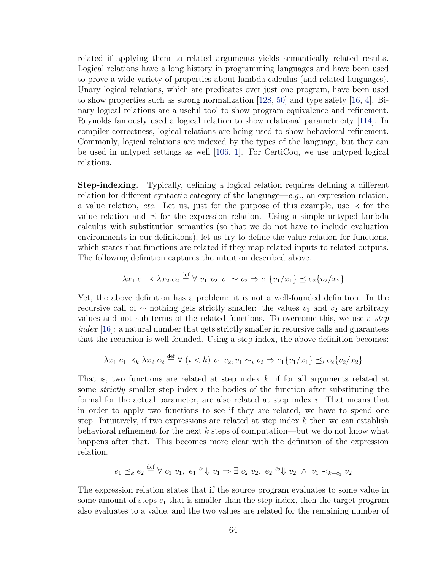related if applying them to related arguments yields semantically related results. Logical relations have a long history in programming languages and have been used to prove a wide variety of properties about lambda calculus (and related languages). Unary logical relations, which are predicates over just one program, have been used to show properties such as strong normalization [\[128,](#page-170-0) [50\]](#page-163-0) and type safety [\[16,](#page-160-0) [4\]](#page-159-0). Binary logical relations are a useful tool to show program equivalence and refinement. Reynolds famously used a logical relation to show relational parametricity [\[114\]](#page-169-0). In compiler correctness, logical relations are being used to show behavioral refinement. Commonly, logical relations are indexed by the types of the language, but they can be used in untyped settings as well [\[106,](#page-168-1) [1\]](#page-159-1). For CertiCoq, we use untyped logical relations.

Step-indexing. Typically, defining a logical relation requires defining a different relation for different syntactic category of the language—e.g., an expression relation, a value relation, etc. Let us, just for the purpose of this example, use  $\prec$  for the value relation and  $\leq$  for the expression relation. Using a simple untyped lambda calculus with substitution semantics (so that we do not have to include evaluation environments in our definitions), let us try to define the value relation for functions, which states that functions are related if they map related inputs to related outputs. The following definition captures the intuition described above.

$$
\lambda x_1 e_1 \prec \lambda x_2 e_2 \stackrel{\text{def}}{=} \forall v_1 v_2, v_1 \sim v_2 \Rightarrow e_1 \{v_1/x_1\} \preceq e_2 \{v_2/x_2\}
$$

Yet, the above definition has a problem: it is not a well-founded definition. In the recursive call of  $\sim$  nothing gets strictly smaller: the values  $v_1$  and  $v_2$  are arbitrary values and not sub terms of the related functions. To overcome this, we use a step  $index$  [\[16\]](#page-160-0): a natural number that gets strictly smaller in recursive calls and guarantees that the recursion is well-founded. Using a step index, the above definition becomes:

$$
\lambda x_1 \cdot e_1 \prec_k \lambda x_2 \cdot e_2 \stackrel{\text{def}}{=} \forall (i < k) \ v_1 \ v_2 \cdot v_1 \sim_i v_2 \Rightarrow e_1 \{v_1 / x_1\} \preceq_i e_2 \{v_2 / x_2\}
$$

That is, two functions are related at step index  $k$ , if for all arguments related at some *strictly* smaller step index i the bodies of the function after substituting the formal for the actual parameter, are also related at step index i. That means that in order to apply two functions to see if they are related, we have to spend one step. Intuitively, if two expressions are related at step index  $k$  then we can establish behavioral refinement for the next  $k$  steps of computation—but we do not know what happens after that. This becomes more clear with the definition of the expression relation.

$$
e_1 \preceq_k e_2 \stackrel{\text{def}}{=} \forall c_1 \ v_1, \ e_1 \stackrel{c_1 \psi}{=} v_1 \Rightarrow \exists c_2 \ v_2, \ e_2 \stackrel{c_2 \psi}{=} v_2 \ \land \ v_1 \prec_{k-c_1} v_2
$$

The expression relation states that if the source program evaluates to some value in some amount of steps  $c_1$  that is smaller than the step index, then the target program also evaluates to a value, and the two values are related for the remaining number of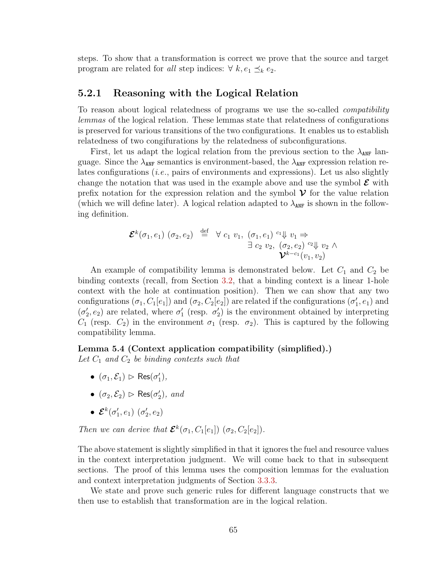steps. To show that a transformation is correct we prove that the source and target program are related for all step indices:  $\forall k, e_1 \preceq_k e_2$ .

### <span id="page-75-0"></span>5.2.1 Reasoning with the Logical Relation

To reason about logical relatedness of programs we use the so-called compatibility lemmas of the logical relation. These lemmas state that relatedness of configurations is preserved for various transitions of the two configurations. It enables us to establish relatedness of two congifurations by the relatedness of subconfigurations.

First, let us adapt the logical relation from the previous section to the  $\lambda_{ANF}$  language. Since the  $\lambda_{\text{ANF}}$  semantics is environment-based, the  $\lambda_{\text{ANF}}$  expression relation relates configurations (*i.e.*, pairs of environments and expressions). Let us also slightly change the notation that was used in the example above and use the symbol  $\mathcal E$  with prefix notation for the expression relation and the symbol  $\mathcal V$  for the value relation (which we will define later). A logical relation adapted to  $\lambda_{\text{ANF}}$  is shown in the following definition.

$$
\mathbf{\mathcal{E}}^{k}(\sigma_1, e_1) \ (\sigma_2, e_2) \stackrel{\text{def}}{=} \forall \ c_1 \ v_1, \ (\sigma_1, e_1) \stackrel{c_1 \Downarrow}{\rightarrow} v_1 \Rightarrow
$$
  

$$
\exists \ c_2 \ v_2, \ (\sigma_2, e_2) \stackrel{c_2 \Downarrow}{\rightarrow} v_2 \ \wedge
$$
  

$$
\mathbf{\mathcal{V}}^{k-c_1}(v_1, v_2)
$$

An example of compatibility lemma is demonstrated below. Let  $C_1$  and  $C_2$  be binding contexts (recall, from Section [3.2,](#page-33-0) that a binding context is a linear 1-hole context with the hole at continuation position). Then we can show that any two configurations  $(\sigma_1, C_1[e_1])$  and  $(\sigma_2, C_2[e_2])$  are related if the configurations  $(\sigma'_1, e_1)$  and  $(\sigma_2, e_2)$  are related, where  $\sigma_1'$  (resp.  $\sigma_2'$ ) is the environment obtained by interpreting  $C_1$  (resp.  $C_2$ ) in the environment  $\sigma_1$  (resp.  $\sigma_2$ ). This is captured by the following compatibility lemma.

#### Lemma 5.4 (Context application compatibility (simplified).)

Let  $C_1$  and  $C_2$  be binding contexts such that

- $(\sigma_1, \mathcal{E}_1) \, \triangleright \, \text{Res}(\sigma'_1),$
- $(\sigma_2, \mathcal{E}_2) \, \triangleright \, \text{Res}(\sigma'_2), \text{ and}$
- $\bullet$   $\mathcal{E}^{k}(\sigma'_{1},e_{1})$   $(\sigma'_{2},e_{2})$

Then we can derive that  $\mathcal{E}^k(\sigma_1, C_1[e_1])$   $(\sigma_2, C_2[e_2])$ .

The above statement is slightly simplified in that it ignores the fuel and resource values in the context interpretation judgment. We will come back to that in subsequent sections. The proof of this lemma uses the composition lemmas for the evaluation and context interpretation judgments of Section [3.3.3.](#page-43-0)

We state and prove such generic rules for different language constructs that we then use to establish that transformation are in the logical relation.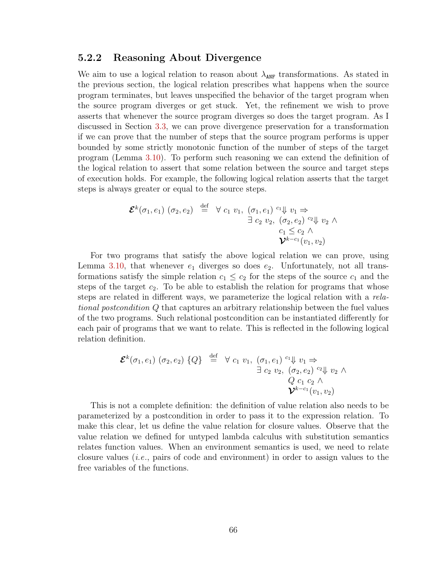## 5.2.2 Reasoning About Divergence

We aim to use a logical relation to reason about  $\lambda_{\text{ANF}}$  transformations. As stated in the previous section, the logical relation prescribes what happens when the source program terminates, but leaves unspecified the behavior of the target program when the source program diverges or get stuck. Yet, the refinement we wish to prove asserts that whenever the source program diverges so does the target program. As I discussed in Section [3.3,](#page-37-0) we can prove divergence preservation for a transformation if we can prove that the number of steps that the source program performs is upper bounded by some strictly monotonic function of the number of steps of the target program (Lemma [3.10\)](#page-44-0). To perform such reasoning we can extend the definition of the logical relation to assert that some relation between the source and target steps of execution holds. For example, the following logical relation asserts that the target steps is always greater or equal to the source steps.

$$
\mathcal{E}^{k}(\sigma_1, e_1) \ (\sigma_2, e_2) \stackrel{\text{def}}{=} \forall \ c_1 \ v_1, \ (\sigma_1, e_1) \stackrel{c_1 \Downarrow}{\rightarrow} v_1 \Rightarrow
$$
  

$$
\exists \ c_2 \ v_2, \ (\sigma_2, e_2) \stackrel{c_2 \Downarrow}{\rightarrow} v_2 \ \land
$$
  

$$
\mathcal{V}^{k-c_1}(v_1, v_2)
$$

For two programs that satisfy the above logical relation we can prove, using Lemma [3.10,](#page-44-0) that whenever  $e_1$  diverges so does  $e_2$ . Unfortunately, not all transformations satisfy the simple relation  $c_1 \leq c_2$  for the steps of the source  $c_1$  and the steps of the target  $c_2$ . To be able to establish the relation for programs that whose steps are related in different ways, we parameterize the logical relation with a relational postcondition Q that captures an arbitrary relationship between the fuel values of the two programs. Such relational postcondition can be instantiated differently for each pair of programs that we want to relate. This is reflected in the following logical relation definition.

$$
\mathcal{E}^{k}(\sigma_1, e_1) \ (\sigma_2, e_2) \{Q\} \stackrel{\text{def}}{=} \forall c_1 \ v_1, \ (\sigma_1, e_1) \stackrel{c_1 \Downarrow}{\rightarrow} v_1 \Rightarrow
$$
  

$$
\exists c_2 \ v_2, \ (\sigma_2, e_2) \stackrel{c_2 \Downarrow}{\rightarrow} v_2 \ \wedge
$$
  

$$
\mathcal{V}^{k-c_1}(v_1, v_2)
$$

This is not a complete definition: the definition of value relation also needs to be parameterized by a postcondition in order to pass it to the expression relation. To make this clear, let us define the value relation for closure values. Observe that the value relation we defined for untyped lambda calculus with substitution semantics relates function values. When an environment semantics is used, we need to relate closure values (*i.e.*, pairs of code and environment) in order to assign values to the free variables of the functions.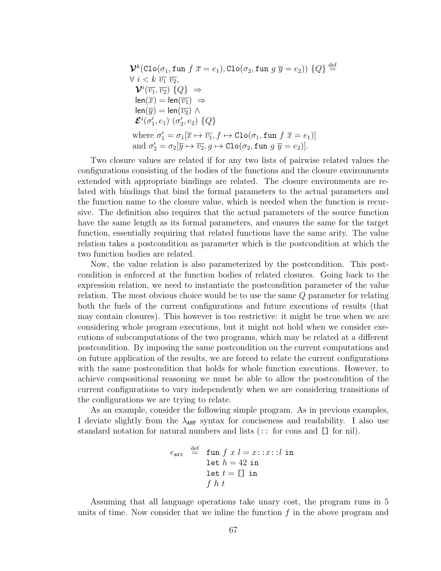$$
\mathcal{V}^k(\text{Clo}(\sigma_1, \text{fun } f \overline{x} = e_1), \text{Clo}(\sigma_2, \text{fun } g \overline{y} = e_2)) \{Q\} \stackrel{\text{def}}{=} \forall i < k \overline{v_1} \overline{v_2},
$$
  
\n
$$
\mathcal{V}^i(\overline{v_1}, \overline{v_2}) \{Q\} \Rightarrow
$$
  
\n
$$
\text{len}(\overline{x}) = \text{len}(\overline{v_1}) \Rightarrow
$$
  
\n
$$
\text{len}(\overline{y}) = \text{len}(\overline{v_2}) \land
$$
  
\n
$$
\mathcal{E}^i(\sigma'_1, e_1) \ (\sigma'_2, e_2) \{Q\}
$$
  
\nwhere  $\sigma'_1 = \sigma_1[\overline{x} \mapsto \overline{v_1}, f \mapsto \text{Clo}(\sigma_1, \text{fun } f \overline{x} = e_1)]$   
\nand  $\sigma'_2 = \sigma_2[\overline{y} \mapsto \overline{v_2}, g \mapsto \text{Clo}(\sigma_2, \text{fun } g \overline{y} = e_2)].$ 

Two closure values are related if for any two lists of pairwise related values the configurations consisting of the bodies of the functions and the closure environments extended with appropriate bindings are related. The closure environments are related with bindings that bind the formal parameters to the actual parameters and the function name to the closure value, which is needed when the function is recursive. The definition also requires that the actual parameters of the source function have the same length as its formal parameters, and ensures the same for the target function, essentially requiring that related functions have the same arity. The value relation takes a postcondition as parameter which is the postcondition at which the two function bodies are related.

Now, the value relation is also parameterized by the postcondition. This postcondition is enforced at the function bodies of related closures. Going back to the expression relation, we need to instantiate the postcondition parameter of the value relation. The most obvious choice would be to use the same Q parameter for relating both the fuels of the current configurations and future executions of results (that may contain closures). This however is too restrictive: it might be true when we are considering whole program executions, but it might not hold when we consider executions of subcomputations of the two programs, which may be related at a different postcondition. By imposing the same postcondition on the current computations and on future application of the results, we are forced to relate the current configurations with the same postcondition that holds for whole function executions. However, to achieve compositional reasoning we must be able to allow the postcondition of the current configurations to vary independently when we are considering transitions of the configurations we are trying to relate.

As an example, consider the following simple program. As in previous examples, I deviate slightly from the  $\lambda_{\text{ANF}}$  syntax for conciseness and readability. I also use standard notation for natural numbers and lists (:: for cons and [] for nil).

$$
e_{\text{src}} \stackrel{\text{def}}{=} \begin{array}{l} \text{fun } f \ x \ l = x \colon : x \colon : l \ \text{in} \\ \text{let } h = 42 \ \text{in} \\ \text{let } t = [] \ \text{in} \\ f \ h \ t \end{array}
$$

Assuming that all language operations take unary cost, the program runs in 5 units of time. Now consider that we inline the function  $f$  in the above program and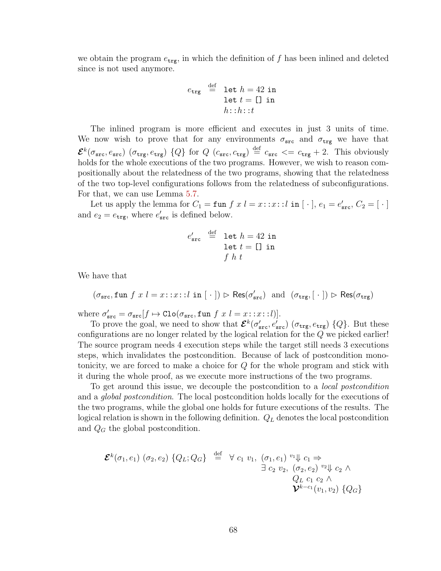we obtain the program  $e_{\text{trg}}$ , in which the definition of f has been inlined and deleted since is not used anymore.

$$
e_{\text{trg}} \stackrel{\text{def}}{=} \text{let } h = 42 \text{ in}
$$

$$
\text{let } t = [] \text{ in}
$$

$$
h::h::t
$$

The inlined program is more efficient and executes in just 3 units of time. We now wish to prove that for any environments  $\sigma_{src}$  and  $\sigma_{trg}$  we have that  $\mathcal{E}^{k}(\sigma_{\text{src}}, e_{\text{src}})$  ( $\sigma_{\text{trg}}, e_{\text{trg}}$ ) {Q} for  $Q$  ( $c_{\text{src}}, c_{\text{trg}}$ )  $\stackrel{\text{def}}{=} c_{\text{src}} \leq c_{\text{trg}} + 2$ . This obviously holds for the whole executions of the two programs. However, we wish to reason compositionally about the relatedness of the two programs, showing that the relatedness of the two top-level configurations follows from the relatedness of subconfigurations. For that, we can use Lemma [5.7.](#page-85-0)

Let us apply the lemma for  $C_1 = \text{fun } f x l = x : x : l \text{ in } [\cdot], e_1 = e'_{\text{src}}, C_2 = [\cdot]$ and  $e_2 = e_{\text{trg}}$ , where  $e'_{\text{src}}$  is defined below.

$$
e'_{\text{src}} \stackrel{\text{def}}{=} \text{let } h = 42 \text{ in}
$$
  
let  $t = []$  in  
 $f h t$ 

We have that

 $(\sigma_{\tt src}, \texttt{fun}\; f\; x\; l=x\!:\!:\!x\!:\!:l\; \texttt{in}\; [\;\cdot\;]) \vartriangleright \mathsf{Res}(\sigma_{\tt src}')\; \text{ and } \; (\sigma_{\tt trg}, [\;\cdot\;]) \vartriangleright \mathsf{Res}(\sigma_{\tt trg})$ 

where  $\sigma_{\text{src}}' = \sigma_{\text{src}}[f \mapsto \text{Clo}(\sigma_{\text{src}}, \text{fun } f \ x \ l = x \colon :x : l)].$ 

To prove the goal, we need to show that  $\mathcal{E}^k(\sigma'_{\text{src}}, e'_{\text{src}})$  ( $\sigma_{\text{trg}}, e_{\text{trg}}$ ) { $Q$ }. But these configurations are no longer related by the logical relation for the Q we picked earlier! The source program needs 4 execution steps while the target still needs 3 executions steps, which invalidates the postcondition. Because of lack of postcondition monotonicity, we are forced to make a choice for Q for the whole program and stick with it during the whole proof, as we execute more instructions of the two programs.

To get around this issue, we decouple the postcondition to a local postcondition and a *global postcondition*. The local postcondition holds locally for the executions of the two programs, while the global one holds for future executions of the results. The logical relation is shown in the following definition.  $Q_L$  denotes the local postcondition and  $Q_G$  the global postcondition.

$$
\mathcal{E}^{k}(\sigma_{1}, e_{1}) \ (\sigma_{2}, e_{2}) \ \{Q_{L}; Q_{G}\} \stackrel{\text{def}}{=} \forall c_{1} \ v_{1}, \ (\sigma_{1}, e_{1}) \ v_{1} \Downarrow c_{1} \Rightarrow \exists c_{2} \ v_{2}, \ (\sigma_{2}, e_{2}) \ v_{2} \Downarrow c_{2} \land \nQ_{L} \ c_{1} \ c_{2} \land \n\mathcal{V}^{k-c_{1}}(v_{1}, v_{2}) \ \{Q_{G}\}
$$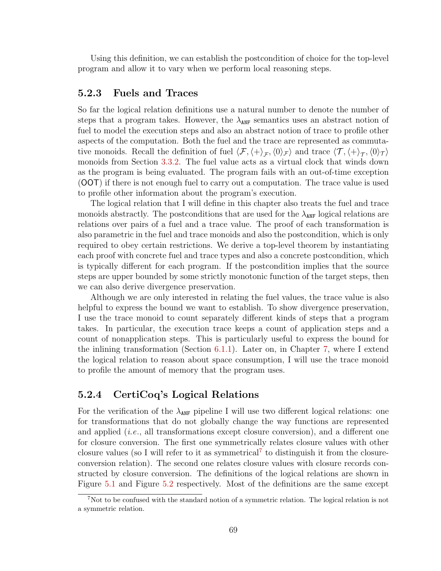Using this definition, we can establish the postcondition of choice for the top-level program and allow it to vary when we perform local reasoning steps.

# 5.2.3 Fuels and Traces

So far the logical relation definitions use a natural number to denote the number of steps that a program takes. However, the  $\lambda_{\text{ANF}}$  semantics uses an abstract notion of fuel to model the execution steps and also an abstract notion of trace to profile other aspects of the computation. Both the fuel and the trace are represented as commutative monoids. Recall the definition of fuel  $\langle \mathcal{F}, \langle + \rangle_{\mathcal{F}}, \langle 0 \rangle_{\mathcal{F}}\rangle$  and trace  $\langle \mathcal{T}, \langle + \rangle_{\mathcal{T}}, \langle 0 \rangle_{\mathcal{T}}\rangle$ monoids from Section [3.3.2.](#page-39-0) The fuel value acts as a virtual clock that winds down as the program is being evaluated. The program fails with an out-of-time exception (OOT) if there is not enough fuel to carry out a computation. The trace value is used to profile other information about the program's execution.

The logical relation that I will define in this chapter also treats the fuel and trace monoids abstractly. The postconditions that are used for the  $\lambda_{\text{ANF}}$  logical relations are relations over pairs of a fuel and a trace value. The proof of each transformation is also parametric in the fuel and trace monoids and also the postcondition, which is only required to obey certain restrictions. We derive a top-level theorem by instantiating each proof with concrete fuel and trace types and also a concrete postcondition, which is typically different for each program. If the postcondition implies that the source steps are upper bounded by some strictly monotonic function of the target steps, then we can also derive divergence preservation.

Although we are only interested in relating the fuel values, the trace value is also helpful to express the bound we want to establish. To show divergence preservation, I use the trace monoid to count separately different kinds of steps that a program takes. In particular, the execution trace keeps a count of application steps and a count of nonapplication steps. This is particularly useful to express the bound for the inlining transformation (Section [6.1.1\)](#page-103-0). Later on, in Chapter [7,](#page-110-0) where I extend the logical relation to reason about space consumption, I will use the trace monoid to profile the amount of memory that the program uses.

# 5.2.4 CertiCoq's Logical Relations

For the verification of the  $\lambda_{\text{ANF}}$  pipeline I will use two different logical relations: one for transformations that do not globally change the way functions are represented and applied (*i.e.*, all transformations except closure conversion), and a different one for closure conversion. The first one symmetrically relates closure values with other closure values (so I will refer to it as symmetrical<sup>[7](#page-79-0)</sup> to distinguish it from the closureconversion relation). The second one relates closure values with closure records constructed by closure conversion. The definitions of the logical relations are shown in Figure [5.1](#page-80-0) and Figure [5.2](#page-81-0) respectively. Most of the definitions are the same except

<span id="page-79-0"></span><sup>&</sup>lt;sup>7</sup>Not to be confused with the standard notion of a symmetric relation. The logical relation is not a symmetric relation.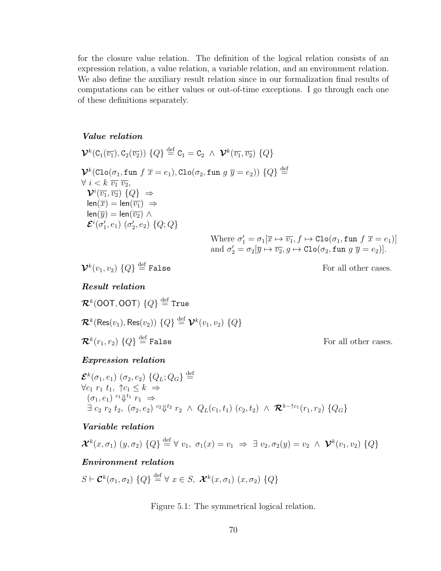for the closure value relation. The definition of the logical relation consists of an expression relation, a value relation, a variable relation, and an environment relation. We also define the auxiliary result relation since in our formalization final results of computations can be either values or out-of-time exceptions. I go through each one of these definitions separately.

#### <span id="page-80-0"></span>Value relation

$$
\mathcal{V}^{k}(C_{1}(\overline{v_{1}}), C_{2}(\overline{v_{2}})) \{Q\} \stackrel{\text{def}}{=} C_{1} = C_{2} \wedge \mathcal{V}^{k}(\overline{v_{1}}, \overline{v_{2}}) \{Q\}
$$
\n
$$
\mathcal{V}^{k}(C_{10}(\sigma_{1}, \text{fun } f \overline{x} = e_{1}), C_{10}(\sigma_{2}, \text{fun } g \overline{y} = e_{2})) \{Q\} \stackrel{\text{def}}{=} \forall i < k \overline{v_{1}} \overline{v_{2}},
$$
\n
$$
\mathcal{V}^{i}(\overline{v_{1}}, \overline{v_{2}}) \{Q\} \Rightarrow
$$
\n
$$
\text{len}(\overline{x}) = \text{len}(\overline{v_{1}}) \Rightarrow
$$
\n
$$
\text{len}(\overline{y}) = \text{len}(\overline{v_{2}}) \wedge
$$
\n
$$
\mathcal{E}^{i}(\sigma'_{1}, e_{1}) \left(\sigma'_{2}, e_{2}\right) \{Q; Q\}
$$
\nWhere  $\sigma'_{1} = \sigma_{1}[\overline{x} \mapsto \overline{v_{1}}, f \mapsto \text{Clo}(\sigma_{1}, \text{fun } f \overline{x} = e_{1})]$ 

 $\mathcal{V}^k(v_1,v_2)$   $\{Q\}$ 

For all other cases.

and  $\sigma'_2 = \sigma_2[\overline{y} \mapsto \overline{v_2}, g \mapsto \text{Clo}(\sigma_2, \text{fun } g \ \overline{y} = e_2)].$ 

#### Result relation

 $\mathcal{R}^k(\mathsf{OOT},\mathsf{OOT})\; \{Q\} \stackrel{\rm def}{=} \mathsf{True}$  $\mathcal{R}^k(\mathsf{Res}(v_1),\mathsf{Res}(v_2))$   $\{Q\} \stackrel{\text{def}}{=} \mathcal{V}^k(v_1,v_2)$   $\{Q\}$  $\mathcal{R}^k(r_1,r_2)$   $\{Q\}$ 

For all other cases.

# Expression relation

 ${\mathcal E}^k(\sigma_1,e_1)~(\sigma_2,e_2)~\{Q_L;Q_G\} \stackrel{\rm def}{=}$  $\forall c_1 \; r_1 \; t_1, \; \uparrow c_1 \leq k \; \Rightarrow$  $(\sigma_1, e_1) \overset{c_1 \parallel t_1}{\rightarrow} r_1 \Rightarrow$  $\exists \; c_2 \; r_2 \; t_2, \; (\sigma_2,e_2) \; {}^{c_2}\Downarrow {}^{t_2} \; r_2 \; \wedge \; Q_L(c_1,t_1) \; (c_2,t_2) \; \wedge \; \mathcal{R}^{k-\uparrow c_1}(r_1,r_2) \; \{Q_G\}$ 

### Variable relation

$$
\mathcal{X}^k(x, \sigma_1) (y, \sigma_2) \{Q\} \stackrel{\text{def}}{=} \forall v_1, \ \sigma_1(x) = v_1 \ \Rightarrow \ \exists v_2, \sigma_2(y) = v_2 \ \land \ \mathcal{V}^k(v_1, v_2) \{Q\}
$$

#### Environment relation

 $S \vdash \mathcal{C}^k(\sigma_1, \sigma_2) \{Q\} \stackrel{\text{def}}{=} \forall x \in S, \; \mathcal{X}^k(x, \sigma_1) \; (x, \sigma_2) \{Q\}$ 

Figure 5.1: The symmetrical logical relation.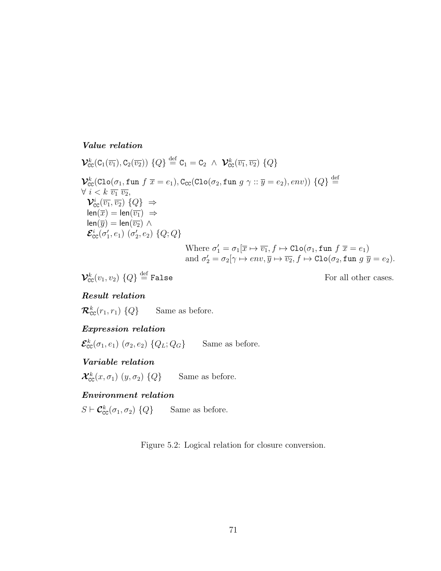### <span id="page-81-0"></span>Value relation

$$
\mathcal{V}_{\text{CC}}^{k}(C_{1}(\overline{v_{1}}), C_{2}(\overline{v_{2}})) \{Q\} \stackrel{\text{def}}{=} C_{1} = C_{2} \land \mathcal{V}_{\text{CC}}^{k}(\overline{v_{1}}, \overline{v_{2}}) \{Q\}
$$
\n
$$
\mathcal{V}_{\text{CC}}^{k}(C_{10}(\sigma_{1}, \text{fun } f \overline{x} = e_{1}), C_{\text{CC}}(C_{10}(\sigma_{2}, \text{fun } g \gamma \dots \overline{y} = e_{2}), env)) \{Q\} \stackrel{\text{def}}{=} \forall i < k \overline{v_{1}} \overline{v_{2}},
$$
\n
$$
\mathcal{V}_{\text{CC}}^{i}(\overline{v_{1}}, \overline{v_{2}}) \{Q\} \Rightarrow
$$
\n
$$
l_{\text{enc}}(\overline{x}) = len(\overline{v_{1}}) \Rightarrow
$$
\n
$$
len(\overline{y}) = len(\overline{v_{2}}) \land
$$
\n
$$
\mathcal{E}_{\text{CC}}^{i}(\sigma_{1}', e_{1}) \left(\sigma_{2}', e_{2}\right) \{Q; Q\}
$$
\nWhere  $\sigma_{1}' = \sigma_{1}[\overline{x} \mapsto \overline{v_{1}}, f \mapsto \text{Clo}(\sigma_{1}, \text{fun } f \overline{x} = e_{1})$   
\nand  $\sigma_{2}' = \sigma_{2}[\gamma \mapsto env, \overline{y} \mapsto \overline{v_{2}}, f \mapsto \text{Clo}(\sigma_{2}, \text{fun } g \overline{y} = e_{2}).$ 

$$
\mathcal{V}_{\text{CC}}^k(v_1,v_2)\ \{Q\} \stackrel{\text{def}}{=} \text{False}
$$

For all other cases.

## Result relation

 $\mathcal{R}_{\text{cc}}^k(r_1,r_1)$   $\{Q\}$ Same as before.

## Expression relation

 $\mathcal{E}_{cc}^{k}(\sigma_1, e_1)$   $(\sigma_2, e_2)$  { $Q_L; Q_G$ } Same as before.

# Variable relation

 $\mathcal{X}^k_{\texttt{CC}}(x,\sigma_1)$   $(y,\sigma_2)$  {Q} Same as before.

# Environment relation

 $S \vdash \mathcal{C}_{\text{CC}}^k(\sigma_1, \sigma_2) \{Q\}$  Same as before.

Figure 5.2: Logical relation for closure conversion.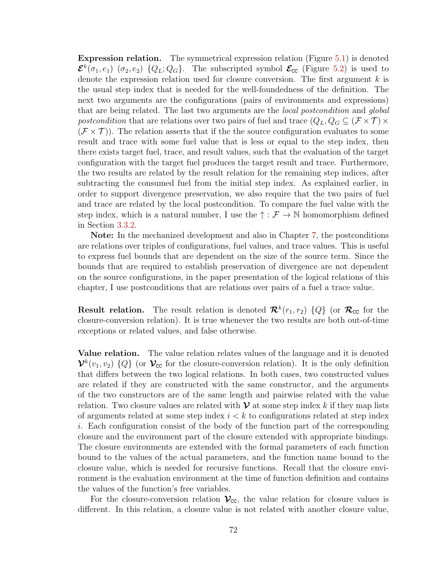Expression relation. The symmetrical expression relation (Figure [5.1\)](#page-80-0) is denoted  ${\cal E}^k(\sigma_1,e_1)$  ( $\sigma_2,e_2$ ) { $Q_L;Q_G$ }. The subscripted symbol  ${\cal E}_{cc}$  (Figure [5.2\)](#page-81-0) is used to denote the expression relation used for closure conversion. The first argument  $k$  is the usual step index that is needed for the well-foundedness of the definition. The next two arguments are the configurations (pairs of environments and expressions) that are being related. The last two arguments are the local postcondition and global postcondition that are relations over two pairs of fuel and trace  $(Q_L, Q_G \subseteq (\mathcal{F} \times \mathcal{T}) \times$  $(\mathcal{F} \times \mathcal{T})$ ). The relation asserts that if the the source configuration evaluates to some result and trace with some fuel value that is less or equal to the step index, then there exists target fuel, trace, and result values, such that the evaluation of the target configuration with the target fuel produces the target result and trace. Furthermore, the two results are related by the result relation for the remaining step indices, after subtracting the consumed fuel from the initial step index. As explained earlier, in order to support divergence preservation, we also require that the two pairs of fuel and trace are related by the local postcondition. To compare the fuel value with the step index, which is a natural number, I use the  $\uparrow : \mathcal{F} \to \mathbb{N}$  homomorphism defined in Section [3.3.2.](#page-39-0)

Note: In the mechanized development and also in Chapter [7,](#page-110-0) the postconditions are relations over triples of configurations, fuel values, and trace values. This is useful to express fuel bounds that are dependent on the size of the source term. Since the bounds that are required to establish preservation of divergence are not dependent on the source configurations, in the paper presentation of the logical relations of this chapter, I use postconditions that are relations over pairs of a fuel a trace value.

**Result relation.** The result relation is denoted  $\mathcal{R}^k(r_1, r_2)$  {Q} (or  $\mathcal{R}_{cc}$  for the closure-conversion relation). It is true whenever the two results are both out-of-time exceptions or related values, and false otherwise.

Value relation. The value relation relates values of the language and it is denoted  $\mathcal{V}^k(v_1, v_2)$  {Q} (or  $\mathcal{V}_{cc}$  for the closure-conversion relation). It is the only definition that differs between the two logical relations. In both cases, two constructed values are related if they are constructed with the same constructor, and the arguments of the two constructors are of the same length and pairwise related with the value relation. Two closure values are related with  $\mathcal V$  at some step index k if they map lists of arguments related at some step index  $i < k$  to configurations related at step index i. Each configuration consist of the body of the function part of the corresponding closure and the environment part of the closure extended with appropriate bindings. The closure environments are extended with the formal parameters of each function bound to the values of the actual parameters, and the function name bound to the closure value, which is needed for recursive functions. Recall that the closure environment is the evaluation environment at the time of function definition and contains the values of the function's free variables.

For the closure-conversion relation  $\mathcal{V}_{cc}$ , the value relation for closure values is different. In this relation, a closure value is not related with another closure value,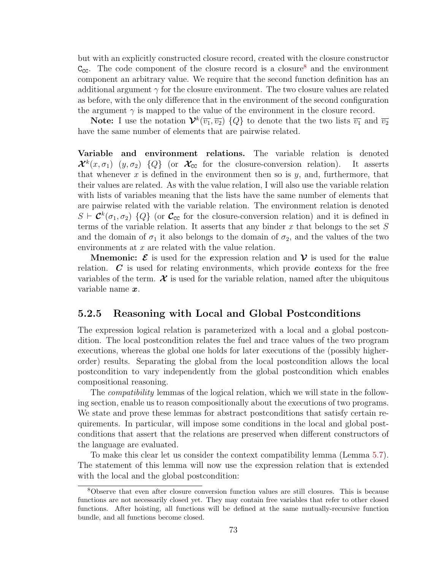but with an explicitly constructed closure record, created with the closure constructor  $C_{\text{CC}}$ . The code component of the closure record is a closure<sup>[8](#page-83-0)</sup> and the environment component an arbitrary value. We require that the second function definition has an additional argument  $\gamma$  for the closure environment. The two closure values are related as before, with the only difference that in the environment of the second configuration the argument  $\gamma$  is mapped to the value of the environment in the closure record.

**Note:** I use the notation  $\mathcal{V}^k(\overline{v_1}, \overline{v_2})$  {Q} to denote that the two lists  $\overline{v_1}$  and  $\overline{v_2}$ have the same number of elements that are pairwise related.

Variable and environment relations. The variable relation is denoted  $\mathcal{X}^k(x, \sigma_1)$   $(y, \sigma_2)$   $\{Q\}$  (or  $\mathcal{X}_{cc}$  for the closure-conversion relation). It asserts that whenever  $x$  is defined in the environment then so is  $y$ , and, furthermore, that their values are related. As with the value relation, I will also use the variable relation with lists of variables meaning that the lists have the same number of elements that are pairwise related with the variable relation. The environment relation is denoted  $S \vdash \mathcal{C}^k(\sigma_1, \sigma_2)$  {Q} (or  $\mathcal{C}_{cc}$  for the closure-conversion relation) and it is defined in terms of the variable relation. It asserts that any binder  $x$  that belongs to the set  $S$ and the domain of  $\sigma_1$  it also belongs to the domain of  $\sigma_2$ , and the values of the two environments at x are related with the value relation.

**Mnemonic:**  $\mathcal{E}$  is used for the expression relation and  $\mathcal{V}$  is used for the value relation. C is used for relating environments, which provide contexs for the free variables of the term.  $\mathcal X$  is used for the variable relation, named after the ubiquitous variable name  $x$ .

# 5.2.5 Reasoning with Local and Global Postconditions

The expression logical relation is parameterized with a local and a global postcondition. The local postcondition relates the fuel and trace values of the two program executions, whereas the global one holds for later executions of the (possibly higherorder) results. Separating the global from the local postcondition allows the local postcondition to vary independently from the global postcondition which enables compositional reasoning.

The compatibility lemmas of the logical relation, which we will state in the following section, enable us to reason compositionally about the executions of two programs. We state and prove these lemmas for abstract postconditions that satisfy certain requirements. In particular, will impose some conditions in the local and global postconditions that assert that the relations are preserved when different constructors of the language are evaluated.

To make this clear let us consider the context compatibility lemma (Lemma [5.7\)](#page-85-0). The statement of this lemma will now use the expression relation that is extended with the local and the global postcondition:

<span id="page-83-0"></span><sup>8</sup>Observe that even after closure conversion function values are still closures. This is because functions are not necessarily closed yet. They may contain free variables that refer to other closed functions. After hoisting, all functions will be defined at the same mutually-recursive function bundle, and all functions become closed.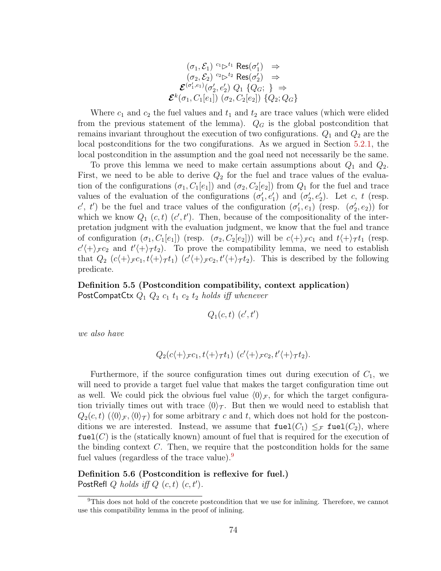$$
(\sigma_1, \mathcal{E}_1) \stackrel{c_1 \rhd^{t_1} \rhd s(\sigma'_1)}{\rhd} \Rightarrow
$$
  
\n
$$
(\sigma_2, \mathcal{E}_2) \stackrel{c_2 \rhd^{t_2} \rhd s(\sigma'_2)}{\rhd} \Rightarrow
$$
  
\n
$$
\mathcal{E}^{(\sigma'_1, e_1)}(\sigma'_2, e'_2) Q_1 \{Q_G; \} \Rightarrow
$$
  
\n
$$
\mathcal{E}^k(\sigma_1, C_1[e_1]) (\sigma_2, C_2[e_2]) \{Q_2; Q_G\}
$$

Where  $c_1$  and  $c_2$  the fuel values and  $t_1$  and  $t_2$  are trace values (which were elided from the previous statement of the lemma).  $Q_G$  is the global postcondition that remains invariant throughout the execution of two configurations.  $Q_1$  and  $Q_2$  are the local postconditions for the two congifurations. As we argued in Section [5.2.1,](#page-75-0) the local postcondition in the assumption and the goal need not necessarily be the same.

To prove this lemma we need to make certain assumptions about  $Q_1$  and  $Q_2$ . First, we need to be able to derive  $Q_2$  for the fuel and trace values of the evaluation of the configurations  $(\sigma_1, C_1[e_1])$  and  $(\sigma_2, C_2[e_2])$  from  $Q_1$  for the fuel and trace values of the evaluation of the configurations  $(\sigma'_1, e'_1)$  and  $(\sigma'_2, e'_2)$ . Let c, t (resp. c', t') be the fuel and trace values of the configuration  $(\sigma'_1, e_1)$  (resp.  $(\sigma'_2, e_2)$ ) for which we know  $Q_1(c, t)$   $(c', t')$ . Then, because of the compositionality of the interpretation judgment with the evaluation judgment, we know that the fuel and trance of configuration  $(\sigma_1, C_1[e_1])$  (resp.  $(\sigma_2, C_2[e_2])$ ) will be  $c\langle + \rangle_{\mathcal{F}} c_1$  and  $t\langle + \rangle_{\mathcal{T}} t_1$  (resp.  $c'(\tau)_{\mathcal{F}}c_2$  and  $t'(\tau)_{\mathcal{T}}t_2$ . To prove the compatibility lemma, we need to establish that  $Q_2$   $(c \langle + \rangle_{\mathcal{F}} c_1, t \langle + \rangle_{\mathcal{T}} t_1)$   $(c' \langle + \rangle_{\mathcal{F}} c_2, t' \langle + \rangle_{\mathcal{T}} t_2)$ . This is described by the following predicate.

Definition 5.5 (Postcondition compatibility, context application) PostCompatCtx  $Q_1$   $Q_2$   $c_1$   $t_1$   $c_2$   $t_2$  holds iff whenever

$$
Q_1(c,t)~(c',t')
$$

we also have

$$
Q_2(c\langle + \rangle_{\mathcal{F}}c_1, t\langle + \rangle_{\mathcal{T}}t_1) (c'\langle + \rangle_{\mathcal{F}}c_2, t'\langle + \rangle_{\mathcal{T}}t_2).
$$

Furthermore, if the source configuration times out during execution of  $C_1$ , we will need to provide a target fuel value that makes the target configuration time out as well. We could pick the obvious fuel value  $\langle 0 \rangle$ , for which the target configuration trivially times out with trace  $\langle 0 \rangle_T$ . But then we would need to establish that  $Q_2(c, t)$   $(\langle 0 \rangle_{\mathcal{F}}, \langle 0 \rangle_{\mathcal{T}})$  for some arbitrary c and t, which does not hold for the postconditions we are interested. Instead, we assume that  $\text{fuel}(C_1) \leq_{\mathcal{F}} \text{fuel}(C_2)$ , where  $fuel(C)$  is the (statically known) amount of fuel that is required for the execution of the binding context  $C$ . Then, we require that the postcondition holds for the same fuel values (regardless of the trace value).<sup>[9](#page-84-0)</sup>

Definition 5.6 (Postcondition is reflexive for fuel.) PostRefl  $Q$  holds iff  $Q(c, t)(c, t')$ .

<span id="page-84-0"></span><sup>&</sup>lt;sup>9</sup>This does not hold of the concrete postcondition that we use for inlining. Therefore, we cannot use this compatibility lemma in the proof of inlining.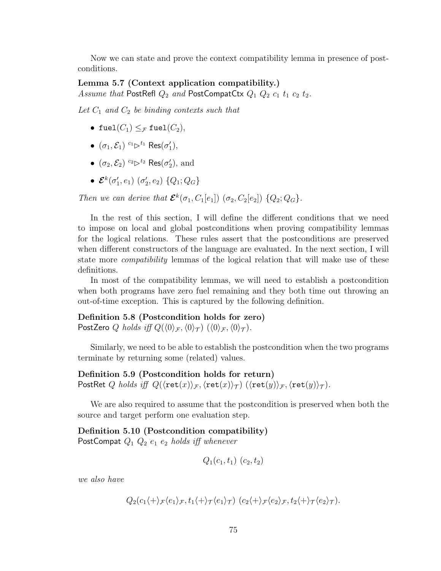Now we can state and prove the context compatibility lemma in presence of postconditions.

# <span id="page-85-0"></span>Lemma 5.7 (Context application compatibility.) Assume that PostRefl  $Q_2$  and PostCompatCtx  $Q_1$   $Q_2$   $c_1$   $t_1$   $c_2$   $t_2$ .

Let  $C_1$  and  $C_2$  be binding contexts such that

- fuel $(C_1) \leq_{\mathcal{F}}$  fuel $(C_2)$ ,
- $(\sigma_1, \mathcal{E}_1)$   $c_1 \rhd^{t_1}$  Res $(\sigma'_1)$ ,
- $(\sigma_2, \mathcal{E}_2)$   $c_2 \triangleright^{t_2}$  Res $(\sigma_2'),$  and
- $\bullet$   ${\cal E}^k(\sigma_1^{\prime}, e_1)$   $(\sigma_2^{\prime}, e_2)$   $\{Q_1; Q_G\}$

Then we can derive that  $\mathcal{E}^{k}(\sigma_1, C_1[e_1])$   $(\sigma_2, C_2[e_2])$   $\{Q_2; Q_G\}$ .

In the rest of this section, I will define the different conditions that we need to impose on local and global postconditions when proving compatibility lemmas for the logical relations. These rules assert that the postconditions are preserved when different constructors of the language are evaluated. In the next section, I will state more *compatibility* lemmas of the logical relation that will make use of these definitions.

In most of the compatibility lemmas, we will need to establish a postcondition when both programs have zero fuel remaining and they both time out throwing an out-of-time exception. This is captured by the following definition.

#### Definition 5.8 (Postcondition holds for zero)

PostZero Q holds iff  $Q(\langle 0 \rangle_{\mathcal{F}},\langle 0 \rangle_{\mathcal{T}} )$   $(\langle 0 \rangle_{\mathcal{F}},\langle 0 \rangle_{\mathcal{T}} )$ .

Similarly, we need to be able to establish the postcondition when the two programs terminate by returning some (related) values.

Definition 5.9 (Postcondition holds for return) PostRet Q holds iff  $Q(\langle \text{ret}(x)\rangle_{\mathcal{F}},\langle \text{ret}(x)\rangle_{\mathcal{T}} )$   $(\langle \text{ret}(y)\rangle_{\mathcal{F}},\langle \text{ret}(y)\rangle_{\mathcal{T}} ).$ 

We are also required to assume that the postcondition is preserved when both the source and target perform one evaluation step.

Definition 5.10 (Postcondition compatibility) PostCompat  $Q_1$   $Q_2$   $e_1$   $e_2$  holds iff whenever

$$
Q_1(c_1, t_1) (c_2, t_2)
$$

we also have

$$
Q_2(c_1\langle + \rangle_{\mathcal{F}}\langle e_1 \rangle_{\mathcal{F}}, t_1\langle + \rangle_{\mathcal{T}}\langle e_1 \rangle_{\mathcal{T}}) (c_2\langle + \rangle_{\mathcal{F}}\langle e_2 \rangle_{\mathcal{F}}, t_2\langle + \rangle_{\mathcal{T}}\langle e_2 \rangle_{\mathcal{T}}).
$$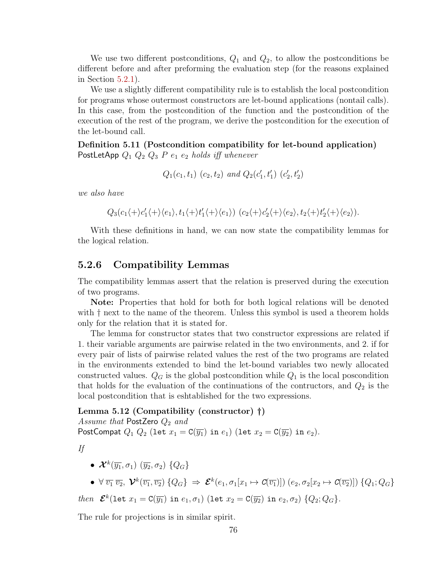We use two different postconditions,  $Q_1$  and  $Q_2$ , to allow the postconditions be different before and after preforming the evaluation step (for the reasons explained in Section [5.2.1\)](#page-75-0).

We use a slightly different compatibility rule is to establish the local postcondition for programs whose outermost constructors are let-bound applications (nontail calls). In this case, from the postcondition of the function and the postcondition of the execution of the rest of the program, we derive the postcondition for the execution of the let-bound call.

Definition 5.11 (Postcondition compatibility for let-bound application) PostLetApp  $Q_1 Q_2 Q_3 P e_1 e_2$  holds iff whenever

 $Q_1(c_1, t_1)$   $(c_2, t_2)$  and  $Q_2(c'_1, t'_1)$   $(c'_2, t'_2)$ 

we also have

 $Q_3(c_1\langle +\rangle c_1'\langle +\rangle\langle e_1\rangle, t_1\langle +\rangle t_1'\langle +\rangle\langle e_1\rangle) (c_2\langle +\rangle c_2'\langle +\rangle\langle e_2\rangle, t_2\langle +\rangle t_2'\langle +\rangle\langle e_2\rangle).$ 

With these definitions in hand, we can now state the compatibility lemmas for the logical relation.

## 5.2.6 Compatibility Lemmas

The compatibility lemmas assert that the relation is preserved during the execution of two programs.

Note: Properties that hold for both for both logical relations will be denoted with  $\dagger$  next to the name of the theorem. Unless this symbol is used a theorem holds only for the relation that it is stated for.

The lemma for constructor states that two constructor expressions are related if 1. their variable arguments are pairwise related in the two environments, and 2. if for every pair of lists of pairwise related values the rest of the two programs are related in the environments extended to bind the let-bound variables two newly allocated constructed values.  $Q_G$  is the global postcondition while  $Q_1$  is the local poscondition that holds for the evaluation of the continuations of the contructors, and  $Q_2$  is the local postcondition that is eshtablished for the two expressions.

Lemma 5.12 (Compatibility (constructor) †)

Assume that PostZero  $Q_2$  and PostCompat  $Q_1$   $Q_2$  (let  $x_1 = C(\overline{y_1})$  in  $e_1$ ) (let  $x_2 = C(\overline{y_2})$  in  $e_2$ ).

If

- $\bullet$   $\mathcal{X}^{k}(\overline{y_{1}},\sigma_{1})$   $(\overline{y_{2}},\sigma_{2})$   $\{Q_{G}\}$
- $\bullet\not\forall\,\overline{v_1}\,\overline{v_2},\,\boldsymbol{\mathcal{V}}^k(\overline{v_1},\overline{v_2})\,\{Q_G\}\,\Rightarrow\,\boldsymbol{\mathcal{E}}^k(e_1,\sigma_1[x_1\mapsto \boldsymbol{\mathcal{C}}(\overline{v_1})])\,\left(e_2,\sigma_2[x_2\mapsto \boldsymbol{\mathcal{C}}(\overline{v_2})]\right)\,\{Q_1;Q_G\}$

then 
$$
\mathcal{E}^k(\text{let } x_1 = \text{C}(\overline{y_1}) \text{ in } e_1, \sigma_1)
$$
 (let  $x_2 = \text{C}(\overline{y_2}) \text{ in } e_2, \sigma_2$ )  $\{Q_2; Q_G\}$ .

The rule for projections is in similar spirit.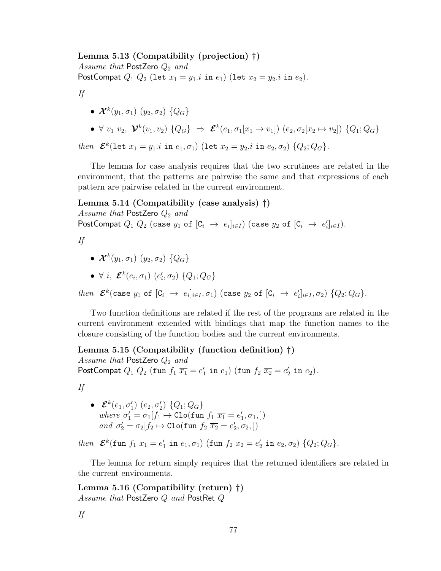#### Lemma 5.13 (Compatibility (projection) †)

Assume that PostZero  $Q_2$  and PostCompat  $Q_1 Q_2$  (let  $x_1 = y_1.i$  in  $e_1$ ) (let  $x_2 = y_2.i$  in  $e_2$ ).

If

- $\bullet$   $\mathcal{X}^{k}(y_1,\sigma_1)$   $(y_2,\sigma_2)$   $\{Q_G\}$
- $\forall v_1 v_2, \; \mathcal{V}^k(v_1, v_2) \; \{Q_G\} \; \Rightarrow \; \mathcal{E}^k(e_1, \sigma_1[x_1 \mapsto v_1]) \; (e_2, \sigma_2[x_2 \mapsto v_2]) \; \{Q_1; Q_G\}$

then  $\mathcal{E}^{k}(\text{let } x_1 = y_1 \text{ i in } e_1, \sigma_1)$  (let  $x_2 = y_2 \text{ i in } e_2, \sigma_2)$   $\{Q_2; Q_G\}$ .

The lemma for case analysis requires that the two scrutinees are related in the environment, that the patterns are pairwise the same and that expressions of each pattern are pairwise related in the current environment.

#### Lemma 5.14 (Compatibility (case analysis) †)

Assume that PostZero  $Q_2$  and

PostCompat  $Q_1$   $Q_2$  (case  $y_1$  of  $[\mathsf{C}_i \rightarrow e_i]_{i \in I}$ ) (case  $y_2$  of  $[\mathsf{C}_i \rightarrow e_i']_{i \in I}$ ).

If

- $\bullet$   $\mathcal{X}^k(y_1,\sigma_1)\;(y_2,\sigma_2)$   $\{Q_G\}$
- $\bullet \ \forall \ i, \ \mathcal{E}^{k}(e_{i}, \sigma_{1}) \ (e'_{i}, \sigma_{2}) \ \{Q_{1}; Q_{G}\}\$

 $then~~\boldsymbol{\mathcal{E}}^k(\text{case }y_1\text{ of }[\texttt{C}_i~\rightarrow~e_i]_{i\in I}, \sigma_1)$  (case  $y_2$  of  $[\texttt{C}_i~\rightarrow~e_i']_{i\in I}, \sigma_2)$   $\{Q_2;Q_G\}.$ 

Two function definitions are related if the rest of the programs are related in the current environment extended with bindings that map the function names to the closure consisting of the function bodies and the current environments.

Lemma 5.15 (Compatibility (function definition) †)

Assume that PostZero  $Q_2$  and PostCompat  $Q_1 Q_2$  (fun  $f_1 \overline{x_1} = e'_1$  in  $e_1$ ) (fun  $f_2 \overline{x_2} = e'_2$  in  $e_2$ ).

If

 $\bullet$   ${\mathcal E}^k(e_1,\sigma'_1)$   $(e_2,\sigma'_2)$   $\{Q_1;Q_G\}$ where  $\sigma'_1 = \sigma_1[f_1 \mapsto \text{Clo}(\text{fun } f_1 \overline{x_1} = e'_1, \sigma_1, ])$ and  $\sigma'_2 = \sigma_2[f_2 \mapsto \text{Clo}(\text{fun } f_2 \ \overline{x_2} = e'_2, \sigma_2, ])$ 

then  $\mathcal{E}^{k}(\text{fun } f_1 | \overline{x_1} = e'_1 \text{ in } e_1, \sigma_1)$  (fun  $f_2 | \overline{x_2} = e'_2 \text{ in } e_2, \sigma_2)$  { $Q_2; Q_G$ }.

The lemma for return simply requires that the returned identifiers are related in the current environments.

Lemma 5.16 (Compatibility (return) †) Assume that PostZero Q and PostRet Q

If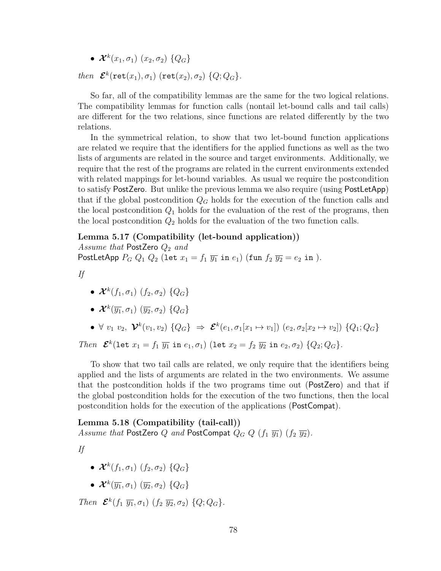$\bullet$   $\mathcal{X}^k(x_1,\sigma_1)$   $(x_2,\sigma_2)$   $\{Q_G\}$ 

then  $\mathcal{E}^k(\texttt{ret}(x_1), \sigma_1)$  (ret $(x_2), \sigma_2$ )  $\{Q; Q_G\}$ .

So far, all of the compatibility lemmas are the same for the two logical relations. The compatibility lemmas for function calls (nontail let-bound calls and tail calls) are different for the two relations, since functions are related differently by the two relations.

In the symmetrical relation, to show that two let-bound function applications are related we require that the identifiers for the applied functions as well as the two lists of arguments are related in the source and target environments. Additionally, we require that the rest of the programs are related in the current environments extended with related mappings for let-bound variables. As usual we require the postcondition to satisfy PostZero. But unlike the previous lemma we also require (using PostLetApp) that if the global postcondition  $Q_G$  holds for the execution of the function calls and the local postcondition  $Q_1$  holds for the evaluation of the rest of the programs, then the local postcondition  $Q_2$  holds for the evaluation of the two function calls.

#### Lemma 5.17 (Compatibility (let-bound application))

Assume that PostZero  $Q_2$  and PostLetApp  $P_G Q_1 Q_2$  (let  $x_1 = f_1 \overline{y_1}$  in  $e_1$ ) (fun  $f_2 \overline{y_2} = e_2$  in ).

If

- $\bullet$   $\mathcal{X}^k(f_1,\sigma_1)$   $(f_2,\sigma_2)$   $\{Q_G\}$
- $\bullet$   $\mathcal{X}^{k}(\overline{y_{1}},\sigma_{1})$   $(\overline{y_{2}},\sigma_{2})$   $\{Q_{G}\}$
- $\forall v_1 v_2, \; \mathcal{V}^k(v_1, v_2) \{Q_G\} \Rightarrow \mathcal{E}^k(e_1, \sigma_1[x_1 \mapsto v_1]) (e_2, \sigma_2[x_2 \mapsto v_2]) \{Q_1; Q_G\}$

Then  $\mathcal{E}^{k}$ (let  $x_1 = f_1 \overline{y_1}$  in  $e_1, \sigma_1$ ) (let  $x_2 = f_2 \overline{y_2}$  in  $e_2, \sigma_2$ )  $\{Q_2; Q_G\}$ .

To show that two tail calls are related, we only require that the identifiers being applied and the lists of arguments are related in the two environments. We assume that the postcondition holds if the two programs time out (PostZero) and that if the global postcondition holds for the execution of the two functions, then the local postcondition holds for the execution of the applications (PostCompat).

Lemma 5.18 (Compatibility (tail-call)) Assume that PostZero Q and PostCompat  $Q_G Q(f_1 \overline{y_1}) (f_2 \overline{y_2}).$ 

If

- $\bullet$   $\mathcal{X}^{k}(f_1,\sigma_1)$   $(f_2,\sigma_2)$   $\{Q_G\}$
- $\bullet$   $\mathcal{X}^{k}(\overline{y_{1}},\sigma_{1})$   $(\overline{y_{2}},\sigma_{2})$   $\{Q_{G}\}$

Then  $\mathcal{E}^k(f_1, \overline{y_1}, \sigma_1)$   $(f_2, \overline{y_2}, \sigma_2)$   $\{Q; Q_G\}.$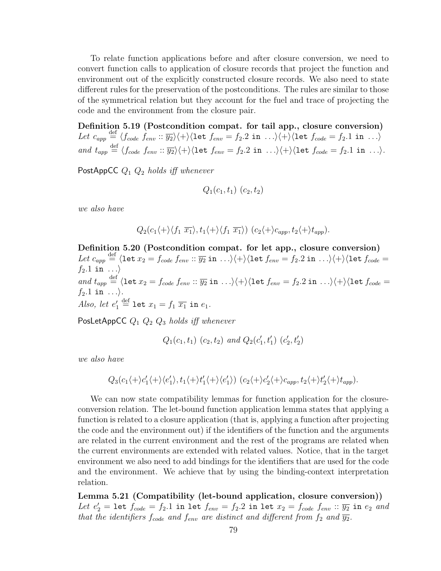To relate function applications before and after closure conversion, we need to convert function calls to application of closure records that project the function and environment out of the explicitly constructed closure records. We also need to state different rules for the preservation of the postconditions. The rules are similar to those of the symmetrical relation but they account for the fuel and trace of projecting the code and the environment from the closure pair.

Definition 5.19 (Postcondition compat. for tail app., closure conversion) Let  $c_{app} \stackrel{\text{def}}{=} \langle f_{code} \; \overrightarrow{f_{env}} :: \overrightarrow{y_2} \rangle \langle + \rangle \langle \text{let } f_{env} = f_2.2 \text{ in } ... \rangle \langle + \rangle \langle \text{let } f_{code} = f_2.1 \text{ in } ... \rangle$ and  $t_{app} \stackrel{\text{def}}{=} \langle f_{code} f_{env} : \overline{y_2} \rangle \langle + \rangle \langle \text{let } f_{env} = f_2.2 \text{ in } \dots \rangle \langle + \rangle \langle \text{let } f_{code} = f_2.1 \text{ in } \dots \rangle.$ 

PostAppCC  $Q_1$   $Q_2$  holds iff whenever

$$
Q_1(c_1, t_1) (c_2, t_2)
$$

we also have

$$
Q_2(c_1\langle +\rangle\langle f_1 \overline{x_1}\rangle, t_1\langle +\rangle\langle f_1 \overline{x_1}\rangle) (c_2\langle +\rangle c_{app}, t_2\langle +\rangle t_{app}).
$$

Definition 5.20 (Postcondition compat. for let app., closure conversion) Let  $c_{app} \stackrel{\text{def}}{=} \langle \texttt{let } x_2 = f_{code} \ f_{env} :: \overline{y_2} \ \texttt{in } \dots \rangle \langle + \rangle \langle \texttt{let } f_{env} = f_2.2 \ \texttt{in } \dots \rangle \langle + \rangle \langle \texttt{let } f_{code} = f_1 \ \texttt{in } \dots \rangle$  $f_2.1$  in  $\ldots$ and  $t_{app}\stackrel{\rm def}{=} \langle {\tt let}\ x_2=f_{code}\ f_{env}::\overline{y_2}\ {\tt in}\ \ldots\rangle\langle +\rangle\langle {\tt let}\ f_{env}=f_2.2\ {\tt in}\ \ldots\rangle\langle +\rangle\langle {\tt let}\ f_{code}=$  $f_2.1$  in  $\ldots$ ). Also, let  $e'_1 \stackrel{\text{def}}{=} \texttt{let } x_1 = f_1 \overline{x_1} \texttt{ in } e_1.$ 

PosLetAppCC  $Q_1$   $Q_2$   $Q_3$  holds iff whenever

$$
Q_1(c_1, t_1)
$$
  $(c_2, t_2)$  and  $Q_2(c'_1, t'_1)$   $(c'_2, t'_2)$ 

we also have

$$
Q_3(c_1\langle +\rangle c_1'\langle +\rangle\langle e_1'\rangle,t_1\langle +\rangle t_1'\langle +\rangle\langle e_1'\rangle) (c_2\langle +\rangle c_2'\langle +\rangle c_{app},t_2\langle +\rangle t_2'\langle +\rangle t_{app}).
$$

We can now state compatibility lemmas for function application for the closureconversion relation. The let-bound function application lemma states that applying a function is related to a closure application (that is, applying a function after projecting the code and the environment out) if the identifiers of the function and the arguments are related in the current environment and the rest of the programs are related when the current environments are extended with related values. Notice, that in the target environment we also need to add bindings for the identifiers that are used for the code and the environment. We achieve that by using the binding-context interpretation relation.

Lemma 5.21 (Compatibility (let-bound application, closure conversion)) Let  $e'_2$  = let  $f_{code} = f_2.1$  in let  $f_{env} = f_2.2$  in let  $x_2 = f_{code}$   $f_{env} :: \overline{y_2}$  in  $e_2$  and that the identifiers  $f_{code}$  and  $f_{env}$  are distinct and different from  $f_2$  and  $\overline{y_2}$ .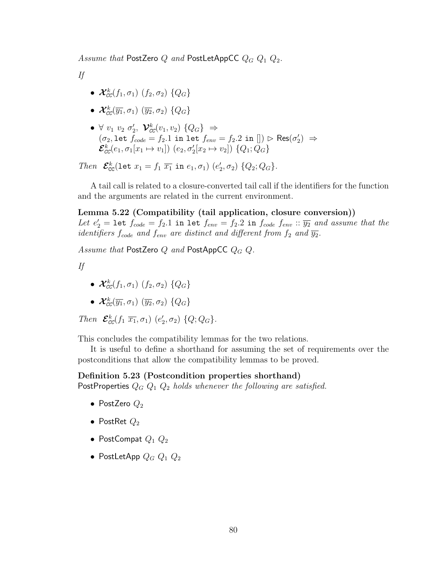Assume that PostZero Q and PostLetAppCC  $Q_G Q_1 Q_2$ .

If

- $\bullet$   $\mathcal{X}_{\text{CC}}^k(f_1,\sigma_1)$   $(f_2,\sigma_2)$   $\{Q_G\}$
- $\bullet$   $\mathcal{X}_{\text{CC}}^{k}(\overline{y_{1}},\sigma_{1})$   $(\overline{y_{2}},\sigma_{2})$   $\{Q_{G}\}$
- $\bullet \ \forall \ v_1 \ v_2 \ \sigma'_2, \ \mathcal{V}_{cc}^k(v_1, v_2) \ \{Q_G\} \ \Rightarrow$  $(\sigma_2, \texttt{let}~ \bar{f}_{code} = f_2.1~ \texttt{in}~ \texttt{let}~ f_{env} = f_2.2~ \texttt{in}~[] ) \vartriangleright \mathsf{Res}(\sigma_2') \Rightarrow$  $\mathcal{E}_{cc}^{k}(e_1, \sigma_1[x_1 \mapsto v_1]) (e_2, \sigma'_2[x_2 \mapsto v_2]) (Q_1; Q_G)$

Then  $\mathcal{E}_{\text{CC}}^k(\text{let } x_1 = f_1 \ \overline{x_1} \ \text{in } e_1, \sigma_1) \ (e'_2, \sigma_2) \ \{Q_2; Q_G\}.$ 

A tail call is related to a closure-converted tail call if the identifiers for the function and the arguments are related in the current environment.

Lemma 5.22 (Compatibility (tail application, closure conversion)) Let  $e'_2$  = let  $f_{code} = f_2.1$  in let  $f_{env} = f_2.2$  in  $f_{code}$   $f_{env}$  ::  $\overline{y_2}$  and assume that the identifiers  $f_{code}$  and  $f_{env}$  are distinct and different from  $f_2$  and  $\overline{y_2}$ .

Assume that PostZero Q and PostAppCC  $Q_G Q$ .

If

- $\bullet$   $\mathcal{X}^{k}_{\texttt{CC}}(f_1,\sigma_1)$   $(f_2,\sigma_2)$   $\{Q_G\}$
- $\bullet$   $\mathcal{X}^{k}_{\texttt{CC}}(\overline{y_1},\sigma_1)$   $(\overline{y_2},\sigma_2)$   $\{Q_G\}$

Then  $\mathcal{E}_{cc}^k(f_1 \overline{x_1}, \sigma_1)$   $(e'_2, \sigma_2)$   $\{Q; Q_G\}$ .

This concludes the compatibility lemmas for the two relations.

It is useful to define a shorthand for assuming the set of requirements over the postconditions that allow the compatibility lemmas to be proved.

## Definition 5.23 (Postcondition properties shorthand)

PostProperties  $Q_G Q_1 Q_2$  holds whenever the following are satisfied.

- PostZero  $Q_2$
- PostRet  $Q_2$
- PostCompat  $Q_1$   $Q_2$
- PostLetApp  $Q_G Q_1 Q_2$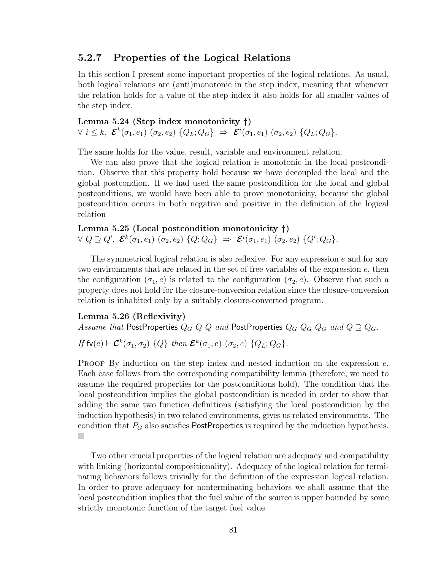## 5.2.7 Properties of the Logical Relations

In this section I present some important properties of the logical relations. As usual, both logical relations are (anti)monotonic in the step index, meaning that whenever the relation holds for a value of the step index it also holds for all smaller values of the step index.

Lemma 5.24 (Step index monotonicity †)  $\forall i \leq k, \ \mathcal{E}^k(\sigma_1, e_1) \ (\sigma_2, e_2) \ \{Q_L; Q_G\} \ \Rightarrow \ \mathcal{E}^i(\sigma_1, e_1) \ (\sigma_2, e_2) \ \{Q_L; Q_G\}.$ 

The same holds for the value, result, variable and environment relation.

We can also prove that the logical relation is monotonic in the local postcondition. Observe that this property hold because we have decoupled the local and the global postcondion. If we had used the same postcondition for the local and global postconditions, we would have been able to prove monotonicity, because the global postcondition occurs in both negative and positive in the definition of the logical relation

Lemma 5.25 (Local postcondition monotonicity †)  $\forall \; Q \supseteq Q', \; \mathcal{E}^k(\sigma_1, e_1) \; (\sigma_2, e_2) \; \{Q; Q_G\} \; \Rightarrow \; \mathcal{E}^i(\sigma_1, e_1) \; (\sigma_2, e_2) \; \{Q'; Q_G\}.$ 

The symmetrical logical relation is also reflexive. For any expression  $e$  and for any two environments that are related in the set of free variables of the expression e, then the configuration ( $\sigma_1, e$ ) is related to the configuration ( $\sigma_2, e$ ). Observe that such a property does not hold for the closure-conversion relation since the closure-conversion relation is inhabited only by a suitably closure-converted program.

#### <span id="page-91-0"></span>Lemma 5.26 (Reflexivity)

Assume that PostProperties  $Q_G Q Q$  and PostProperties  $Q_G Q_G Q_G$  and  $Q \supseteq Q_G$ .

If  $\mathsf{fv}(e) \vdash \mathcal{C}^k(\sigma_1, \sigma_2) \{Q\}$  then  $\mathcal{E}^k(\sigma_1, e)$   $(\sigma_2, e) \{Q_L; Q_G\}$ .

**PROOF** By induction on the step index and nested induction on the expression  $e$ . Each case follows from the corresponding compatibility lemma (therefore, we need to assume the required properties for the postconditions hold). The condition that the local postcondition implies the global postcondition is needed in order to show that adding the same two function definitions (satisfying the local postcondition by the induction hypothesis) in two related environments, gives us related environments. The condition that  $P_G$  also satisfies PostProperties is required by the induction hypothesis. T.

Two other crucial properties of the logical relation are adequacy and compatibility with linking (horizontal compositionality). Adequacy of the logical relation for terminating behaviors follows trivially for the definition of the expression logical relation. In order to prove adequacy for nonterminating behaviors we shall assume that the local postcondition implies that the fuel value of the source is upper bounded by some strictly monotonic function of the target fuel value.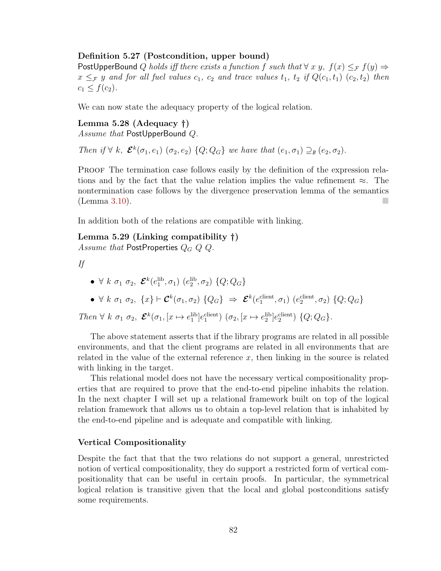#### Definition 5.27 (Postcondition, upper bound)

PostUpperBound Q holds iff there exists a function f such that  $\forall x, y, f(x) \leq_{\mathcal{F}} f(y) \Rightarrow$  $x \leq_{\mathcal{F}} y$  and for all fuel values  $c_1$ ,  $c_2$  and trace values  $t_1$ ,  $t_2$  if  $Q(c_1, t_1)$   $(c_2, t_2)$  then  $c_1 \le f(c_2)$ .

We can now state the adequacy property of the logical relation.

Lemma 5.28 (Adequacy †) Assume that PostUpperBound Q.

Then if  $\forall k, \ \mathcal{E}^k(\sigma_1, e_1) \ (\sigma_2, e_2) \ \{Q; Q_G\}$  we have that  $(e_1, \sigma_1) \supseteq_B (e_2, \sigma_2)$ .

PROOF The termination case follows easily by the definition of the expression relations and by the fact that the value relation implies the value refinement  $\approx$ . The nontermination case follows by the divergence preservation lemma of the semantics (Lemma [3.10\)](#page-44-0).

In addition both of the relations are compatible with linking.

Lemma 5.29 (Linking compatibility †) Assume that PostProperties  $Q_G Q Q$ .

If

<span id="page-92-0"></span>• 
$$
\forall k \space \sigma_1 \space \sigma_2
$$
,  $\mathcal{E}^k(e_1^{\text{lib}}, \sigma_1) \space (e_2^{\text{lib}}, \sigma_2) \space \{Q; Q_G\}$ 

•  $\forall k \sigma_1 \sigma_2, \{x\} \vdash \mathcal{C}^k(\sigma_1, \sigma_2) \{Q_G\} \Rightarrow \mathcal{E}^k(e_1^{\text{client}}, \sigma_1) (e_2^{\text{client}}, \sigma_2) \{Q; Q_G\}$ 

Then  $\forall k \space \sigma_1 \space \sigma_2$ ,  $\mathcal{E}^k(\sigma_1, [x \mapsto e_1^{\text{lib}}]e_1^{\text{client}}) \space (\sigma_2, [x \mapsto e_2^{\text{lib}}]e_2^{\text{client}}) \space \{Q; Q_G\}.$ 

The above statement asserts that if the library programs are related in all possible environments, and that the client programs are related in all environments that are related in the value of the external reference  $x$ , then linking in the source is related with linking in the target.

This relational model does not have the necessary vertical compositionality properties that are required to prove that the end-to-end pipeline inhabits the relation. In the next chapter I will set up a relational framework built on top of the logical relation framework that allows us to obtain a top-level relation that is inhabited by the end-to-end pipeline and is adequate and compatible with linking.

#### Vertical Compositionality

<span id="page-92-1"></span>Despite the fact that that the two relations do not support a general, unrestricted notion of vertical compositionality, they do support a restricted form of vertical compositionality that can be useful in certain proofs. In particular, the symmetrical logical relation is transitive given that the local and global postconditions satisfy some requirements.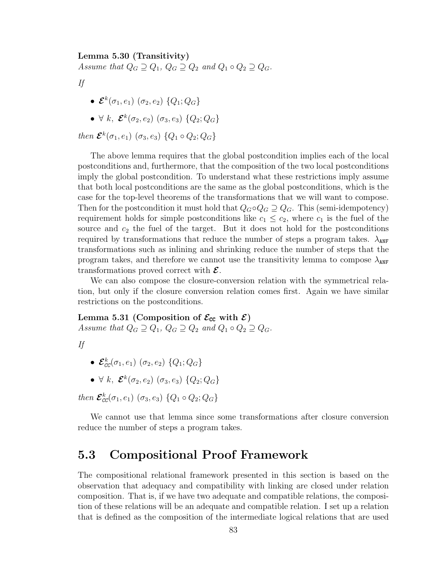#### Lemma 5.30 (Transitivity)

Assume that  $Q_G \supseteq Q_1$ ,  $Q_G \supseteq Q_2$  and  $Q_1 \circ Q_2 \supseteq Q_G$ .

If

- $\bullet$   ${\mathcal E}^k(\sigma_1,e_1)$   $(\sigma_2,e_2)$   $\{Q_1;Q_G\}$
- $\forall k, \ \mathcal{E}^{k}(\sigma_2, e_2) \ (\sigma_3, e_3) \ \{Q_2; Q_G\}$

then  $\mathcal{E}^{k}(\sigma_1, e_1)$   $(\sigma_3, e_3)$   $\{Q_1 \circ Q_2; Q_G\}$ 

The above lemma requires that the global postcondition implies each of the local postconditions and, furthermore, that the composition of the two local postconditions imply the global postcondition. To understand what these restrictions imply assume that both local postconditions are the same as the global postconditions, which is the case for the top-level theorems of the transformations that we will want to compose. Then for the postcondition it must hold that  $Q_G \circ Q_G \supseteq Q_G$ . This (semi-idempotency) requirement holds for simple postconditions like  $c_1 \leq c_2$ , where  $c_1$  is the fuel of the source and  $c_2$  the fuel of the target. But it does not hold for the postconditions required by transformations that reduce the number of steps a program takes.  $\lambda_{\text{ANF}}$ transformations such as inlining and shrinking reduce the number of steps that the program takes, and therefore we cannot use the transitivity lemma to compose  $\lambda_{\text{ANF}}$ transformations proved correct with  $\mathcal{E}$ .

We can also compose the closure-conversion relation with the symmetrical relation, but only if the closure conversion relation comes first. Again we have similar restrictions on the postconditions.

Lemma 5.31 (Composition of  $\mathcal{E}_{cc}$  with  $\mathcal{E}$ ) Assume that  $Q_G \supseteq Q_1$ ,  $Q_G \supseteq Q_2$  and  $Q_1 \circ Q_2 \supseteq Q_G$ .

| ٠ |  |
|---|--|

- $\bullet$   $\mathcal{E}_{cc}^{k}(\sigma_{1},e_{1})\ (\sigma_{2},e_{2})\ \{Q_{1};Q_{G}\}$
- $\forall k, \ \mathcal{E}^{k}(\sigma_2, e_2) \ (\sigma_3, e_3) \ \{Q_2; Q_G\}$

then  $\mathcal{E}_{cc}^{k}(\sigma_1, e_1)$   $(\sigma_3, e_3)$   $\{Q_1 \circ Q_2; Q_G\}$ 

We cannot use that lemma since some transformations after closure conversion reduce the number of steps a program takes.

# 5.3 Compositional Proof Framework

The compositional relational framework presented in this section is based on the observation that adequacy and compatibility with linking are closed under relation composition. That is, if we have two adequate and compatible relations, the composition of these relations will be an adequate and compatible relation. I set up a relation that is defined as the composition of the intermediate logical relations that are used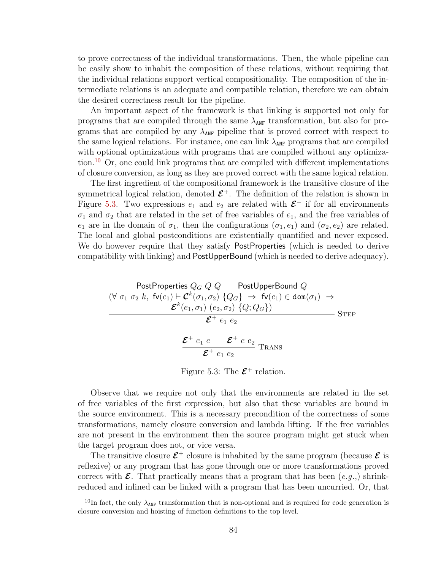to prove correctness of the individual transformations. Then, the whole pipeline can be easily show to inhabit the composition of these relations, without requiring that the individual relations support vertical compositionality. The composition of the intermediate relations is an adequate and compatible relation, therefore we can obtain the desired correctness result for the pipeline.

An important aspect of the framework is that linking is supported not only for programs that are compiled through the same  $\lambda_{\text{ANF}}$  transformation, but also for programs that are compiled by any  $\lambda_{\text{ANF}}$  pipeline that is proved correct with respect to the same logical relations. For instance, one can link  $\lambda_{\text{ANF}}$  programs that are compiled with optional optimizations with programs that are compiled without any optimiza-tion.<sup>[10](#page-94-0)</sup> Or, one could link programs that are compiled with different implementations of closure conversion, as long as they are proved correct with the same logical relation.

The first ingredient of the compositional framework is the transitive closure of the symmetrical logical relation, denoted  $\mathcal{E}^+$ . The definition of the relation is shown in Figure [5.3.](#page-94-1) Two expressions  $e_1$  and  $e_2$  are related with  $\mathcal{E}^+$  if for all environments  $\sigma_1$  and  $\sigma_2$  that are related in the set of free variables of  $e_1$ , and the free variables of  $e_1$  are in the domain of  $\sigma_1$ , then the configurations  $(\sigma_1, e_1)$  and  $(\sigma_2, e_2)$  are related. The local and global postconditions are existentially quantified and never exposed. We do however require that they satisfy PostProperties (which is needed to derive compatibility with linking) and PostUpperBound (which is needed to derive adequacy).

<span id="page-94-1"></span>PostProperties 
$$
Q_G Q
$$
 PostUpperBound  $Q$   
\n $(\forall \sigma_1 \sigma_2 k, \text{fv}(e_1) \vdash \mathcal{C}^k(\sigma_1, \sigma_2) \{Q_G\} \Rightarrow \text{fv}(e_1) \in \text{dom}(\sigma_1) \Rightarrow$   
\n $\mathcal{E}^k(e_1, \sigma_1) (e_2, \sigma_2) \{Q; Q_G\})$   
\n $\mathcal{E}^+ e_1 e_2$   
\n $\mathcal{E}^+ e_1 e_2$   
\nTrans

Figure 5.3: The  $\mathcal{E}^+$  relation.

Observe that we require not only that the environments are related in the set of free variables of the first expression, but also that these variables are bound in the source environment. This is a necessary precondition of the correctness of some transformations, namely closure conversion and lambda lifting. If the free variables are not present in the environment then the source program might get stuck when the target program does not, or vice versa.

The transitive closure  $\mathcal{E}^+$  closure is inhabited by the same program (because  $\mathcal{E}$  is reflexive) or any program that has gone through one or more transformations proved correct with  $\mathcal{E}$ . That practically means that a program that has been  $(e.g.,)$  shrinkreduced and inlined can be linked with a program that has been uncurried. Or, that

<span id="page-94-0"></span><sup>&</sup>lt;sup>10</sup>In fact, the only  $\lambda_{\text{ANF}}$  transformation that is non-optional and is required for code generation is closure conversion and hoisting of function definitions to the top level.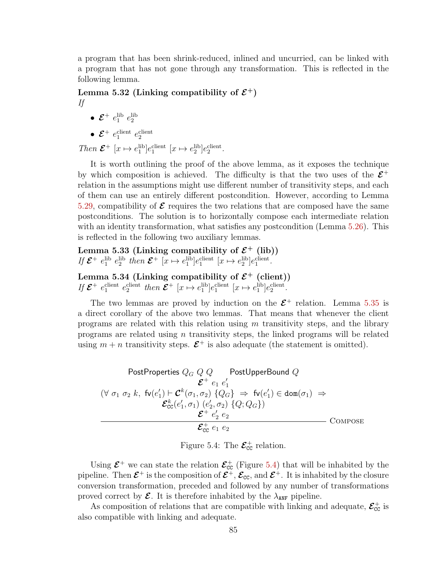a program that has been shrink-reduced, inlined and uncurried, can be linked with a program that has not gone through any transformation. This is reflected in the following lemma.

Lemma 5.32 (Linking compatibility of  $\mathcal{E}^+$ ) If

$$
f_{\rm{max}}
$$

 $\bullet$   $\mathcal{E}^+$   $e_1^{\text{lib}}$   $e_2^{\text{lib}}$ 

• 
$$
\mathcal{E}^+
$$
  $e_1^{\text{client}}$   $e_2^{\text{client}}$ 

Then  $\mathcal{E}^+$  [ $x \mapsto e_1^{\text{lib}}$ ] $e_1^{\text{client}}$  [ $x \mapsto e_2^{\text{lib}}$ ] $e_2^{\text{client}}$ .

It is worth outlining the proof of the above lemma, as it exposes the technique by which composition is achieved. The difficulty is that the two uses of the  $\mathcal{E}^+$ relation in the assumptions might use different number of transitivity steps, and each of them can use an entirely different postcondition. However, according to Lemma [5.29,](#page-92-0) compatibility of  $\mathcal E$  requires the two relations that are composed have the same postconditions. The solution is to horizontally compose each intermediate relation with an identity transformation, what satisfies any postcondition (Lemma [5.26\)](#page-91-0). This is reflected in the following two auxiliary lemmas.

Lemma 5.33 (Linking compatibility of  $\mathcal{E}^+$  (lib)) If  $\mathcal{E}^+$   $e_1^{\text{lib}}$   $e_2^{\text{lib}}$  then  $\mathcal{E}^+$  [ $x \mapsto e_1^{\text{lib}}$ ] $e_1^{\text{client}}$  [ $x \mapsto e_2^{\text{lib}}$ ] $e_1^{\text{client}}$ .

Lemma 5.34 (Linking compatibility of  $\mathcal{E}^+$  (client)) If  $\mathcal{E}^+$  explient  $e_2^{\text{client}}$  then  $\mathcal{E}^+$  [ $x \mapsto e_1^{\text{lib}}e_1^{\text{client}}$  [ $x \mapsto e_1^{\text{lib}}e_2^{\text{client}}$ .

The two lemmas are proved by induction on the  $\mathcal{E}^+$  relation. Lemma [5.35](#page-95-0) is a direct corollary of the above two lemmas. That means that whenever the client programs are related with this relation using  $m$  transitivity steps, and the library programs are related using  $n$  transitivity steps, the linked programs will be related using  $m + n$  transitivity steps.  $\mathcal{E}^+$  is also adequate (the statement is omitted).

<span id="page-95-1"></span>PostProperties 
$$
Q_G
$$
  $Q$   $Q$  PostUpperBound  $Q$   
\n $\mathcal{E}^+ e_1 e'_1$   
\n $(\forall \sigma_1 \sigma_2 k, \text{fv}(e'_1) \vdash \mathcal{C}^k(\sigma_1, \sigma_2) \{Q_G\} \Rightarrow \text{fv}(e'_1) \in \text{dom}(\sigma_1) \Rightarrow$   
\n $\mathcal{E}^k_{cc}(e'_1, \sigma_1) (e'_2, \sigma_2) \{Q_G\})$   
\n $\mathcal{E}^+ e'_2 e_2$   
\n $\mathcal{E}^+_{cc} e_1 e_2$   
\nCOMPOSE

Figure 5.4: The  $\mathcal{E}_{\text{cc}}^{+}$  relation.

Using  $\mathcal{E}^+$  we can state the relation  $\mathcal{E}^+_{cc}$  (Figure [5.4\)](#page-95-1) that will be inhabited by the pipeline. Then  $\mathcal{E}^+$  is the composition of  $\mathcal{E}^+$ ,  $\mathcal{E}_{cc}$ , and  $\mathcal{E}^+$ . It is inhabited by the closure conversion transformation, preceded and followed by any number of transformations proved correct by  $\mathcal{E}$ . It is therefore inhabited by the  $\lambda_{\text{ANF}}$  pipeline.

<span id="page-95-0"></span>As composition of relations that are compatible with linking and adequate,  $\mathcal{E}_{\text{CC}}^{+}$  is also compatible with linking and adequate.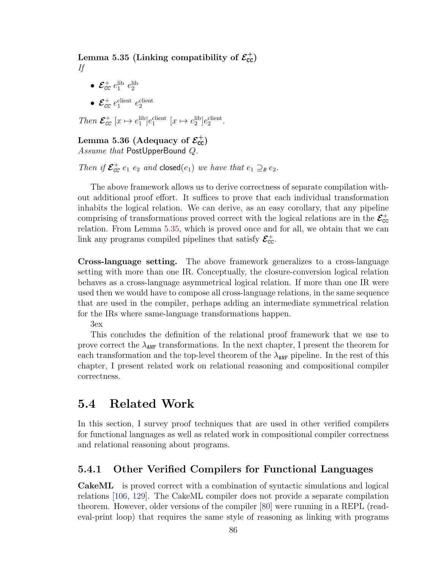Lemma 5.35 (Linking compatibility of  $\mathcal{E}_{\text{cc}}^+$ ) If

- $\bullet$   $\mathcal{E}_{cc}^{+}$   $e_{1}^{\mathrm{lib}}$   $e_{2}^{\mathrm{lib}}$
- $\mathcal{E}_{cc}^+$   $e_1^{\text{client}}$   $e_2^{\text{client}}$

Then  $\mathcal{E}_{cc}^+$  [ $x \mapsto e_1^{\text{lib}}$ ] $e_1^{\text{client}}$  [ $x \mapsto e_2^{\text{lib}}$ ] $e_2^{\text{client}}$ .

# <span id="page-96-1"></span>Lemma 5.36 (Adequacy of  $\mathcal{E}_{\text{cc}}^{+}$ )

Assume that PostUpperBound Q.

Then if  $\mathcal{E}_{cc}^+$  e<sub>1</sub> e<sub>2</sub> and closed(e<sub>1</sub>) we have that  $e_1 \supseteq_{B} e_2$ .

The above framework allows us to derive correctness of separate compilation without additional proof effort. It suffices to prove that each individual transformation inhabits the logical relation. We can derive, as an easy corollary, that any pipeline comprising of transformations proved correct with the logical relations are in the  $\mathcal{E}_{cc}^+$ relation. From Lemma [5.35,](#page-95-0) which is proved once and for all, we obtain that we can link any programs compiled pipelines that satisfy  $\mathcal{E}_{cc}^+$ .

Cross-language setting. The above framework generalizes to a cross-language setting with more than one IR. Conceptually, the closure-conversion logical relation behaves as a cross-language asymmetrical logical relation. If more than one IR were used then we would have to compose all cross-language relations, in the same sequence that are used in the compiler, perhaps adding an intermediate symmetrical relation for the IRs where same-language transformations happen.

3ex

This concludes the definition of the relational proof framework that we use to prove correct the  $\lambda_{ANF}$  transformations. In the next chapter, I present the theorem for each transformation and the top-level theorem of the  $\lambda_{\text{ANF}}$  pipeline. In the rest of this chapter, I present related work on relational reasoning and compositional compiler correctness.

# <span id="page-96-0"></span>5.4 Related Work

In this section, I survey proof techniques that are used in other verified compilers for functional languages as well as related work in compositional compiler correctness and relational reasoning about programs.

# 5.4.1 Other Verified Compilers for Functional Languages

CakeML is proved correct with a combination of syntactic simulations and logical relations [\[106,](#page-168-1) [129\]](#page-170-1). The CakeML compiler does not provide a separate compilation theorem. However, older versions of the compiler [\[80\]](#page-166-1) were running in a REPL (readeval-print loop) that requires the same style of reasoning as linking with programs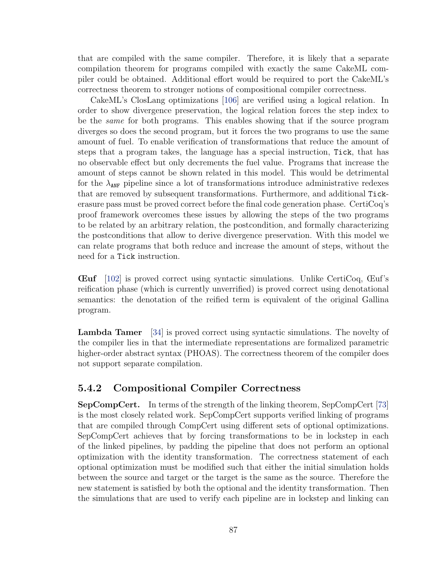that are compiled with the same compiler. Therefore, it is likely that a separate compilation theorem for programs compiled with exactly the same CakeML compiler could be obtained. Additional effort would be required to port the CakeML's correctness theorem to stronger notions of compositional compiler correctness.

CakeML's ClosLang optimizations [\[106\]](#page-168-1) are verified using a logical relation. In order to show divergence preservation, the logical relation forces the step index to be the same for both programs. This enables showing that if the source program diverges so does the second program, but it forces the two programs to use the same amount of fuel. To enable verification of transformations that reduce the amount of steps that a program takes, the language has a special instruction, Tick, that has no observable effect but only decrements the fuel value. Programs that increase the amount of steps cannot be shown related in this model. This would be detrimental for the  $\lambda_{\text{ANF}}$  pipeline since a lot of transformations introduce administrative redexes that are removed by subsequent transformations. Furthermore, and additional Tickerasure pass must be proved correct before the final code generation phase. CertiCoq's proof framework overcomes these issues by allowing the steps of the two programs to be related by an arbitrary relation, the postcondition, and formally characterizing the postconditions that allow to derive divergence preservation. With this model we can relate programs that both reduce and increase the amount of steps, without the need for a Tick instruction.

Œuf [\[102\]](#page-168-2) is proved correct using syntactic simulations. Unlike CertiCoq, Œuf's reification phase (which is currently unverrified) is proved correct using denotational semantics: the denotation of the reified term is equivalent of the original Gallina program.

Lambda Tamer [\[34\]](#page-162-0) is proved correct using syntactic simulations. The novelty of the compiler lies in that the intermediate representations are formalized parametric higher-order abstract syntax (PHOAS). The correctness theorem of the compiler does not support separate compilation.

# 5.4.2 Compositional Compiler Correctness

SepCompCert. In terms of the strength of the linking theorem, SepCompCert [\[73\]](#page-166-0) is the most closely related work. SepCompCert supports verified linking of programs that are compiled through CompCert using different sets of optional optimizations. SepCompCert achieves that by forcing transformations to be in lockstep in each of the linked pipelines, by padding the pipeline that does not perform an optional optimization with the identity transformation. The correctness statement of each optional optimization must be modified such that either the initial simulation holds between the source and target or the target is the same as the source. Therefore the new statement is satisfied by both the optional and the identity transformation. Then the simulations that are used to verify each pipeline are in lockstep and linking can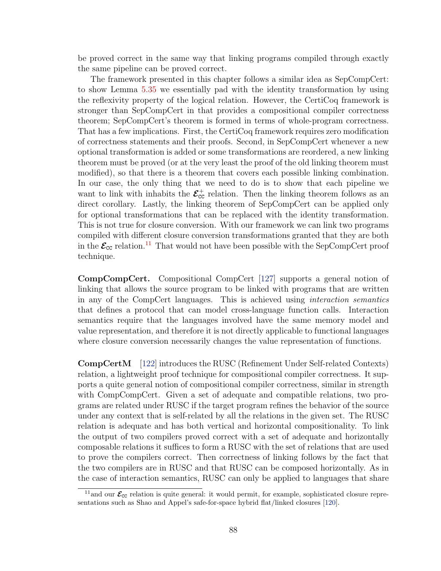be proved correct in the same way that linking programs compiled through exactly the same pipeline can be proved correct.

The framework presented in this chapter follows a similar idea as SepCompCert: to show Lemma [5.35](#page-95-0) we essentially pad with the identity transformation by using the reflexivity property of the logical relation. However, the CertiCoq framework is stronger than SepCompCert in that provides a compositional compiler correctness theorem; SepCompCert's theorem is formed in terms of whole-program correctness. That has a few implications. First, the CertiCoq framework requires zero modification of correctness statements and their proofs. Second, in SepCompCert whenever a new optional transformation is added or some transformations are reordered, a new linking theorem must be proved (or at the very least the proof of the old linking theorem must modified), so that there is a theorem that covers each possible linking combination. In our case, the only thing that we need to do is to show that each pipeline we want to link with inhabits the  $\mathcal{E}_{\text{cc}}^+$  relation. Then the linking theorem follows as an direct corollary. Lastly, the linking theorem of SepCompCert can be applied only for optional transformations that can be replaced with the identity transformation. This is not true for closure conversion. With our framework we can link two programs compiled with different closure conversion transformations granted that they are both in the  $\mathcal{E}_{\text{CC}}$  relation.<sup>[11](#page-98-0)</sup> That would not have been possible with the SepCompCert proof technique.

CompCompCert. Compositional CompCert [\[127\]](#page-170-2) supports a general notion of linking that allows the source program to be linked with programs that are written in any of the CompCert languages. This is achieved using interaction semantics that defines a protocol that can model cross-language function calls. Interaction semantics require that the languages involved have the same memory model and value representation, and therefore it is not directly applicable to functional languages where closure conversion necessarily changes the value representation of functions.

CompCertM [\[122\]](#page-170-3) introduces the RUSC (Refinement Under Self-related Contexts) relation, a lightweight proof technique for compositional compiler correctness. It supports a quite general notion of compositional compiler correctness, similar in strength with CompCompCert. Given a set of adequate and compatible relations, two programs are related under RUSC if the target program refines the behavior of the source under any context that is self-related by all the relations in the given set. The RUSC relation is adequate and has both vertical and horizontal compositionality. To link the output of two compilers proved correct with a set of adequate and horizontally composable relations it suffices to form a RUSC with the set of relations that are used to prove the compilers correct. Then correctness of linking follows by the fact that the two compilers are in RUSC and that RUSC can be composed horizontally. As in the case of interaction semantics, RUSC can only be applied to languages that share

<span id="page-98-0"></span><sup>&</sup>lt;sup>11</sup> and our  $\mathcal{E}_{\text{CC}}$  relation is quite general: it would permit, for example, sophisticated closure representations such as Shao and Appel's safe-for-space hybrid flat/linked closures [\[120\]](#page-170-4).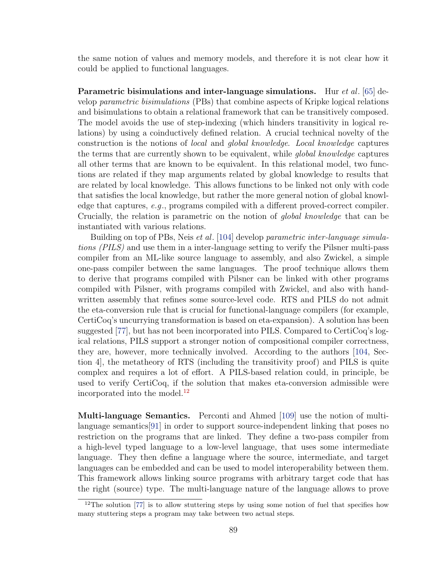the same notion of values and memory models, and therefore it is not clear how it could be applied to functional languages.

Parametric bisimulations and inter-language simulations. Hur *et al.* [\[65\]](#page-165-0) develop parametric bisimulations (PBs) that combine aspects of Kripke logical relations and bisimulations to obtain a relational framework that can be transitively composed. The model avoids the use of step-indexing (which hinders transitivity in logical relations) by using a coinductively defined relation. A crucial technical novelty of the construction is the notions of local and global knowledge. Local knowledge captures the terms that are currently shown to be equivalent, while global knowledge captures all other terms that are known to be equivalent. In this relational model, two functions are related if they map arguments related by global knowledge to results that are related by local knowledge. This allows functions to be linked not only with code that satisfies the local knowledge, but rather the more general notion of global knowledge that captures, e.g., programs compiled with a different proved-correct compiler. Crucially, the relation is parametric on the notion of global knowledge that can be instantiated with various relations.

Building on top of PBs, Neis et al. [\[104\]](#page-168-0) develop parametric inter-language simulations (PILS) and use them in a inter-language setting to verify the Pilsner multi-pass compiler from an ML-like source language to assembly, and also Zwickel, a simple one-pass compiler between the same languages. The proof technique allows them to derive that programs compiled with Pilsner can be linked with other programs compiled with Pilsner, with programs compiled with Zwickel, and also with handwritten assembly that refines some source-level code. RTS and PILS do not admit the eta-conversion rule that is crucial for functional-language compilers (for example, CertiCoq's uncurrying transformation is based on eta-expansion). A solution has been suggested [\[77\]](#page-166-2), but has not been incorporated into PILS. Compared to CertiCoq's logical relations, PILS support a stronger notion of compositional compiler correctness, they are, however, more technically involved. According to the authors [\[104,](#page-168-0) Section 4], the metatheory of RTS (including the transitivity proof) and PILS is quite complex and requires a lot of effort. A PILS-based relation could, in principle, be used to verify CertiCoq, if the solution that makes eta-conversion admissible were incorporated into the model.<sup>[12](#page-99-0)</sup>

Multi-language Semantics. Perconti and Ahmed [\[109\]](#page-169-1) use the notion of multilanguage semantics[\[91\]](#page-167-0) in order to support source-independent linking that poses no restriction on the programs that are linked. They define a two-pass compiler from a high-level typed language to a low-level language, that uses some intermediate language. They then define a language where the source, intermediate, and target languages can be embedded and can be used to model interoperability between them. This framework allows linking source programs with arbitrary target code that has the right (source) type. The multi-language nature of the language allows to prove

<span id="page-99-0"></span><sup>&</sup>lt;sup>12</sup>The solution [\[77\]](#page-166-2) is to allow stuttering steps by using some notion of fuel that specifies how many stuttering steps a program may take between two actual steps.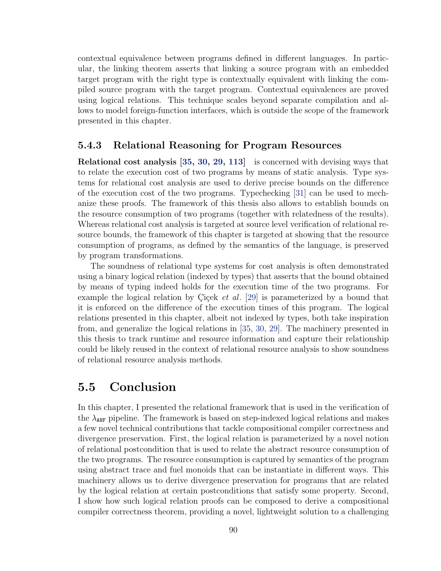contextual equivalence between programs defined in different languages. In particular, the linking theorem asserts that linking a source program with an embedded target program with the right type is contextually equivalent with linking the compiled source program with the target program. Contextual equivalences are proved using logical relations. This technique scales beyond separate compilation and allows to model foreign-function interfaces, which is outside the scope of the framework presented in this chapter.

## 5.4.3 Relational Reasoning for Program Resources

Relational cost analysis [\[35,](#page-162-1) [30,](#page-161-0) [29,](#page-161-1) [113\]](#page-169-2) is concerned with devising ways that to relate the execution cost of two programs by means of static analysis. Type systems for relational cost analysis are used to derive precise bounds on the difference of the execution cost of the two programs. Typechecking [\[31\]](#page-161-2) can be used to mechanize these proofs. The framework of this thesis also allows to establish bounds on the resource consumption of two programs (together with relatedness of the results). Whereas relational cost analysis is targeted at source level verification of relational resource bounds, the framework of this chapter is targeted at showing that the resource consumption of programs, as defined by the semantics of the language, is preserved by program transformations.

The soundness of relational type systems for cost analysis is often demonstrated using a binary logical relation (indexed by types) that asserts that the bound obtained by means of typing indeed holds for the execution time of the two programs. For example the logical relation by Cicek et al. [\[29\]](#page-161-1) is parameterized by a bound that it is enforced on the difference of the execution times of this program. The logical relations presented in this chapter, albeit not indexed by types, both take inspiration from, and generalize the logical relations in [\[35,](#page-162-1) [30,](#page-161-0) [29\]](#page-161-1). The machinery presented in this thesis to track runtime and resource information and capture their relationship could be likely reused in the context of relational resource analysis to show soundness of relational resource analysis methods.

# 5.5 Conclusion

In this chapter, I presented the relational framework that is used in the verification of the  $\lambda_{\text{ANF}}$  pipeline. The framework is based on step-indexed logical relations and makes a few novel technical contributions that tackle compositional compiler correctness and divergence preservation. First, the logical relation is parameterized by a novel notion of relational postcondition that is used to relate the abstract resource consumption of the two programs. The resource consumption is captured by semantics of the program using abstract trace and fuel monoids that can be instantiate in different ways. This machinery allows us to derive divergence preservation for programs that are related by the logical relation at certain postconditions that satisfy some property. Second, I show how such logical relation proofs can be composed to derive a compositional compiler correctness theorem, providing a novel, lightweight solution to a challenging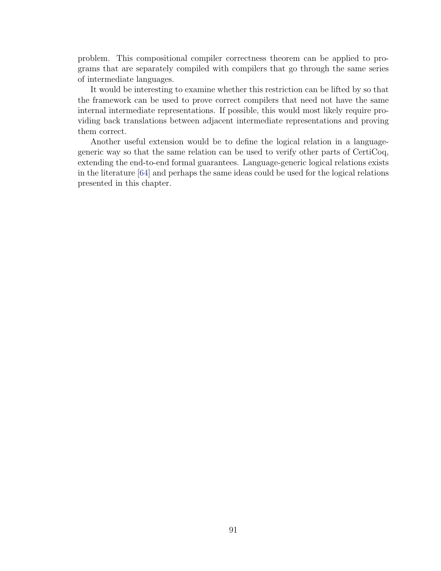problem. This compositional compiler correctness theorem can be applied to programs that are separately compiled with compilers that go through the same series of intermediate languages.

It would be interesting to examine whether this restriction can be lifted by so that the framework can be used to prove correct compilers that need not have the same internal intermediate representations. If possible, this would most likely require providing back translations between adjacent intermediate representations and proving them correct.

Another useful extension would be to define the logical relation in a languagegeneric way so that the same relation can be used to verify other parts of CertiCoq, extending the end-to-end formal guarantees. Language-generic logical relations exists in the literature [\[64\]](#page-165-1) and perhaps the same ideas could be used for the logical relations presented in this chapter.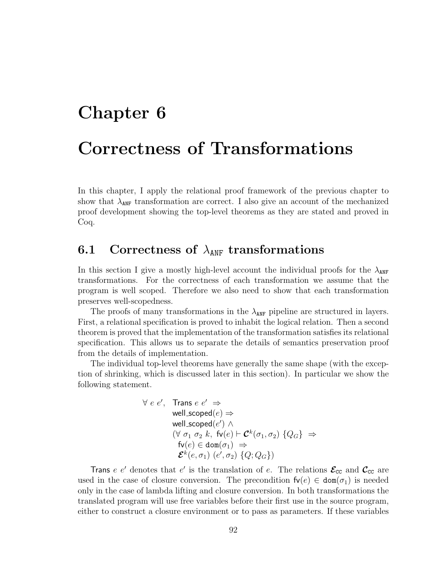# Chapter 6

# Correctness of Transformations

In this chapter, I apply the relational proof framework of the previous chapter to show that  $\lambda_{ANF}$  transformation are correct. I also give an account of the mechanized proof development showing the top-level theorems as they are stated and proved in Coq.

# 6.1 Correctness of  $\lambda_{ANF}$  transformations

In this section I give a mostly high-level account the individual proofs for the  $\lambda_{\text{ANF}}$ transformations. For the correctness of each transformation we assume that the program is well scoped. Therefore we also need to show that each transformation preserves well-scopedness.

The proofs of many transformations in the  $\lambda_{\text{ANF}}$  pipeline are structured in layers. First, a relational specification is proved to inhabit the logical relation. Then a second theorem is proved that the implementation of the transformation satisfies its relational specification. This allows us to separate the details of semantics preservation proof from the details of implementation.

The individual top-level theorems have generally the same shape (with the exception of shrinking, which is discussed later in this section). In particular we show the following statement.

$$
\forall e e', \text{ Trans } e e' \Rightarrow
$$
  
well\_scoped(e)  $\Rightarrow$   
well\_scoped(e')  $\land$   
 $(\forall \sigma_1 \sigma_2 k, \text{fv}(e) \vdash \mathcal{C}^k(\sigma_1, \sigma_2) \{Q_G\} \Rightarrow$   
 $\text{fv}(e) \in \text{dom}(\sigma_1) \Rightarrow$   
 $\mathcal{E}^k(e, \sigma_1) (e', \sigma_2) \{Q; Q_G\})$ 

Trans e e' denotes that e' is the translation of e. The relations  $\mathcal{E}_{cc}$  and  $\mathcal{C}_{cc}$  are used in the case of closure conversion. The precondition  $f\nu(e) \in \text{dom}(\sigma_1)$  is needed only in the case of lambda lifting and closure conversion. In both transformations the translated program will use free variables before their first use in the source program, either to construct a closure environment or to pass as parameters. If these variables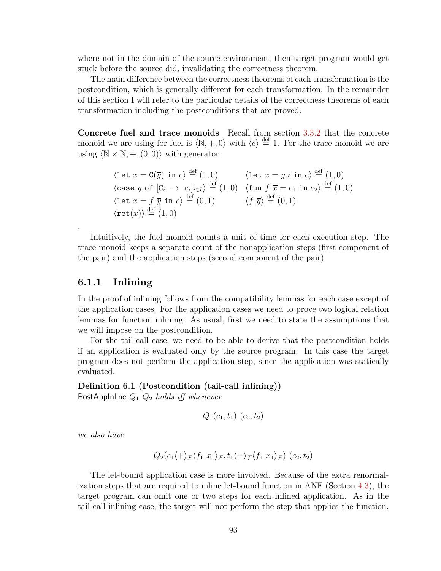where not in the domain of the source environment, then target program would get stuck before the source did, invalidating the correctness theorem.

The main difference between the correctness theorems of each transformation is the postcondition, which is generally different for each transformation. In the remainder of this section I will refer to the particular details of the correctness theorems of each transformation including the postconditions that are proved.

Concrete fuel and trace monoids Recall from section [3.3.2](#page-39-0) that the concrete monoid we are using for fuel is  $\langle \mathbb{N}, +, 0 \rangle$  with  $\langle e \rangle \stackrel{\text{def}}{=} 1$ . For the trace monoid we are using  $\langle \mathbb{N} \times \mathbb{N}, +, (0, 0) \rangle$  with generator:

$$
\begin{array}{ll}\n\langle \text{let } x = \text{C}(\overline{y}) \text{ in } e \rangle \stackrel{\text{def}}{=} (1,0) & \langle \text{let } x = y.i \text{ in } e \rangle \stackrel{\text{def}}{=} (1,0) \\
\langle \text{case } y \text{ of } [C_i \rightarrow e_i]_{i \in I} \rangle \stackrel{\text{def}}{=} (1,0) & \langle \text{fun } f \overline{x} = e_1 \text{ in } e_2 \rangle \stackrel{\text{def}}{=} (1,0) \\
\langle \text{let } x = f \overline{y} \text{ in } e \rangle \stackrel{\text{def}}{=} (0,1) & \langle f \overline{y} \rangle \stackrel{\text{def}}{=} (0,1) \\
\langle \text{ret}(x) \rangle \stackrel{\text{def}}{=} (1,0)\n\end{array}
$$

Intuitively, the fuel monoid counts a unit of time for each execution step. The trace monoid keeps a separate count of the nonapplication steps (first component of the pair) and the application steps (second component of the pair)

## <span id="page-103-0"></span>6.1.1 Inlining

.

In the proof of inlining follows from the compatibility lemmas for each case except of the application cases. For the application cases we need to prove two logical relation lemmas for function inlining. As usual, first we need to state the assumptions that we will impose on the postcondition.

For the tail-call case, we need to be able to derive that the postcondition holds if an application is evaluated only by the source program. In this case the target program does not perform the application step, since the application was statically evaluated.

#### Definition 6.1 (Postcondition (tail-call inlining))

PostAppInline  $Q_1$   $Q_2$  holds iff whenever

$$
Q_1(c_1, t_1) (c_2, t_2)
$$

we also have

$$
Q_2(c_1\langle + \rangle_{\mathcal{F}} \langle f_1 \overline{x_1} \rangle_{\mathcal{F}}, t_1\langle + \rangle_{\mathcal{T}} \langle f_1 \overline{x_1} \rangle_{\mathcal{F}}) (c_2, t_2)
$$

The let-bound application case is more involved. Because of the extra renormalization steps that are required to inline let-bound function in ANF (Section [4.3\)](#page-50-0), the target program can omit one or two steps for each inlined application. As in the tail-call inlining case, the target will not perform the step that applies the function.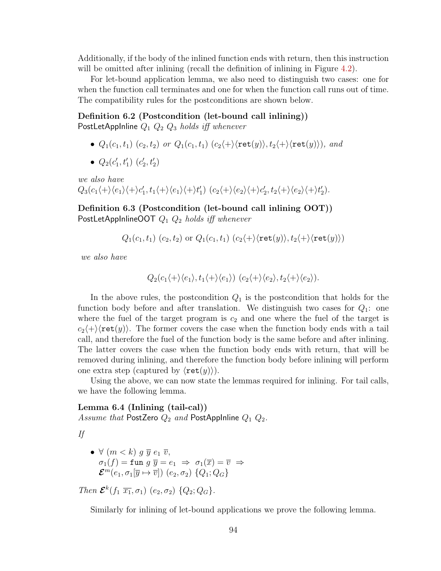Additionally, if the body of the inlined function ends with return, then this instruction will be omitted after inlining (recall the definition of inlining in Figure [4.2\)](#page-54-0).

For let-bound application lemma, we also need to distinguish two cases: one for when the function call terminates and one for when the function call runs out of time. The compatibility rules for the postconditions are shown below.

Definition 6.2 (Postcondition (let-bound call inlining)) PostLetAppInline  $Q_1$   $Q_2$   $Q_3$  holds iff whenever

- $Q_1(c_1, t_1)$   $(c_2, t_2)$  or  $Q_1(c_1, t_1)$   $(c_2\langle + \rangle \langle \text{ret}(y) \rangle, t_2\langle + \rangle \langle \text{ret}(y) \rangle)$ , and
- $Q_2(c'_1, t'_1)$   $(c'_2, t'_2)$

we also have  $Q_3(c_1\langle +\rangle\langle e_1\rangle\langle +\rangle c_1', t_1\langle +\rangle\langle e_1\rangle\langle +\rangle t_1') (c_2\langle +\rangle\langle e_2\rangle\langle +\rangle c_2', t_2\langle +\rangle\langle e_2\rangle\langle +\rangle t_2').$ 

Definition 6.3 (Postcondition (let-bound call inlining OOT)) PostLetAppInlineOOT  $Q_1 Q_2$  holds iff whenever

 $Q_1(c_1, t_1)$   $(c_2, t_2)$  or  $Q_1(c_1, t_1)$   $(c_2\langle +\rangle\langle \text{ret}(y)\rangle, t_2\langle +\rangle\langle \text{ret}(y)\rangle)$ 

we also have

$$
Q_2(c_1\langle +\rangle\langle e_1\rangle, t_1\langle +\rangle\langle e_1\rangle) (c_2\langle +\rangle\langle e_2\rangle, t_2\langle +\rangle\langle e_2\rangle).
$$

In the above rules, the postcondition  $Q_1$  is the postcondition that holds for the function body before and after translation. We distinguish two cases for  $Q_1$ : one where the fuel of the target program is  $c_2$  and one where the fuel of the target is  $c_2\langle +\rangle\langle \text{ret}(y)\rangle$ . The former covers the case when the function body ends with a tail call, and therefore the fuel of the function body is the same before and after inlining. The latter covers the case when the function body ends with return, that will be removed during inlining, and therefore the function body before inlining will perform one extra step (captured by  $\langle \text{ret}(y) \rangle$ ).

Using the above, we can now state the lemmas required for inlining. For tail calls, we have the following lemma.

<span id="page-104-0"></span>Lemma 6.4 (Inlining (tail-cal)) Assume that PostZero  $Q_2$  and PostAppInline  $Q_1$   $Q_2$ .

If

• 
$$
\forall
$$
  $(m < k)$   $g \overline{y} e_1 \overline{v}$ ,  
\n $\sigma_1(f) = \text{fun } g \overline{y} = e_1 \Rightarrow \sigma_1(\overline{x}) = \overline{v} \Rightarrow$   
\n $\mathcal{E}^m(e_1, \sigma_1[\overline{y} \mapsto \overline{v}]) (e_2, \sigma_2) \{Q_1; Q_G\}$ 

Then  $\mathcal{E}^{k}(f_1 \overline{x_1}, \sigma_1)$   $(e_2, \sigma_2)$   $\{Q_2; Q_G\}.$ 

<span id="page-104-1"></span>Similarly for inlining of let-bound applications we prove the following lemma.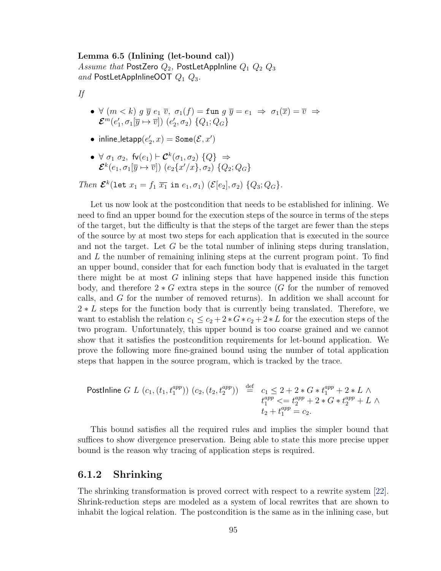Lemma 6.5 (Inlining (let-bound cal)) Assume that PostZero  $Q_2$ , PostLetAppInline  $Q_1$   $Q_2$   $Q_3$ and PostLetAppInlineOOT  $Q_1$   $Q_3$ .

If

- $\forall$   $(m < k)$   $g \overline{y} e_1 \overline{v}$ ,  $\sigma_1(f) = \text{fun } g \overline{y} = e_1 \Rightarrow \sigma_1(\overline{x}) = \overline{v} \Rightarrow$  $\mathcal{E}^m(e'_1,\sigma_1[\overline{y}\mapsto \overline{v}])\;(e'_2,\sigma_2)\;\{Q_1;Q_G\}$
- $\bullet$  inline\_letapp $(e'_2, x) = \texttt{Some}(\mathcal{E}, x')$
- $\bullet \ \forall \ \sigma_1 \ \sigma_2, \ \mathsf{fv}(e_1) \vdash \mathcal{C}^k(\sigma_1, \sigma_2) \ \{Q\} \ \Rightarrow$  $\bm{\mathcal{E}}^k(e_1,\sigma_1[\overline{y}\mapsto \overline{v}])\;(e_2\{x'/x\},\sigma_2)\;\{Q_2;Q_G\}$

Then  $\mathcal{E}^k(\text{let } x_1 = f_1 \overline{x_1} \text{ in } e_1, \sigma_1)$   $(\mathcal{E}[e_2], \sigma_2)$   $\{Q_3; Q_G\}.$ 

Let us now look at the postcondition that needs to be established for inlining. We need to find an upper bound for the execution steps of the source in terms of the steps of the target, but the difficulty is that the steps of the target are fewer than the steps of the source by at most two steps for each application that is executed in the source and not the target. Let  $G$  be the total number of inlining steps during translation, and  $L$  the number of remaining inlining steps at the current program point. To find an upper bound, consider that for each function body that is evaluated in the target there might be at most  $G$  inlining steps that have happened inside this function body, and therefore  $2 * G$  extra steps in the source (G for the number of removed calls, and G for the number of removed returns). In addition we shall account for 2 <sup>∗</sup> L steps for the function body that is currently being translated. Therefore, we want to establish the relation  $c_1 \leq c_2 + 2 * G * c_2 + 2 * L$  for the execution steps of the two program. Unfortunately, this upper bound is too coarse grained and we cannot show that it satisfies the postcondition requirements for let-bound application. We prove the following more fine-grained bound using the number of total application steps that happen in the source program, which is tracked by the trace.

Postlpline 
$$
G L (c_1, (t_1, t_1^{app}) ) (c_2, (t_2, t_2^{app}) ) \stackrel{\text{def}}{=} c_1 \leq 2 + 2 * G * t_1^{app} + 2 * L \wedge t_1^{app} \leq t_2^{app} + 2 * G * t_2^{app} + L \wedge t_2 + t_1^{app} = c_2.
$$

\n(a)  $t_1^{app}$ 

This bound satisfies all the required rules and implies the simpler bound that suffices to show divergence preservation. Being able to state this more precise upper bound is the reason why tracing of application steps is required.

# 6.1.2 Shrinking

The shrinking transformation is proved correct with respect to a rewrite system [\[22\]](#page-161-3). Shrink-reduction steps are modeled as a system of local rewrites that are shown to inhabit the logical relation. The postcondition is the same as in the inlining case, but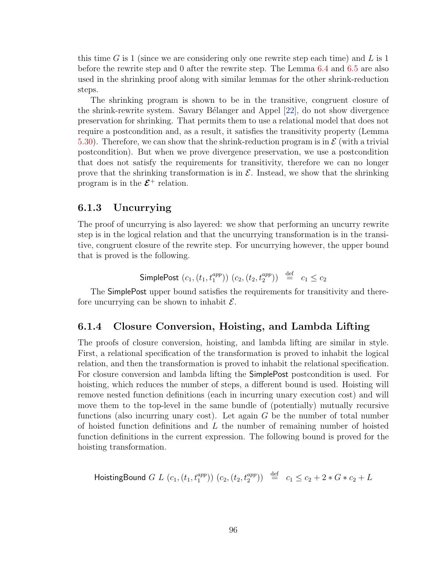this time G is 1 (since we are considering only one rewrite step each time) and L is  $1$ before the rewrite step and 0 after the rewrite step. The Lemma [6.4](#page-104-0) and [6.5](#page-104-1) are also used in the shrinking proof along with similar lemmas for the other shrink-reduction steps.

The shrinking program is shown to be in the transitive, congruent closure of the shrink-rewrite system. Savary Bélanger and Appel [\[22\]](#page-161-3), do not show divergence preservation for shrinking. That permits them to use a relational model that does not require a postcondition and, as a result, it satisfies the transitivity property (Lemma [5.30\)](#page-92-1). Therefore, we can show that the shrink-reduction program is in  $\mathcal E$  (with a trivial postcondition). But when we prove divergence preservation, we use a postcondition that does not satisfy the requirements for transitivity, therefore we can no longer prove that the shrinking transformation is in  $\mathcal{E}$ . Instead, we show that the shrinking program is in the  $\mathcal{E}^+$  relation.

# 6.1.3 Uncurrying

The proof of uncurrying is also layered: we show that performing an uncurry rewrite step is in the logical relation and that the uncurrying transformation is in the transitive, congruent closure of the rewrite step. For uncurrying however, the upper bound that is proved is the following.

SimplePost 
$$
(c_1, (t_1, t_1^{app}))
$$
  $(c_2, (t_2, t_2^{app})) \stackrel{\text{def}}{=} c_1 \leq c_2$ 

The SimplePost upper bound satisfies the requirements for transitivity and therefore uncurrying can be shown to inhabit  $\mathcal{E}$ .

# 6.1.4 Closure Conversion, Hoisting, and Lambda Lifting

The proofs of closure conversion, hoisting, and lambda lifting are similar in style. First, a relational specification of the transformation is proved to inhabit the logical relation, and then the transformation is proved to inhabit the relational specification. For closure conversion and lambda lifting the SimplePost postcondition is used. For hoisting, which reduces the number of steps, a different bound is used. Hoisting will remove nested function definitions (each in incurring unary execution cost) and will move them to the top-level in the same bundle of (potentially) mutually recursive functions (also incurring unary cost). Let again  $G$  be the number of total number of hoisted function definitions and  $L$  the number of remaining number of hoisted function definitions in the current expression. The following bound is proved for the hoisting transformation.

HoistingBound 
$$
G L(c_1, (t_1, t_1^{app})) (c_2, (t_2, t_2^{app})) \stackrel{\text{def}}{=} c_1 \leq c_2 + 2 * G * c_2 + L
$$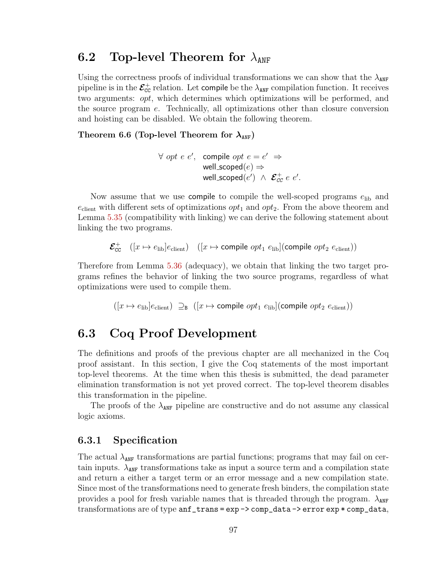# 6.2 Top-level Theorem for  $\lambda_{ANF}$

Using the correctness proofs of individual transformations we can show that the  $\lambda_{\text{ANF}}$ pipeline is in the  $\mathcal{E}^+_{\texttt{CC}}$  relation. Let compile be the  $\lambda_{\texttt{ANF}}$  compilation function. It receives two arguments: opt, which determines which optimizations will be performed, and the source program e. Technically, all optimizations other than closure conversion and hoisting can be disabled. We obtain the following theorem.

Theorem 6.6 (Top-level Theorem for  $\lambda_{ANF}$ )

$$
\forall \; opt \; e \; e', \; \text{ compile } opt \; e = e' \; \Rightarrow
$$
\n
$$
\text{well\_scoped}(e) \Rightarrow
$$
\n
$$
\text{well\_scoped}(e') \; \land \; \mathcal{E}_{cc}^+ \; e \; e'.
$$

Now assume that we use compile to compile the well-scoped programs  $e_{\text{lib}}$  and  $e_{\text{client}}$  with different sets of optimizations  $opt_1$  and  $opt_2$ . From the above theorem and Lemma [5.35](#page-95-0) (compatibility with linking) we can derive the following statement about linking the two programs.

 $\mathcal{E}_{cc}^+$   $([x \mapsto e_{\text{lib}}]e_{\text{client}})$   $([x \mapsto \text{compile } opt_1 \ e_{\text{lib}}] (\text{compile } opt_2 \ e_{\text{client}}))$ 

Therefore from Lemma [5.36](#page-96-1) (adequacy), we obtain that linking the two target programs refines the behavior of linking the two source programs, regardless of what optimizations were used to compile them.

 $([x \mapsto e_{\text{lib}}]e_{\text{client}}) \supseteq_B (x \mapsto \text{compile } opt_1 \ e_{\text{lib}}](\text{compile } opt_2 \ e_{\text{client}}))$ 

# 6.3 Coq Proof Development

The definitions and proofs of the previous chapter are all mechanized in the Coq proof assistant. In this section, I give the Coq statements of the most important top-level theorems. At the time when this thesis is submitted, the dead parameter elimination transformation is not yet proved correct. The top-level theorem disables this transformation in the pipeline.

The proofs of the  $\lambda_{\text{ANF}}$  pipeline are constructive and do not assume any classical logic axioms.

# 6.3.1 Specification

The actual  $\lambda_{ANF}$  transformations are partial functions; programs that may fail on certain inputs.  $\lambda_{\text{ANF}}$  transformations take as input a source term and a compilation state and return a either a target term or an error message and a new compilation state. Since most of the transformations need to generate fresh binders, the compilation state provides a pool for fresh variable names that is threaded through the program.  $\lambda_{\text{ANF}}$ transformations are of type  $anf_{trans} = exp -\text{comp_data} -\text{error} exp * comp_data$ ,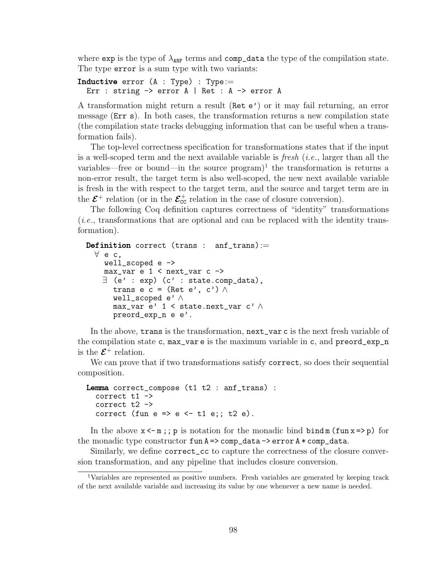where exp is the type of  $\lambda_{ANF}$  terms and comp\_data the type of the compilation state. The type error is a sum type with two variants:

```
Inductive error (A : Type) : Type :=Err : string -> error A | Ret : A -> error A
```
A transformation might return a result (Ret e') or it may fail returning, an error message (Err s). In both cases, the transformation returns a new compilation state (the compilation state tracks debugging information that can be useful when a transformation fails).

The top-level correctness specification for transformations states that if the input is a well-scoped term and the next available variable is *fresh* (*i.e.*, larger than all the variables—free or bound—in the source  $\text{program}$ <sup>[1](#page-108-0)</sup> the transformation is returns a non-error result, the target term is also well-scoped, the new next available variable is fresh in the with respect to the target term, and the source and target term are in the  $\mathcal{E}^+$  relation (or in the  $\mathcal{E}_{cc}^+$  relation in the case of closure conversion).

The following Coq definition captures correctness of "identity" transformations (i.e., transformations that are optional and can be replaced with the identity transformation).

```
Definition correct (trans : anf_trans) :=
  ∀ e c,
    well scoped e \rightarrowmax_var e 1 < next_var c ->
    \exists (e' : exp) (c' : state.comp_data),
      trans e c = (Ret e', c') \wedgewell_scoped e' ∧
      max_var e' 1 < state.next_var c' ∧
      preord_exp_n e e'.
```
In the above, trans is the transformation, next\_var c is the next fresh variable of the compilation state c,  $max\_var$  e is the maximum variable in c, and  $preord\_exp_n$ is the  $\mathcal{E}^+$  relation.

We can prove that if two transformations satisfy correct, so does their sequential composition.

```
Lemma correct_compose (t1 t2 : anf_trans) :
  correct t1 ->
  correct t2 ->
  correct (fun e \Rightarrow e \iff t1 e;; t2 e).
```
In the above  $x < -m$ ; p is notation for the monadic bind bind m (fun  $x \Rightarrow p$ ) for the monadic type constructor  $fun A \Rightarrow comp_data \Rightarrow error A * comp_data$ .

Similarly, we define correct\_cc to capture the correctness of the closure conversion transformation, and any pipeline that includes closure conversion.

<span id="page-108-0"></span><sup>1</sup>Variables are represented as positive numbers. Fresh variables are generated by keeping track of the next available variable and increasing its value by one whenever a new name is needed.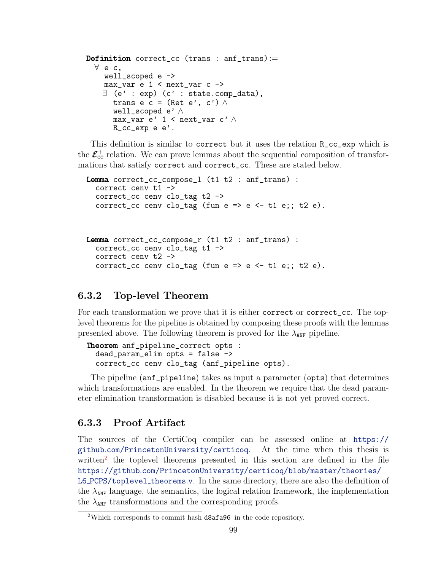```
Definition correct_cc (trans : anf_trans) :=
 ∀ e c,
    well\_scoped e \rightarrowmax_var e 1 < next_var c ->
    ∃ (e' : exp) (c' : state.comp_data),
      trans e c = (Ret e', c') \wedgewell_scoped e' ∧
      max_var e' 1 < next_var c' ∧
      R_cc_exp e e'.
```
This definition is similar to correct but it uses the relation R\_cc\_exp which is the  $\mathcal{E}_{cc}^+$  relation. We can prove lemmas about the sequential composition of transformations that satisfy correct and correct\_cc. These are stated below.

```
Lemma correct_cc_compose_l (t1 t2 : anf_trans) :
  correct cenv t1 ->
  correct_cc cenv clo_tag t2 ->
  correct_cc cenv clo_tag (fun e => e <- t1 e;; t2 e).
```

```
Lemma correct_cc_compose_r (t1 t2 : anf_trans) :
  correct_cc cenv clo_tag t1 ->
  correct cenv t2 ->
  correct_cc cenv clo_tag (fun e => e <- t1 e;; t2 e).
```
## 6.3.2 Top-level Theorem

For each transformation we prove that it is either correct or correct\_cc. The toplevel theorems for the pipeline is obtained by composing these proofs with the lemmas presented above. The following theorem is proved for the  $\lambda_{\text{ANF}}$  pipeline.

```
Theorem anf_pipeline_correct opts :
  dead_param_elim opts = false ->
  correct_cc cenv clo_tag (anf_pipeline opts).
```
The pipeline (anf\_pipeline) takes as input a parameter (opts) that determines which transformations are enabled. In the theorem we require that the dead parameter elimination transformation is disabled because it is not yet proved correct.

## 6.3.3 Proof Artifact

The sources of the CertiCoq compiler can be assessed online at [https://](https://github.com/PrincetonUniversity/certicoq) github.[com/PrincetonUniversity/certicoq](https://github.com/PrincetonUniversity/certicoq). At the time when this thesis is written<sup>[2](#page-109-0)</sup> the toplevel theorems presented in this section are defined in the file https://github.[com/PrincetonUniversity/certicoq/blob/master/theories/](https://github.com/PrincetonUniversity/certicoq/blob/master/theories/L6_PCPS/toplevel_theorems.v) L6 [PCPS/toplevel](https://github.com/PrincetonUniversity/certicoq/blob/master/theories/L6_PCPS/toplevel_theorems.v)\_theorems.v. In the same directory, there are also the definition of the  $\lambda_{\text{ANF}}$  language, the semantics, the logical relation framework, the implementation the  $\lambda_{\text{ANF}}$  transformations and the corresponding proofs.

<span id="page-109-0"></span><sup>2</sup>Which corresponds to commit hash d8afa96 in the code repository.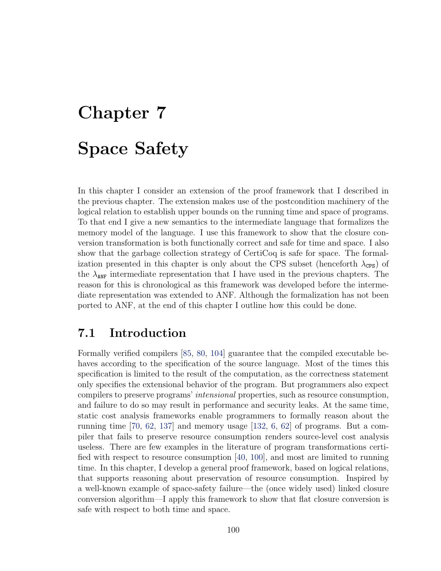# Chapter 7 Space Safety

In this chapter I consider an extension of the proof framework that I described in the previous chapter. The extension makes use of the postcondition machinery of the logical relation to establish upper bounds on the running time and space of programs. To that end I give a new semantics to the intermediate language that formalizes the memory model of the language. I use this framework to show that the closure conversion transformation is both functionally correct and safe for time and space. I also show that the garbage collection strategy of CertiCoq is safe for space. The formalization presented in this chapter is only about the CPS subset (henceforth  $\lambda_{\text{CPS}}$ ) of the  $\lambda_{\text{ANF}}$  intermediate representation that I have used in the previous chapters. The reason for this is chronological as this framework was developed before the intermediate representation was extended to ANF. Although the formalization has not been ported to ANF, at the end of this chapter I outline how this could be done.

# 7.1 Introduction

Formally verified compilers [\[85,](#page-167-0) [80,](#page-166-0) [104\]](#page-168-0) guarantee that the compiled executable behaves according to the specification of the source language. Most of the times this specification is limited to the result of the computation, as the correctness statement only specifies the extensional behavior of the program. But programmers also expect compilers to preserve programs' intensional properties, such as resource consumption, and failure to do so may result in performance and security leaks. At the same time, static cost analysis frameworks enable programmers to formally reason about the running time [\[70,](#page-165-0) [62,](#page-164-0) [137\]](#page-171-0) and memory usage [\[132,](#page-171-1) [6,](#page-159-0) [62\]](#page-164-0) of programs. But a compiler that fails to preserve resource consumption renders source-level cost analysis useless. There are few examples in the literature of program transformations certified with respect to resource consumption [\[40,](#page-162-0) [100\]](#page-168-1), and most are limited to running time. In this chapter, I develop a general proof framework, based on logical relations, that supports reasoning about preservation of resource consumption. Inspired by a well-known example of space-safety failure—the (once widely used) linked closure conversion algorithm—I apply this framework to show that flat closure conversion is safe with respect to both time and space.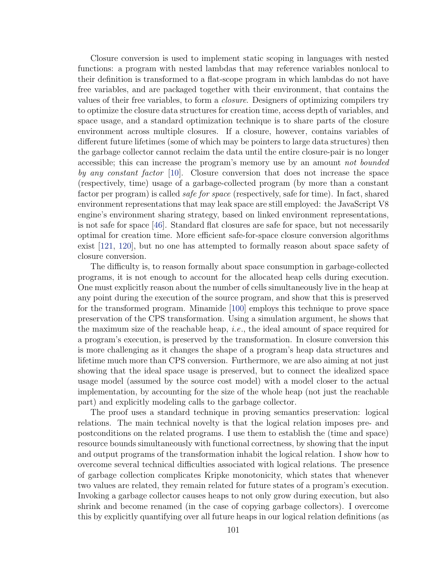Closure conversion is used to implement static scoping in languages with nested functions: a program with nested lambdas that may reference variables nonlocal to their definition is transformed to a flat-scope program in which lambdas do not have free variables, and are packaged together with their environment, that contains the values of their free variables, to form a closure. Designers of optimizing compilers try to optimize the closure data structures for creation time, access depth of variables, and space usage, and a standard optimization technique is to share parts of the closure environment across multiple closures. If a closure, however, contains variables of different future lifetimes (some of which may be pointers to large data structures) then the garbage collector cannot reclaim the data until the entire closure-pair is no longer accessible; this can increase the program's memory use by an amount not bounded by any constant factor [\[10\]](#page-160-0). Closure conversion that does not increase the space (respectively, time) usage of a garbage-collected program (by more than a constant factor per program) is called *safe for space* (respectively, safe for time). In fact, shared environment representations that may leak space are still employed: the JavaScript V8 engine's environment sharing strategy, based on linked environment representations, is not safe for space [\[46\]](#page-163-0). Standard flat closures are safe for space, but not necessarily optimal for creation time. More efficient safe-for-space closure conversion algorithms exist [\[121,](#page-170-0) [120\]](#page-170-1), but no one has attempted to formally reason about space safety of closure conversion.

The difficulty is, to reason formally about space consumption in garbage-collected programs, it is not enough to account for the allocated heap cells during execution. One must explicitly reason about the number of cells simultaneously live in the heap at any point during the execution of the source program, and show that this is preserved for the transformed program. Minamide [\[100\]](#page-168-1) employs this technique to prove space preservation of the CPS transformation. Using a simulation argument, he shows that the maximum size of the reachable heap, *i.e.*, the ideal amount of space required for a program's execution, is preserved by the transformation. In closure conversion this is more challenging as it changes the shape of a program's heap data structures and lifetime much more than CPS conversion. Furthermore, we are also aiming at not just showing that the ideal space usage is preserved, but to connect the idealized space usage model (assumed by the source cost model) with a model closer to the actual implementation, by accounting for the size of the whole heap (not just the reachable part) and explicitly modeling calls to the garbage collector.

The proof uses a standard technique in proving semantics preservation: logical relations. The main technical novelty is that the logical relation imposes pre- and postconditions on the related programs. I use them to establish the (time and space) resource bounds simultaneously with functional correctness, by showing that the input and output programs of the transformation inhabit the logical relation. I show how to overcome several technical difficulties associated with logical relations. The presence of garbage collection complicates Kripke monotonicity, which states that whenever two values are related, they remain related for future states of a program's execution. Invoking a garbage collector causes heaps to not only grow during execution, but also shrink and become renamed (in the case of copying garbage collectors). I overcome this by explicitly quantifying over all future heaps in our logical relation definitions (as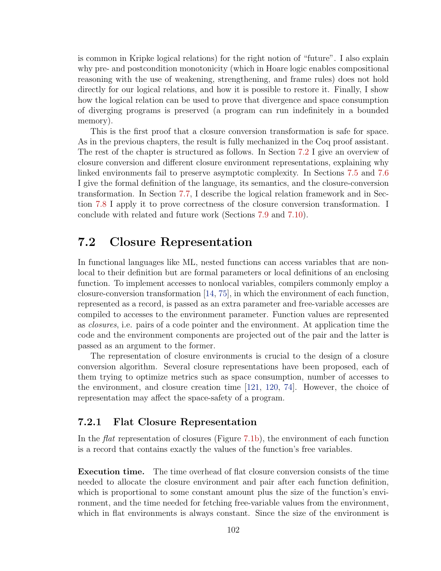is common in Kripke logical relations) for the right notion of "future". I also explain why pre- and postcondition monotonicity (which in Hoare logic enables compositional reasoning with the use of weakening, strengthening, and frame rules) does not hold directly for our logical relations, and how it is possible to restore it. Finally, I show how the logical relation can be used to prove that divergence and space consumption of diverging programs is preserved (a program can run indefinitely in a bounded memory).

This is the first proof that a closure conversion transformation is safe for space. As in the previous chapters, the result is fully mechanized in the Coq proof assistant. The rest of the chapter is structured as follows. In Section [7.2](#page-112-0) I give an overview of closure conversion and different closure environment representations, explaining why linked environments fail to preserve asymptotic complexity. In Sections [7.5](#page-120-0) and [7.6](#page-126-0) I give the formal definition of the language, its semantics, and the closure-conversion transformation. In Section [7.7,](#page-128-0) I describe the logical relation framework and in Section [7.8](#page-137-0) I apply it to prove correctness of the closure conversion transformation. I conclude with related and future work (Sections [7.9](#page-142-0) and [7.10\)](#page-145-0).

# <span id="page-112-0"></span>7.2 Closure Representation

In functional languages like ML, nested functions can access variables that are nonlocal to their definition but are formal parameters or local definitions of an enclosing function. To implement accesses to nonlocal variables, compilers commonly employ a closure-conversion transformation [\[14,](#page-160-1) [75\]](#page-166-1), in which the environment of each function, represented as a record, is passed as an extra parameter and free-variable accesses are compiled to accesses to the environment parameter. Function values are represented as closures, i.e. pairs of a code pointer and the environment. At application time the code and the environment components are projected out of the pair and the latter is passed as an argument to the former.

The representation of closure environments is crucial to the design of a closure conversion algorithm. Several closure representations have been proposed, each of them trying to optimize metrics such as space consumption, number of accesses to the environment, and closure creation time [\[121,](#page-170-0) [120,](#page-170-1) [74\]](#page-166-2). However, the choice of representation may affect the space-safety of a program.

## 7.2.1 Flat Closure Representation

In the flat representation of closures (Figure [7.1b\)](#page-113-0), the environment of each function is a record that contains exactly the values of the function's free variables.

Execution time. The time overhead of flat closure conversion consists of the time needed to allocate the closure environment and pair after each function definition, which is proportional to some constant amount plus the size of the function's environment, and the time needed for fetching free-variable values from the environment, which in flat environments is always constant. Since the size of the environment is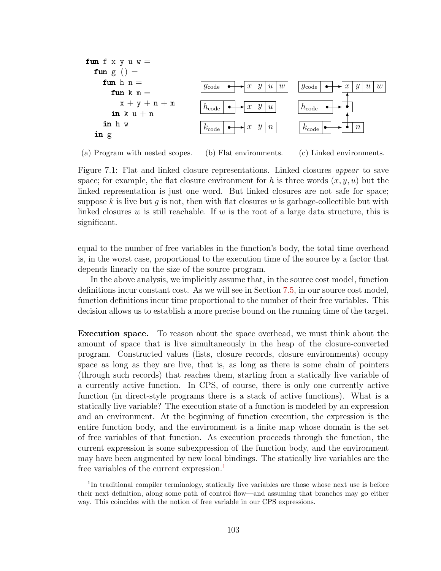<span id="page-113-0"></span>

| fun             | f                            | x                        | y                              | w                              |
|-----------------|------------------------------|--------------------------|--------------------------------|--------------------------------|
| $fun g$         | =                            | $fun h n =$              | $g_{code} \rightarrow x y u w$ | $g_{code} \rightarrow x y u w$ |
| $x + y + n + m$ | $h_{code} \rightarrow x y u$ | $h_{code} \rightarrow m$ |                                |                                |
| $in h w$        | $k_{code} \rightarrow x y n$ | $k_{code} \rightarrow m$ |                                |                                |
| $in g$          | $k_{code} \rightarrow x y n$ | $k_{code} \rightarrow m$ |                                |                                |

(a) Program with nested scopes. (b) Flat environments. (c) Linked environments.

Figure 7.1: Flat and linked closure representations. Linked closures *appear* to save space; for example, the flat closure environment for h is three words  $(x, y, u)$  but the linked representation is just one word. But linked closures are not safe for space; suppose k is live but g is not, then with flat closures w is garbage-collectible but with linked closures w is still reachable. If w is the root of a large data structure, this is significant.

equal to the number of free variables in the function's body, the total time overhead is, in the worst case, proportional to the execution time of the source by a factor that depends linearly on the size of the source program.

In the above analysis, we implicitly assume that, in the source cost model, function definitions incur constant cost. As we will see in Section [7.5,](#page-120-0) in our source cost model, function definitions incur time proportional to the number of their free variables. This decision allows us to establish a more precise bound on the running time of the target.

Execution space. To reason about the space overhead, we must think about the amount of space that is live simultaneously in the heap of the closure-converted program. Constructed values (lists, closure records, closure environments) occupy space as long as they are live, that is, as long as there is some chain of pointers (through such records) that reaches them, starting from a statically live variable of a currently active function. In CPS, of course, there is only one currently active function (in direct-style programs there is a stack of active functions). What is a statically live variable? The execution state of a function is modeled by an expression and an environment. At the beginning of function execution, the expression is the entire function body, and the environment is a finite map whose domain is the set of free variables of that function. As execution proceeds through the function, the current expression is some subexpression of the function body, and the environment may have been augmented by new local bindings. The statically live variables are the free variables of the current expression.<sup>[1](#page-113-1)</sup>

<span id="page-113-1"></span><sup>&</sup>lt;sup>1</sup>In traditional compiler terminology, statically live variables are those whose next use is before their next definition, along some path of control flow—and assuming that branches may go either way. This coincides with the notion of free variable in our CPS expressions.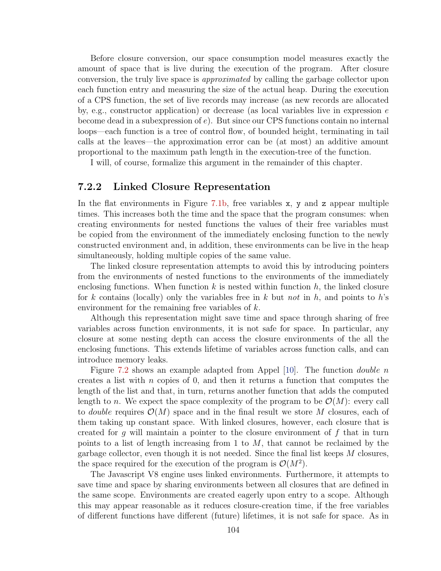Before closure conversion, our space consumption model measures exactly the amount of space that is live during the execution of the program. After closure conversion, the truly live space is approximated by calling the garbage collector upon each function entry and measuring the size of the actual heap. During the execution of a CPS function, the set of live records may increase (as new records are allocated by, e.g., constructor application) or decrease (as local variables live in expression  $e$ become dead in a subexpression of e). But since our CPS functions contain no internal loops—each function is a tree of control flow, of bounded height, terminating in tail calls at the leaves—the approximation error can be (at most) an additive amount proportional to the maximum path length in the execution-tree of the function.

I will, of course, formalize this argument in the remainder of this chapter.

#### 7.2.2 Linked Closure Representation

In the flat environments in Figure [7.1b,](#page-113-0) free variables x, y and z appear multiple times. This increases both the time and the space that the program consumes: when creating environments for nested functions the values of their free variables must be copied from the environment of the immediately enclosing function to the newly constructed environment and, in addition, these environments can be live in the heap simultaneously, holding multiple copies of the same value.

The linked closure representation attempts to avoid this by introducing pointers from the environments of nested functions to the environments of the immediately enclosing functions. When function k is nested within function  $h$ , the linked closure for k contains (locally) only the variables free in k but not in h, and points to h's environment for the remaining free variables of  $k$ .

Although this representation might save time and space through sharing of free variables across function environments, it is not safe for space. In particular, any closure at some nesting depth can access the closure environments of the all the enclosing functions. This extends lifetime of variables across function calls, and can introduce memory leaks.

Figure [7.2](#page-115-0) shows an example adapted from Appel [\[10\]](#page-160-0). The function double n creates a list with  $n$  copies of 0, and then it returns a function that computes the length of the list and that, in turn, returns another function that adds the computed length to n. We expect the space complexity of the program to be  $\mathcal{O}(M)$ : every call to *double* requires  $\mathcal{O}(M)$  space and in the final result we store M closures, each of them taking up constant space. With linked closures, however, each closure that is created for g will maintain a pointer to the closure environment of  $f$  that in turn points to a list of length increasing from 1 to  $M$ , that cannot be reclaimed by the garbage collector, even though it is not needed. Since the final list keeps  $M$  closures, the space required for the execution of the program is  $\mathcal{O}(M^2)$ .

The Javascript V8 engine uses linked environments. Furthermore, it attempts to save time and space by sharing environments between all closures that are defined in the same scope. Environments are created eagerly upon entry to a scope. Although this may appear reasonable as it reduces closure-creation time, if the free variables of different functions have different (future) lifetimes, it is not safe for space. As in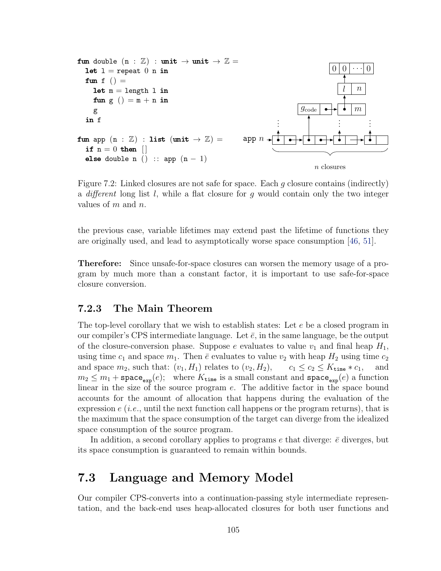<span id="page-115-0"></span>

Figure 7.2: Linked closures are not safe for space. Each g closure contains (indirectly) a different long list  $l$ , while a flat closure for g would contain only the two integer values of  $m$  and  $n$ .

the previous case, variable lifetimes may extend past the lifetime of functions they are originally used, and lead to asymptotically worse space consumption [\[46,](#page-163-0) [51\]](#page-163-1).

Therefore: Since unsafe-for-space closures can worsen the memory usage of a program by much more than a constant factor, it is important to use safe-for-space closure conversion.

### 7.2.3 The Main Theorem

The top-level corollary that we wish to establish states: Let e be a closed program in our compiler's CPS intermediate language. Let  $\bar{e}$ , in the same language, be the output of the closure-conversion phase. Suppose e evaluates to value  $v_1$  and final heap  $H_1$ , using time  $c_1$  and space  $m_1$ . Then  $\bar{e}$  evaluates to value  $v_2$  with heap  $H_2$  using time  $c_2$ and space  $m_2$ , such that:  $(v_1, H_1)$  relates to  $(v_2, H_2)$ ,  $c_1 \leq c_2 \leq K_{\text{time}} * c_1$ , and  $m_2 \leq m_1 + \text{space}_{\text{exp}}(e);$  where  $K_{\text{time}}$  is a small constant and  $\text{space}_{\text{exp}}(e)$  a function linear in the size of the source program e. The additive factor in the space bound accounts for the amount of allocation that happens during the evaluation of the expression  $e(i.e.,$  until the next function call happens or the program returns), that is the maximum that the space consumption of the target can diverge from the idealized space consumption of the source program.

In addition, a second corollary applies to programs  $e$  that diverge:  $\bar{e}$  diverges, but its space consumption is guaranteed to remain within bounds.

# 7.3 Language and Memory Model

Our compiler CPS-converts into a continuation-passing style intermediate representation, and the back-end uses heap-allocated closures for both user functions and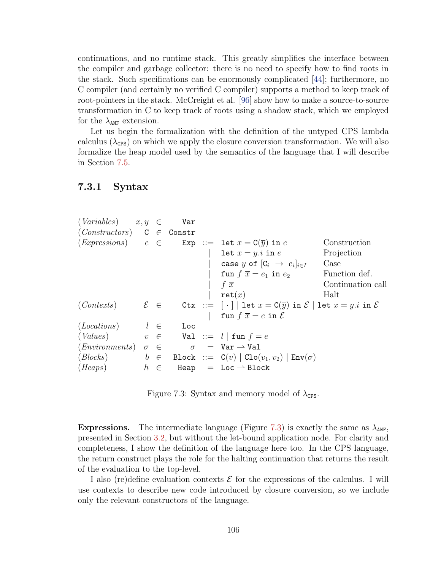continuations, and no runtime stack. This greatly simplifies the interface between the compiler and garbage collector: there is no need to specify how to find roots in the stack. Such specifications can be enormously complicated [\[44\]](#page-163-2); furthermore, no C compiler (and certainly no verified C compiler) supports a method to keep track of root-pointers in the stack. McCreight et al. [\[96\]](#page-167-1) show how to make a source-to-source transformation in C to keep track of roots using a shadow stack, which we employed for the  $\lambda_{\text{ANF}}$  extension.

Let us begin the formalization with the definition of the untyped CPS lambda calculus  $(\lambda_{\text{CPS}})$  on which we apply the closure conversion transformation. We will also formalize the heap model used by the semantics of the language that I will describe in Section [7.5.](#page-120-0)

#### 7.3.1 Syntax

<span id="page-116-0"></span>

| $(Variables)$ $x, y \in$                                                                       |         | Var                   |                                                                                                        |                   |
|------------------------------------------------------------------------------------------------|---------|-----------------------|--------------------------------------------------------------------------------------------------------|-------------------|
| $(Constraints)$ C $\in$ Constr                                                                 |         |                       |                                                                                                        |                   |
|                                                                                                |         |                       | $(Expressions)$ $e \in$ Exp ::= let $x = C(\overline{y})$ in $e$                                       | Construction      |
|                                                                                                |         |                       | let $x = y.i$ in e                                                                                     | Projection        |
|                                                                                                |         |                       | case y of $[C_i \rightarrow e_i]_{i \in I}$                                                            | Case              |
|                                                                                                |         |                       | fun $f \overline{x} = e_1$ in $e_2$                                                                    | Function def.     |
|                                                                                                |         |                       | f $\overline{x}$                                                                                       | Continuation call |
|                                                                                                |         |                       | $\mathtt{ret}(x)$                                                                                      | Halt              |
| $(Contents) \qquad \mathcal{E} \in$                                                            |         |                       | Ctx := $\lceil \cdot \rceil$ let $x = C(\overline{y})$ in $\mathcal{E}$ let $x = y.i$ in $\mathcal{E}$ |                   |
|                                                                                                |         |                       | fun $f \overline{x} = e$ in $\mathcal{E}$                                                              |                   |
| (Locations)                                                                                    |         | $l$ $\in$ $\quad$ Loc |                                                                                                        |                   |
| (Values)                                                                                       |         |                       | $v \in$ Val ::= $l \mid \text{fun } f = e$                                                             |                   |
| $(Enviromments) \quad \sigma \quad \in \quad \sigma \quad = \text{Var} \rightarrow \text{Val}$ |         |                       |                                                                                                        |                   |
|                                                                                                |         |                       | $(Blocks)$ $b \in Block ::= C(\overline{v})   Clo(v_1, v_2)   Env(\sigma)$                             |                   |
| (Heaps)                                                                                        | $h \in$ |                       | Heap $=$ Loc $\rightarrow$ Block                                                                       |                   |
|                                                                                                |         |                       |                                                                                                        |                   |

Figure 7.3: Syntax and memory model of  $\lambda_{\text{CPS}}$ .

**Expressions.** The intermediate language (Figure [7.3\)](#page-116-0) is exactly the same as  $\lambda_{\text{ANF}}$ , presented in Section [3.2,](#page-33-0) but without the let-bound application node. For clarity and completeness, I show the definition of the language here too. In the CPS language, the return construct plays the role for the halting continuation that returns the result of the evaluation to the top-level.

I also (re)define evaluation contexts  $\mathcal E$  for the expressions of the calculus. I will use contexts to describe new code introduced by closure conversion, so we include only the relevant constructors of the language.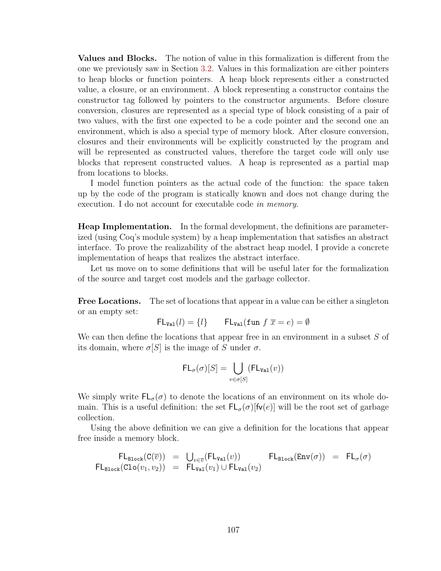Values and Blocks. The notion of value in this formalization is different from the one we previously saw in Section [3.2.](#page-33-0) Values in this formalization are either pointers to heap blocks or function pointers. A heap block represents either a constructed value, a closure, or an environment. A block representing a constructor contains the constructor tag followed by pointers to the constructor arguments. Before closure conversion, closures are represented as a special type of block consisting of a pair of two values, with the first one expected to be a code pointer and the second one an environment, which is also a special type of memory block. After closure conversion, closures and their environments will be explicitly constructed by the program and will be represented as constructed values, therefore the target code will only use blocks that represent constructed values. A heap is represented as a partial map from locations to blocks.

I model function pointers as the actual code of the function: the space taken up by the code of the program is statically known and does not change during the execution. I do not account for executable code in memory.

Heap Implementation. In the formal development, the definitions are parameterized (using Coq's module system) by a heap implementation that satisfies an abstract interface. To prove the realizability of the abstract heap model, I provide a concrete implementation of heaps that realizes the abstract interface.

Let us move on to some definitions that will be useful later for the formalization of the source and target cost models and the garbage collector.

Free Locations. The set of locations that appear in a value can be either a singleton or an empty set:

$$
\mathsf{FL}_{\mathsf{Val}}(l) = \{l\} \qquad \mathsf{FL}_{\mathsf{Val}}(\mathsf{fun} \; f \; \overline{x} = e) = \emptyset
$$

We can then define the locations that appear free in an environment in a subset S of its domain, where  $\sigma[S]$  is the image of S under  $\sigma$ .

$$
\mathsf{FL}_{\sigma}(\sigma)[S] = \bigcup_{v \in \sigma[S]} (\mathsf{FL}_{\mathsf{Val}}(v))
$$

We simply write  $FL_{\sigma}(\sigma)$  to denote the locations of an environment on its whole domain. This is a useful definition: the set  $FL_{\sigma}(\sigma)|fv(e)|$  will be the root set of garbage collection.

Using the above definition we can give a definition for the locations that appear free inside a memory block.

$$
\begin{array}{rcl}\n\mathsf{FL}_{\texttt{Block}}(C(\overline{v})) &=& \bigcup_{v \in \overline{v}}(\mathsf{FL}_{\texttt{Val}}(v)) \\
\mathsf{FL}_{\texttt{Block}}(\texttt{Clo}(v_1, v_2)) &=& \mathsf{FL}_{\texttt{Val}}(v_1) \cup \mathsf{FL}_{\texttt{Val}}(v_2) \\
\end{array} \quad \texttt{FL}_{\texttt{Block}}(\texttt{Env}(\sigma)) = \mathsf{FL}_{\sigma}(\sigma)
$$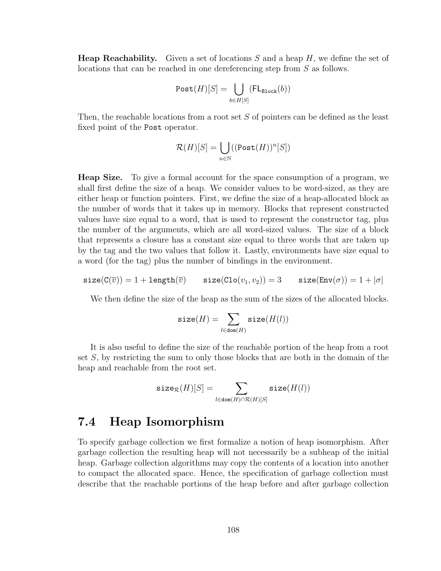**Heap Reachability.** Given a set of locations S and a heap  $H$ , we define the set of locations that can be reached in one dereferencing step from S as follows.

$$
\texttt{Post}(H)[S] = \bigcup_{b \in H[S]} (\texttt{FL}_{\texttt{Block}}(b))
$$

Then, the reachable locations from a root set S of pointers can be defined as the least fixed point of the Post operator.

$$
\mathcal{R}(H)[S] = \bigcup_{n \in \mathbb{N}} ((\text{Post}(H))^n[S])
$$

Heap Size. To give a formal account for the space consumption of a program, we shall first define the size of a heap. We consider values to be word-sized, as they are either heap or function pointers. First, we define the size of a heap-allocated block as the number of words that it takes up in memory. Blocks that represent constructed values have size equal to a word, that is used to represent the constructor tag, plus the number of the arguments, which are all word-sized values. The size of a block that represents a closure has a constant size equal to three words that are taken up by the tag and the two values that follow it. Lastly, environments have size equal to a word (for the tag) plus the number of bindings in the environment.

$$
\mathtt{size}(\mathtt{C}(\overline{v})) = 1 + \mathtt{length}(\overline{v}) \qquad \mathtt{size}(\mathtt{Clo}(v_1, v_2)) = 3 \qquad \mathtt{size}(\mathtt{Env}(\sigma)) = 1 + |\sigma|
$$

We then define the size of the heap as the sum of the sizes of the allocated blocks.

$$
\mathtt{size}(H) = \sum_{l \in \mathtt{dom}(H)} \mathtt{size}(H(l))
$$

It is also useful to define the size of the reachable portion of the heap from a root set  $S$ , by restricting the sum to only those blocks that are both in the domain of the heap and reachable from the root set.

$$
\texttt{size}_{\mathcal{R}}(H)[S] = \sum_{l \in \texttt{dom}(H) \cap \mathcal{R}(H)[S]} \texttt{size}(H(l))
$$

# 7.4 Heap Isomorphism

To specify garbage collection we first formalize a notion of heap isomorphism. After garbage collection the resulting heap will not necessarily be a subheap of the initial heap. Garbage collection algorithms may copy the contents of a location into another to compact the allocated space. Hence, the specification of garbage collection must describe that the reachable portions of the heap before and after garbage collection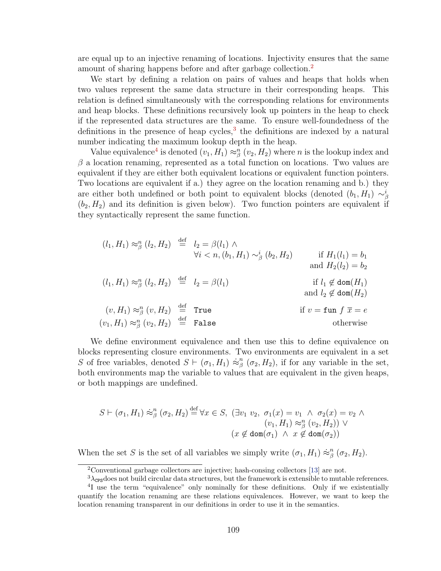are equal up to an injective renaming of locations. Injectivity ensures that the same amount of sharing happens before and after garbage collection.<sup>[2](#page-119-0)</sup>

We start by defining a relation on pairs of values and heaps that holds when two values represent the same data structure in their corresponding heaps. This relation is defined simultaneously with the corresponding relations for environments and heap blocks. These definitions recursively look up pointers in the heap to check if the represented data structures are the same. To ensure well-foundedness of the definitions in the presence of heap cycles, $3$  the definitions are indexed by a natural number indicating the maximum lookup depth in the heap.

Value equivalence<sup>[4](#page-119-2)</sup> is denoted  $(v_1, H_1) \approx_{\beta}^n (v_2, H_2)$  where *n* is the lookup index and  $\beta$  a location renaming, represented as a total function on locations. Two values are equivalent if they are either both equivalent locations or equivalent function pointers. Two locations are equivalent if a.) they agree on the location renaming and b.) they are either both undefined or both point to equivalent blocks (denoted  $(b_1, H_1) \sim_{\beta}^{i}$  $(b_2, H_2)$  and its definition is given below). Two function pointers are equivalent if they syntactically represent the same function.

$$
(l_1, H_1) \approx_{\beta}^{n} (l_2, H_2) \stackrel{\text{def}}{=} l_2 = \beta(l_1) \land \forall i < n, (b_1, H_1) \sim_{\beta}^{i} (b_2, H_2) \quad \text{if } H_1(l_1) = b_1 \n\text{and } H_2(l_2) = b_2
$$
\n
$$
(l_1, H_1) \approx_{\beta}^{n} (l_2, H_2) \stackrel{\text{def}}{=} l_2 = \beta(l_1) \quad \text{if } l_1 \notin \text{dom}(H_1) \n\text{and } l_2 \notin \text{dom}(H_2) \n(v, H_1) \approx_{\beta}^{n} (v, H_2) \stackrel{\text{def}}{=} \text{True } \quad \text{if } v = \text{fun } f \overline{x} = e \n(v_1, H_1) \approx_{\beta}^{n} (v_2, H_2) \stackrel{\text{def}}{=} \text{False} \quad \text{otherwise}
$$

We define environment equivalence and then use this to define equivalence on blocks representing closure environments. Two environments are equivalent in a set S of free variables, denoted  $S \vdash (\sigma_1, H_1) \approx^n_{\beta}$  $\int_{\beta}^{n}$  ( $\sigma_2$ ,  $H_2$ ), if for any variable in the set, both environments map the variable to values that are equivalent in the given heaps, or both mappings are undefined.

$$
S \vdash (\sigma_1, H_1) \approx^n_\beta (\sigma_2, H_2) \stackrel{\text{def}}{=} \forall x \in S, \ (\exists v_1 \ v_2, \ \sigma_1(x) = v_1 \ \land \ \sigma_2(x) = v_2 \ \land \ (v_1, H_1) \approx^n_\beta (v_2, H_2)) \ \lor \ (x \notin \text{dom}(\sigma_1) \ \land \ x \notin \text{dom}(\sigma_2))
$$

When the set S is the set of all variables we simply write  $(\sigma_1, H_1) \approx^{\eta}_{\beta}$  $_\beta^n$   $(\sigma_2, H_2)$ .

<span id="page-119-0"></span><sup>2</sup>Conventional garbage collectors are injective; hash-consing collectors [\[13\]](#page-160-2) are not.

<span id="page-119-2"></span><span id="page-119-1"></span> $3\lambda_{\text{CPS}}$  does not build circular data structures, but the framework is extensible to mutable references.

<sup>&</sup>lt;sup>4</sup>I use the term "equivalence" only nominally for these definitions. Only if we existentially quantify the location renaming are these relations equivalences. However, we want to keep the location renaming transparent in our definitions in order to use it in the semantics.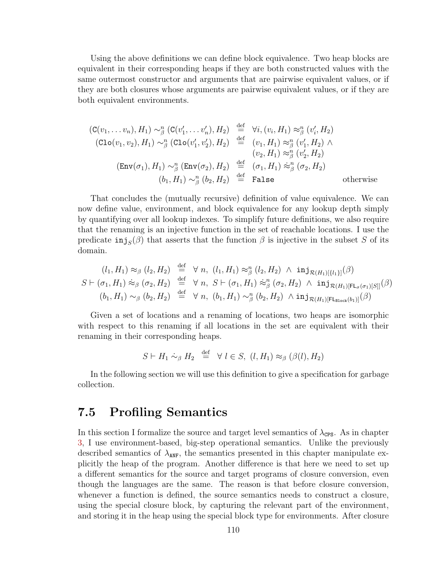Using the above definitions we can define block equivalence. Two heap blocks are equivalent in their corresponding heaps if they are both constructed values with the same outermost constructor and arguments that are pairwise equivalent values, or if they are both closures whose arguments are pairwise equivalent values, or if they are both equivalent environments.

$$
(C(v_1, \ldots v_n), H_1) \sim_{\beta}^n (C(v'_1, \ldots v'_n), H_2) \stackrel{\text{def}}{=} \forall i, (v_i, H_1) \approx_{\beta}^n (v'_i, H_2)
$$
  

$$
(Clo(v_1, v_2), H_1) \sim_{\beta}^n (Clo(v'_1, v'_2), H_2) \stackrel{\text{def}}{=} (v_1, H_1) \approx_{\beta}^n (v'_1, H_2) \land
$$
  

$$
(v_2, H_1) \approx_{\beta}^n (v'_2, H_2)
$$
  

$$
(Env(\sigma_1), H_1) \sim_{\beta}^n (Env(\sigma_2), H_2) \stackrel{\text{def}}{=} (\sigma_1, H_1) \approx_{\beta}^n (\sigma_2, H_2)
$$
  

$$
(b_1, H_1) \sim_{\beta}^n (b_2, H_2) \stackrel{\text{def}}{=} False
$$
 otherwise

That concludes the (mutually recursive) definition of value equivalence. We can now define value, environment, and block equivalence for any lookup depth simply by quantifying over all lookup indexes. To simplify future definitions, we also require that the renaming is an injective function in the set of reachable locations. I use the predicate  $\text{inj}_{S}(\beta)$  that asserts that the function  $\beta$  is injective in the subset S of its domain.

$$
(l_1, H_1) \approx_{\beta} (l_2, H_2) \stackrel{\text{def}}{=} \forall n, (l_1, H_1) \approx_{\beta} (l_2, H_2) \land \text{inj}_{\mathcal{R}(H_1)[\{l_1\}]}(\beta)
$$
  

$$
S \vdash (\sigma_1, H_1) \approx_{\beta} (\sigma_2, H_2) \stackrel{\text{def}}{=} \forall n, S \vdash (\sigma_1, H_1) \approx_{\beta}^n (\sigma_2, H_2) \land \text{inj}_{\mathcal{R}(H_1)[\mathsf{FL}_{\sigma}(\sigma_1)[S]]}(\beta)
$$
  

$$
(b_1, H_1) \sim_{\beta} (b_2, H_2) \stackrel{\text{def}}{=} \forall n, (b_1, H_1) \sim_{\beta}^n (b_2, H_2) \land \text{inj}_{\mathcal{R}(H_1)[\mathsf{FL}_{\text{Block}}(b_1)]}(\beta)
$$

Given a set of locations and a renaming of locations, two heaps are isomorphic with respect to this renaming if all locations in the set are equivalent with their renaming in their corresponding heaps.

$$
S \vdash H_1 \stackrel{\cdot}{\sim}_{\beta} H_2 \stackrel{\text{def}}{=} \forall l \in S, (l, H_1) \approx_{\beta} (\beta(l), H_2)
$$

In the following section we will use this definition to give a specification for garbage collection.

# <span id="page-120-0"></span>7.5 Profiling Semantics

In this section I formalize the source and target level semantics of  $\lambda_{\text{CPS}}$ . As in chapter [3,](#page-31-0) I use environment-based, big-step operational semantics. Unlike the previously described semantics of  $\lambda_{\text{ANF}}$ , the semantics presented in this chapter manipulate explicitly the heap of the program. Another difference is that here we need to set up a different semantics for the source and target programs of closure conversion, even though the languages are the same. The reason is that before closure conversion, whenever a function is defined, the source semantics needs to construct a closure, using the special closure block, by capturing the relevant part of the environment, and storing it in the heap using the special block type for environments. After closure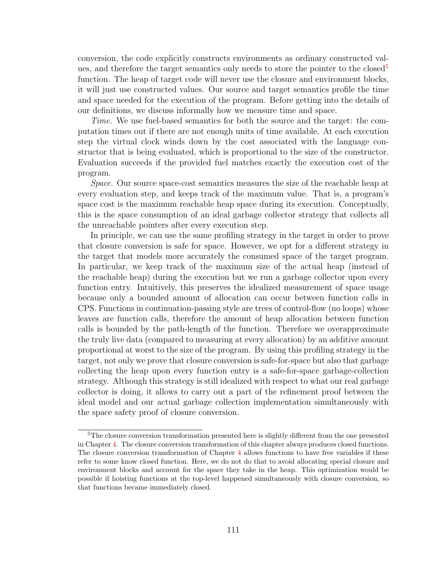conversion, the code explicitly constructs environments as ordinary constructed val-ues, and therefore the target semantics only needs to store the pointer to the closed<sup>[5](#page-121-0)</sup> function. The heap of target code will never use the closure and environment blocks, it will just use constructed values. Our source and target semantics profile the time and space needed for the execution of the program. Before getting into the details of our definitions, we discuss informally how we measure time and space.

Time. We use fuel-based semantics for both the source and the target: the computation times out if there are not enough units of time available. At each execution step the virtual clock winds down by the cost associated with the language constructor that is being evaluated, which is proportional to the size of the constructor. Evaluation succeeds if the provided fuel matches exactly the execution cost of the program.

Space. Our source space-cost semantics measures the size of the reachable heap at every evaluation step, and keeps track of the maximum value. That is, a program's space cost is the maximum reachable heap space during its execution. Conceptually, this is the space consumption of an ideal garbage collector strategy that collects all the unreachable pointers after every execution step.

In principle, we can use the same profiling strategy in the target in order to prove that closure conversion is safe for space. However, we opt for a different strategy in the target that models more accurately the consumed space of the target program. In particular, we keep track of the maximum size of the actual heap (instead of the reachable heap) during the execution but we run a garbage collector upon every function entry. Intuitively, this preserves the idealized measurement of space usage because only a bounded amount of allocation can occur between function calls in CPS. Functions in continuation-passing style are trees of control-flow (no loops) whose leaves are function calls, therefore the amount of heap allocation between function calls is bounded by the path-length of the function. Therefore we overapproximate the truly live data (compared to measuring at every allocation) by an additive amount proportional at worst to the size of the program. By using this profiling strategy in the target, not only we prove that closure conversion is safe-for-space but also that garbage collecting the heap upon every function entry is a safe-for-space garbage-collection strategy. Although this strategy is still idealized with respect to what our real garbage collector is doing, it allows to carry out a part of the refinement proof between the ideal model and our actual garbage collection implementation simultaneously with the space safety proof of closure conversion.

<span id="page-121-0"></span><sup>&</sup>lt;sup>5</sup>The closure conversion transformation presented here is slightly different from the one presented in Chapter [4.](#page-46-0) The closure conversion transformation of this chapter always produces closed functions. The closure conversion transformation of Chapter [4](#page-46-0) allows functions to have free variables if these refer to some know closed function. Here, we do not do that to avoid allocating special closure and environment blocks and account for the space they take in the heap. This optimization would be possible if hoisting functions at the top-level happened simultaneously with closure conversion, so that functions became immediately closed.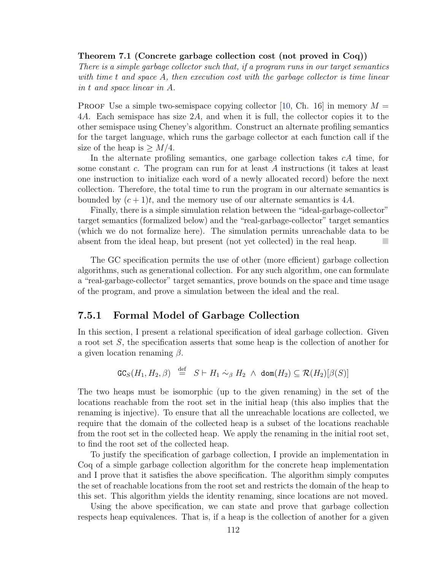#### Theorem 7.1 (Concrete garbage collection cost (not proved in Coq))

There is a simple garbage collector such that, if a program runs in our target semantics with time t and space A, then execution cost with the garbage collector is time linear in t and space linear in A.

**PROOF** Use a simple two-semispace copying collector [\[10,](#page-160-0) Ch. 16] in memory  $M =$ 4A. Each semispace has size 2A, and when it is full, the collector copies it to the other semispace using Cheney's algorithm. Construct an alternate profiling semantics for the target language, which runs the garbage collector at each function call if the size of the heap is  $\geq M/4$ .

In the alternate profiling semantics, one garbage collection takes cA time, for some constant c. The program can run for at least  $A$  instructions (it takes at least one instruction to initialize each word of a newly allocated record) before the next collection. Therefore, the total time to run the program in our alternate semantics is bounded by  $(c+1)t$ , and the memory use of our alternate semantics is 4A.

Finally, there is a simple simulation relation between the "ideal-garbage-collector" target semantics (formalized below) and the "real-garbage-collector" target semantics (which we do not formalize here). The simulation permits unreachable data to be absent from the ideal heap, but present (not yet collected) in the real heap.

The GC specification permits the use of other (more efficient) garbage collection algorithms, such as generational collection. For any such algorithm, one can formulate a "real-garbage-collector" target semantics, prove bounds on the space and time usage of the program, and prove a simulation between the ideal and the real.

### 7.5.1 Formal Model of Garbage Collection

In this section, I present a relational specification of ideal garbage collection. Given a root set S, the specification asserts that some heap is the collection of another for a given location renaming  $\beta$ .

$$
\mathtt{GC}_S(H_1,H_2,\beta) \stackrel{\text{def}}{=} S \vdash H_1 \stackrel{.}{\sim_\beta} H_2 \;\wedge\; \mathtt{dom}(H_2) \subseteq \mathcal{R}(H_2)[\beta(S)]
$$

The two heaps must be isomorphic (up to the given renaming) in the set of the locations reachable from the root set in the initial heap (this also implies that the renaming is injective). To ensure that all the unreachable locations are collected, we require that the domain of the collected heap is a subset of the locations reachable from the root set in the collected heap. We apply the renaming in the initial root set, to find the root set of the collected heap.

To justify the specification of garbage collection, I provide an implementation in Coq of a simple garbage collection algorithm for the concrete heap implementation and I prove that it satisfies the above specification. The algorithm simply computes the set of reachable locations from the root set and restricts the domain of the heap to this set. This algorithm yields the identity renaming, since locations are not moved.

Using the above specification, we can state and prove that garbage collection respects heap equivalences. That is, if a heap is the collection of another for a given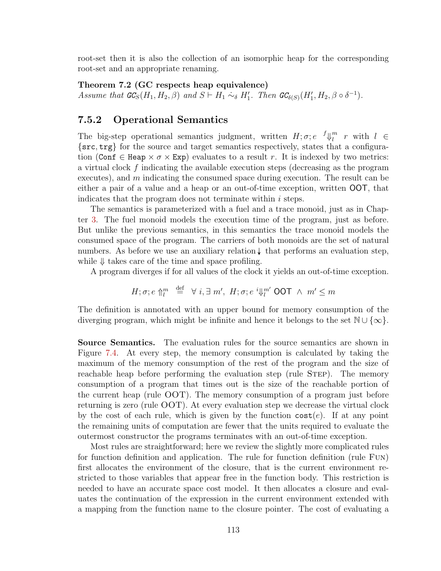root-set then it is also the collection of an isomorphic heap for the corresponding root-set and an appropriate renaming.

Theorem 7.2 (GC respects heap equivalence)

Assume that  $GC_S(H_1, H_2, \beta)$  and  $S \vdash H_1 \sim_{\delta} H'_1$ . Then  $GC_{\delta(S)}(H'_1, H_2, \beta \circ \delta^{-1})$ .

## 7.5.2 Operational Semantics

The big-step operational semantics judgment, written  $H; \sigma; e^{-f} \psi_l^m$  $\begin{array}{cc} m & r & \text{with} & l \end{array} \in$ {src, trg} for the source and target semantics respectively, states that a configuration (Conf  $\in$  Heap  $\times \sigma \times$  Exp) evaluates to a result r. It is indexed by two metrics: a virtual clock f indicating the available execution steps (decreasing as the program executes), and  $m$  indicating the consumed space during execution. The result can be either a pair of a value and a heap or an out-of-time exception, written OOT, that indicates that the program does not terminate within  $i$  steps.

The semantics is parameterized with a fuel and a trace monoid, just as in Chapter [3.](#page-31-0) The fuel monoid models the execution time of the program, just as before. But unlike the previous semantics, in this semantics the trace monoid models the consumed space of the program. The carriers of both monoids are the set of natural numbers. As before we use an auxiliary relation  $\downarrow$  that performs an evaluation step, while  $\Downarrow$  takes care of the time and space profiling.

A program diverges if for all values of the clock it yields an out-of-time exception.

$$
H; \sigma; e \uparrow_l^m \stackrel{\text{def}}{=} \forall i, \exists m', H; \sigma; e^i \Downarrow_l^m \text{OOT } \wedge m' \leq m
$$

The definition is annotated with an upper bound for memory consumption of the diverging program, which might be infinite and hence it belongs to the set  $\mathbb{N} \cup \{\infty\}$ .

Source Semantics. The evaluation rules for the source semantics are shown in Figure [7.4.](#page-124-0) At every step, the memory consumption is calculated by taking the maximum of the memory consumption of the rest of the program and the size of reachable heap before performing the evaluation step (rule STEP). The memory consumption of a program that times out is the size of the reachable portion of the current heap (rule OOT). The memory consumption of a program just before returning is zero (rule OOT). At every evaluation step we decrease the virtual clock by the cost of each rule, which is given by the function  $\csc(e)$ . If at any point the remaining units of computation are fewer that the units required to evaluate the outermost constructor the programs terminates with an out-of-time exception.

Most rules are straightforward; here we review the slightly more complicated rules for function definition and application. The rule for function definition (rule Fun) first allocates the environment of the closure, that is the current environment restricted to those variables that appear free in the function body. This restriction is needed to have an accurate space cost model. It then allocates a closure and evaluates the continuation of the expression in the current environment extended with a mapping from the function name to the closure pointer. The cost of evaluating a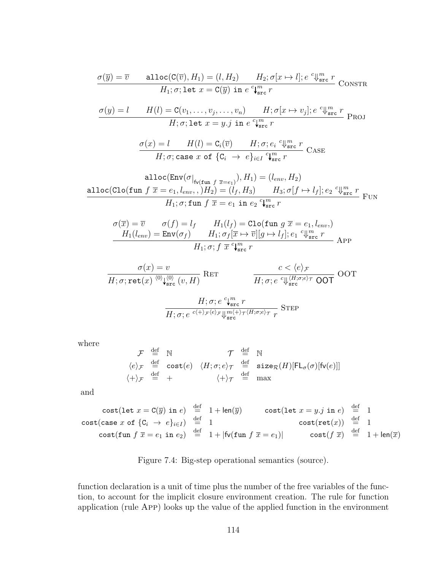<span id="page-124-0"></span>
$$
\frac{\sigma(\overline{y}) = \overline{v} \quad \text{alloc}(C(\overline{v}), H_1) = (l, H_2) \quad H_2; \sigma[x \mapsto l]; e \,^c \psi_{src}^m \, r}{H_1; \sigma; \text{let } x = C(\overline{y}) \text{ in } e \,^c \psi_{src}^m \, r} \text{ConsTR}
$$
\n
$$
\frac{\sigma(y) = l \quad H(l) = C(v_1, \dots, v_j, \dots, v_n) \quad H; \sigma[x \mapsto v_j]; e \,^c \psi_{src}^m \, r}{H; \sigma; \text{let } x = y \, j \text{ in } e \,^c \psi_{src}^m \, r} \text{ProJ}
$$
\n
$$
\frac{\sigma(x) = l \quad H(l) = C_i(\overline{v}) \quad H; \sigma; e_i \,^c \psi_{src}^m \, r}{H; \sigma; \text{case } x \text{ of } \{C_i \to e\}_{i \in I} \,^c \psi_{src}^m \, r} \text{Case}
$$
\n
$$
\frac{\text{alloc}(Env(\sigma|_{f\text{tr}} f_{\overline{x}=e_1}), H_1) = (l_{env}, H_2)}{\text{alloc}(Clo(fun f \, \overline{x} = e_1, l_{env}, .) H_2) = (l_f, H_3) \quad H_3; \sigma[f \mapsto l_f]; e_2 \,^c \psi_{src}^m \, r}{H_1; \sigma; \text{fun } f \, \overline{x} = e_1 \text{ in } e_2 \,^c \psi_{src}^m \, r} \text{Flow}
$$
\n
$$
\frac{\sigma(\overline{x}) = \overline{v} \quad \sigma(f) = l_f \quad H_1(l_f) = \text{Clo(fun } g \, \overline{x} = e_1, l_{env}, )}{H_1(l_{env}) = \text{Env}(\sigma_f) \quad H_1; \sigma_f[\overline{x} \mapsto \overline{v}][g \mapsto l_f]; e_1 \,^c \psi_{src}^m \, r}{H_1; \sigma; \tau \, \overline{x} \,^c \psi_{src}^m \, r} \text{APP}
$$
\n
$$
\frac{\sigma(x) = v \quad c \, \langle e \rangle_{\mathcal{F}} \quad \langle e \rangle_{\mathcal{F}} \text{COP} \text{OOT}}
$$

$$
\frac{H;\sigma;e\ ^{\mathrm{c}}\mathbf{V_{src}^m}\ r}{H;\sigma;e\ ^{c(+)\mathcal{F}\langle e\rangle_{\mathcal{F}}}\mathbf{V_{src}^{m(+)\mathcal{\tau}\langle H;\sigma;e\rangle_{\mathcal{T}}}}\ \mathrm{STEP}}
$$

where

$$
\begin{array}{rclcl} \mathcal{F} & \stackrel{\mathrm{def}}{=} & \mathbb{N} & \mathcal{T} & \stackrel{\mathrm{def}}{=} & \mathbb{N} \\ \langle e \rangle_{\mathcal{F}} & \stackrel{\mathrm{def}}{=} & \mathrm{cost}(e) & \langle H; \sigma; e \rangle_{\mathcal{T}} & \stackrel{\mathrm{def}}{=} & \mathrm{size}_{\mathcal{R}}(H)[\mathsf{FL}_{\sigma}(\sigma)[\mathsf{fv}(e)]] \\ \langle + \rangle_{\mathcal{F}} & \stackrel{\mathrm{def}}{=} & + & \langle + \rangle_{\mathcal{T}} & \stackrel{\mathrm{def}}{=} & \max \end{array}
$$

and

$$
\begin{array}{rcl}\n\text{cost}(\text{let } x = \text{C}(\overline{y}) \text{ in } e) & \stackrel{\text{def}}{=} & 1 + \text{len}(\overline{y}) & \text{cost}(\text{let } x = y \cdot j \text{ in } e) & \stackrel{\text{def}}{=} & 1 \\
\text{cost}(\text{case } x \text{ of } \{C_i \rightarrow e\}_{i \in I}) & \stackrel{\text{def}}{=} & 1 & \text{cost}(\text{ret}(x)) & \stackrel{\text{def}}{=} & 1 \\
\text{cost}(\text{fun } f \ \overline{x} = e_1 \text{ in } e_2) & \stackrel{\text{def}}{=} & 1 + |\text{fv}(\text{fun } f \ \overline{x} = e_1)| & \text{cost}(f \ \overline{x}) & \stackrel{\text{def}}{=} & 1 + \text{len}(\overline{x})\n\end{array}
$$

Figure 7.4: Big-step operational semantics (source).

function declaration is a unit of time plus the number of the free variables of the function, to account for the implicit closure environment creation. The rule for function application (rule App) looks up the value of the applied function in the environment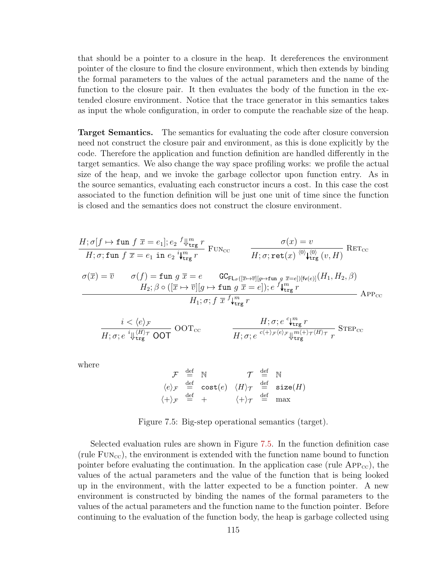that should be a pointer to a closure in the heap. It dereferences the environment pointer of the closure to find the closure environment, which then extends by binding the formal parameters to the values of the actual parameters and the name of the function to the closure pair. It then evaluates the body of the function in the extended closure environment. Notice that the trace generator in this semantics takes as input the whole configuration, in order to compute the reachable size of the heap.

Target Semantics. The semantics for evaluating the code after closure conversion need not construct the closure pair and environment, as this is done explicitly by the code. Therefore the application and function definition are handled differently in the target semantics. We also change the way space profiling works: we profile the actual size of the heap, and we invoke the garbage collector upon function entry. As in the source semantics, evaluating each constructor incurs a cost. In this case the cost associated to the function definition will be just one unit of time since the function is closed and the semantics does not construct the closure environment.

<span id="page-125-0"></span>
$$
H; \sigma[f \mapsto \text{fun } f \overline{x} = e_1]; e_2 \sqrt[4]{\text{tr}_{\text{trg}}} r
$$

$$
H; \sigma; \text{fun } f \overline{x} = e_1 \text{ in } e_2 \sqrt[3]{\text{tr}_{\text{trg}}} r
$$

$$
\sigma(\overline{x}) = \overline{v} \qquad \sigma(f) = \text{fun } g \overline{x} = e \qquad \text{GCE}_{\text{L}_{\sigma}([\overline{x} \mapsto \overline{v}][g \mapsto \text{fun } g \overline{x} = e])[\text{fv}(e)]}(H_1, H_2, \beta)
$$

$$
H_2; \beta \circ ([\overline{x} \mapsto \overline{v}][g \mapsto \text{fun } g \overline{x} = e]); e \sqrt[4]{\text{tr}_{\text{trg}}} r
$$

$$
H_1; \sigma; f \overline{x} \sqrt[4]{\text{tr}_{\text{trg}}} r
$$

$$
\frac{i<\langle e\rangle_{\mathcal{F}}}{H;\sigma;e\sqrt[i]{\text{tr}_{\text{trg}}\hspace{0.1cm}}}\ \text{OOT}_{\text{cc}} \qquad \qquad \frac{H;\sigma;e\sqrt[c]{\text{tr}_{\text{trg}}\hspace{0.1cm}r}}{H;\sigma;e\sqrt[c]{\text{tr}_{\text{trg}}\hspace{0.1cm}r}}\ \text{STEP}_{\text{cc}}
$$

where

$$
\begin{array}{ccc}\n\mathcal{F} & \stackrel{\text{def}}{=} & \mathbb{N} & \mathcal{T} & \stackrel{\text{def}}{=} & \mathbb{N} \\
\langle e \rangle_{\mathcal{F}} & \stackrel{\text{def}}{=} & \text{cost}(e) & \langle H \rangle_{\mathcal{T}} & \stackrel{\text{def}}{=} & \text{size}(H) \\
\langle + \rangle_{\mathcal{F}} & \stackrel{\text{def}}{=} & + & \langle + \rangle_{\mathcal{T}} & \stackrel{\text{def}}{=} & \max\n\end{array}
$$

Figure 7.5: Big-step operational semantics (target).

Selected evaluation rules are shown in Figure [7.5.](#page-125-0) In the function definition case (rule  $FUN_{\text{cc}}$ ), the environment is extended with the function name bound to function pointer before evaluating the continuation. In the application case (rule  $APP_{cc}$ ), the values of the actual parameters and the value of the function that is being looked up in the environment, with the latter expected to be a function pointer. A new environment is constructed by binding the names of the formal parameters to the values of the actual parameters and the function name to the function pointer. Before continuing to the evaluation of the function body, the heap is garbage collected using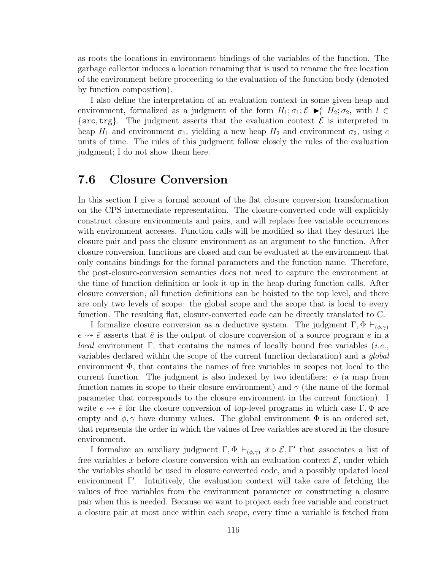as roots the locations in environment bindings of the variables of the function. The garbage collector induces a location renaming that is used to rename the free location of the environment before proceeding to the evaluation of the function body (denoted by function composition).

I also define the interpretation of an evaluation context in some given heap and environment, formalized as a judgment of the form  $H_1; \sigma_1; \mathcal{E} \blacktriangleright_l^c H_2; \sigma_2$ , with  $l \in$  $\{src, trg\}$ . The judgment asserts that the evaluation context  $\mathcal E$  is interpreted in heap  $H_1$  and environment  $\sigma_1$ , yielding a new heap  $H_2$  and environment  $\sigma_2$ , using c units of time. The rules of this judgment follow closely the rules of the evaluation judgment; I do not show them here.

# <span id="page-126-0"></span>7.6 Closure Conversion

In this section I give a formal account of the flat closure conversion transformation on the CPS intermediate representation. The closure-converted code will explicitly construct closure environments and pairs, and will replace free variable occurrences with environment accesses. Function calls will be modified so that they destruct the closure pair and pass the closure environment as an argument to the function. After closure conversion, functions are closed and can be evaluated at the environment that only contains bindings for the formal parameters and the function name. Therefore, the post-closure-conversion semantics does not need to capture the environment at the time of function definition or look it up in the heap during function calls. After closure conversion, all function definitions can be hoisted to the top level, and there are only two levels of scope: the global scope and the scope that is local to every function. The resulting flat, closure-converted code can be directly translated to C.

I formalize closure conversion as a deductive system. The judgment Γ,  $\Phi \vdash_{(\phi,\gamma)}$  $e \rightarrow \overline{e}$  asserts that  $\overline{e}$  is the output of closure conversion of a source program e in a *local* environment Γ, that contains the names of locally bound free variables (*i.e.*, variables declared within the scope of the current function declaration) and a global environment  $\Phi$ , that contains the names of free variables in scopes not local to the current function. The judgment is also indexed by two identifiers:  $\phi$  (a map from function names in scope to their closure environment) and  $\gamma$  (the name of the formal parameter that corresponds to the closure environment in the current function). I write  $e \leadsto \bar{e}$  for the closure conversion of top-level programs in which case Γ, Φ are empty and  $\phi, \gamma$  have dummy values. The global environment  $\Phi$  is an ordered set, that represents the order in which the values of free variables are stored in the closure environment.

I formalize an auxiliary judgment  $\Gamma, \Phi \vdash_{(\phi,\gamma)} \overline{x} \triangleright \mathcal{E}, \Gamma'$  that associates a list of free variables  $\bar{x}$  before closure conversion with an evaluation context  $\mathcal{E}$ , under which the variables should be used in closure converted code, and a possibly updated local environment  $\Gamma'$ . Intuitively, the evaluation context will take care of fetching the values of free variables from the environment parameter or constructing a closure pair when this is needed. Because we want to project each free variable and construct a closure pair at most once within each scope, every time a variable is fetched from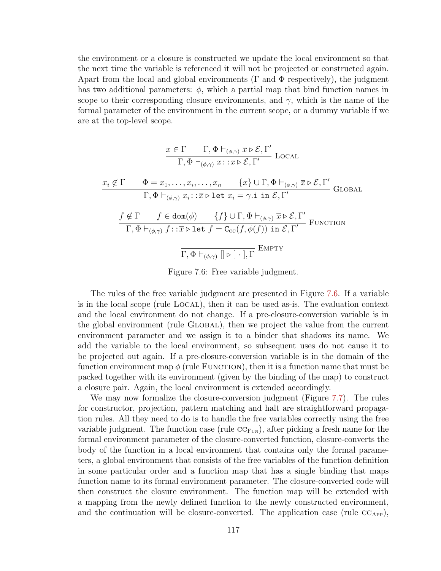the environment or a closure is constructed we update the local environment so that the next time the variable is referenced it will not be projected or constructed again. Apart from the local and global environments ( $\Gamma$  and  $\Phi$  respectively), the judgment has two additional parameters:  $\phi$ , which a partial map that bind function names in scope to their corresponding closure environments, and  $\gamma$ , which is the name of the formal parameter of the environment in the current scope, or a dummy variable if we are at the top-level scope.

<span id="page-127-0"></span>
$$
\frac{x \in \Gamma \qquad \Gamma, \Phi \vdash_{(\phi, \gamma)} \overline{x} \rhd \mathcal{E}, \Gamma'}{\Gamma, \Phi \vdash_{(\phi, \gamma)} x : : \overline{x} \rhd \mathcal{E}, \Gamma'} \text{ Local}
$$
\n
$$
\frac{x_i \notin \Gamma \qquad \Phi = x_1, \dots, x_i, \dots, x_n \qquad \{x\} \cup \Gamma, \Phi \vdash_{(\phi, \gamma)} \overline{x} \rhd \mathcal{E}, \Gamma'}{\Gamma, \Phi \vdash_{(\phi, \gamma)} x_i : : \overline{x} \rhd \text{let } x_i = \gamma. \text{ i in } \mathcal{E}, \Gamma'} \text{GLOBAL}
$$
\n
$$
\frac{f \notin \Gamma \qquad f \in \text{dom}(\phi) \qquad \{f\} \cup \Gamma, \Phi \vdash_{(\phi, \gamma)} \overline{x} \rhd \mathcal{E}, \Gamma'}{\Gamma, \Phi \vdash_{(\phi, \gamma)} f : : \overline{x} \rhd \text{let } f = \text{C}_{\text{CC}}(f, \phi(f)) \text{ in } \mathcal{E}, \Gamma'} \text{ FUNCTION}
$$
\n
$$
\frac{\Gamma, \Phi \vdash_{(\phi, \gamma)} \Box \rhd [\neg, \Gamma]}{\Gamma, \Phi \vdash_{(\phi, \gamma)} \Box \rhd [\neg, \Gamma]} \text{EMPTY}
$$

Figure 7.6: Free variable judgment.

The rules of the free variable judgment are presented in Figure [7.6.](#page-127-0) If a variable is in the local scope (rule Local), then it can be used as-is. The evaluation context and the local environment do not change. If a pre-closure-conversion variable is in the global environment (rule Global), then we project the value from the current environment parameter and we assign it to a binder that shadows its name. We add the variable to the local environment, so subsequent uses do not cause it to be projected out again. If a pre-closure-conversion variable is in the domain of the function environment map  $\phi$  (rule FUNCTION), then it is a function name that must be packed together with its environment (given by the binding of the map) to construct a closure pair. Again, the local environment is extended accordingly.

We may now formalize the closure-conversion judgment (Figure [7.7\)](#page-128-1). The rules for constructor, projection, pattern matching and halt are straightforward propagation rules. All they need to do is to handle the free variables correctly using the free variable judgment. The function case (rule  $\mathrm{CC}_{\text{FUN}}$ ), after picking a fresh name for the formal environment parameter of the closure-converted function, closure-converts the body of the function in a local environment that contains only the formal parameters, a global environment that consists of the free variables of the function definition in some particular order and a function map that has a single binding that maps function name to its formal environment parameter. The closure-converted code will then construct the closure environment. The function map will be extended with a mapping from the newly defined function to the newly constructed environment, and the continuation will be closure-converted. The application case (rule  $\rm CC_{APP}$ ),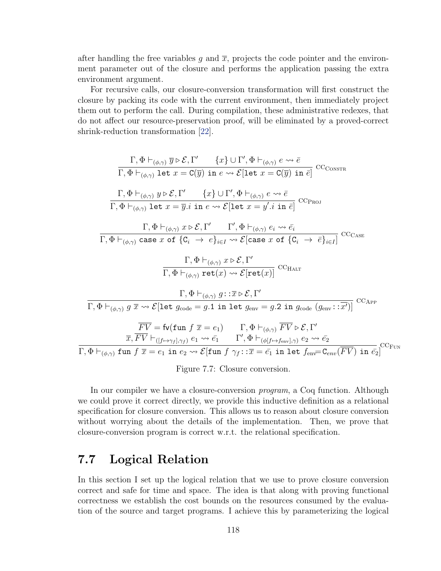after handling the free variables g and  $\bar{x}$ , projects the code pointer and the environment parameter out of the closure and performs the application passing the extra environment argument.

For recursive calls, our closure-conversion transformation will first construct the closure by packing its code with the current environment, then immediately project them out to perform the call. During compilation, these administrative redexes, that do not affect our resource-preservation proof, will be eliminated by a proved-correct shrink-reduction transformation [\[22\]](#page-161-0).

<span id="page-128-1"></span>Γ, Φ `(φ,γ) y . E, Γ 0 {x} ∪ Γ 0 , Φ `(φ,γ) e e¯ Γ, Φ `(φ,γ) let x = C(y) in e E[let x = C(y) in e¯] ccConstr Γ, Φ `(φ,γ) y . E, Γ 0 {x} ∪ Γ 0 , Φ `(φ,γ) e e¯ Γ, Φ `(φ,γ) let x = y.i in e E[let x = y 0 .i in e¯] ccProj Γ, Φ `(φ,γ) x . E, Γ <sup>0</sup> Γ 0 , Φ `(φ,γ) e<sup>i</sup> e¯<sup>i</sup> Γ, Φ `(φ,γ) case x of {C<sup>i</sup> → e}i∈<sup>I</sup> E[case x of {C<sup>i</sup> → e¯}i∈<sup>I</sup> ] ccCase Γ, Φ `(φ,γ) x . E, Γ 0 <sup>Γ</sup>, <sup>Φ</sup> `(φ,γ) ret(x) <sup>E</sup>[ret(x)] ccHalt Γ, Φ `(φ,γ) g::x . E, Γ 0 Γ, Φ `(φ,γ) g x E[let gcode = g.1 in let genv = g.2 in gcode (genv::x 0 )] ccApp F V = fv(fun f x = e1) Γ, Φ `(φ,γ) F V . E, Γ 0 x, F V `([f7→γ<sup>f</sup> ],γ<sup>f</sup> ) e<sup>1</sup> e¯<sup>1</sup> Γ 0 , Φ `(φ[f7→fenv],γ) e<sup>2</sup> e¯<sup>2</sup> Γ, Φ `(φ,γ) fun f x = e<sup>1</sup> in e<sup>2</sup> E[fun f γf::x = ¯e<sup>1</sup> in let fenv=Cenv(F V ) in e¯2] ccFun

Figure 7.7: Closure conversion.

In our compiler we have a closure-conversion program, a Coq function. Although we could prove it correct directly, we provide this inductive definition as a relational specification for closure conversion. This allows us to reason about closure conversion without worrying about the details of the implementation. Then, we prove that closure-conversion program is correct w.r.t. the relational specification.

# <span id="page-128-0"></span>7.7 Logical Relation

In this section I set up the logical relation that we use to prove closure conversion correct and safe for time and space. The idea is that along with proving functional correctness we establish the cost bounds on the resources consumed by the evaluation of the source and target programs. I achieve this by parameterizing the logical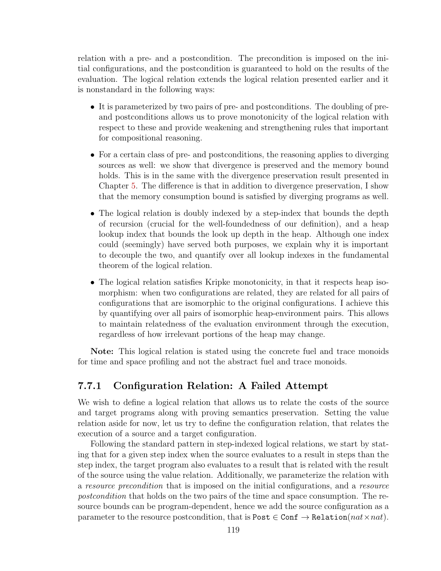relation with a pre- and a postcondition. The precondition is imposed on the initial configurations, and the postcondition is guaranteed to hold on the results of the evaluation. The logical relation extends the logical relation presented earlier and it is nonstandard in the following ways:

- It is parameterized by two pairs of pre- and postconditions. The doubling of preand postconditions allows us to prove monotonicity of the logical relation with respect to these and provide weakening and strengthening rules that important for compositional reasoning.
- For a certain class of pre- and postconditions, the reasoning applies to diverging sources as well: we show that divergence is preserved and the memory bound holds. This is in the same with the divergence preservation result presented in Chapter [5.](#page-69-0) The difference is that in addition to divergence preservation, I show that the memory consumption bound is satisfied by diverging programs as well.
- The logical relation is doubly indexed by a step-index that bounds the depth of recursion (crucial for the well-foundedness of our definition), and a heap lookup index that bounds the look up depth in the heap. Although one index could (seemingly) have served both purposes, we explain why it is important to decouple the two, and quantify over all lookup indexes in the fundamental theorem of the logical relation.
- The logical relation satisfies Kripke monotonicity, in that it respects heap isomorphism: when two configurations are related, they are related for all pairs of configurations that are isomorphic to the original configurations. I achieve this by quantifying over all pairs of isomorphic heap-environment pairs. This allows to maintain relatedness of the evaluation environment through the execution, regardless of how irrelevant portions of the heap may change.

Note: This logical relation is stated using the concrete fuel and trace monoids for time and space profiling and not the abstract fuel and trace monoids.

## 7.7.1 Configuration Relation: A Failed Attempt

We wish to define a logical relation that allows us to relate the costs of the source and target programs along with proving semantics preservation. Setting the value relation aside for now, let us try to define the configuration relation, that relates the execution of a source and a target configuration.

Following the standard pattern in step-indexed logical relations, we start by stating that for a given step index when the source evaluates to a result in steps than the step index, the target program also evaluates to a result that is related with the result of the source using the value relation. Additionally, we parameterize the relation with a resource precondition that is imposed on the initial configurations, and a resource postcondition that holds on the two pairs of the time and space consumption. The resource bounds can be program-dependent, hence we add the source configuration as a parameter to the resource postcondition, that is Post  $\in$  Conf  $\rightarrow$  Relation( $nat \times nat$ ).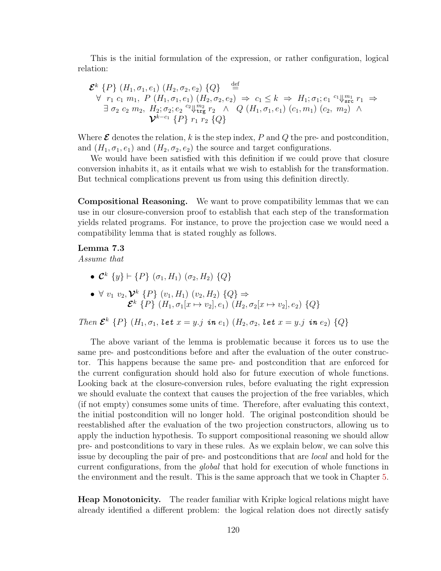This is the initial formulation of the expression, or rather configuration, logical relation:

$$
\mathcal{E}^{k} \{P\} (H_{1}, \sigma_{1}, e_{1}) (H_{2}, \sigma_{2}, e_{2}) \{Q\} \stackrel{\text{def}}{=} \newline \forall r_{1} c_{1} m_{1}, P (H_{1}, \sigma_{1}, e_{1}) (H_{2}, \sigma_{2}, e_{2}) \Rightarrow c_{1} \leq k \Rightarrow H_{1}; \sigma_{1}; e_{1} {}^{c_{1}} \Downarrow_{\text{src}}^{m_{1}} r_{1} \Rightarrow \newline \exists \sigma_{2} c_{2} m_{2}, H_{2}; \sigma_{2}; e_{2} {}^{c_{2}} \Downarrow_{\text{trg}}^{m_{2}} r_{2} \wedge Q (H_{1}, \sigma_{1}, e_{1}) (c_{1}, m_{1}) (c_{2}, m_{2}) \wedge \newline \mathcal{V}^{k-c_{1}} \{P\} r_{1} r_{2} \{Q\}
$$

Where  $\mathcal E$  denotes the relation, k is the step index, P and Q the pre- and postcondition, and  $(H_1, \sigma_1, e_1)$  and  $(H_2, \sigma_2, e_2)$  the source and target configurations.

We would have been satisfied with this definition if we could prove that closure conversion inhabits it, as it entails what we wish to establish for the transformation. But technical complications prevent us from using this definition directly.

Compositional Reasoning. We want to prove compatibility lemmas that we can use in our closure-conversion proof to establish that each step of the transformation yields related programs. For instance, to prove the projection case we would need a compatibility lemma that is stated roughly as follows.

#### Lemma 7.3

Assume that

•  $\mathcal{C}^k$   $\{y\} \vdash \{P\}$   $(\sigma_1, H_1)$   $(\sigma_2, H_2)$   $\{Q\}$ 

• 
$$
\forall v_1 v_2, \mathcal{V}^k \{P\} (v_1, H_1) (v_2, H_2) \{Q\} \Rightarrow
$$
  
 $\mathcal{E}^k \{P\} (H_1, \sigma_1[x \mapsto v_2], e_1) (H_2, \sigma_2[x \mapsto v_2], e_2) \{Q\}$ 

Then  $\mathcal{E}^k$  {P} (H<sub>1</sub>,  $\sigma_1$ , let  $x = y$ .j in  $e_1$ ) (H<sub>2</sub>,  $\sigma_2$ , let  $x = y$ .j in  $e_2$ ) {Q}

The above variant of the lemma is problematic because it forces us to use the same pre- and postconditions before and after the evaluation of the outer constructor. This happens because the same pre- and postcondition that are enforced for the current configuration should hold also for future execution of whole functions. Looking back at the closure-conversion rules, before evaluating the right expression we should evaluate the context that causes the projection of the free variables, which (if not empty) consumes some units of time. Therefore, after evaluating this context, the initial postcondition will no longer hold. The original postcondition should be reestablished after the evaluation of the two projection constructors, allowing us to apply the induction hypothesis. To support compositional reasoning we should allow pre- and postconditions to vary in these rules. As we explain below, we can solve this issue by decoupling the pair of pre- and postconditions that are *local* and hold for the current configurations, from the global that hold for execution of whole functions in the environment and the result. This is the same approach that we took in Chapter [5.](#page-69-0)

Heap Monotonicity. The reader familiar with Kripke logical relations might have already identified a different problem: the logical relation does not directly satisfy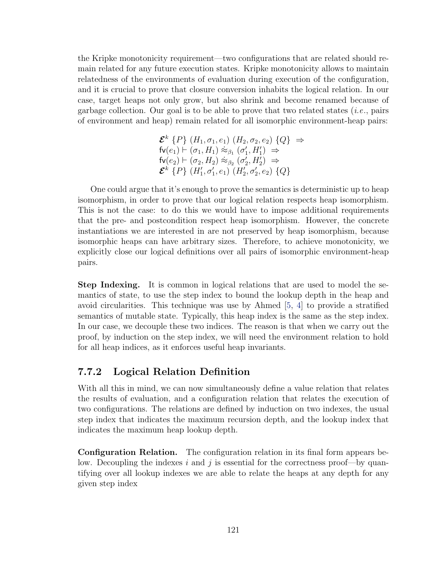the Kripke monotonicity requirement—two configurations that are related should remain related for any future execution states. Kripke monotonicity allows to maintain relatedness of the environments of evaluation during execution of the configuration, and it is crucial to prove that closure conversion inhabits the logical relation. In our case, target heaps not only grow, but also shrink and become renamed because of garbage collection. Our goal is to be able to prove that two related states  $(i.e., pairs)$ of environment and heap) remain related for all isomorphic environment-heap pairs:

$$
\mathcal{E}^{k} \{P\} (H_{1}, \sigma_{1}, e_{1}) (H_{2}, \sigma_{2}, e_{2}) \{Q\} \Rightarrow \n\mathsf{fv}(e_{1}) \vdash (\sigma_{1}, H_{1}) \approx_{\beta_{1}} (\sigma_{1}', H_{1}') \Rightarrow \n\mathsf{fv}(e_{2}) \vdash (\sigma_{2}, H_{2}) \approx_{\beta_{2}} (\sigma_{2}', H_{2}') \Rightarrow \n\mathcal{E}^{k} \{P\} (H_{1}', \sigma_{1}', e_{1}) (H_{2}', \sigma_{2}', e_{2}) \{Q\}
$$

One could argue that it's enough to prove the semantics is deterministic up to heap isomorphism, in order to prove that our logical relation respects heap isomorphism. This is not the case: to do this we would have to impose additional requirements that the pre- and postcondition respect heap isomorphism. However, the concrete instantiations we are interested in are not preserved by heap isomorphism, because isomorphic heaps can have arbitrary sizes. Therefore, to achieve monotonicity, we explicitly close our logical definitions over all pairs of isomorphic environment-heap pairs.

Step Indexing. It is common in logical relations that are used to model the semantics of state, to use the step index to bound the lookup depth in the heap and avoid circularities. This technique was use by Ahmed [\[5,](#page-159-1) [4\]](#page-159-2) to provide a stratified semantics of mutable state. Typically, this heap index is the same as the step index. In our case, we decouple these two indices. The reason is that when we carry out the proof, by induction on the step index, we will need the environment relation to hold for all heap indices, as it enforces useful heap invariants.

## 7.7.2 Logical Relation Definition

With all this in mind, we can now simultaneously define a value relation that relates the results of evaluation, and a configuration relation that relates the execution of two configurations. The relations are defined by induction on two indexes, the usual step index that indicates the maximum recursion depth, and the lookup index that indicates the maximum heap lookup depth.

Configuration Relation. The configuration relation in its final form appears below. Decoupling the indexes i and j is essential for the correctness proof—by quantifying over all lookup indexes we are able to relate the heaps at any depth for any given step index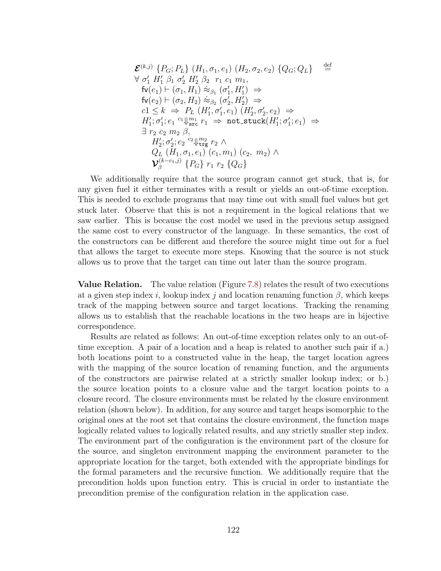E (k,j) {PG; PL} (H1, σ1, e1) (H2, σ2, e2) {QG; QL} def = ∀ σ 0 <sup>1</sup> H<sup>0</sup> <sup>1</sup> β<sup>1</sup> σ 0 <sup>2</sup> H<sup>0</sup> <sup>2</sup> β<sup>2</sup> r<sup>1</sup> c<sup>1</sup> m1, fv(e1) ` (σ1, H1) ≈˙ <sup>β</sup><sup>1</sup> (σ 0 1 , H<sup>0</sup> 1 ) ⇒ fv(e2) ` (σ2, H2) ≈˙ <sup>β</sup><sup>2</sup> (σ 0 2 , H<sup>0</sup> 2 ) ⇒ c1 ≤ k ⇒ P<sup>L</sup> (H<sup>0</sup> 1 , σ<sup>0</sup> 1 , e1) (H<sup>0</sup> 2 , σ<sup>0</sup> 2 , e2) ⇒ H0 1 ; σ 0 1 ; e<sup>1</sup> ⇓ c<sup>1</sup> m<sup>1</sup> src r<sup>1</sup> ⇒ not stuck(H<sup>0</sup> 1 ; σ 0 1 ; e1) ⇒ ∃ r<sup>2</sup> c<sup>2</sup> m<sup>2</sup> β, H0 2 ; σ 0 2 ; e<sup>2</sup> ⇓ c<sup>2</sup> m<sup>2</sup> trg r<sup>2</sup> ∧ Q<sup>L</sup> (H1, σ1, e1) (c1, m1) (c2, m2) ∧ V (k−c1,j) β {PG} r<sup>1</sup> r<sup>2</sup> {QG}

We additionally require that the source program cannot get stuck, that is, for any given fuel it either terminates with a result or yields an out-of-time exception. This is needed to exclude programs that may time out with small fuel values but get stuck later. Observe that this is not a requirement in the logical relations that we saw earlier. This is because the cost model we used in the previous setup assigned the same cost to every constructor of the language. In these semantics, the cost of the constructors can be different and therefore the source might time out for a fuel that allows the target to execute more steps. Knowing that the source is not stuck allows us to prove that the target can time out later than the source program.

Value Relation. The value relation (Figure [7.8\)](#page-133-0) relates the result of two executions at a given step index i, lookup index j and location renaming function  $\beta$ , which keeps track of the mapping between source and target locations. Tracking the renaming allows us to establish that the reachable locations in the two heaps are in bijective correspondence.

Results are related as follows: An out-of-time exception relates only to an out-oftime exception. A pair of a location and a heap is related to another such pair if a.) both locations point to a constructed value in the heap, the target location agrees with the mapping of the source location of renaming function, and the arguments of the constructors are pairwise related at a strictly smaller lookup index; or b.) the source location points to a closure value and the target location points to a closure record. The closure environments must be related by the closure environment relation (shown below). In addition, for any source and target heaps isomorphic to the original ones at the root set that contains the closure environment, the function maps logically related values to logically related results, and any strictly smaller step index. The environment part of the configuration is the environment part of the closure for the source, and singleton environment mapping the environment parameter to the appropriate location for the target, both extended with the appropriate bindings for the formal parameters and the recursive function. We additionally require that the precondition holds upon function entry. This is crucial in order to instantiate the precondition premise of the configuration relation in the application case.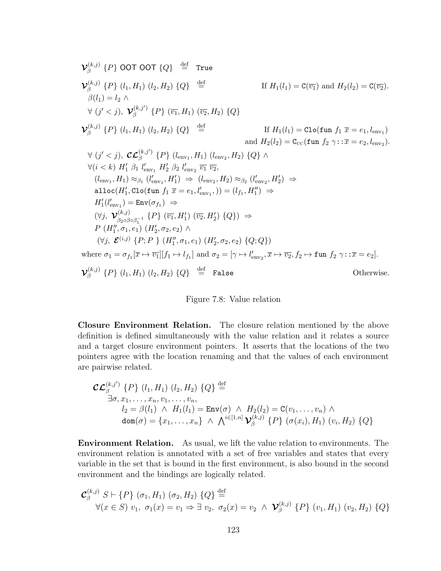<span id="page-133-0"></span>
$$
\mathbf{V}_{\beta}^{(k,j)}\{P\}\text{ OOT OOT}\{Q\} \stackrel{\text{def}}{=} \text{True}
$$
\n
$$
\mathbf{V}_{\beta}^{(k,j)}\{P\}\{l_1, H_1\}(l_2, H_2\} \{Q\} \stackrel{\text{def}}{=} \text{If } H_1(l_1) = \mathbf{C}(\overline{v_1}) \text{ and } H_2(l_2) = \mathbf{C}(\overline{v_2}).
$$
\n
$$
\beta(l_1) = l_2 \land \forall (j' < j), \mathbf{V}_{\beta}^{(k,j')} \{P\} \{(\overline{v_1}, H_1) \ (\overline{v_2}, H_2) \{Q\}
$$
\n
$$
\mathbf{V}_{\beta}^{(k,j)}\{P\}\{l_1, H_1\}(l_2, H_2\} \{Q\} \stackrel{\text{def}}{=} \text{If } H_1(l_1) = \text{Clo}(\text{fun } f_1 \overline{x} = e_1, l_{env_1})
$$
\n
$$
\text{and } H_2(l_2) = \text{C}_{\text{cc}}(\text{fun } f_2 \gamma : : \overline{x} = e_2, l_{env_2}).
$$
\n
$$
\forall (j' < j), \mathbf{C} \mathbf{C}_{\beta}^{(k,j')} \{P\} \ (l_{env_1}, H_1) \ (l_{env_2}, H_2) \{Q\} \land \forall (i < k) \ H_1' \beta_1 l_{env_1}' \ H_2' \beta_2 l_{env_2}' \ \overline{v_1} \ \overline{v_2},
$$
\n
$$
(l_{env_1}, H_1) \approx_{\beta_1} (l_{env_1}', H_1') \Rightarrow (l_{env_2}, H_2) \approx_{\beta_2} (l_{env_2}', H_2') \Rightarrow
$$
\n
$$
\text{alloc}(H_1', \text{Clo}(\text{fun } f_1 \overline{x} = e_1, l_{env_1}'), \text{)} = (l_{f_1}, H_1'') \Rightarrow
$$
\n
$$
H_1'(l_{env_1}') = \text{Env}(\sigma_{f_1}) \Rightarrow
$$
\n
$$
(\forall j, \mathbf{V}_{\beta_2 \circ \beta \circ \beta_1^{-1}} \{P\} \{ \
$$

Figure 7.8: Value relation

Closure Environment Relation. The closure relation mentioned by the above definition is defined simultaneously with the value relation and it relates a source and a target closure environment pointers. It asserts that the locations of the two pointers agree with the location renaming and that the values of each environment are pairwise related.

$$
\mathcal{CL}_{\beta}^{(k,j')} \{P\} (l_1, H_1) (l_2, H_2) \{Q\} \stackrel{\text{def}}{=} \n\exists \sigma, x_1, \dots, x_n, v_1, \dots, v_n, \n l_2 = \beta(l_1) \land H_1(l_1) = \text{Env}(\sigma) \land H_2(l_2) = \text{C}(v_1, \dots, v_n) \land \n\text{dom}(\sigma) = \{x_1, \dots, x_n\} \land \bigwedge^{i \in [1, n]} \mathcal{V}_{\beta}^{(k,j)} \{P\} (\sigma(x_i), H_1) (v_i, H_2) \{Q\}
$$

Environment Relation. As usual, we lift the value relation to environments. The environment relation is annotated with a set of free variables and states that every variable in the set that is bound in the first environment, is also bound in the second environment and the bindings are logically related.

$$
\mathcal{C}_{\beta}^{(k,j)} S \vdash \{P\} (\sigma_1, H_1) (\sigma_2, H_2) \{Q\} \stackrel{\text{def}}{=} \forall (x \in S) \ v_1, \ \sigma_1(x) = v_1 \Rightarrow \exists \ v_2, \ \sigma_2(x) = v_2 \ \land \ \mathcal{V}_{\beta}^{(k,j)} \{P\} \ (v_1, H_1) \ (v_2, H_2) \ \{Q\}
$$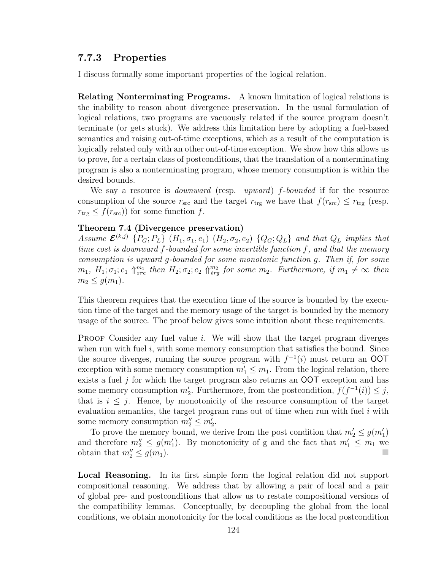## 7.7.3 Properties

I discuss formally some important properties of the logical relation.

Relating Nonterminating Programs. A known limitation of logical relations is the inability to reason about divergence preservation. In the usual formulation of logical relations, two programs are vacuously related if the source program doesn't terminate (or gets stuck). We address this limitation here by adopting a fuel-based semantics and raising out-of-time exceptions, which as a result of the computation is logically related only with an other out-of-time exception. We show how this allows us to prove, for a certain class of postconditions, that the translation of a nonterminating program is also a nonterminating program, whose memory consumption is within the desired bounds.

We say a resource is *downward* (resp. *upward*) f-bounded if for the resource consumption of the source  $r_{\rm src}$  and the target  $r_{\rm trg}$  we have that  $f(r_{\rm src}) \le r_{\rm trg}$  (resp.  $r_{\text{trg}} \leq f(r_{\text{src}})$  for some function f.

#### Theorem 7.4 (Divergence preservation)

Assume  $\mathcal{E}^{(k,j)}$   $\{P_G; P_L\}$   $(H_1, \sigma_1, e_1)$   $(H_2, \sigma_2, e_2)$   $\{Q_G; Q_L\}$  and that  $Q_L$  implies that time cost is downward f-bounded for some invertible function f, and that the memory consumption is upward g-bounded for some monotonic function g. Then if, for some  $m_1, H_1; \sigma_1; e_1 \uparrow_{src}^{m_1} then H_2; \sigma_2; e_2 \uparrow_{trg}^{m_2} for some m_2. Furthermore, if m_1 \neq \infty then$  $m_2 \leq q(m_1)$ .

This theorem requires that the execution time of the source is bounded by the execution time of the target and the memory usage of the target is bounded by the memory usage of the source. The proof below gives some intuition about these requirements.

**PROOF** Consider any fuel value i. We will show that the target program diverges when run with fuel  $i$ , with some memory consumption that satisfies the bound. Since the source diverges, running the source program with  $f^{-1}(i)$  must return an OOT exception with some memory consumption  $m'_1 \leq m_1$ . From the logical relation, there exists a fuel  $j$  for which the target program also returns an **OOT** exception and has some memory consumption  $m'_2$ . Furthermore, from the postcondition,  $f(f^{-1}(i)) \leq j$ , that is  $i \leq j$ . Hence, by monotonicity of the resource consumption of the target evaluation semantics, the target program runs out of time when run with fuel  $i$  with some memory consumption  $m_2'' \le m_2'$ .

To prove the memory bound, we derive from the post condition that  $m'_2 \leq g(m'_1)$ and therefore  $m_2'' \leq g(m_1')$ . By monotonicity of g and the fact that  $m_1' \leq m_1$  we obtain that  $m_2'' \leq g(m_1)$ .

Local Reasoning. In its first simple form the logical relation did not support compositional reasoning. We address that by allowing a pair of local and a pair of global pre- and postconditions that allow us to restate compositional versions of the compatibility lemmas. Conceptually, by decoupling the global from the local conditions, we obtain monotonicity for the local conditions as the local postcondition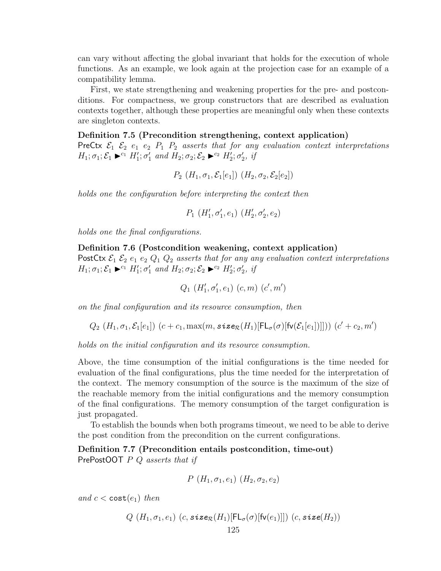can vary without affecting the global invariant that holds for the execution of whole functions. As an example, we look again at the projection case for an example of a compatibility lemma.

First, we state strengthening and weakening properties for the pre- and postconditions. For compactness, we group constructors that are described as evaluation contexts together, although these properties are meaningful only when these contexts are singleton contexts.

#### Definition 7.5 (Precondition strengthening, context application)

PreCtx  $\mathcal{E}_1$   $\mathcal{E}_2$   $e_1$   $e_2$   $P_1$   $P_2$  asserts that for any evaluation context interpretations  $H_1; \sigma_1; \mathcal{E}_1 \blacktriangleright^{c_1} H_1'; \sigma_1'$  and  $H_2; \sigma_2; \mathcal{E}_2 \blacktriangleright^{c_2} H_2'; \sigma_2', \text{ if}$ 

$$
P_2(H_1, \sigma_1, \mathcal{E}_1[e_1]) (H_2, \sigma_2, \mathcal{E}_2[e_2])
$$

holds one the configuration before interpreting the context then

$$
P_1(H'_1, \sigma'_1, e_1) (H'_2, \sigma'_2, e_2)
$$

holds one the final configurations.

Definition 7.6 (Postcondition weakening, context application) PostCtx  $\mathcal{E}_1$   $\mathcal{E}_2$   $e_1$   $e_2$   $Q_1$   $Q_2$  asserts that for any any evaluation context interpretations  $H_1; \sigma_1; \mathcal{E}_1 \blacktriangleright^{c_1} H_1'; \sigma_1'$  and  $H_2; \sigma_2; \mathcal{E}_2 \blacktriangleright^{c_2} H_2'; \sigma_2',$  if

$$
Q_1(H'_1, \sigma'_1, e_1) (c, m) (c', m')
$$

on the final configuration and its resource consumption, then

$$
Q_2(H_1, \sigma_1, \mathcal{E}_1[e_1])
$$
  $(c + c_1, \max(m, \text{size}_{\mathcal{R}}(H_1)[\mathsf{FL}_{\sigma}(\sigma)[\mathsf{fv}(\mathcal{E}_1[e_1])]]))$   $(c' + c_2, m')$ 

holds on the initial configuration and its resource consumption.

Above, the time consumption of the initial configurations is the time needed for evaluation of the final configurations, plus the time needed for the interpretation of the context. The memory consumption of the source is the maximum of the size of the reachable memory from the initial configurations and the memory consumption of the final configurations. The memory consumption of the target configuration is just propagated.

To establish the bounds when both programs timeout, we need to be able to derive the post condition from the precondition on the current configurations.

Definition 7.7 (Precondition entails postcondition, time-out) PrePostOOT  $P$  Q asserts that if

$$
P(H_1, \sigma_1, e_1) (H_2, \sigma_2, e_2)
$$

and  $c < \text{cost}(e_1)$  then

$$
Q(H_1, \sigma_1, e_1) (c, \text{size}_{\mathcal{R}}(H_1)[\mathsf{FL}_{\sigma}(\sigma)[\mathsf{fv}(e_1)]]) (c, \text{size}(H_2))
$$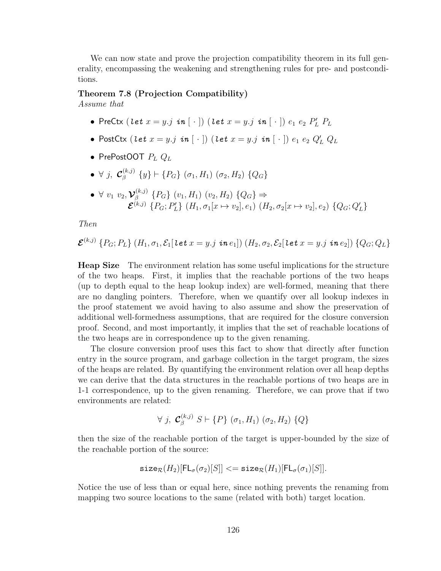We can now state and prove the projection compatibility theorem in its full generality, encompassing the weakening and strengthening rules for pre- and postconditions.

#### Theorem 7.8 (Projection Compatibility)

Assume that

- PreCtx  $(\textit{let } x = y.j \textit{ in } [\; \cdot \;])$   $(\textit{let } x = y.j \textit{ in } [\; \cdot \;]) \textit{ e_1 e_2 } P'_L P_L$
- PostCtx  $(\textit{let} \ x = y.j \ \textit{in} \ [\ \cdot \ ])$   $(\textit{let} \ x = y.j \ \textit{in} \ [\ \cdot \ ]) \ e_1 \ e_2 \ Q_L' \ Q_L$
- PrePostOOT  $P_L Q_L$
- $\bullet$   $\forall$   $j$ ,  $\mathcal{C}_{\beta}^{(k,j)}$  $\{^{(k,j)}_{\beta}\}_{j} \vdash \{P_G\}$   $(\sigma_1, H_1)$   $(\sigma_2, H_2)$   $\{Q_G\}$
- $\bullet \ \forall \ v_1 \ v_2, \mathcal{V}_\beta^{(k,j)}$  $\beta_{\beta}^{(k,j)}$  {P<sub>G</sub>} (v<sub>1</sub>, H<sub>1</sub>) (v<sub>2</sub>, H<sub>2</sub>) {Q<sub>G</sub>}  $\Rightarrow$  $\mathcal{E}^{(k,j)}\{P_G;P'_L\}\ (H_1,\sigma_1[x \mapsto v_2],e_1)\ (H_2,\sigma_2[x \mapsto v_2],e_2)\ \{Q_G;Q'_L\}$

Then

$$
\mathcal{E}^{(k,j)}\{P_G; P_L\}\left(H_1, \sigma_1, \mathcal{E}_1[\text{let } x = y \text{.} j \text{ in } e_1]\right)\left(H_2, \sigma_2, \mathcal{E}_2[\text{let } x = y \text{.} j \text{ in } e_2]\right)\{Q_G; Q_L\}
$$

Heap Size The environment relation has some useful implications for the structure of the two heaps. First, it implies that the reachable portions of the two heaps (up to depth equal to the heap lookup index) are well-formed, meaning that there are no dangling pointers. Therefore, when we quantify over all lookup indexes in the proof statement we avoid having to also assume and show the preservation of additional well-formedness assumptions, that are required for the closure conversion proof. Second, and most importantly, it implies that the set of reachable locations of the two heaps are in correspondence up to the given renaming.

The closure conversion proof uses this fact to show that directly after function entry in the source program, and garbage collection in the target program, the sizes of the heaps are related. By quantifying the environment relation over all heap depths we can derive that the data structures in the reachable portions of two heaps are in 1-1 correspondence, up to the given renaming. Therefore, we can prove that if two environments are related:

$$
\forall j, \mathcal{C}_{\beta}^{(k,j)} \; S \vdash \{P\} \; (\sigma_1, H_1) \; (\sigma_2, H_2) \; \{Q\}
$$

then the size of the reachable portion of the target is upper-bounded by the size of the reachable portion of the source:

$$
\texttt{size}_{\mathcal{R}}(H_2)[\mathsf{FL}_{\sigma}(\sigma_2)[S]] \leq \texttt{size}_{\mathcal{R}}(H_1)[\mathsf{FL}_{\sigma}(\sigma_1)[S]].
$$

Notice the use of less than or equal here, since nothing prevents the renaming from mapping two source locations to the same (related with both) target location.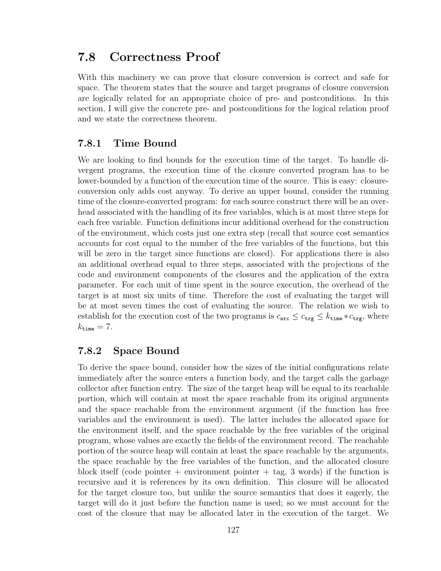# <span id="page-137-0"></span>7.8 Correctness Proof

With this machinery we can prove that closure conversion is correct and safe for space. The theorem states that the source and target programs of closure conversion are logically related for an appropriate choice of pre- and postconditions. In this section, I will give the concrete pre- and postconditions for the logical relation proof and we state the correctness theorem.

## 7.8.1 Time Bound

We are looking to find bounds for the execution time of the target. To handle divergent programs, the execution time of the closure converted program has to be lower-bounded by a function of the execution time of the source. This is easy: closureconversion only adds cost anyway. To derive an upper bound, consider the running time of the closure-converted program: for each source construct there will be an overhead associated with the handling of its free variables, which is at most three steps for each free variable. Function definitions incur additional overhead for the construction of the environment, which costs just one extra step (recall that source cost semantics accounts for cost equal to the number of the free variables of the functions, but this will be zero in the target since functions are closed). For applications there is also an additional overhead equal to three steps, associated with the projections of the code and environment components of the closures and the application of the extra parameter. For each unit of time spent in the source execution, the overhead of the target is at most six units of time. Therefore the cost of evaluating the target will be at most seven times the cost of evaluating the source. The relation we wish to establish for the execution cost of the two programs is  $c_{src} \leq c_{trg} \leq k_{time} * c_{trg}$ , where  $k_{\text{time}} = 7.$ 

## 7.8.2 Space Bound

To derive the space bound, consider how the sizes of the initial configurations relate immediately after the source enters a function body, and the target calls the garbage collector after function entry. The size of the target heap will be equal to its reachable portion, which will contain at most the space reachable from its original arguments and the space reachable from the environment argument (if the function has free variables and the environment is used). The latter includes the allocated space for the environment itself, and the space reachable by the free variables of the original program, whose values are exactly the fields of the environment record. The reachable portion of the source heap will contain at least the space reachable by the arguments, the space reachable by the free variables of the function, and the allocated closure block itself (code pointer  $+$  environment pointer  $+$  tag, 3 words) if the function is recursive and it is references by its own definition. This closure will be allocated for the target closure too, but unlike the source semantics that does it eagerly, the target will do it just before the function name is used; so we must account for the cost of the closure that may be allocated later in the execution of the target. We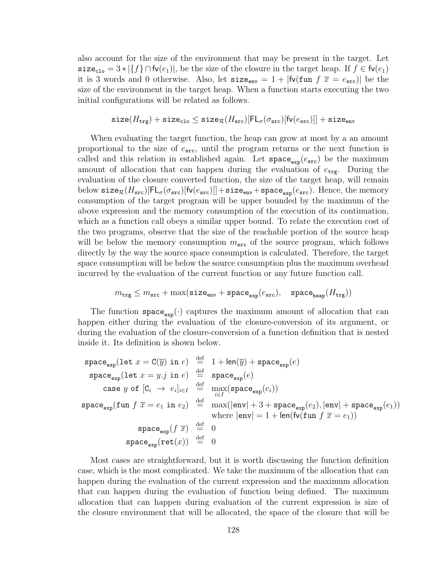also account for the size of the environment that may be present in the target. Let size<sub>clo</sub> =  $3 * |\{f\} \cap \mathsf{fv}(e_1)|$ , be the size of the closure in the target heap. If  $f \in \mathsf{fv}(e_1)$ it is 3 words and 0 otherwise. Also, let  $size_{env} = 1 + |fv(fun f \overline{x} = e_{src})|$  be the size of the environment in the target heap. When a function starts executing the two initial configurations will be related as follows.

$$
\texttt{size}(H_\texttt{trg}) + \texttt{size}_\texttt{clo} \leq \texttt{size}_{\mathcal{R}}(H_\texttt{src})[\mathsf{FL}_{\sigma}(\sigma_\texttt{src})[\mathsf{fv}(e_\texttt{src})]] + \texttt{size}_\texttt{env}
$$

When evaluating the target function, the heap can grow at most by a an amount proportional to the size of  $e_{src}$ , until the program returns or the next function is called and this relation in established again. Let  $space_{\text{exo}}(e_{\text{src}})$  be the maximum amount of allocation that can happen during the evaluation of  $e_{\text{trg}}$ . During the evaluation of the closure converted function, the size of the target heap, will remain below size $\mathcal{R}(H_{\texttt{src}})[\textsf{FL}_{\sigma}(\sigma_{\texttt{src}})[\textsf{fv}(e_{\texttt{src}})]] + \texttt{size}_{\texttt{env}} + \texttt{space}_{\texttt{exp}}(e_{\texttt{src}})$ . Hence, the memory consumption of the target program will be upper bounded by the maximum of the above expression and the memory consumption of the execution of its continuation, which as a function call obeys a similar upper bound. To relate the execution cost of the two programs, observe that the size of the reachable portion of the source heap will be below the memory consumption  $m<sub>src</sub>$  of the source program, which follows directly by the way the source space consumption is calculated. Therefore, the target space consumption will be below the source consumption plus the maximum overhead incurred by the evaluation of the current function or any future function call.

$$
m_{\rm{trg}} \leq m_{\rm{src}} + \max(\texttt{size}_{\rm{env}} + \texttt{space}_{\rm{exp}}(e_{\rm{src}}), \quad \texttt{space}_{\rm{heap}}(H_{\rm{trg}}))
$$

The function  $space_{exp}(\cdot)$  captures the maximum amount of allocation that can happen either during the evaluation of the closure-conversion of its argument, or during the evaluation of the closure-conversion of a function definition that is nested inside it. Its definition is shown below.

$$
\begin{array}{rcl}\n\texttt{space}_{\texttt{exp}}(\texttt{let}\;x=\texttt{C}(\overline{y})\;\texttt{in}\;e) & \stackrel{\text{def}}{=} & 1+\texttt{len}(\overline{y}) + \texttt{space}_{\texttt{exp}}(e) \\
\texttt{space}_{\texttt{exp}}(\texttt{let}\;x=y.j\;\texttt{in}\;e) & \stackrel{\text{def}}{=} & \texttt{space}_{\texttt{exp}}(e) \\
\texttt{case}\;y\;\texttt{of}\;[\texttt{C}_i\;\to\;e_i]_{i\in I} & \stackrel{\text{def}}{=} & \max(\texttt{space}_{\texttt{exp}}(e_i)) \\
\texttt{space}_{\texttt{exp}}(\texttt{fun}\;f\;\overline{x}=e_1\;\texttt{in}\;e_2) & \stackrel{\text{def}}{=} & \max(|\texttt{env}|+3+\texttt{space}_{\texttt{exp}}(e_2),|\texttt{env}|+\texttt{space}_{\texttt{exp}}(e_1)) \\
\texttt{where}\;|\texttt{env}|=1+|\texttt{len}(\texttt{fv}(\texttt{fun}\;f\;\overline{x}=e_1))\n\end{array}
$$
\n
$$
\begin{array}{rcl}\n\texttt{space}_{\texttt{exp}}(f\;\overline{x}) & \stackrel{\text{def}}{=} & 0 \\
\texttt{space}_{\texttt{exp}}(\texttt{ret}(x)) & \stackrel{\text{def}}{=} & 0\n\end{array}
$$

Most cases are straightforward, but it is worth discussing the function definition case, which is the most complicated. We take the maximum of the allocation that can happen during the evaluation of the current expression and the maximum allocation that can happen during the evaluation of function being defined. The maximum allocation that can happen during evaluation of the current expression is size of the closure environment that will be allocated, the space of the closure that will be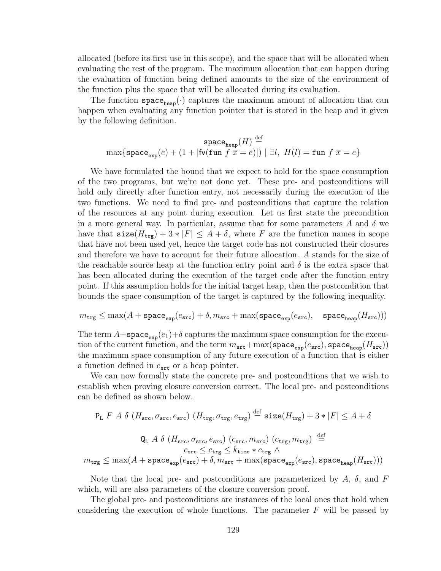allocated (before its first use in this scope), and the space that will be allocated when evaluating the rest of the program. The maximum allocation that can happen during the evaluation of function being defined amounts to the size of the environment of the function plus the space that will be allocated during its evaluation.

The function  $space_{heap}(\cdot)$  captures the maximum amount of allocation that can happen when evaluating any function pointer that is stored in the heap and it given by the following definition.

$$
\texttt{space}_{\texttt{heap}}(H) \stackrel{\text{def}}{=} \\ \max\{\texttt{space}_{\texttt{exp}}(e) + (1+|\texttt{fv}(\texttt{fun}~f~\overline{x}=e)|)~|~\exists l,~H(l) = \texttt{fun}~f~\overline{x}=e\}
$$

We have formulated the bound that we expect to hold for the space consumption of the two programs, but we're not done yet. These pre- and postconditions will hold only directly after function entry, not necessarily during the execution of the two functions. We need to find pre- and postconditions that capture the relation of the resources at any point during execution. Let us first state the precondition in a more general way. In particular, assume that for some parameters A and  $\delta$  we have that  $size(H_{trg}) + 3 * |F| \leq A + \delta$ , where F are the function names in scope that have not been used yet, hence the target code has not constructed their closures and therefore we have to account for their future allocation. A stands for the size of the reachable source heap at the function entry point and  $\delta$  is the extra space that has been allocated during the execution of the target code after the function entry point. If this assumption holds for the initial target heap, then the postcondition that bounds the space consumption of the target is captured by the following inequality.

$$
m_{\texttt{trg}} \leq \max(A + \texttt{space}_{\texttt{exp}}(e_{\texttt{src}}) + \delta, m_{\texttt{src}} + \max(\texttt{space}_{\texttt{exp}}(e_{\texttt{src}}), \quad \texttt{space}_{\texttt{heap}}(H_{\texttt{src}})))
$$

The term  $A+\text{space}_{\text{exp}}(e_1)+\delta$  captures the maximum space consumption for the execution of the current function, and the term  $m_{src} + \max(\texttt{space}_{exp}(e_{src}), \texttt{space}_{heap}(H_{src}))$ the maximum space consumption of any future execution of a function that is either a function defined in  $e_{src}$  or a heap pointer.

We can now formally state the concrete pre- and postconditions that we wish to establish when proving closure conversion correct. The local pre- and postconditions can be defined as shown below.

$$
\begin{aligned} \mathbf{P_L} \ F \ A \ \delta \ \left( H_{\text{src}}, \sigma_{\text{src}}, e_{\text{src}} \right) \left( H_{\text{trg}}, \sigma_{\text{trg}}, e_{\text{trg}} \right) &\stackrel{\text{def}}{=} \text{size}(H_{\text{trg}}) + 3*|F| \leq A + \delta \\ \mathbf{Q_L} \ A \ \delta \ \left( H_{\text{src}}, \sigma_{\text{src}}, e_{\text{src}} \right) \left( c_{\text{src}}, m_{\text{src}} \right) \left( c_{\text{trg}}, m_{\text{trg}} \right) &\stackrel{\text{def}}{=} \\ c_{\text{src}} \leq c_{\text{trg}} \leq k_{\text{time}} * c_{\text{trg}} \ \wedge \\ m_{\text{trg}} \leq \max(A + \text{space}_{\text{exp}}(e_{\text{src}}) + \delta, m_{\text{src}} + \max(\text{space}_{\text{exp}}(e_{\text{src}}), \text{space}_{\text{heap}}(H_{\text{src}}))) \end{aligned}
$$

Note that the local pre- and postconditions are parameterized by  $A$ ,  $\delta$ , and  $F$ which, will are also parameters of the closure conversion proof.

The global pre- and postconditions are instances of the local ones that hold when considering the execution of whole functions. The parameter  $F$  will be passed by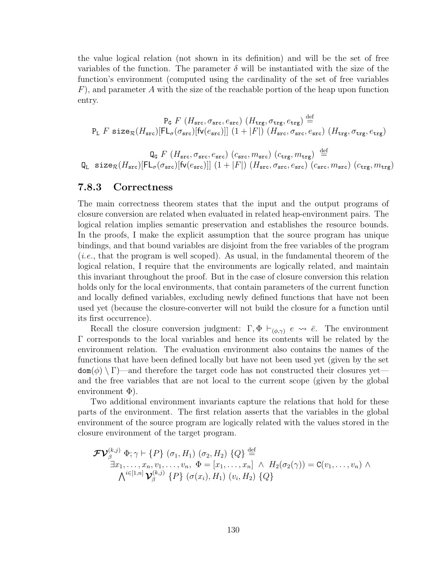the value logical relation (not shown in its definition) and will be the set of free variables of the function. The parameter  $\delta$  will be instantiated with the size of the function's environment (computed using the cardinality of the set of free variables  $F$ ), and parameter A with the size of the reachable portion of the heap upon function entry.

$$
\begin{array}{c}\n\text{P}_\text{G} \ F \ (H_\text{src}, \sigma_\text{src}, e_\text{src}) \ (H_\text{trg}, \sigma_\text{trg}, e_\text{trg}) \stackrel{\text{def}}{=} \\
\text{P}_\text{L} \ F \ \texttt{size}_{\mathcal{R}}(H_\text{src}) [\text{FL}_{\sigma}(\sigma_\text{src}) [\text{fv}(e_\text{src})]] \ (1 + |F|) \ (H_\text{src}, \sigma_\text{src}, e_\text{src}) \ (H_\text{trg}, \sigma_\text{trg}, e_\text{trg})\n\end{array}
$$

 $\operatorname{\mathsf{Q}}_{\mathsf{G}}\, F\, \left(H_{\texttt{src}}, \sigma_{\texttt{src}}, e_{\texttt{src}}\right)\, \left(c_{\texttt{src}}, m_{\texttt{src}}\right)\, \left(c_{\texttt{trg}}, m_{\texttt{trg}}\right) \ \stackrel{\text{def}}{=} \ \,$  $\mathtt{Q_L\ size_{\mathcal{R}}(H_{src})}[\mathsf{FL}_{\sigma}(\sigma_{src})[\mathsf{fv}(e_{src})]]\,\, (1+|F|)\,\, (H_{src},\sigma_{src},e_{src})\,\, (c_{src},m_{src})\,\, (c_{trg},m_{trg})$ 

#### 7.8.3 Correctness

The main correctness theorem states that the input and the output programs of closure conversion are related when evaluated in related heap-environment pairs. The logical relation implies semantic preservation and establishes the resource bounds. In the proofs, I make the explicit assumption that the source program has unique bindings, and that bound variables are disjoint from the free variables of the program (i.e., that the program is well scoped). As usual, in the fundamental theorem of the logical relation, I require that the environments are logically related, and maintain this invariant throughout the proof. But in the case of closure conversion this relation holds only for the local environments, that contain parameters of the current function and locally defined variables, excluding newly defined functions that have not been used yet (because the closure-converter will not build the closure for a function until its first occurrence).

Recall the closure conversion judgment:  $\Gamma, \Phi \vdash_{(\phi,\gamma)} e \leadsto \overline{e}$ . The environment Γ corresponds to the local variables and hence its contents will be related by the environment relation. The evaluation environment also contains the names of the functions that have been defined locally but have not been used yet (given by the set  $dom(\phi) \setminus \Gamma$  —and therefore the target code has not constructed their closures yet and the free variables that are not local to the current scope (given by the global environment  $\Phi$ ).

Two additional environment invariants capture the relations that hold for these parts of the environment. The first relation asserts that the variables in the global environment of the source program are logically related with the values stored in the closure environment of the target program.

$$
\mathcal{F}\mathcal{V}_{\beta}^{(k,j)} \Phi; \gamma \vdash \{P\} (\sigma_1, H_1) (\sigma_2, H_2) \{Q\} \stackrel{\text{def}}{=} \exists x_1, \ldots, x_n, v_1, \ldots, v_n, \Phi = [x_1, \ldots, x_n] \land H_2(\sigma_2(\gamma)) = \mathbf{C}(v_1, \ldots, v_n) \land \bigwedge^{i \in [1,n]} \mathbf{V}_{\beta}^{(k,j)} \{P\} (\sigma(x_i), H_1) (v_i, H_2) \{Q\}
$$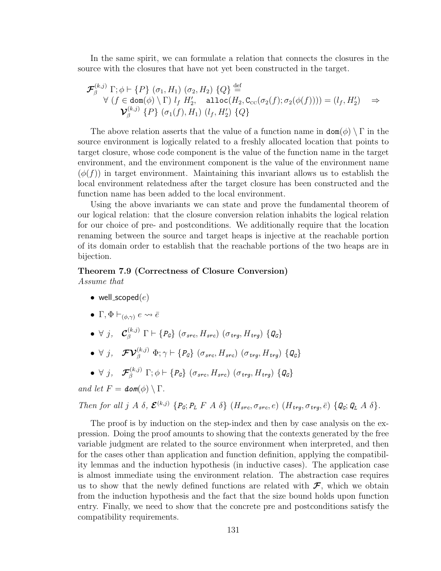In the same spirit, we can formulate a relation that connects the closures in the source with the closures that have not yet been constructed in the target.

$$
\mathcal{F}_{\beta}^{(k,j)} \Gamma; \phi \vdash \{P\} (\sigma_1, H_1) (\sigma_2, H_2) \{Q\} \stackrel{\text{def}}{=} \forall (f \in \text{dom}(\phi) \setminus \Gamma) l_f H_2', \quad \text{alloc}(H_2, C_{cc}(\sigma_2(f); \sigma_2(\phi(f)))) = (l_f, H_2') \Rightarrow \mathcal{V}_{\beta}^{(k,j)} \{P\} (\sigma_1(f), H_1) (l_f, H_2') \{Q\}
$$

The above relation asserts that the value of a function name in  $\text{dom}(\phi) \setminus \Gamma$  in the source environment is logically related to a freshly allocated location that points to target closure, whose code component is the value of the function name in the target environment, and the environment component is the value of the environment name  $(\phi(f))$  in target environment. Maintaining this invariant allows us to establish the local environment relatedness after the target closure has been constructed and the function name has been added to the local environment.

Using the above invariants we can state and prove the fundamental theorem of our logical relation: that the closure conversion relation inhabits the logical relation for our choice of pre- and postconditions. We additionally require that the location renaming between the source and target heaps is injective at the reachable portion of its domain order to establish that the reachable portions of the two heaps are in bijection.

# Theorem 7.9 (Correctness of Closure Conversion)

Assume that

- well\_scoped $(e)$
- Γ,  $\Phi \vdash_{(\phi,\gamma)} e \leadsto \overline{e}$
- $\bullet$   $\forall$  j,  $\mathcal{C}_{\beta}^{(k,j)}$   $\Gamma \vdash \{P_{\mathcal{G}}\}$   $(\sigma_{src}, H_{src})$   $(\sigma_{trg}, H_{trg})$   $\{\mathcal{Q}_{\mathcal{G}}\}$
- $\bullet \ \ \forall \ j, \ \ \ \ \mathcal{F}\mathcal{V}^{(k,j)}_\beta \ \Phi; \gamma \vdash \{P_{\mathcal{G}}\} \ (\sigma_{src}, H_{src}) \ (\sigma_{trg}, H_{trg}) \ \{Q_{\mathcal{G}}\}$

• 
$$
\forall j, \quad \mathcal{F}_{\beta}^{(k,j)} \Gamma; \phi \vdash \{P_{G}\} (\sigma_{src}, H_{src}) (\sigma_{trg}, H_{trg}) \{Q_{G}\}\}
$$

and let 
$$
F = \text{dom}(\phi) \setminus \Gamma
$$
.

Then for all j A  $\delta$ ,  $\mathcal{E}^{(k,j)}$  {P<sub>G</sub>; P<sub>L</sub> F A  $\delta$ } (H<sub>src</sub>,  $\sigma_{src}$ , e) (H<sub>trg</sub>,  $\sigma_{trg}$ ,  $\bar{e}$ ) {Q<sub>G</sub>; Q<sub>L</sub> A  $\delta$ }.

The proof is by induction on the step-index and then by case analysis on the expression. Doing the proof amounts to showing that the contexts generated by the free variable judgment are related to the source environment when interpreted, and then for the cases other than application and function definition, applying the compatibility lemmas and the induction hypothesis (in inductive cases). The application case is almost immediate using the environment relation. The abstraction case requires us to show that the newly defined functions are related with  $\mathcal{F}$ , which we obtain from the induction hypothesis and the fact that the size bound holds upon function entry. Finally, we need to show that the concrete pre and postconditions satisfy the compatibility requirements.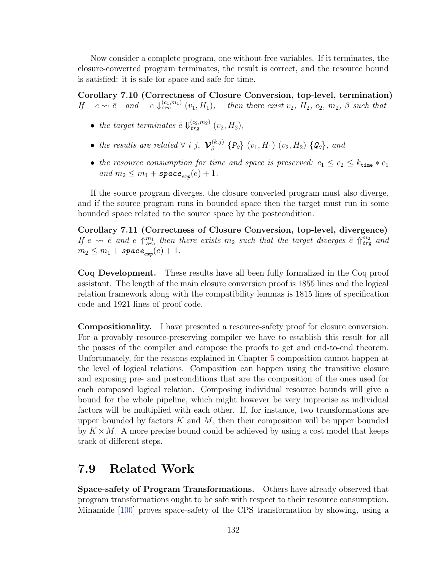Now consider a complete program, one without free variables. If it terminates, the closure-converted program terminates, the result is correct, and the resource bound is satisfied: it is safe for space and safe for time.

Corollary 7.10 (Correctness of Closure Conversion, top-level, termination) If  $e \rightarrow \overline{e}$  and  $e \downarrow_{src}^{(c_1,m_1)} (v_1, H_1)$ , then there exist  $v_2$ ,  $H_2$ ,  $c_2$ ,  $m_2$ ,  $\beta$  such that

- the target terminates  $\bar{e} \Downarrow_{trg}^{(c_2,m_2)} (v_2, H_2)$ ,
- the results are related  $\forall i$  j,  $\mathcal{V}_{\beta}^{(k,j)}$  $\{P_{\mathcal{B}}\}$   $\{P_{\mathcal{G}}\}$   $(v_1, H_1)$   $(v_2, H_2)$   $\{\mathcal{Q}_{\mathcal{G}}\}$ , and
- the resource consumption for time and space is preserved:  $c_1 \leq c_2 \leq k_{\text{time}} * c_1$ and  $m_2 \leq m_1 + \text{space}_{\text{exp}}(e) + 1.$

If the source program diverges, the closure converted program must also diverge, and if the source program runs in bounded space then the target must run in some bounded space related to the source space by the postcondition.

Corollary 7.11 (Correctness of Closure Conversion, top-level, divergence) If  $e \rightarrow \bar{e}$  and  $e \Uparrow_{src}^{m_1}$  then there exists  $m_2$  such that the target diverges  $\bar{e} \Uparrow_{trg}^{m_2}$  and  $m_2 \leq m_1 + \text{space}_{\text{exp}}(e) + 1.$ 

Coq Development. These results have all been fully formalized in the Coq proof assistant. The length of the main closure conversion proof is 1855 lines and the logical relation framework along with the compatibility lemmas is 1815 lines of specification code and 1921 lines of proof code.

Compositionality. I have presented a resource-safety proof for closure conversion. For a provably resource-preserving compiler we have to establish this result for all the passes of the compiler and compose the proofs to get and end-to-end theorem. Unfortunately, for the reasons explained in Chapter [5](#page-69-0) composition cannot happen at the level of logical relations. Composition can happen using the transitive closure and exposing pre- and postconditions that are the composition of the ones used for each composed logical relation. Composing individual resource bounds will give a bound for the whole pipeline, which might however be very imprecise as individual factors will be multiplied with each other. If, for instance, two transformations are upper bounded by factors  $K$  and  $M$ , then their composition will be upper bounded by  $K \times M$ . A more precise bound could be achieved by using a cost model that keeps track of different steps.

# <span id="page-142-0"></span>7.9 Related Work

Space-safety of Program Transformations. Others have already observed that program transformations ought to be safe with respect to their resource consumption. Minamide [\[100\]](#page-168-1) proves space-safety of the CPS transformation by showing, using a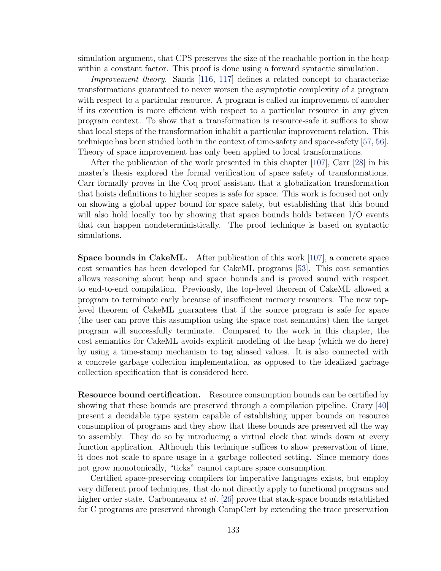simulation argument, that CPS preserves the size of the reachable portion in the heap within a constant factor. This proof is done using a forward syntactic simulation.

Improvement theory. Sands [\[116,](#page-169-0) [117\]](#page-169-1) defines a related concept to characterize transformations guaranteed to never worsen the asymptotic complexity of a program with respect to a particular resource. A program is called an improvement of another if its execution is more efficient with respect to a particular resource in any given program context. To show that a transformation is resource-safe it suffices to show that local steps of the transformation inhabit a particular improvement relation. This technique has been studied both in the context of time-safety and space-safety [\[57,](#page-164-1) [56\]](#page-164-2). Theory of space improvement has only been applied to local transformations.

After the publication of the work presented in this chapter [\[107\]](#page-168-2), Carr [\[28\]](#page-161-1) in his master's thesis explored the formal verification of space safety of transformations. Carr formally proves in the Coq proof assistant that a globalization transformation that hoists definitions to higher scopes is safe for space. This work is focused not only on showing a global upper bound for space safety, but establishing that this bound will also hold locally too by showing that space bounds holds between I/O events that can happen nondeterministically. The proof technique is based on syntactic simulations.

Space bounds in CakeML. After publication of this work [\[107\]](#page-168-2), a concrete space cost semantics has been developed for CakeML programs [\[53\]](#page-163-3). This cost semantics allows reasoning about heap and space bounds and is proved sound with respect to end-to-end compilation. Previously, the top-level theorem of CakeML allowed a program to terminate early because of insufficient memory resources. The new toplevel theorem of CakeML guarantees that if the source program is safe for space (the user can prove this assumption using the space cost semantics) then the target program will successfully terminate. Compared to the work in this chapter, the cost semantics for CakeML avoids explicit modeling of the heap (which we do here) by using a time-stamp mechanism to tag aliased values. It is also connected with a concrete garbage collection implementation, as opposed to the idealized garbage collection specification that is considered here.

Resource bound certification. Resource consumption bounds can be certified by showing that these bounds are preserved through a compilation pipeline. Crary [\[40\]](#page-162-0) present a decidable type system capable of establishing upper bounds on resource consumption of programs and they show that these bounds are preserved all the way to assembly. They do so by introducing a virtual clock that winds down at every function application. Although this technique suffices to show preservation of time, it does not scale to space usage in a garbage collected setting. Since memory does not grow monotonically, "ticks" cannot capture space consumption.

Certified space-preserving compilers for imperative languages exists, but employ very different proof techniques, that do not directly apply to functional programs and higher order state. Carbonneaux *et al.* [\[26\]](#page-161-2) prove that stack-space bounds established for C programs are preserved through CompCert by extending the trace preservation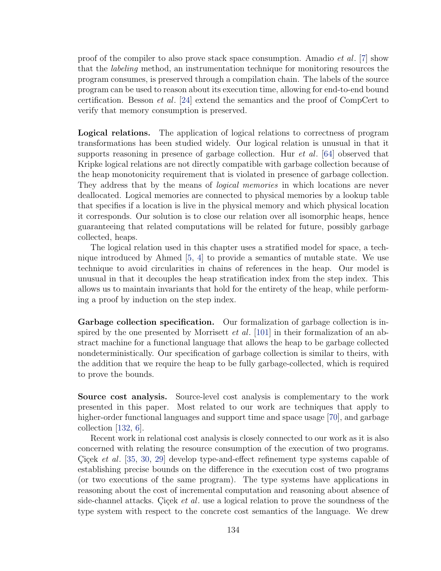proof of the compiler to also prove stack space consumption. Amadio et al. [\[7\]](#page-159-0) show that the labeling method, an instrumentation technique for monitoring resources the program consumes, is preserved through a compilation chain. The labels of the source program can be used to reason about its execution time, allowing for end-to-end bound certification. Besson et al. [\[24\]](#page-161-0) extend the semantics and the proof of CompCert to verify that memory consumption is preserved.

Logical relations. The application of logical relations to correctness of program transformations has been studied widely. Our logical relation is unusual in that it supports reasoning in presence of garbage collection. Hur *et al.* [\[64\]](#page-165-0) observed that Kripke logical relations are not directly compatible with garbage collection because of the heap monotonicity requirement that is violated in presence of garbage collection. They address that by the means of *logical memories* in which locations are never deallocated. Logical memories are connected to physical memories by a lookup table that specifies if a location is live in the physical memory and which physical location it corresponds. Our solution is to close our relation over all isomorphic heaps, hence guaranteeing that related computations will be related for future, possibly garbage collected, heaps.

The logical relation used in this chapter uses a stratified model for space, a technique introduced by Ahmed [\[5,](#page-159-1) [4\]](#page-159-2) to provide a semantics of mutable state. We use technique to avoid circularities in chains of references in the heap. Our model is unusual in that it decouples the heap stratification index from the step index. This allows us to maintain invariants that hold for the entirety of the heap, while performing a proof by induction on the step index.

Garbage collection specification. Our formalization of garbage collection is inspired by the one presented by Morrisett *et al.* [\[101\]](#page-168-0) in their formalization of an abstract machine for a functional language that allows the heap to be garbage collected nondeterministically. Our specification of garbage collection is similar to theirs, with the addition that we require the heap to be fully garbage-collected, which is required to prove the bounds.

Source cost analysis. Source-level cost analysis is complementary to the work presented in this paper. Most related to our work are techniques that apply to higher-order functional languages and support time and space usage [\[70\]](#page-165-1), and garbage collection [\[132,](#page-171-0) [6\]](#page-159-3).

Recent work in relational cost analysis is closely connected to our work as it is also concerned with relating the resource consumption of the execution of two programs. Cicek *et al.* [\[35,](#page-162-0) [30,](#page-161-1) [29\]](#page-161-2) develop type-and-effect refinement type systems capable of establishing precise bounds on the difference in the execution cost of two programs (or two executions of the same program). The type systems have applications in reasoning about the cost of incremental computation and reasoning about absence of side-channel attacks. Cicek *et al.* use a logical relation to prove the soundness of the type system with respect to the concrete cost semantics of the language. We drew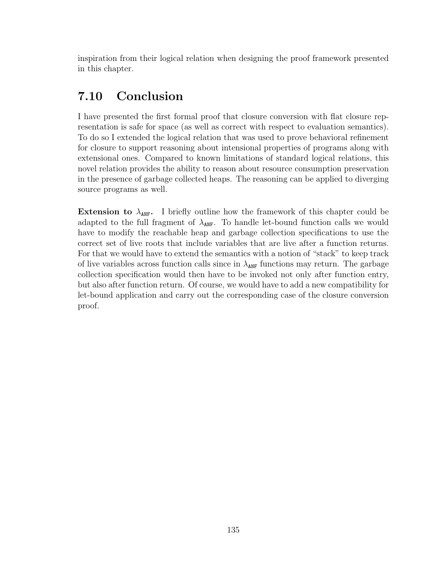inspiration from their logical relation when designing the proof framework presented in this chapter.

## 7.10 Conclusion

I have presented the first formal proof that closure conversion with flat closure representation is safe for space (as well as correct with respect to evaluation semantics). To do so I extended the logical relation that was used to prove behavioral refinement for closure to support reasoning about intensional properties of programs along with extensional ones. Compared to known limitations of standard logical relations, this novel relation provides the ability to reason about resource consumption preservation in the presence of garbage collected heaps. The reasoning can be applied to diverging source programs as well.

**Extension to**  $\lambda_{\text{ANF}}$ . I briefly outline how the framework of this chapter could be adapted to the full fragment of  $\lambda_{\text{ANF}}$ . To handle let-bound function calls we would have to modify the reachable heap and garbage collection specifications to use the correct set of live roots that include variables that are live after a function returns. For that we would have to extend the semantics with a notion of "stack" to keep track of live variables across function calls since in  $\lambda_{\text{ANF}}$  functions may return. The garbage collection specification would then have to be invoked not only after function entry, but also after function return. Of course, we would have to add a new compatibility for let-bound application and carry out the corresponding case of the closure conversion proof.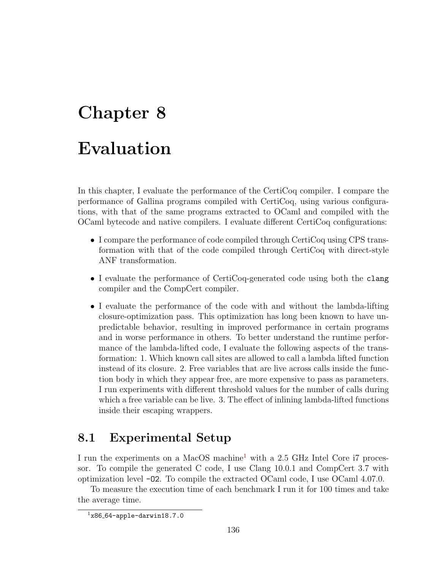# Chapter 8 Evaluation

In this chapter, I evaluate the performance of the CertiCoq compiler. I compare the performance of Gallina programs compiled with CertiCoq, using various configurations, with that of the same programs extracted to OCaml and compiled with the OCaml bytecode and native compilers. I evaluate different CertiCoq configurations:

- I compare the performance of code compiled through CertiCoq using CPS transformation with that of the code compiled through CertiCoq with direct-style ANF transformation.
- I evaluate the performance of CertiCoq-generated code using both the clang compiler and the CompCert compiler.
- I evaluate the performance of the code with and without the lambda-lifting closure-optimization pass. This optimization has long been known to have unpredictable behavior, resulting in improved performance in certain programs and in worse performance in others. To better understand the runtime performance of the lambda-lifted code, I evaluate the following aspects of the transformation: 1. Which known call sites are allowed to call a lambda lifted function instead of its closure. 2. Free variables that are live across calls inside the function body in which they appear free, are more expensive to pass as parameters. I run experiments with different threshold values for the number of calls during which a free variable can be live. 3. The effect of inlining lambda-lifted functions inside their escaping wrappers.

## 8.1 Experimental Setup

I run the experiments on a MacOS machine<sup>[1](#page-146-0)</sup> with a 2.5 GHz Intel Core i7 processor. To compile the generated C code, I use Clang 10.0.1 and CompCert 3.7 with optimization level -O2. To compile the extracted OCaml code, I use OCaml 4.07.0.

To measure the execution time of each benchmark I run it for 100 times and take the average time.

<span id="page-146-0"></span> $1x86 - 64$ -apple-darwin18.7.0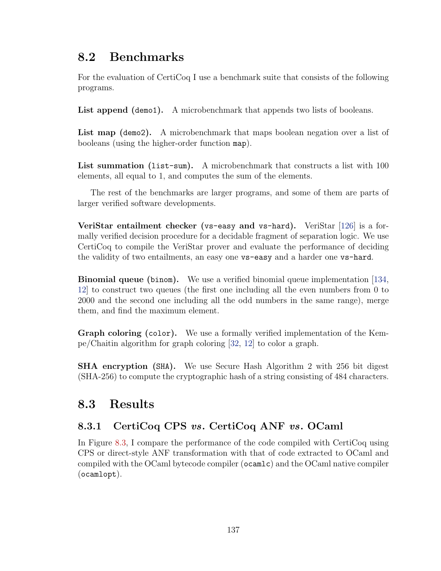## 8.2 Benchmarks

For the evaluation of CertiCoq I use a benchmark suite that consists of the following programs.

List append (demo1). A microbenchmark that appends two lists of booleans.

List map (demo2). A microbenchmark that maps boolean negation over a list of booleans (using the higher-order function map).

List summation (list-sum). A microbenchmark that constructs a list with 100 elements, all equal to 1, and computes the sum of the elements.

The rest of the benchmarks are larger programs, and some of them are parts of larger verified software developments.

VeriStar entailment checker (vs-easy and vs-hard). VeriStar [\[126\]](#page-170-0) is a formally verified decision procedure for a decidable fragment of separation logic. We use CertiCoq to compile the VeriStar prover and evaluate the performance of deciding the validity of two entailments, an easy one vs-easy and a harder one vs-hard.

**Binomial queue (binom).** We use a verified binomial queue implementation [\[134,](#page-171-1) [12\]](#page-160-0) to construct two queues (the first one including all the even numbers from 0 to 2000 and the second one including all the odd numbers in the same range), merge them, and find the maximum element.

Graph coloring (color). We use a formally verified implementation of the Kempe/Chaitin algorithm for graph coloring [\[32,](#page-162-1) [12\]](#page-160-0) to color a graph.

SHA encryption (SHA). We use Secure Hash Algorithm 2 with 256 bit digest (SHA-256) to compute the cryptographic hash of a string consisting of 484 characters.

## 8.3 Results

### 8.3.1 CertiCoq CPS vs. CertiCoq ANF vs. OCaml

In Figure [8.3,](#page-150-0) I compare the performance of the code compiled with CertiCoq using CPS or direct-style ANF transformation with that of code extracted to OCaml and compiled with the OCaml bytecode compiler (ocamlc) and the OCaml native compiler (ocamlopt).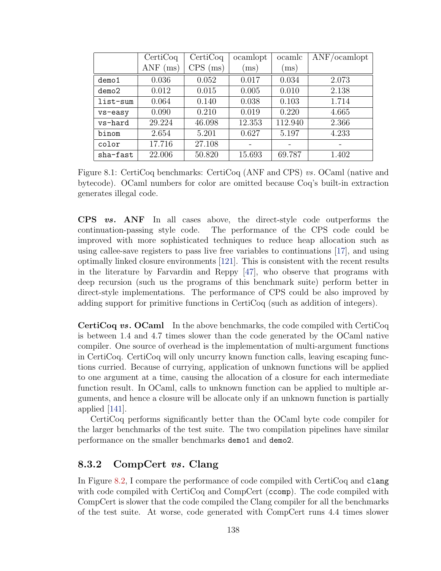|          | CertiCoq    | CertiCoq   | ocamlopt | ocamlc     | ANF/ocamlopt |
|----------|-------------|------------|----------|------------|--------------|
|          | ANF<br>(ms) | $CPS$ (ms) | (ms)     | $\rm (ms)$ |              |
| demo1    | 0.036       | 0.052      | 0.017    | 0.034      | 2.073        |
| demo2    | 0.012       | 0.015      | 0.005    | 0.010      | 2.138        |
| list-sum | 0.064       | 0.140      | 0.038    | 0.103      | 1.714        |
| vs-easy  | 0.090       | 0.210      | 0.019    | 0.220      | 4.665        |
| vs-hard  | 29.224      | 46.098     | 12.353   | 112.940    | 2.366        |
| binom    | 2.654       | 5.201      | 0.627    | 5.197      | 4.233        |
| color    | 17.716      | 27.108     |          |            |              |
| sha-fast | 22.006      | 50.820     | 15.693   | 69.787     | 1.402        |

Figure 8.1: CertiCoq benchmarks: CertiCoq (ANF and CPS) vs. OCaml (native and bytecode). OCaml numbers for color are omitted because Coq's built-in extraction generates illegal code.

CPS vs. ANF In all cases above, the direct-style code outperforms the continuation-passing style code. The performance of the CPS code could be improved with more sophisticated techniques to reduce heap allocation such as using callee-save registers to pass live free variables to continuations [\[17\]](#page-160-1), and using optimally linked closure environments [\[121\]](#page-170-1). This is consistent with the recent results in the literature by Farvardin and Reppy [\[47\]](#page-163-0), who observe that programs with deep recursion (such us the programs of this benchmark suite) perform better in direct-style implementations. The performance of CPS could be also improved by adding support for primitive functions in CertiCoq (such as addition of integers).

CertiCoq vs. OCaml In the above benchmarks, the code compiled with CertiCoq is between 1.4 and 4.7 times slower than the code generated by the OCaml native compiler. One source of overhead is the implementation of multi-argument functions in CertiCoq. CertiCoq will only uncurry known function calls, leaving escaping functions curried. Because of currying, application of unknown functions will be applied to one argument at a time, causing the allocation of a closure for each intermediate function result. In OCaml, calls to unknown function can be applied to multiple arguments, and hence a closure will be allocate only if an unknown function is partially applied [\[141\]](#page-171-2).

CertiCoq performs significantly better than the OCaml byte code compiler for the larger benchmarks of the test suite. The two compilation pipelines have similar performance on the smaller benchmarks demo1 and demo2.

#### 8.3.2 CompCert vs. Clang

In Figure [8.2,](#page-149-0) I compare the performance of code compiled with CertiCoq and clang with code compiled with CertiCoq and CompCert (ccomp). The code compiled with CompCert is slower that the code compiled the Clang compiler for all the benchmarks of the test suite. At worse, code generated with CompCert runs 4.4 times slower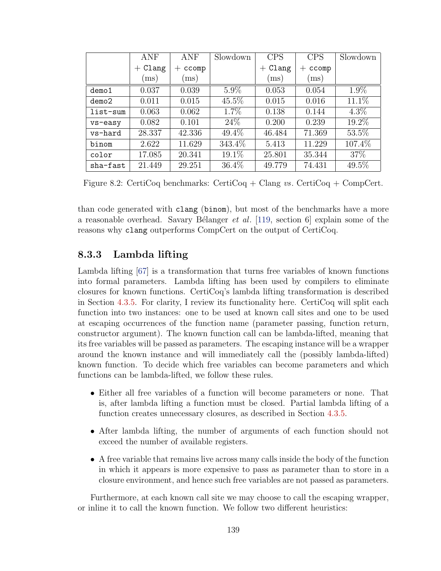<span id="page-149-0"></span>

|          | ANF        | <b>ANF</b>    | Slowdown | <b>CPS</b>        | <b>CPS</b>                  | Slowdown |
|----------|------------|---------------|----------|-------------------|-----------------------------|----------|
|          | $+$ Clang  | ccomp<br>$^+$ |          | Clang<br>$^{+}$   | ccomp<br>$^+$               |          |
|          | $\rm (ms)$ | (ms)          |          | $\overline{ms}$ ) | $\left( \mathrm{ms}\right)$ |          |
| demo1    | 0.037      | 0.039         | $5.9\%$  | 0.053             | 0.054                       | 1.9%     |
| demo2    | 0.011      | 0.015         | $45.5\%$ | 0.015             | 0.016                       | 11.1%    |
| list-sum | 0.063      | 0.062         | $1.7\%$  | 0.138             | 0.144                       | $4.3\%$  |
| vs-easy  | 0.082      | 0.101         | 24\%     | 0.200             | 0.239                       | 19.2%    |
| vs-hard  | 28.337     | 42.336        | 49.4%    | 46.484            | 71.369                      | 53.5%    |
| binom    | 2.622      | 11.629        | 343.4%   | 5.413             | 11.229                      | 107.4%   |
| color    | 17.085     | 20.341        | 19.1%    | 25.801            | 35.344                      | 37%      |
| sha-fast | 21.449     | 29.251        | 36.4%    | 49.779            | 74.431                      | 49.5%    |

Figure 8.2: CertiCoq benchmarks: CertiCoq + Clang vs. CertiCoq + CompCert.

than code generated with clang (binom), but most of the benchmarks have a more a reasonable overhead. Savary Bélanger *et al.* [\[119,](#page-169-0) section 6] explain some of the reasons why clang outperforms CompCert on the output of CertiCoq.

#### 8.3.3 Lambda lifting

Lambda lifting [\[67\]](#page-165-2) is a transformation that turns free variables of known functions into formal parameters. Lambda lifting has been used by compilers to eliminate closures for known functions. CertiCoq's lambda lifting transformation is described in Section [4.3.5.](#page-58-0) For clarity, I review its functionality here. CertiCoq will split each function into two instances: one to be used at known call sites and one to be used at escaping occurrences of the function name (parameter passing, function return, constructor argument). The known function call can be lambda-lifted, meaning that its free variables will be passed as parameters. The escaping instance will be a wrapper around the known instance and will immediately call the (possibly lambda-lifted) known function. To decide which free variables can become parameters and which functions can be lambda-lifted, we follow these rules.

- Either all free variables of a function will become parameters or none. That is, after lambda lifting a function must be closed. Partial lambda lifting of a function creates unnecessary closures, as described in Section [4.3.5.](#page-58-0)
- After lambda lifting, the number of arguments of each function should not exceed the number of available registers.
- A free variable that remains live across many calls inside the body of the function in which it appears is more expensive to pass as parameter than to store in a closure environment, and hence such free variables are not passed as parameters.

Furthermore, at each known call site we may choose to call the escaping wrapper, or inline it to call the known function. We follow two different heuristics: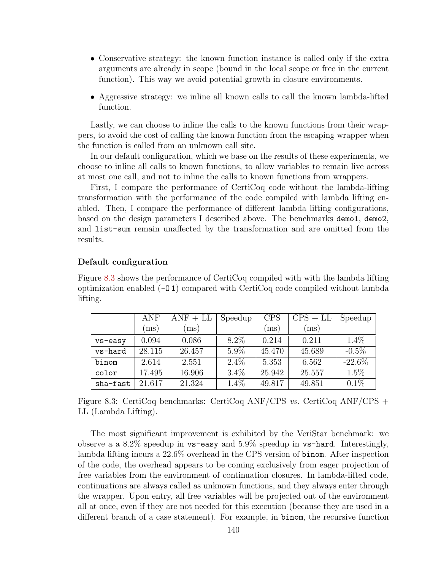- Conservative strategy: the known function instance is called only if the extra arguments are already in scope (bound in the local scope or free in the current function). This way we avoid potential growth in closure environments.
- Aggressive strategy: we inline all known calls to call the known lambda-lifted function.

Lastly, we can choose to inline the calls to the known functions from their wrappers, to avoid the cost of calling the known function from the escaping wrapper when the function is called from an unknown call site.

In our default configuration, which we base on the results of these experiments, we choose to inline all calls to known functions, to allow variables to remain live across at most one call, and not to inline the calls to known functions from wrappers.

First, I compare the performance of CertiCoq code without the lambda-lifting transformation with the performance of the code compiled with lambda lifting enabled. Then, I compare the performance of different lambda lifting configurations, based on the design parameters I described above. The benchmarks demo1, demo2, and list-sum remain unaffected by the transformation and are omitted from the results.

#### Default configuration

Figure [8.3](#page-150-0) shows the performance of CertiCoq compiled with with the lambda lifting optimization enabled  $(-01)$  compared with Certicoq code compiled without lambda lifting.

<span id="page-150-0"></span>

|          | <b>ANF</b>               | $ANF + LL$ | Speedup | <b>CPS</b> | $CPS + LL$ | Speedup   |
|----------|--------------------------|------------|---------|------------|------------|-----------|
|          | $\left(\text{ms}\right)$ | (ms)       |         | (ms)       | (ms)       |           |
| vs-easy  | 0.094                    | 0.086      | 8.2%    | 0.214      | 0.211      | $1.4\%$   |
| vs-hard  | 28.115                   | 26.457     | $5.9\%$ | 45.470     | 45.689     | $-0.5\%$  |
| binom    | 2.614                    | 2.551      | $2.4\%$ | 5.353      | 6.562      | $-22.6\%$ |
| color    | 17.495                   | 16.906     | $3.4\%$ | 25.942     | 25.557     | 1.5%      |
| sha-fast | 21.617                   | 21.324     | $1.4\%$ | 49.817     | 49.851     | $0.1\%$   |

Figure 8.3: CertiCoq benchmarks: CertiCoq ANF/CPS vs. CertiCoq ANF/CPS + LL (Lambda Lifting).

The most significant improvement is exhibited by the VeriStar benchmark: we observe a a  $8.2\%$  speedup in vs-easy and  $5.9\%$  speedup in vs-hard. Interestingly, lambda lifting incurs a 22.6% overhead in the CPS version of binom. After inspection of the code, the overhead appears to be coming exclusively from eager projection of free variables from the environment of continuation closures. In lambda-lifted code, continuations are always called as unknown functions, and they always enter through the wrapper. Upon entry, all free variables will be projected out of the environment all at once, even if they are not needed for this execution (because they are used in a different branch of a case statement). For example, in binom, the recursive function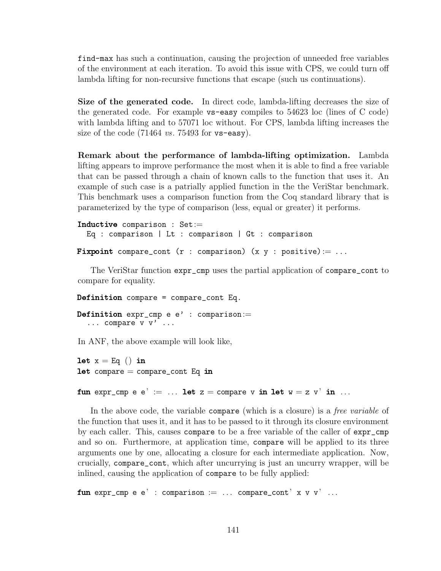find-max has such a continuation, causing the projection of unneeded free variables of the environment at each iteration. To avoid this issue with CPS, we could turn off lambda lifting for non-recursive functions that escape (such us continuations).

Size of the generated code. In direct code, lambda-lifting decreases the size of the generated code. For example vs-easy compiles to 54623 loc (lines of C code) with lambda lifting and to 57071 loc without. For CPS, lambda lifting increases the size of the code  $(71464 \text{ vs. } 75493 \text{ for } \text{vs-easy}).$ 

Remark about the performance of lambda-lifting optimization. Lambda lifting appears to improve performance the most when it is able to find a free variable that can be passed through a chain of known calls to the function that uses it. An example of such case is a patrially applied function in the the VeriStar benchmark. This benchmark uses a comparison function from the Coq standard library that is parameterized by the type of comparison (less, equal or greater) it performs.

```
Inductive comparison : Set:=
  Eq : comparison | Lt : comparison | Gt : comparison
Fixpoint compare_cont (r : comparison) (x y : positive) := ...
```
The VeriStar function expr\_cmp uses the partial application of compare\_cont to compare for equality.

```
Definition compare = compare_cont Eq.
Definition expr\_cmp e e' : comparison :=
  ... compare v v' ...
```
In ANF, the above example will look like,

```
let x = Eq () in
let compare = compare_{cont} Eq in
```

```
fun expr_cmp e e' := ... let z = compare v in let w = z v' in ...
```
In the above code, the variable compare (which is a closure) is a *free variable* of the function that uses it, and it has to be passed to it through its closure environment by each caller. This, causes compare to be a free variable of the caller of expr\_cmp and so on. Furthermore, at application time, compare will be applied to its three arguments one by one, allocating a closure for each intermediate application. Now, crucially, compare\_cont, which after uncurrying is just an uncurry wrapper, will be inlined, causing the application of compare to be fully applied:

fun expr\_cmp e e' : comparison := ... compare\_cont' x v v' ...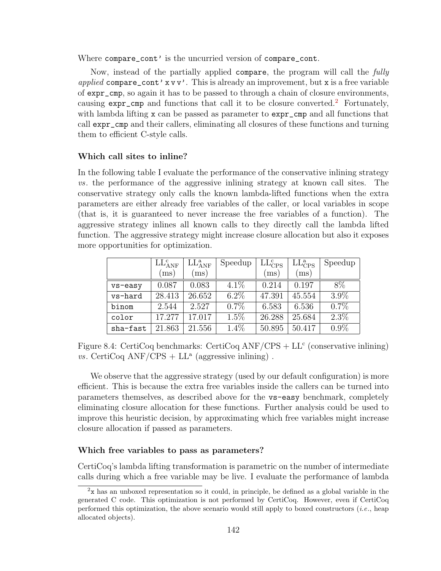Where compare\_cont' is the uncurried version of compare\_cont.

Now, instead of the partially applied compare, the program will call the fully applied compare\_cont'  $x v v'$ . This is already an improvement, but  $x$  is a free variable of expr\_cmp, so again it has to be passed to through a chain of closure environments, causing expr\_cmp and functions that call it to be closure converted.<sup>[2](#page-152-0)</sup> Fortunately, with lambda lifting x can be passed as parameter to  $\exp r$  cmp and all functions that call expr\_cmp and their callers, eliminating all closures of these functions and turning them to efficient C-style calls.

#### Which call sites to inline?

In the following table I evaluate the performance of the conservative inlining strategy vs. the performance of the aggressive inlining strategy at known call sites. The conservative strategy only calls the known lambda-lifted functions when the extra parameters are either already free variables of the caller, or local variables in scope (that is, it is guaranteed to never increase the free variables of a function). The aggressive strategy inlines all known calls to they directly call the lambda lifted function. The aggressive strategy might increase closure allocation but also it exposes more opportunities for optimization.

|          | $LL_{\text{ANF}}^c$ | $LL^a_{ANF}$ | Speedup | $LL_{CPS}^c$ | $LL_{CPS}^a$ | Speedup |
|----------|---------------------|--------------|---------|--------------|--------------|---------|
|          | (ms)                | $\rm (ms)$   |         | (ms)         | (ms)         |         |
| vs-easy  | 0.087               | 0.083        | $4.1\%$ | 0.214        | 0.197        | 8\%     |
| vs-hard  | 28.413              | 26.652       | $6.2\%$ | 47.391       | 45.554       | 3.9%    |
| binom    | 2.544               | 2.527        | $0.7\%$ | 6.583        | 6.536        | $0.7\%$ |
| color    | 17.277              | 17.017       | $1.5\%$ | 26.288       | 25.684       | $2.3\%$ |
| sha-fast | 21.863              | 21.556       | $1.4\%$ | 50.895       | 50.417       | $0.9\%$ |

Figure 8.4: CertiCoq benchmarks: CertiCoq  $ANF/CPS + LL<sup>c</sup>$  (conservative inlining)  $vs.$  CertiCoq ANF/CPS + LL<sup>a</sup> (aggressive inlining).

We observe that the aggressive strategy (used by our default configuration) is more efficient. This is because the extra free variables inside the callers can be turned into parameters themselves, as described above for the vs-easy benchmark, completely eliminating closure allocation for these functions. Further analysis could be used to improve this heuristic decision, by approximating which free variables might increase closure allocation if passed as parameters.

#### Which free variables to pass as parameters?

CertiCoq's lambda lifting transformation is parametric on the number of intermediate calls during which a free variable may be live. I evaluate the performance of lambda

<span id="page-152-0"></span><sup>2</sup>x has an unboxed representation so it could, in principle, be defined as a global variable in the generated C code. This optimization is not performed by CertiCoq. However, even if CertiCoq performed this optimization, the above scenario would still apply to boxed constructors (*i.e.*, heap allocated objects).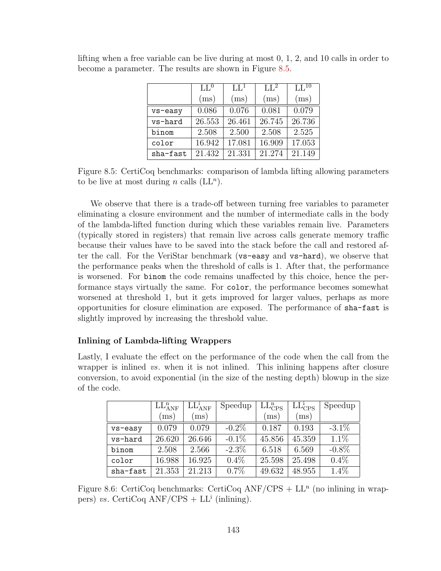|          | LI <sub>0</sub> | $LL^1$ | $LL^2$ | $\overline{\mathrm{LL}^{10}}$ |
|----------|-----------------|--------|--------|-------------------------------|
|          | (ms)            | (ms)   | (ms)   | (ms)                          |
| vs-easy  | 0.086           | 0.076  | 0.081  | 0.079                         |
| vs-hard  | 26.553          | 26.461 | 26.745 | 26.736                        |
| binom    | 2.508           | 2.500  | 2.508  | 2.525                         |
| color    | 16.942          | 17.081 | 16.909 | 17.053                        |
| sha-fast | 21.432          | 21.331 | 21.274 | 21.149                        |

<span id="page-153-0"></span>lifting when a free variable can be live during at most 0, 1, 2, and 10 calls in order to become a parameter. The results are shown in Figure [8.5.](#page-153-0)

Figure 8.5: CertiCoq benchmarks: comparison of lambda lifting allowing parameters to be live at most during *n* calls  $(LL^n)$ .

We observe that there is a trade-off between turning free variables to parameter eliminating a closure environment and the number of intermediate calls in the body of the lambda-lifted function during which these variables remain live. Parameters (typically stored in registers) that remain live across calls generate memory traffic because their values have to be saved into the stack before the call and restored after the call. For the VeriStar benchmark (vs-easy and vs-hard), we observe that the performance peaks when the threshold of calls is 1. After that, the performance is worsened. For binom the code remains unaffected by this choice, hence the performance stays virtually the same. For color, the performance becomes somewhat worsened at threshold 1, but it gets improved for larger values, perhaps as more opportunities for closure elimination are exposed. The performance of sha-fast is slightly improved by increasing the threshold value.

#### Inlining of Lambda-lifting Wrappers

Lastly, I evaluate the effect on the performance of the code when the call from the wrapper is inlined vs. when it is not inlined. This inlining happens after closure conversion, to avoid exponential (in the size of the nesting depth) blowup in the size of the code.

|          | LL <sub>ANF</sub> <sup>n</sup> | $LL^i_{ANF}$ | Speedup  | $LL_{CPS}^{n}$ | $LL^i_{CPS}$ | Speedup  |
|----------|--------------------------------|--------------|----------|----------------|--------------|----------|
|          | (ms)                           | (ms)         |          | (ms)           | (ms)         |          |
| vs-easy  | 0.079                          | 0.079        | $-0.2\%$ | 0.187          | 0.193        | $-3.1\%$ |
| vs-hard  | 26.620                         | 26.646       | $-0.1\%$ | 45.856         | 45.359       | $1.1\%$  |
| binom    | 2.508                          | 2.566        | $-2.3\%$ | 6.518          | 6.569        | $-0.8\%$ |
| color    | 16.988                         | 16.925       | $0.4\%$  | 25.598         | 25.498       | $0.4\%$  |
| sha-fast | 21.353                         | 21.213       | 0.7%     | 49.632         | 48.955       | 1.4%     |

Figure 8.6: CertiCoq benchmarks: CertiCoq  $ANF/CPS + LL<sup>n</sup>$  (no inlining in wrappers) vs. CertiCoq  $ANF/CPS + LL^i$  (inlining).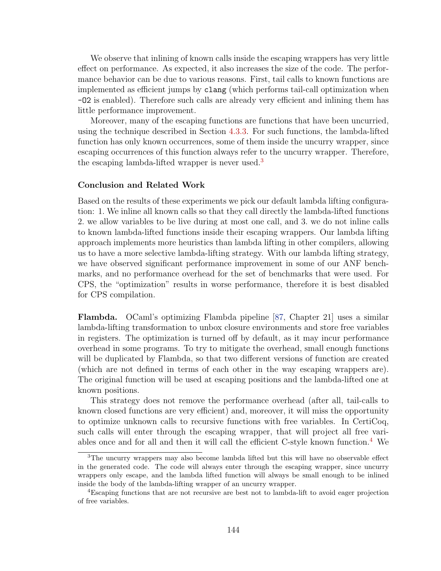We observe that inlining of known calls inside the escaping wrappers has very little effect on performance. As expected, it also increases the size of the code. The performance behavior can be due to various reasons. First, tail calls to known functions are implemented as efficient jumps by clang (which performs tail-call optimization when -O2 is enabled). Therefore such calls are already very efficient and inlining them has little performance improvement.

Moreover, many of the escaping functions are functions that have been uncurried, using the technique described in Section [4.3.3.](#page-55-0) For such functions, the lambda-lifted function has only known occurrences, some of them inside the uncurry wrapper, since escaping occurrences of this function always refer to the uncurry wrapper. Therefore, the escaping lambda-lifted wrapper is never used.<sup>[3](#page-154-0)</sup>

#### Conclusion and Related Work

Based on the results of these experiments we pick our default lambda lifting configuration: 1. We inline all known calls so that they call directly the lambda-lifted functions 2. we allow variables to be live during at most one call, and 3. we do not inline calls to known lambda-lifted functions inside their escaping wrappers. Our lambda lifting approach implements more heuristics than lambda lifting in other compilers, allowing us to have a more selective lambda-lifting strategy. With our lambda lifting strategy, we have observed significant performance improvement in some of our ANF benchmarks, and no performance overhead for the set of benchmarks that were used. For CPS, the "optimization" results in worse performance, therefore it is best disabled for CPS compilation.

Flambda. OCaml's optimizing Flambda pipeline [\[87,](#page-167-0) Chapter 21] uses a similar lambda-lifting transformation to unbox closure environments and store free variables in registers. The optimization is turned off by default, as it may incur performance overhead in some programs. To try to mitigate the overhead, small enough functions will be duplicated by Flambda, so that two different versions of function are created (which are not defined in terms of each other in the way escaping wrappers are). The original function will be used at escaping positions and the lambda-lifted one at known positions.

This strategy does not remove the performance overhead (after all, tail-calls to known closed functions are very efficient) and, moreover, it will miss the opportunity to optimize unknown calls to recursive functions with free variables. In CertiCoq, such calls will enter through the escaping wrapper, that will project all free vari-ables once and for all and then it will call the efficient C-style known function.<sup>[4](#page-154-1)</sup> We

<span id="page-154-0"></span><sup>&</sup>lt;sup>3</sup>The uncurry wrappers may also become lambda lifted but this will have no observable effect in the generated code. The code will always enter through the escaping wrapper, since uncurry wrappers only escape, and the lambda lifted function will always be small enough to be inlined inside the body of the lambda-lifting wrapper of an uncurry wrapper.

<span id="page-154-1"></span><sup>4</sup>Escaping functions that are not recursive are best not to lambda-lift to avoid eager projection of free variables.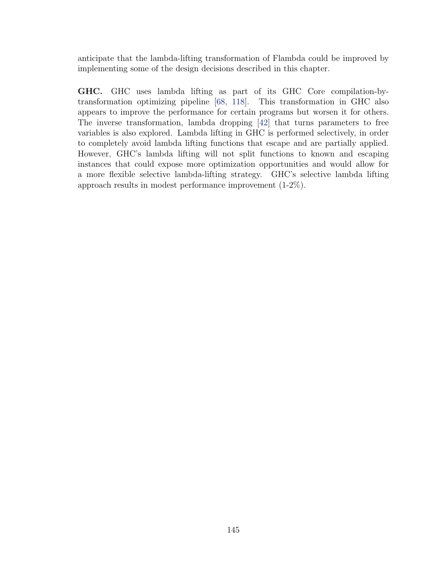anticipate that the lambda-lifting transformation of Flambda could be improved by implementing some of the design decisions described in this chapter.

GHC. GHC uses lambda lifting as part of its GHC Core compilation-bytransformation optimizing pipeline [\[68,](#page-165-3) [118\]](#page-169-1). This transformation in GHC also appears to improve the performance for certain programs but worsen it for others. The inverse transformation, lambda dropping [\[42\]](#page-162-2) that turns parameters to free variables is also explored. Lambda lifting in GHC is performed selectively, in order to completely avoid lambda lifting functions that escape and are partially applied. However, GHC's lambda lifting will not split functions to known and escaping instances that could expose more optimization opportunities and would allow for a more flexible selective lambda-lifting strategy. GHC's selective lambda lifting approach results in modest performance improvement (1-2%).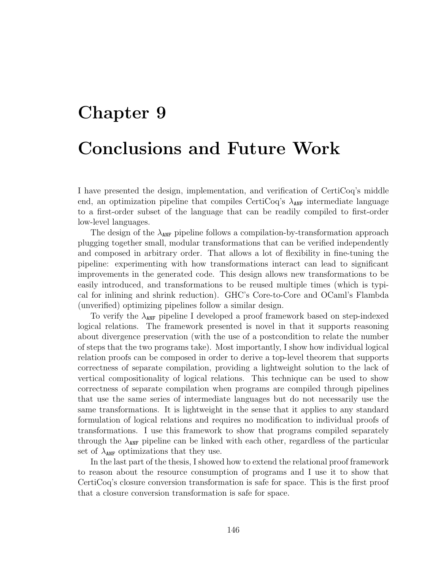# Chapter 9 Conclusions and Future Work

I have presented the design, implementation, and verification of CertiCoq's middle end, an optimization pipeline that compiles CertiCoq's  $\lambda_{\text{ANF}}$  intermediate language to a first-order subset of the language that can be readily compiled to first-order low-level languages.

The design of the  $\lambda_{\text{ANF}}$  pipeline follows a compilation-by-transformation approach plugging together small, modular transformations that can be verified independently and composed in arbitrary order. That allows a lot of flexibility in fine-tuning the pipeline: experimenting with how transformations interact can lead to significant improvements in the generated code. This design allows new transformations to be easily introduced, and transformations to be reused multiple times (which is typical for inlining and shrink reduction). GHC's Core-to-Core and OCaml's Flambda (unverified) optimizing pipelines follow a similar design.

To verify the  $\lambda_{\text{ANF}}$  pipeline I developed a proof framework based on step-indexed logical relations. The framework presented is novel in that it supports reasoning about divergence preservation (with the use of a postcondition to relate the number of steps that the two programs take). Most importantly, I show how individual logical relation proofs can be composed in order to derive a top-level theorem that supports correctness of separate compilation, providing a lightweight solution to the lack of vertical compositionality of logical relations. This technique can be used to show correctness of separate compilation when programs are compiled through pipelines that use the same series of intermediate languages but do not necessarily use the same transformations. It is lightweight in the sense that it applies to any standard formulation of logical relations and requires no modification to individual proofs of transformations. I use this framework to show that programs compiled separately through the  $\lambda_{\text{ANF}}$  pipeline can be linked with each other, regardless of the particular set of  $\lambda_{\text{ANF}}$  optimizations that they use.

In the last part of the thesis, I showed how to extend the relational proof framework to reason about the resource consumption of programs and I use it to show that CertiCoq's closure conversion transformation is safe for space. This is the first proof that a closure conversion transformation is safe for space.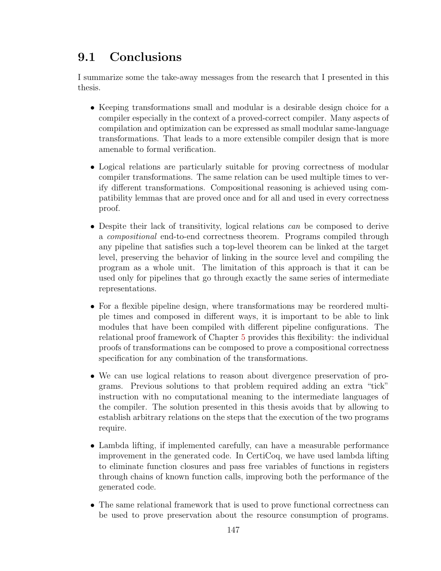## 9.1 Conclusions

I summarize some the take-away messages from the research that I presented in this thesis.

- Keeping transformations small and modular is a desirable design choice for a compiler especially in the context of a proved-correct compiler. Many aspects of compilation and optimization can be expressed as small modular same-language transformations. That leads to a more extensible compiler design that is more amenable to formal verification.
- Logical relations are particularly suitable for proving correctness of modular compiler transformations. The same relation can be used multiple times to verify different transformations. Compositional reasoning is achieved using compatibility lemmas that are proved once and for all and used in every correctness proof.
- Despite their lack of transitivity, logical relations can be composed to derive a compositional end-to-end correctness theorem. Programs compiled through any pipeline that satisfies such a top-level theorem can be linked at the target level, preserving the behavior of linking in the source level and compiling the program as a whole unit. The limitation of this approach is that it can be used only for pipelines that go through exactly the same series of intermediate representations.
- For a flexible pipeline design, where transformations may be reordered multiple times and composed in different ways, it is important to be able to link modules that have been compiled with different pipeline configurations. The relational proof framework of Chapter [5](#page-69-0) provides this flexibility: the individual proofs of transformations can be composed to prove a compositional correctness specification for any combination of the transformations.
- We can use logical relations to reason about divergence preservation of programs. Previous solutions to that problem required adding an extra "tick" instruction with no computational meaning to the intermediate languages of the compiler. The solution presented in this thesis avoids that by allowing to establish arbitrary relations on the steps that the execution of the two programs require.
- Lambda lifting, if implemented carefully, can have a measurable performance improvement in the generated code. In CertiCoq, we have used lambda lifting to eliminate function closures and pass free variables of functions in registers through chains of known function calls, improving both the performance of the generated code.
- The same relational framework that is used to prove functional correctness can be used to prove preservation about the resource consumption of programs.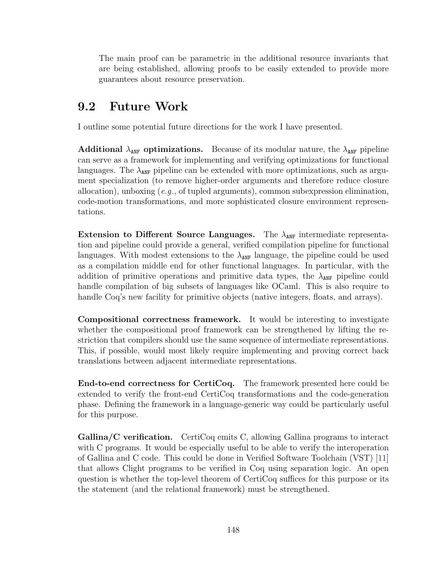The main proof can be parametric in the additional resource invariants that are being established, allowing proofs to be easily extended to provide more guarantees about resource preservation.

### 9.2 Future Work

I outline some potential future directions for the work I have presented.

**Additional**  $\lambda_{\text{ANF}}$  optimizations. Because of its modular nature, the  $\lambda_{\text{ANF}}$  pipeline can serve as a framework for implementing and verifying optimizations for functional languages. The  $\lambda_{\text{ANF}}$  pipeline can be extended with more optimizations, such as argument specialization (to remove higher-order arguments and therefore reduce closure allocation), unboxing  $(e,q, \text{ of tuple } \alpha)$  arguments), common subexpression elimination, code-motion transformations, and more sophisticated closure environment representations.

Extension to Different Source Languages. The  $\lambda_{\text{ANF}}$  intermediate representation and pipeline could provide a general, verified compilation pipeline for functional languages. With modest extensions to the  $\lambda_{\text{ANF}}$  language, the pipeline could be used as a compilation middle end for other functional languages. In particular, with the addition of primitive operations and primitive data types, the  $\lambda_{\text{ANF}}$  pipeline could handle compilation of big subsets of languages like OCaml. This is also require to handle Coq's new facility for primitive objects (native integers, floats, and arrays).

Compositional correctness framework. It would be interesting to investigate whether the compositional proof framework can be strengthened by lifting the restriction that compilers should use the same sequence of intermediate representations. This, if possible, would most likely require implementing and proving correct back translations between adjacent intermediate representations.

End-to-end correctness for CertiCoq. The framework presented here could be extended to verify the front-end CertiCoq transformations and the code-generation phase. Defining the framework in a language-generic way could be particularly useful for this purpose.

Gallina/C verification. CertiCoq emits C, allowing Gallina programs to interact with C programs. It would be especially useful to be able to verify the interoperation of Gallina and C code. This could be done in Verified Software Toolchain (VST) [\[11\]](#page-160-2) that allows Clight programs to be verified in Coq using separation logic. An open question is whether the top-level theorem of CertiCoq suffices for this purpose or its the statement (and the relational framework) must be strengthened.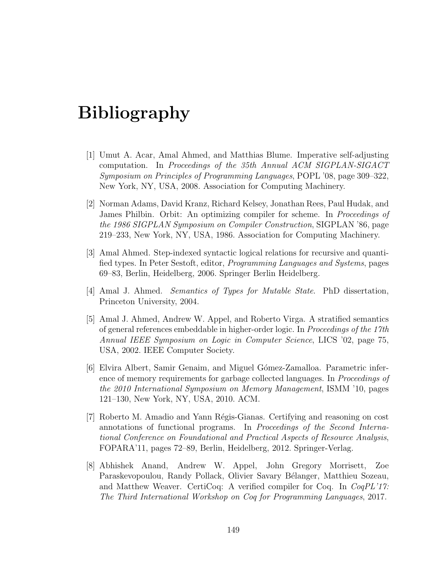## Bibliography

- [1] Umut A. Acar, Amal Ahmed, and Matthias Blume. Imperative self-adjusting computation. In Proceedings of the 35th Annual ACM SIGPLAN-SIGACT Symposium on Principles of Programming Languages, POPL '08, page 309–322, New York, NY, USA, 2008. Association for Computing Machinery.
- [2] Norman Adams, David Kranz, Richard Kelsey, Jonathan Rees, Paul Hudak, and James Philbin. Orbit: An optimizing compiler for scheme. In Proceedings of the 1986 SIGPLAN Symposium on Compiler Construction, SIGPLAN '86, page 219–233, New York, NY, USA, 1986. Association for Computing Machinery.
- [3] Amal Ahmed. Step-indexed syntactic logical relations for recursive and quantified types. In Peter Sestoft, editor, Programming Languages and Systems, pages 69–83, Berlin, Heidelberg, 2006. Springer Berlin Heidelberg.
- <span id="page-159-2"></span>[4] Amal J. Ahmed. Semantics of Types for Mutable State. PhD dissertation, Princeton University, 2004.
- <span id="page-159-1"></span>[5] Amal J. Ahmed, Andrew W. Appel, and Roberto Virga. A stratified semantics of general references embeddable in higher-order logic. In Proceedings of the 17th Annual IEEE Symposium on Logic in Computer Science, LICS '02, page 75, USA, 2002. IEEE Computer Society.
- <span id="page-159-3"></span>[6] Elvira Albert, Samir Genaim, and Miguel Gómez-Zamalloa. Parametric inference of memory requirements for garbage collected languages. In Proceedings of the 2010 International Symposium on Memory Management, ISMM '10, pages 121–130, New York, NY, USA, 2010. ACM.
- <span id="page-159-0"></span>[7] Roberto M. Amadio and Yann R´egis-Gianas. Certifying and reasoning on cost annotations of functional programs. In Proceedings of the Second International Conference on Foundational and Practical Aspects of Resource Analysis, FOPARA'11, pages 72–89, Berlin, Heidelberg, 2012. Springer-Verlag.
- [8] Abhishek Anand, Andrew W. Appel, John Gregory Morrisett, Zoe Paraskevopoulou, Randy Pollack, Olivier Savary Bélanger, Matthieu Sozeau, and Matthew Weaver. CertiCoq: A verified compiler for Coq. In CoqPL'17: The Third International Workshop on Coq for Programming Languages, 2017.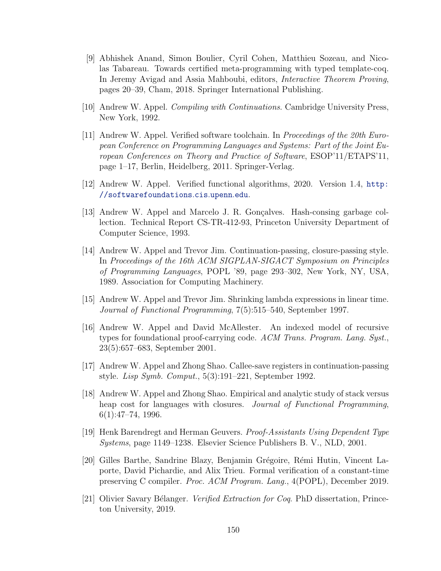- [9] Abhishek Anand, Simon Boulier, Cyril Cohen, Matthieu Sozeau, and Nicolas Tabareau. Towards certified meta-programming with typed template-coq. In Jeremy Avigad and Assia Mahboubi, editors, Interactive Theorem Proving, pages 20–39, Cham, 2018. Springer International Publishing.
- [10] Andrew W. Appel. Compiling with Continuations. Cambridge University Press, New York, 1992.
- <span id="page-160-2"></span>[11] Andrew W. Appel. Verified software toolchain. In Proceedings of the 20th European Conference on Programming Languages and Systems: Part of the Joint European Conferences on Theory and Practice of Software, ESOP'11/ETAPS'11, page 1–17, Berlin, Heidelberg, 2011. Springer-Verlag.
- <span id="page-160-0"></span>[12] Andrew W. Appel. Verified functional algorithms, 2020. Version 1.4, [http:](http://softwarefoundations.cis.upenn.edu) [//softwarefoundations](http://softwarefoundations.cis.upenn.edu).cis.upenn.edu.
- [13] Andrew W. Appel and Marcelo J. R. Gonçalves. Hash-consing garbage collection. Technical Report CS-TR-412-93, Princeton University Department of Computer Science, 1993.
- [14] Andrew W. Appel and Trevor Jim. Continuation-passing, closure-passing style. In Proceedings of the 16th ACM SIGPLAN-SIGACT Symposium on Principles of Programming Languages, POPL '89, page 293–302, New York, NY, USA, 1989. Association for Computing Machinery.
- [15] Andrew W. Appel and Trevor Jim. Shrinking lambda expressions in linear time. Journal of Functional Programming, 7(5):515–540, September 1997.
- [16] Andrew W. Appel and David McAllester. An indexed model of recursive types for foundational proof-carrying code. ACM Trans. Program. Lang. Syst., 23(5):657–683, September 2001.
- <span id="page-160-1"></span>[17] Andrew W. Appel and Zhong Shao. Callee-save registers in continuation-passing style. Lisp Symb. Comput., 5(3):191–221, September 1992.
- [18] Andrew W. Appel and Zhong Shao. Empirical and analytic study of stack versus heap cost for languages with closures. *Journal of Functional Programming*, 6(1):47–74, 1996.
- [19] Henk Barendregt and Herman Geuvers. Proof-Assistants Using Dependent Type Systems, page 1149–1238. Elsevier Science Publishers B. V., NLD, 2001.
- [20] Gilles Barthe, Sandrine Blazy, Benjamin Grégoire, Rémi Hutin, Vincent Laporte, David Pichardie, and Alix Trieu. Formal verification of a constant-time preserving C compiler. Proc. ACM Program. Lang., 4(POPL), December 2019.
- [21] Olivier Savary Bélanger. *Verified Extraction for Coq.* PhD dissertation, Princeton University, 2019.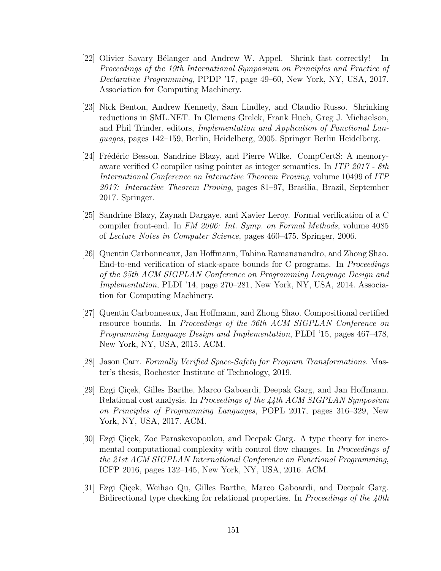- [22] Olivier Savary Bélanger and Andrew W. Appel. Shrink fast correctly! In Proceedings of the 19th International Symposium on Principles and Practice of Declarative Programming, PPDP '17, page 49–60, New York, NY, USA, 2017. Association for Computing Machinery.
- [23] Nick Benton, Andrew Kennedy, Sam Lindley, and Claudio Russo. Shrinking reductions in SML.NET. In Clemens Grelck, Frank Huch, Greg J. Michaelson, and Phil Trinder, editors, Implementation and Application of Functional Languages, pages 142–159, Berlin, Heidelberg, 2005. Springer Berlin Heidelberg.
- <span id="page-161-0"></span>[24] Frédéric Besson, Sandrine Blazy, and Pierre Wilke. CompCertS: A memoryaware verified C compiler using pointer as integer semantics. In ITP 2017 - 8th International Conference on Interactive Theorem Proving, volume 10499 of ITP 2017: Interactive Theorem Proving, pages 81–97, Brasilia, Brazil, September 2017. Springer.
- [25] Sandrine Blazy, Zaynah Dargaye, and Xavier Leroy. Formal verification of a C compiler front-end. In FM 2006: Int. Symp. on Formal Methods, volume 4085 of Lecture Notes in Computer Science, pages 460–475. Springer, 2006.
- [26] Quentin Carbonneaux, Jan Hoffmann, Tahina Ramananandro, and Zhong Shao. End-to-end verification of stack-space bounds for C programs. In Proceedings of the 35th ACM SIGPLAN Conference on Programming Language Design and Implementation, PLDI '14, page 270–281, New York, NY, USA, 2014. Association for Computing Machinery.
- [27] Quentin Carbonneaux, Jan Hoffmann, and Zhong Shao. Compositional certified resource bounds. In Proceedings of the 36th ACM SIGPLAN Conference on Programming Language Design and Implementation, PLDI '15, pages 467–478, New York, NY, USA, 2015. ACM.
- [28] Jason Carr. Formally Verified Space-Safety for Program Transformations. Master's thesis, Rochester Institute of Technology, 2019.
- <span id="page-161-2"></span>[29] Ezgi Cicek, Gilles Barthe, Marco Gaboardi, Deepak Garg, and Jan Hoffmann. Relational cost analysis. In Proceedings of the 44th ACM SIGPLAN Symposium on Principles of Programming Languages, POPL 2017, pages 316–329, New York, NY, USA, 2017. ACM.
- <span id="page-161-1"></span>[30] Ezgi Çiçek, Zoe Paraskevopoulou, and Deepak Garg. A type theory for incremental computational complexity with control flow changes. In Proceedings of the 21st ACM SIGPLAN International Conference on Functional Programming, ICFP 2016, pages 132–145, New York, NY, USA, 2016. ACM.
- [31] Ezgi Çiçek, Weihao Qu, Gilles Barthe, Marco Gaboardi, and Deepak Garg. Bidirectional type checking for relational properties. In *Proceedings of the 40th*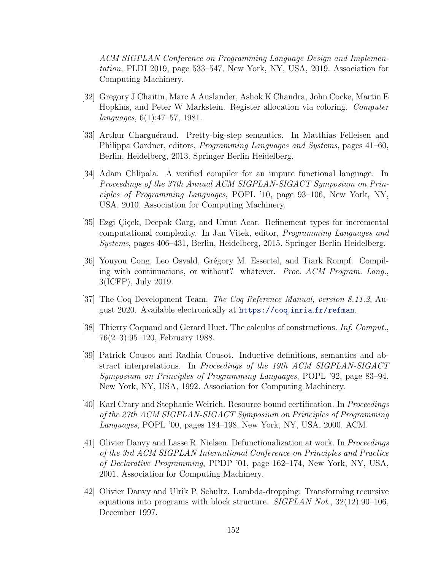ACM SIGPLAN Conference on Programming Language Design and Implementation, PLDI 2019, page 533–547, New York, NY, USA, 2019. Association for Computing Machinery.

- <span id="page-162-1"></span>[32] Gregory J Chaitin, Marc A Auslander, Ashok K Chandra, John Cocke, Martin E Hopkins, and Peter W Markstein. Register allocation via coloring. Computer languages, 6(1):47–57, 1981.
- [33] Arthur Charguéraud. Pretty-big-step semantics. In Matthias Felleisen and Philippa Gardner, editors, Programming Languages and Systems, pages 41–60, Berlin, Heidelberg, 2013. Springer Berlin Heidelberg.
- [34] Adam Chlipala. A verified compiler for an impure functional language. In Proceedings of the 37th Annual ACM SIGPLAN-SIGACT Symposium on Principles of Programming Languages, POPL '10, page 93–106, New York, NY, USA, 2010. Association for Computing Machinery.
- <span id="page-162-0"></span>[35] Ezgi Çiçek, Deepak Garg, and Umut Acar. Refinement types for incremental computational complexity. In Jan Vitek, editor, Programming Languages and Systems, pages 406–431, Berlin, Heidelberg, 2015. Springer Berlin Heidelberg.
- [36] Youyou Cong, Leo Osvald, Grégory M. Essertel, and Tiark Rompf. Compiling with continuations, or without? whatever. Proc. ACM Program. Lang., 3(ICFP), July 2019.
- [37] The Coq Development Team. The Coq Reference Manual, version 8.11.2, August 2020. Available electronically at [https://coq](https://coq.inria.fr/refman).inria.fr/refman.
- [38] Thierry Coquand and Gerard Huet. The calculus of constructions. Inf. Comput., 76(2–3):95–120, February 1988.
- [39] Patrick Cousot and Radhia Cousot. Inductive definitions, semantics and abstract interpretations. In Proceedings of the 19th ACM SIGPLAN-SIGACT Symposium on Principles of Programming Languages, POPL '92, page 83–94, New York, NY, USA, 1992. Association for Computing Machinery.
- [40] Karl Crary and Stephanie Weirich. Resource bound certification. In Proceedings of the 27th ACM SIGPLAN-SIGACT Symposium on Principles of Programming Languages, POPL '00, pages 184–198, New York, NY, USA, 2000. ACM.
- [41] Olivier Danvy and Lasse R. Nielsen. Defunctionalization at work. In Proceedings of the 3rd ACM SIGPLAN International Conference on Principles and Practice of Declarative Programming, PPDP '01, page 162–174, New York, NY, USA, 2001. Association for Computing Machinery.
- <span id="page-162-2"></span>[42] Olivier Danvy and Ulrik P. Schultz. Lambda-dropping: Transforming recursive equations into programs with block structure.  $SIGPLAN Not.$ ,  $32(12):90-106$ , December 1997.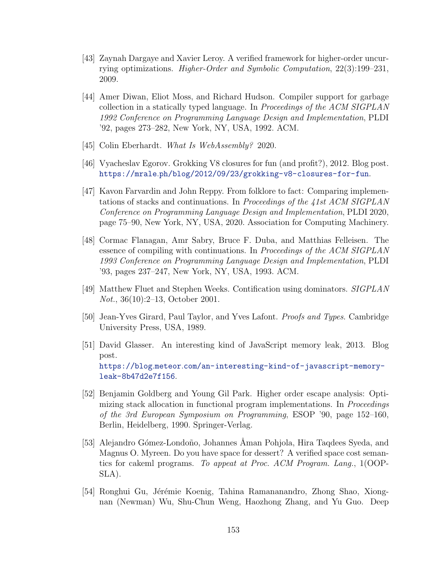- [43] Zaynah Dargaye and Xavier Leroy. A verified framework for higher-order uncurrying optimizations. Higher-Order and Symbolic Computation, 22(3):199–231, 2009.
- [44] Amer Diwan, Eliot Moss, and Richard Hudson. Compiler support for garbage collection in a statically typed language. In Proceedings of the ACM SIGPLAN 1992 Conference on Programming Language Design and Implementation, PLDI '92, pages 273–282, New York, NY, USA, 1992. ACM.
- [45] Colin Eberhardt. What Is WebAssembly? 2020.
- [46] Vyacheslav Egorov. Grokking V8 closures for fun (and profit?), 2012. Blog post. https://mrale.[ph/blog/2012/09/23/grokking-v8-closures-for-fun](https://mrale.ph/blog/2012/09/23/grokking-v8-closures-for-fun).
- <span id="page-163-0"></span>[47] Kavon Farvardin and John Reppy. From folklore to fact: Comparing implementations of stacks and continuations. In Proceedings of the 41st ACM SIGPLAN Conference on Programming Language Design and Implementation, PLDI 2020, page 75–90, New York, NY, USA, 2020. Association for Computing Machinery.
- [48] Cormac Flanagan, Amr Sabry, Bruce F. Duba, and Matthias Felleisen. The essence of compiling with continuations. In Proceedings of the ACM SIGPLAN 1993 Conference on Programming Language Design and Implementation, PLDI '93, pages 237–247, New York, NY, USA, 1993. ACM.
- [49] Matthew Fluet and Stephen Weeks. Contification using dominators. SIGPLAN Not., 36(10):2–13, October 2001.
- [50] Jean-Yves Girard, Paul Taylor, and Yves Lafont. Proofs and Types. Cambridge University Press, USA, 1989.
- [51] David Glasser. An interesting kind of JavaScript memory leak, 2013. Blog post. https://blog.meteor.[com/an-interesting-kind-of-javascript-memory](https://blog.meteor.com/an-interesting-kind-of-javascript-memory-leak-8b47d2e7f156)[leak-8b47d2e7f156](https://blog.meteor.com/an-interesting-kind-of-javascript-memory-leak-8b47d2e7f156).
- [52] Benjamin Goldberg and Young Gil Park. Higher order escape analysis: Optimizing stack allocation in functional program implementations. In Proceedings of the 3rd European Symposium on Programming, ESOP '90, page 152–160, Berlin, Heidelberg, 1990. Springer-Verlag.
- [53] Alejandro Gómez-Londoño, Johannes Åman Pohjola, Hira Taqdees Syeda, and Magnus O. Myreen. Do you have space for dessert? A verified space cost semantics for cakeml programs. To appeat at Proc. ACM Program. Lang., 1(OOP-SLA).
- [54] Ronghui Gu, Jérémie Koenig, Tahina Ramananandro, Zhong Shao, Xiongnan (Newman) Wu, Shu-Chun Weng, Haozhong Zhang, and Yu Guo. Deep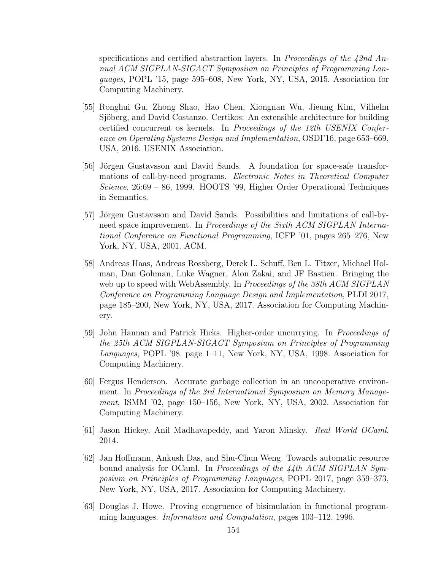specifications and certified abstraction layers. In Proceedings of the  $42nd$  Annual ACM SIGPLAN-SIGACT Symposium on Principles of Programming Languages, POPL '15, page 595–608, New York, NY, USA, 2015. Association for Computing Machinery.

- [55] Ronghui Gu, Zhong Shao, Hao Chen, Xiongnan Wu, Jieung Kim, Vilhelm Sjöberg, and David Costanzo. Certikos: An extensible architecture for building certified concurrent os kernels. In Proceedings of the 12th USENIX Conference on Operating Systems Design and Implementation, OSDI'16, page 653–669, USA, 2016. USENIX Association.
- [56] Jörgen Gustavsson and David Sands. A foundation for space-safe transformations of call-by-need programs. Electronic Notes in Theoretical Computer Science, 26:69 – 86, 1999. HOOTS '99, Higher Order Operational Techniques in Semantics.
- [57] Jörgen Gustavsson and David Sands. Possibilities and limitations of call-byneed space improvement. In Proceedings of the Sixth ACM SIGPLAN International Conference on Functional Programming, ICFP '01, pages 265–276, New York, NY, USA, 2001. ACM.
- [58] Andreas Haas, Andreas Rossberg, Derek L. Schuff, Ben L. Titzer, Michael Holman, Dan Gohman, Luke Wagner, Alon Zakai, and JF Bastien. Bringing the web up to speed with WebAssembly. In *Proceedings of the 38th ACM SIGPLAN* Conference on Programming Language Design and Implementation, PLDI 2017, page 185–200, New York, NY, USA, 2017. Association for Computing Machinery.
- [59] John Hannan and Patrick Hicks. Higher-order uncurrying. In Proceedings of the 25th ACM SIGPLAN-SIGACT Symposium on Principles of Programming Languages, POPL '98, page 1–11, New York, NY, USA, 1998. Association for Computing Machinery.
- [60] Fergus Henderson. Accurate garbage collection in an uncooperative environment. In Proceedings of the 3rd International Symposium on Memory Management, ISMM '02, page 150–156, New York, NY, USA, 2002. Association for Computing Machinery.
- [61] Jason Hickey, Anil Madhavapeddy, and Yaron Minsky. Real World OCaml. 2014.
- [62] Jan Hoffmann, Ankush Das, and Shu-Chun Weng. Towards automatic resource bound analysis for OCaml. In Proceedings of the 44th ACM SIGPLAN Symposium on Principles of Programming Languages, POPL 2017, page 359–373, New York, NY, USA, 2017. Association for Computing Machinery.
- [63] Douglas J. Howe. Proving congruence of bisimulation in functional programming languages. Information and Computation, pages 103–112, 1996.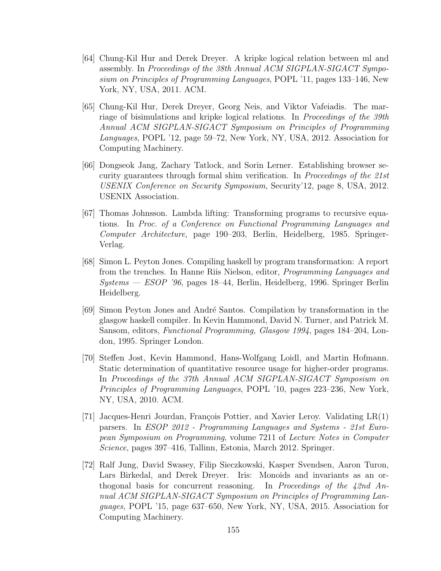- <span id="page-165-0"></span>[64] Chung-Kil Hur and Derek Dreyer. A kripke logical relation between ml and assembly. In Proceedings of the 38th Annual ACM SIGPLAN-SIGACT Symposium on Principles of Programming Languages, POPL '11, pages 133–146, New York, NY, USA, 2011. ACM.
- [65] Chung-Kil Hur, Derek Dreyer, Georg Neis, and Viktor Vafeiadis. The marriage of bisimulations and kripke logical relations. In *Proceedings of the 39th* Annual ACM SIGPLAN-SIGACT Symposium on Principles of Programming Languages, POPL '12, page 59–72, New York, NY, USA, 2012. Association for Computing Machinery.
- [66] Dongseok Jang, Zachary Tatlock, and Sorin Lerner. Establishing browser security guarantees through formal shim verification. In Proceedings of the 21st USENIX Conference on Security Symposium, Security'12, page 8, USA, 2012. USENIX Association.
- <span id="page-165-2"></span>[67] Thomas Johnsson. Lambda lifting: Transforming programs to recursive equations. In Proc. of a Conference on Functional Programming Languages and Computer Architecture, page 190–203, Berlin, Heidelberg, 1985. Springer-Verlag.
- <span id="page-165-3"></span>[68] Simon L. Peyton Jones. Compiling haskell by program transformation: A report from the trenches. In Hanne Riis Nielson, editor, Programming Languages and Systems — ESOP '96, pages 18–44, Berlin, Heidelberg, 1996. Springer Berlin Heidelberg.
- [69] Simon Peyton Jones and André Santos. Compilation by transformation in the glasgow haskell compiler. In Kevin Hammond, David N. Turner, and Patrick M. Sansom, editors, Functional Programming, Glasgow 1994, pages 184–204, London, 1995. Springer London.
- <span id="page-165-1"></span>[70] Steffen Jost, Kevin Hammond, Hans-Wolfgang Loidl, and Martin Hofmann. Static determination of quantitative resource usage for higher-order programs. In Proceedings of the 37th Annual ACM SIGPLAN-SIGACT Symposium on Principles of Programming Languages, POPL '10, pages 223–236, New York, NY, USA, 2010. ACM.
- [71] Jacques-Henri Jourdan, François Pottier, and Xavier Leroy. Validating  $LR(1)$ parsers. In ESOP 2012 - Programming Languages and Systems - 21st European Symposium on Programming, volume 7211 of Lecture Notes in Computer Science, pages 397–416, Tallinn, Estonia, March 2012. Springer.
- [72] Ralf Jung, David Swasey, Filip Sieczkowski, Kasper Svendsen, Aaron Turon, Lars Birkedal, and Derek Dreyer. Iris: Monoids and invariants as an orthogonal basis for concurrent reasoning. In Proceedings of the  $42nd$  Annual ACM SIGPLAN-SIGACT Symposium on Principles of Programming Languages, POPL '15, page 637–650, New York, NY, USA, 2015. Association for Computing Machinery.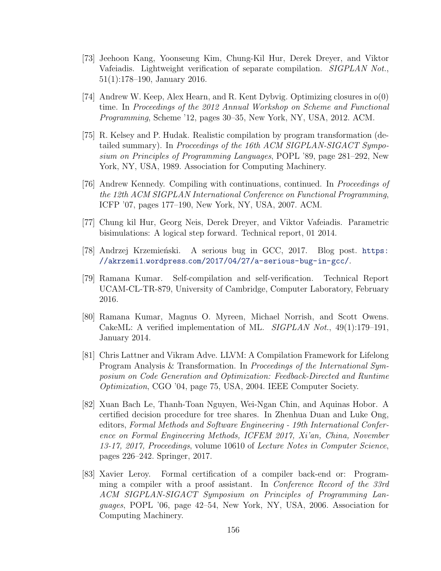- [73] Jeehoon Kang, Yoonseung Kim, Chung-Kil Hur, Derek Dreyer, and Viktor Vafeiadis. Lightweight verification of separate compilation. SIGPLAN Not., 51(1):178–190, January 2016.
- [74] Andrew W. Keep, Alex Hearn, and R. Kent Dybvig. Optimizing closures in o(0) time. In Proceedings of the 2012 Annual Workshop on Scheme and Functional Programming, Scheme '12, pages 30–35, New York, NY, USA, 2012. ACM.
- [75] R. Kelsey and P. Hudak. Realistic compilation by program transformation (detailed summary). In Proceedings of the 16th ACM SIGPLAN-SIGACT Symposium on Principles of Programming Languages, POPL '89, page 281–292, New York, NY, USA, 1989. Association for Computing Machinery.
- [76] Andrew Kennedy. Compiling with continuations, continued. In Proceedings of the 12th ACM SIGPLAN International Conference on Functional Programming, ICFP '07, pages 177–190, New York, NY, USA, 2007. ACM.
- [77] Chung kil Hur, Georg Neis, Derek Dreyer, and Viktor Vafeiadis. Parametric bisimulations: A logical step forward. Technical report, 01 2014.
- [78] Andrzej Krzemieński. A serious bug in GCC, 2017. Blog post. [https:](https://akrzemi1.wordpress.com/2017/04/27/a-serious-bug-in-gcc/) //akrzemi1.wordpress.[com/2017/04/27/a-serious-bug-in-gcc/](https://akrzemi1.wordpress.com/2017/04/27/a-serious-bug-in-gcc/).
- [79] Ramana Kumar. Self-compilation and self-verification. Technical Report UCAM-CL-TR-879, University of Cambridge, Computer Laboratory, February 2016.
- [80] Ramana Kumar, Magnus O. Myreen, Michael Norrish, and Scott Owens. CakeML: A verified implementation of ML. *SIGPLAN Not.*, 49(1):179–191, January 2014.
- [81] Chris Lattner and Vikram Adve. LLVM: A Compilation Framework for Lifelong Program Analysis & Transformation. In Proceedings of the International Symposium on Code Generation and Optimization: Feedback-Directed and Runtime Optimization, CGO '04, page 75, USA, 2004. IEEE Computer Society.
- [82] Xuan Bach Le, Thanh-Toan Nguyen, Wei-Ngan Chin, and Aquinas Hobor. A certified decision procedure for tree shares. In Zhenhua Duan and Luke Ong, editors, Formal Methods and Software Engineering - 19th International Conference on Formal Engineering Methods, ICFEM 2017, Xi'an, China, November 13-17, 2017, Proceedings, volume 10610 of Lecture Notes in Computer Science, pages 226–242. Springer, 2017.
- [83] Xavier Leroy. Formal certification of a compiler back-end or: Programming a compiler with a proof assistant. In Conference Record of the 33rd ACM SIGPLAN-SIGACT Symposium on Principles of Programming Languages, POPL '06, page 42–54, New York, NY, USA, 2006. Association for Computing Machinery.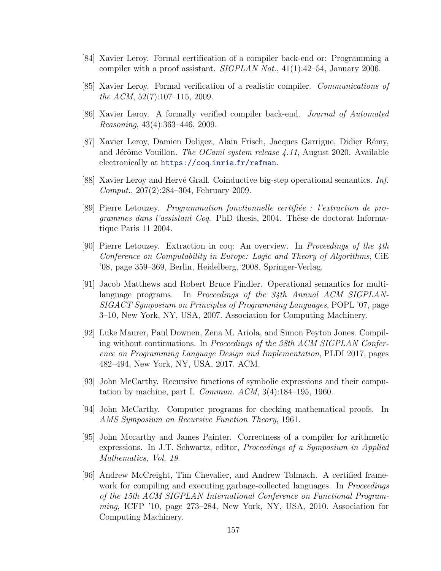- [84] Xavier Leroy. Formal certification of a compiler back-end or: Programming a compiler with a proof assistant. SIGPLAN Not., 41(1):42–54, January 2006.
- [85] Xavier Leroy. Formal verification of a realistic compiler. Communications of the ACM, 52(7):107–115, 2009.
- [86] Xavier Leroy. A formally verified compiler back-end. Journal of Automated Reasoning, 43(4):363–446, 2009.
- <span id="page-167-0"></span>[87] Xavier Leroy, Damien Doligez, Alain Frisch, Jacques Garrigue, Didier R´emy, and Jérôme Vouillon. The OCaml system release  $4.11$ , August 2020. Available electronically at [https://coq](https://coq.inria.fr/refman).inria.fr/refman.
- [88] Xavier Leroy and Hervé Grall. Coinductive big-step operational semantics. Inf. Comput., 207(2):284–304, February 2009.
- [89] Pierre Letouzey. *Programmation fonctionnelle certifiée : l'extraction de pro*grammes dans l'assistant Coq. PhD thesis, 2004. Thèse de doctorat Informatique Paris 11 2004.
- [90] Pierre Letouzey. Extraction in coq: An overview. In Proceedings of the 4th Conference on Computability in Europe: Logic and Theory of Algorithms, CiE '08, page 359–369, Berlin, Heidelberg, 2008. Springer-Verlag.
- [91] Jacob Matthews and Robert Bruce Findler. Operational semantics for multilanguage programs. In Proceedings of the 34th Annual ACM SIGPLAN-SIGACT Symposium on Principles of Programming Languages, POPL '07, page 3–10, New York, NY, USA, 2007. Association for Computing Machinery.
- [92] Luke Maurer, Paul Downen, Zena M. Ariola, and Simon Peyton Jones. Compiling without continuations. In Proceedings of the 38th ACM SIGPLAN Conference on Programming Language Design and Implementation, PLDI 2017, pages 482–494, New York, NY, USA, 2017. ACM.
- [93] John McCarthy. Recursive functions of symbolic expressions and their computation by machine, part I. Commun. ACM, 3(4):184–195, 1960.
- [94] John McCarthy. Computer programs for checking mathematical proofs. In AMS Symposium on Recursive Function Theory, 1961.
- [95] John Mccarthy and James Painter. Correctness of a compiler for arithmetic expressions. In J.T. Schwartz, editor, Proceedings of a Symposium in Applied Mathematics, Vol. 19.
- [96] Andrew McCreight, Tim Chevalier, and Andrew Tolmach. A certified framework for compiling and executing garbage-collected languages. In *Proceedings* of the 15th ACM SIGPLAN International Conference on Functional Programming, ICFP '10, page 273–284, New York, NY, USA, 2010. Association for Computing Machinery.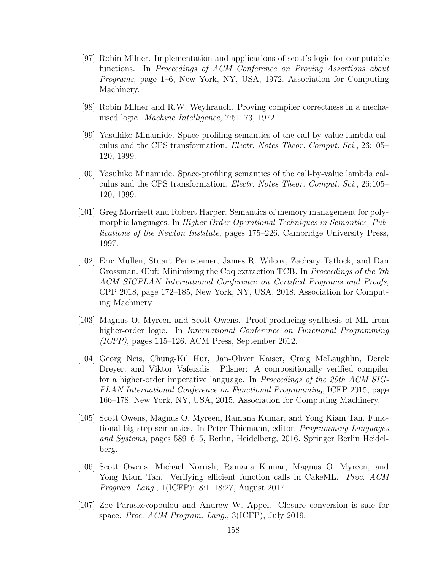- [97] Robin Milner. Implementation and applications of scott's logic for computable functions. In Proceedings of ACM Conference on Proving Assertions about Programs, page 1–6, New York, NY, USA, 1972. Association for Computing Machinery.
- [98] Robin Milner and R.W. Weyhrauch. Proving compiler correctness in a mechanised logic. Machine Intelligence, 7:51–73, 1972.
- [99] Yasuhiko Minamide. Space-profiling semantics of the call-by-value lambda calculus and the CPS transformation. Electr. Notes Theor. Comput. Sci., 26:105– 120, 1999.
- [100] Yasuhiko Minamide. Space-profiling semantics of the call-by-value lambda calculus and the CPS transformation. Electr. Notes Theor. Comput. Sci., 26:105– 120, 1999.
- <span id="page-168-0"></span>[101] Greg Morrisett and Robert Harper. Semantics of memory management for polymorphic languages. In Higher Order Operational Techniques in Semantics, Publications of the Newton Institute, pages 175–226. Cambridge University Press, 1997.
- [102] Eric Mullen, Stuart Pernsteiner, James R. Wilcox, Zachary Tatlock, and Dan Grossman. Œuf: Minimizing the Coq extraction TCB. In Proceedings of the 7th ACM SIGPLAN International Conference on Certified Programs and Proofs, CPP 2018, page 172–185, New York, NY, USA, 2018. Association for Computing Machinery.
- [103] Magnus O. Myreen and Scott Owens. Proof-producing synthesis of ML from higher-order logic. In International Conference on Functional Programming  $(ICFP)$ , pages 115–126. ACM Press, September 2012.
- [104] Georg Neis, Chung-Kil Hur, Jan-Oliver Kaiser, Craig McLaughlin, Derek Dreyer, and Viktor Vafeiadis. Pilsner: A compositionally verified compiler for a higher-order imperative language. In Proceedings of the 20th ACM SIG-PLAN International Conference on Functional Programming, ICFP 2015, page 166–178, New York, NY, USA, 2015. Association for Computing Machinery.
- [105] Scott Owens, Magnus O. Myreen, Ramana Kumar, and Yong Kiam Tan. Functional big-step semantics. In Peter Thiemann, editor, Programming Languages and Systems, pages 589–615, Berlin, Heidelberg, 2016. Springer Berlin Heidelberg.
- [106] Scott Owens, Michael Norrish, Ramana Kumar, Magnus O. Myreen, and Yong Kiam Tan. Verifying efficient function calls in CakeML. *Proc. ACM* Program. Lang., 1(ICFP):18:1–18:27, August 2017.
- [107] Zoe Paraskevopoulou and Andrew W. Appel. Closure conversion is safe for space. Proc. ACM Program. Lang., 3(ICFP), July 2019.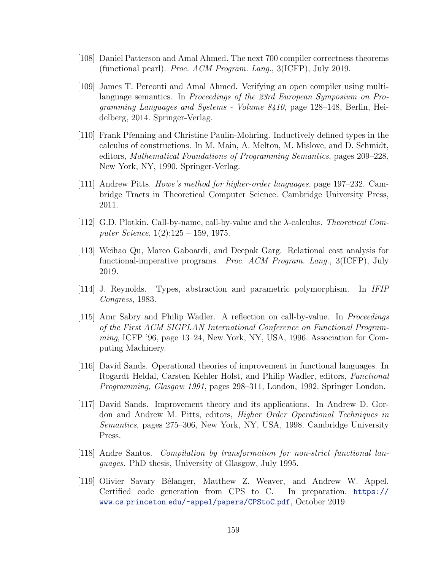- [108] Daniel Patterson and Amal Ahmed. The next 700 compiler correctness theorems (functional pearl). Proc. ACM Program. Lang., 3(ICFP), July 2019.
- [109] James T. Perconti and Amal Ahmed. Verifying an open compiler using multilanguage semantics. In Proceedings of the 23rd European Symposium on Programming Languages and Systems - Volume 8410, page 128–148, Berlin, Heidelberg, 2014. Springer-Verlag.
- [110] Frank Pfenning and Christine Paulin-Mohring. Inductively defined types in the calculus of constructions. In M. Main, A. Melton, M. Mislove, and D. Schmidt, editors, Mathematical Foundations of Programming Semantics, pages 209–228, New York, NY, 1990. Springer-Verlag.
- [111] Andrew Pitts. Howe's method for higher-order languages, page 197–232. Cambridge Tracts in Theoretical Computer Science. Cambridge University Press, 2011.
- [112] G.D. Plotkin. Call-by-name, call-by-value and the λ-calculus. Theoretical Computer Science, 1(2):125 – 159, 1975.
- [113] Weihao Qu, Marco Gaboardi, and Deepak Garg. Relational cost analysis for functional-imperative programs. Proc. ACM Program. Lang., 3(ICFP), July 2019.
- [114] J. Reynolds. Types, abstraction and parametric polymorphism. In IFIP Congress, 1983.
- [115] Amr Sabry and Philip Wadler. A reflection on call-by-value. In Proceedings of the First ACM SIGPLAN International Conference on Functional Programming, ICFP '96, page 13–24, New York, NY, USA, 1996. Association for Computing Machinery.
- [116] David Sands. Operational theories of improvement in functional languages. In Rogardt Heldal, Carsten Kehler Holst, and Philip Wadler, editors, Functional Programming, Glasgow 1991, pages 298–311, London, 1992. Springer London.
- [117] David Sands. Improvement theory and its applications. In Andrew D. Gordon and Andrew M. Pitts, editors, Higher Order Operational Techniques in Semantics, pages 275–306, New York, NY, USA, 1998. Cambridge University Press.
- <span id="page-169-1"></span>[118] Andre Santos. Compilation by transformation for non-strict functional languages. PhD thesis, University of Glasgow, July 1995.
- <span id="page-169-0"></span>[119] Olivier Savary Bélanger, Matthew Z. Weaver, and Andrew W. Appel. Certified code generation from CPS to C. In preparation. [https://](https://www.cs.princeton.edu/~appel/papers/CPStoC.pdf) www.cs.princeton.[edu/~appel/papers/CPStoC](https://www.cs.princeton.edu/~appel/papers/CPStoC.pdf).pdf, October 2019.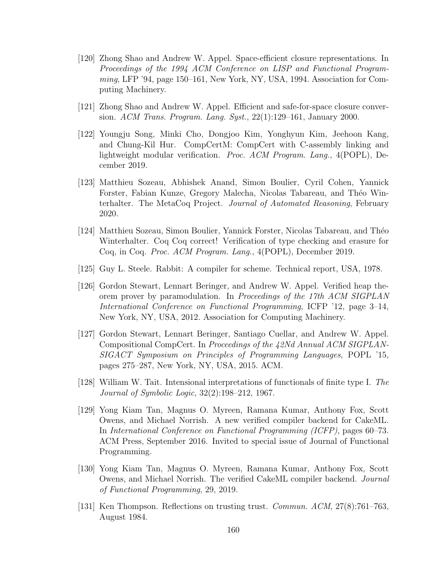- [120] Zhong Shao and Andrew W. Appel. Space-efficient closure representations. In Proceedings of the 1994 ACM Conference on LISP and Functional Programming, LFP '94, page 150–161, New York, NY, USA, 1994. Association for Computing Machinery.
- <span id="page-170-1"></span>[121] Zhong Shao and Andrew W. Appel. Efficient and safe-for-space closure conversion. ACM Trans. Program. Lang. Syst., 22(1):129–161, January 2000.
- [122] Youngju Song, Minki Cho, Dongjoo Kim, Yonghyun Kim, Jeehoon Kang, and Chung-Kil Hur. CompCertM: CompCert with C-assembly linking and lightweight modular verification. *Proc. ACM Program. Lang.*, 4(POPL), December 2019.
- [123] Matthieu Sozeau, Abhishek Anand, Simon Boulier, Cyril Cohen, Yannick Forster, Fabian Kunze, Gregory Malecha, Nicolas Tabareau, and Théo Winterhalter. The MetaCoq Project. Journal of Automated Reasoning, February 2020.
- [124] Matthieu Sozeau, Simon Boulier, Yannick Forster, Nicolas Tabareau, and Théo Winterhalter. Coq Coq correct! Verification of type checking and erasure for Coq, in Coq. Proc. ACM Program. Lang., 4(POPL), December 2019.
- [125] Guy L. Steele. Rabbit: A compiler for scheme. Technical report, USA, 1978.
- <span id="page-170-0"></span>[126] Gordon Stewart, Lennart Beringer, and Andrew W. Appel. Verified heap theorem prover by paramodulation. In Proceedings of the 17th ACM SIGPLAN International Conference on Functional Programming, ICFP '12, page 3–14, New York, NY, USA, 2012. Association for Computing Machinery.
- [127] Gordon Stewart, Lennart Beringer, Santiago Cuellar, and Andrew W. Appel. Compositional CompCert. In Proceedings of the 42Nd Annual ACM SIGPLAN-SIGACT Symposium on Principles of Programming Languages, POPL '15, pages 275–287, New York, NY, USA, 2015. ACM.
- [128] William W. Tait. Intensional interpretations of functionals of finite type I. The Journal of Symbolic Logic, 32(2):198–212, 1967.
- [129] Yong Kiam Tan, Magnus O. Myreen, Ramana Kumar, Anthony Fox, Scott Owens, and Michael Norrish. A new verified compiler backend for CakeML. In International Conference on Functional Programming (ICFP), pages 60–73. ACM Press, September 2016. Invited to special issue of Journal of Functional Programming.
- [130] Yong Kiam Tan, Magnus O. Myreen, Ramana Kumar, Anthony Fox, Scott Owens, and Michael Norrish. The verified CakeML compiler backend. Journal of Functional Programming, 29, 2019.
- [131] Ken Thompson. Reflections on trusting trust. Commun. ACM, 27(8):761–763, August 1984.